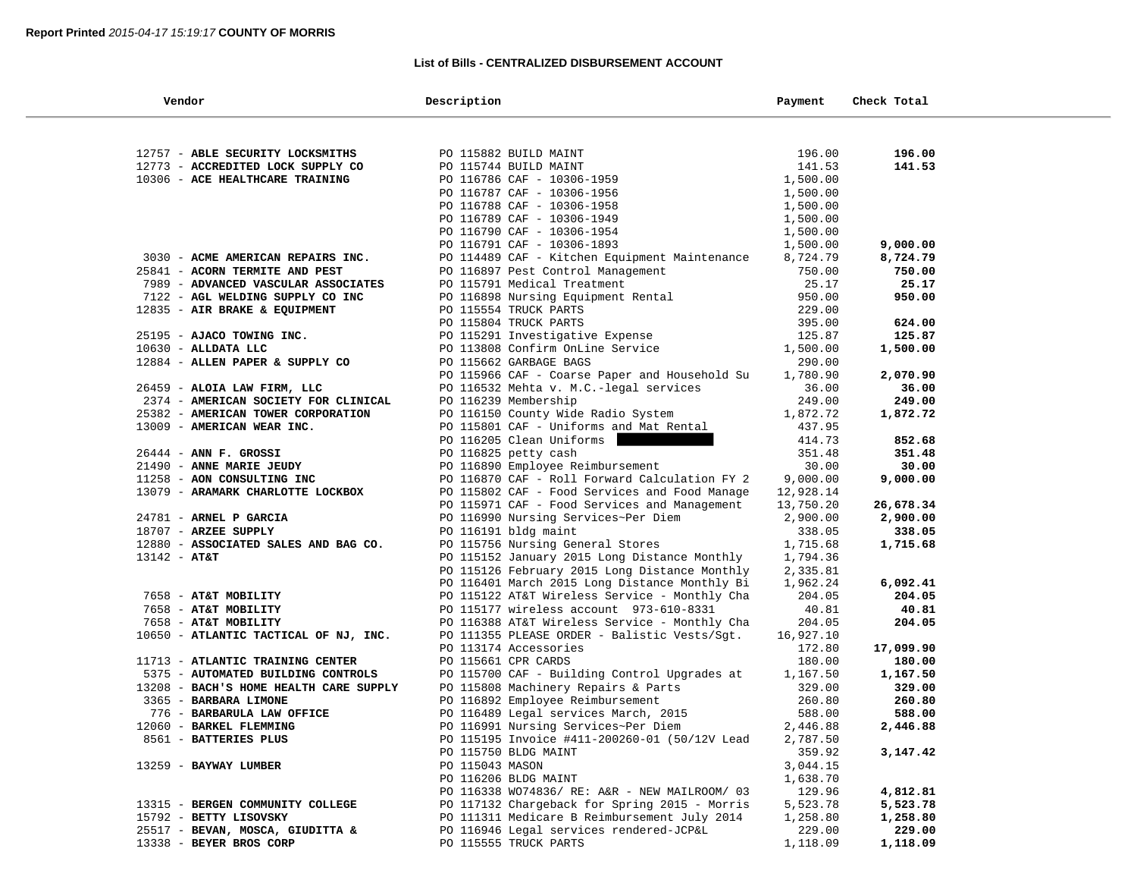#### **List of Bills - CENTRALIZED DISBURSEMENT ACCOUNT**

| Vendor                                 | Description                                   | Payment   | Check Total |
|----------------------------------------|-----------------------------------------------|-----------|-------------|
|                                        |                                               |           |             |
| 12757 - ABLE SECURITY LOCKSMITHS       | PO 115882 BUILD MAINT                         | 196.00    | 196.00      |
| 12773 - ACCREDITED LOCK SUPPLY CO      | PO 115744 BUILD MAINT                         | 141.53    | 141.53      |
| 10306 - ACE HEALTHCARE TRAINING        | PO 116786 CAF - 10306-1959                    | 1,500.00  |             |
|                                        | PO 116787 CAF - 10306-1956                    | 1,500.00  |             |
|                                        | PO 116788 CAF - 10306-1958                    | 1,500.00  |             |
|                                        | PO 116789 CAF - 10306-1949                    | 1,500.00  |             |
|                                        | PO 116790 CAF - 10306-1954                    | 1,500.00  |             |
|                                        | PO 116791 CAF - 10306-1893                    | 1,500.00  | 9,000.00    |
| 3030 - ACME AMERICAN REPAIRS INC.      | PO 114489 CAF - Kitchen Equipment Maintenance | 8,724.79  | 8,724.79    |
| 25841 - ACORN TERMITE AND PEST         | PO 116897 Pest Control Management             | 750.00    | 750.00      |
| 7989 - ADVANCED VASCULAR ASSOCIATES    | PO 115791 Medical Treatment                   | 25.17     | 25.17       |
| 7122 - AGL WELDING SUPPLY CO INC       | PO 116898 Nursing Equipment Rental            | 950.00    | 950.00      |
| 12835 - AIR BRAKE & EQUIPMENT          | PO 115554 TRUCK PARTS                         | 229.00    |             |
|                                        | PO 115804 TRUCK PARTS                         | 395.00    | 624.00      |
| 25195 - AJACO TOWING INC.              | PO 115291 Investigative Expense               | 125.87    | 125.87      |
| $10630$ - ALLDATA LLC                  | PO 113808 Confirm OnLine Service              | 1,500.00  | 1,500.00    |
| 12884 - ALLEN PAPER & SUPPLY CO        | PO 115662 GARBAGE BAGS                        | 290.00    |             |
|                                        | PO 115966 CAF - Coarse Paper and Household Su | 1,780.90  | 2,070.90    |
| 26459 - ALOIA LAW FIRM, LLC            | PO 116532 Mehta v. M.C.-legal services        | 36.00     | 36.00       |
| 2374 - AMERICAN SOCIETY FOR CLINICAL   | PO 116239 Membership                          | 249.00    | 249.00      |
| 25382 - AMERICAN TOWER CORPORATION     | PO 116150 County Wide Radio System            | 1,872.72  | 1,872.72    |
| 13009 - AMERICAN WEAR INC.             | PO 115801 CAF - Uniforms and Mat Rental       | 437.95    |             |
|                                        | PO 116205 Clean Uniforms                      | 414.73    | 852.68      |
| $26444$ - ANN F. GROSSI                | PO 116825 petty cash                          | 351.48    | 351.48      |
| 21490 - ANNE MARIE JEUDY               | PO 116890 Employee Reimbursement              | 30.00     | 30.00       |
| 11258 - AON CONSULTING INC             | PO 116870 CAF - Roll Forward Calculation FY 2 | 9,000.00  | 9,000.00    |
| 13079 - ARAMARK CHARLOTTE LOCKBOX      | PO 115802 CAF - Food Services and Food Manage | 12,928.14 |             |
|                                        | PO 115971 CAF - Food Services and Management  | 13,750.20 | 26,678.34   |
| 24781 - ARNEL P GARCIA                 | PO 116990 Nursing Services~Per Diem           | 2,900.00  | 2,900.00    |
| $18707$ - ARZEE SUPPLY                 | PO 116191 bldg maint                          | 338.05    | 338.05      |
| 12880 - ASSOCIATED SALES AND BAG CO.   | PO 115756 Nursing General Stores              | 1,715.68  | 1,715.68    |
| $13142 - AT&T$                         | PO 115152 January 2015 Long Distance Monthly  | 1,794.36  |             |
|                                        | PO 115126 February 2015 Long Distance Monthly | 2,335.81  |             |
|                                        | PO 116401 March 2015 Long Distance Monthly Bi | 1,962.24  | 6,092.41    |
| 7658 - AT&T MOBILITY                   | PO 115122 AT&T Wireless Service - Monthly Cha | 204.05    | 204.05      |
| 7658 - AT&T MOBILITY                   | PO 115177 wireless account 973-610-8331       | 40.81     | 40.81       |
| 7658 - AT&T MOBILITY                   | PO 116388 AT&T Wireless Service - Monthly Cha | 204.05    | 204.05      |
| 10650 - ATLANTIC TACTICAL OF NJ, INC.  | PO 111355 PLEASE ORDER - Balistic Vests/Sgt.  | 16,927.10 |             |
|                                        | PO 113174 Accessories                         | 172.80    | 17,099.90   |
| 11713 - ATLANTIC TRAINING CENTER       | PO 115661 CPR CARDS                           | 180.00    | 180.00      |
| 5375 - AUTOMATED BUILDING CONTROLS     | PO 115700 CAF - Building Control Upgrades at  | 1,167.50  | 1,167.50    |
| 13208 - BACH'S HOME HEALTH CARE SUPPLY | PO 115808 Machinery Repairs & Parts           | 329.00    | 329.00      |
| 3365 - BARBARA LIMONE                  | PO 116892 Employee Reimbursement              | 260.80    | 260.80      |
| 776 - BARBARULA LAW OFFICE             | PO 116489 Legal services March, 2015          | 588.00    | 588.00      |
| 12060 - BARKEL FLEMMING                | PO 116991 Nursing Services~Per Diem           | 2,446.88  | 2,446.88    |
| 8561 - BATTERIES PLUS                  | PO 115195 Invoice #411-200260-01 (50/12V Lead | 2,787.50  |             |
|                                        | PO 115750 BLDG MAINT                          | 359.92    | 3,147.42    |
| 13259 - BAYWAY LUMBER                  | PO 115043 MASON                               | 3,044.15  |             |
|                                        | PO 116206 BLDG MAINT                          | 1,638.70  |             |
|                                        | PO 116338 WO74836/ RE: A&R - NEW MAILROOM/ 03 | 129.96    | 4,812.81    |
| 13315 - BERGEN COMMUNITY COLLEGE       | PO 117132 Chargeback for Spring 2015 - Morris | 5,523.78  | 5,523.78    |
| 15792 - BETTY LISOVSKY                 | PO 111311 Medicare B Reimbursement July 2014  | 1,258.80  | 1,258.80    |
| 25517 - BEVAN, MOSCA, GIUDITTA &       | PO 116946 Legal services rendered-JCP&L       | 229.00    | 229.00      |
| 13338 - BEYER BROS CORP                | PO 115555 TRUCK PARTS                         | 1,118.09  | 1,118.09    |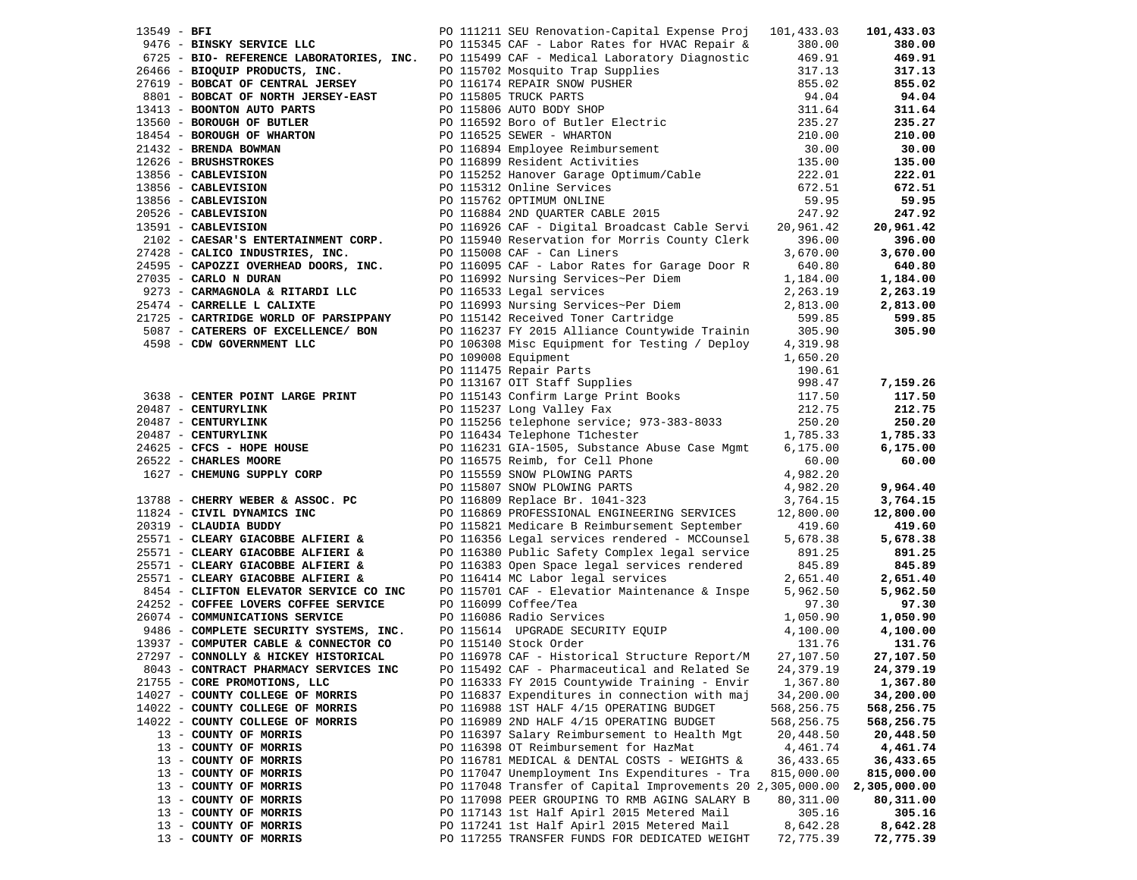| 13549 - BFI |                                            | PO 111211 SEU Renovation-Capital Expense Proj 101,433.03                                                                                                                                                                                                                       |             | 101,433.03   |
|-------------|--------------------------------------------|--------------------------------------------------------------------------------------------------------------------------------------------------------------------------------------------------------------------------------------------------------------------------------|-------------|--------------|
|             | 9476 - BINSKY SERVICE LLC                  | PO 115345 CAF - Labor Rates for HVAC Repair &                                                                                                                                                                                                                                  | 380.00      | 380.00       |
|             |                                            | 6725 - BIO- REFERENCE LABORATORIES, INC. PO 115499 CAF - Medical Laboratory Diagnostic                                                                                                                                                                                         | 469.91      | 469.91       |
|             |                                            |                                                                                                                                                                                                                                                                                | 317.13      | 317.13       |
|             |                                            |                                                                                                                                                                                                                                                                                | 855.02      | 855.02       |
|             |                                            |                                                                                                                                                                                                                                                                                | 94.04       | 94.04        |
|             |                                            |                                                                                                                                                                                                                                                                                | 311.64      | 311.64       |
|             |                                            |                                                                                                                                                                                                                                                                                | 235.27      | 235.27       |
|             |                                            |                                                                                                                                                                                                                                                                                | 210.00      | 210.00       |
|             |                                            |                                                                                                                                                                                                                                                                                | 30.00       | 30.00        |
|             |                                            |                                                                                                                                                                                                                                                                                | 135.00      | 135.00       |
|             |                                            |                                                                                                                                                                                                                                                                                | 222.01      | 222.01       |
|             |                                            |                                                                                                                                                                                                                                                                                | 672.51      | 672.51       |
|             |                                            |                                                                                                                                                                                                                                                                                | 59.95       | 59.95        |
|             |                                            |                                                                                                                                                                                                                                                                                | 247.92      | 247.92       |
|             |                                            |                                                                                                                                                                                                                                                                                | 20,961.42   | 20,961.42    |
|             |                                            |                                                                                                                                                                                                                                                                                | 396.00      | 396.00       |
|             | 27428 - CALICO INDUSTRIES, INC.            | 6725 - <b>BIO- REFERENCE LABORATORIES, INC.</b> PO 115499 CAF - Medical Laboratory Diagnostic<br>27619 - <b>BOBCAT PRODUCTS, INC.</b> PO 115702 Mosquito Trap Supplies<br>8001 - <b>BOBCAT OF CENTRAL JERSEY</b> PO 115702 Mosquito Trap Supplie<br>PO 115008 CAF - Can Liners | 3,670.00    | 3,670.00     |
|             | 24595 - CAPOZZI OVERHEAD DOORS, INC.       | PO 116095 CAF - Labor Rates for Garage Door R                                                                                                                                                                                                                                  | 640.80      | 640.80       |
|             | 27035 - CARLO N DURAN                      | PO 116992 Nursing Services~Per Diem                                                                                                                                                                                                                                            | 1,184.00    | 1,184.00     |
|             | 9273 - CARMAGNOLA & RITARDI LLC            | PO 116533 Legal services                                                                                                                                                                                                                                                       | 2,263.19    | 2,263.19     |
|             | 25474 - CARRELLE L CALIXTE                 |                                                                                                                                                                                                                                                                                | 2,813.00    | 2,813.00     |
|             | 21725 - CARTRIDGE WORLD OF PARSIPPANY      | PO 116993 Nursing Services~Per Diem<br>PO 115142 Received Toner Cartridge                                                                                                                                                                                                      | 599.85      | 599.85       |
|             | 5087 - CATERERS OF EXCELLENCE/ BON         | PO 116237 FY 2015 Alliance Countywide Trainin 305.90                                                                                                                                                                                                                           |             | 305.90       |
|             | 4598 - CDW GOVERNMENT LLC                  | PO 106308 Misc Equipment for Testing / Deploy                                                                                                                                                                                                                                  | 4,319.98    |              |
|             |                                            | PO 109008 Equipment                                                                                                                                                                                                                                                            | 1,650.20    |              |
|             |                                            |                                                                                                                                                                                                                                                                                | 190.61      |              |
|             |                                            |                                                                                                                                                                                                                                                                                | 998.47      | 7,159.26     |
|             | 3638 - CENTER POINT LARGE PRINT            | PO 109008 Equipment<br>PO 111475 Repair Parts<br>PO 113167 OIT Staff Supplies<br>PO 115143 Confirm Large Print Books<br>PO 115237 Long Valley Fax                                                                                                                              | 117.50      | 117.50       |
|             | 20487 - CENTURYLINK                        |                                                                                                                                                                                                                                                                                | 212.75      | 212.75       |
|             |                                            |                                                                                                                                                                                                                                                                                | 250.20      | 250.20       |
|             | 20487 - CENTURYLINK<br>20487 - CENTURYLINK |                                                                                                                                                                                                                                                                                | 1,785.33    | 1,785.33     |
|             | 24625 - CFCS - HOPE HOUSE                  |                                                                                                                                                                                                                                                                                | 6, 175.00   | 6,175.00     |
|             | 26522 - CHARLES MOORE                      |                                                                                                                                                                                                                                                                                | 60.00       | 60.00        |
|             | 1627 - CHEMUNG SUPPLY CORP                 |                                                                                                                                                                                                                                                                                | 4,982.20    |              |
|             |                                            | PO 115256 telephone service.<br>PO 116434 Telephone Tlchester<br>PO 116231 GIA-1505, Substance Abuse Case Mgmt<br>PO 116575 Reimb, for Cell Phone<br>PO 115559 SNOW PLOWING PARTS<br>PO 115807 SNOW PLOWING PARTS<br>PO 116809 Replace Br. 1041-                               | 4,982.20    | 9,964.40     |
|             | 13788 - CHERRY WEBER & ASSOC. PC           |                                                                                                                                                                                                                                                                                | 3,764.15    | 3,764.15     |
|             | 11824 - CIVIL DYNAMICS INC                 |                                                                                                                                                                                                                                                                                | 12,800.00   | 12,800.00    |
|             | 20319 - CLAUDIA BUDDY                      | PO 115821 Medicare B Reimbursement September                                                                                                                                                                                                                                   | 419.60      | 419.60       |
|             | 25571 - CLEARY GIACOBBE ALFIERI &          | PO 116356 Legal services rendered - MCCounsel                                                                                                                                                                                                                                  | 5,678.38    | 5,678.38     |
|             | 25571 - CLEARY GIACOBBE ALFIERI &          | PO 116380 Public Safety Complex legal service                                                                                                                                                                                                                                  | 891.25      | 891.25       |
|             | 25571 - CLEARY GIACOBBE ALFIERI &          | PO 116383 Open Space legal services rendered                                                                                                                                                                                                                                   | 845.89      | 845.89       |
|             | 25571 - CLEARY GIACOBBE ALFIERI &          | PO 116414 MC Labor legal services                                                                                                                                                                                                                                              | 2,651.40    | 2,651.40     |
|             | 8454 - CLIFTON ELEVATOR SERVICE CO INC     | PO 115701 CAF - Elevatior Maintenance & Inspe                                                                                                                                                                                                                                  | 5,962.50    | 5,962.50     |
|             | 24252 - COFFEE LOVERS COFFEE SERVICE       | PO 116099 Coffee/Tea                                                                                                                                                                                                                                                           | 97.30       | 97.30        |
|             | 26074 - COMMUNICATIONS SERVICE             | PO 116086 Radio Services                                                                                                                                                                                                                                                       | 1,050.90    | 1,050.90     |
|             | 9486 - COMPLETE SECURITY SYSTEMS, INC.     | PO 115614 UPGRADE SECURITY EQUIP                                                                                                                                                                                                                                               | 4,100.00    | 4,100.00     |
|             | 13937 - COMPUTER CABLE & CONNECTOR CO      | PO 115140 Stock Order                                                                                                                                                                                                                                                          | 131.76      | 131.76       |
|             | 27297 - CONNOLLY & HICKEY HISTORICAL       | PO 116978 CAF - Historical Structure Report/M                                                                                                                                                                                                                                  | 27,107.50   | 27,107.50    |
|             | 8043 - CONTRACT PHARMACY SERVICES INC      | PO 115492 CAF - Pharmaceutical and Related Se                                                                                                                                                                                                                                  | 24, 379. 19 | 24,379.19    |
|             | 21755 - CORE PROMOTIONS, LLC               | PO 116333 FY 2015 Countywide Training - Envir                                                                                                                                                                                                                                  | 1,367.80    | 1,367.80     |
|             | 14027 - COUNTY COLLEGE OF MORRIS           | PO 116837 Expenditures in connection with maj                                                                                                                                                                                                                                  | 34,200.00   | 34,200.00    |
|             | 14022 - COUNTY COLLEGE OF MORRIS           | PO 116988 1ST HALF 4/15 OPERATING BUDGET                                                                                                                                                                                                                                       | 568,256.75  | 568,256.75   |
|             | 14022 - COUNTY COLLEGE OF MORRIS           | PO 116989 2ND HALF 4/15 OPERATING BUDGET                                                                                                                                                                                                                                       | 568,256.75  | 568,256.75   |
|             | 13 - COUNTY OF MORRIS                      | PO 116397 Salary Reimbursement to Health Mgt                                                                                                                                                                                                                                   | 20,448.50   | 20,448.50    |
|             | 13 - COUNTY OF MORRIS                      | PO 116398 OT Reimbursement for HazMat                                                                                                                                                                                                                                          | 4,461.74    | 4,461.74     |
|             | 13 - COUNTY OF MORRIS                      | PO 116781 MEDICAL & DENTAL COSTS - WEIGHTS &                                                                                                                                                                                                                                   | 36,433.65   | 36,433.65    |
|             | 13 - COUNTY OF MORRIS                      | PO 117047 Unemployment Ins Expenditures - Tra                                                                                                                                                                                                                                  | 815,000.00  | 815,000.00   |
|             | 13 - COUNTY OF MORRIS                      | PO 117048 Transfer of Capital Improvements 20 2,305,000.00                                                                                                                                                                                                                     |             | 2,305,000.00 |
|             | 13 - COUNTY OF MORRIS                      | PO 117098 PEER GROUPING TO RMB AGING SALARY B                                                                                                                                                                                                                                  | 80,311.00   | 80,311.00    |
|             | 13 - COUNTY OF MORRIS                      | PO 117143 1st Half Apirl 2015 Metered Mail                                                                                                                                                                                                                                     | 305.16      | 305.16       |
|             | 13 - COUNTY OF MORRIS                      | PO 117241 1st Half Apirl 2015 Metered Mail                                                                                                                                                                                                                                     | 8,642.28    | 8,642.28     |
|             | 13 - COUNTY OF MORRIS                      | PO 117255 TRANSFER FUNDS FOR DEDICATED WEIGHT                                                                                                                                                                                                                                  | 72,775.39   | 72,775.39    |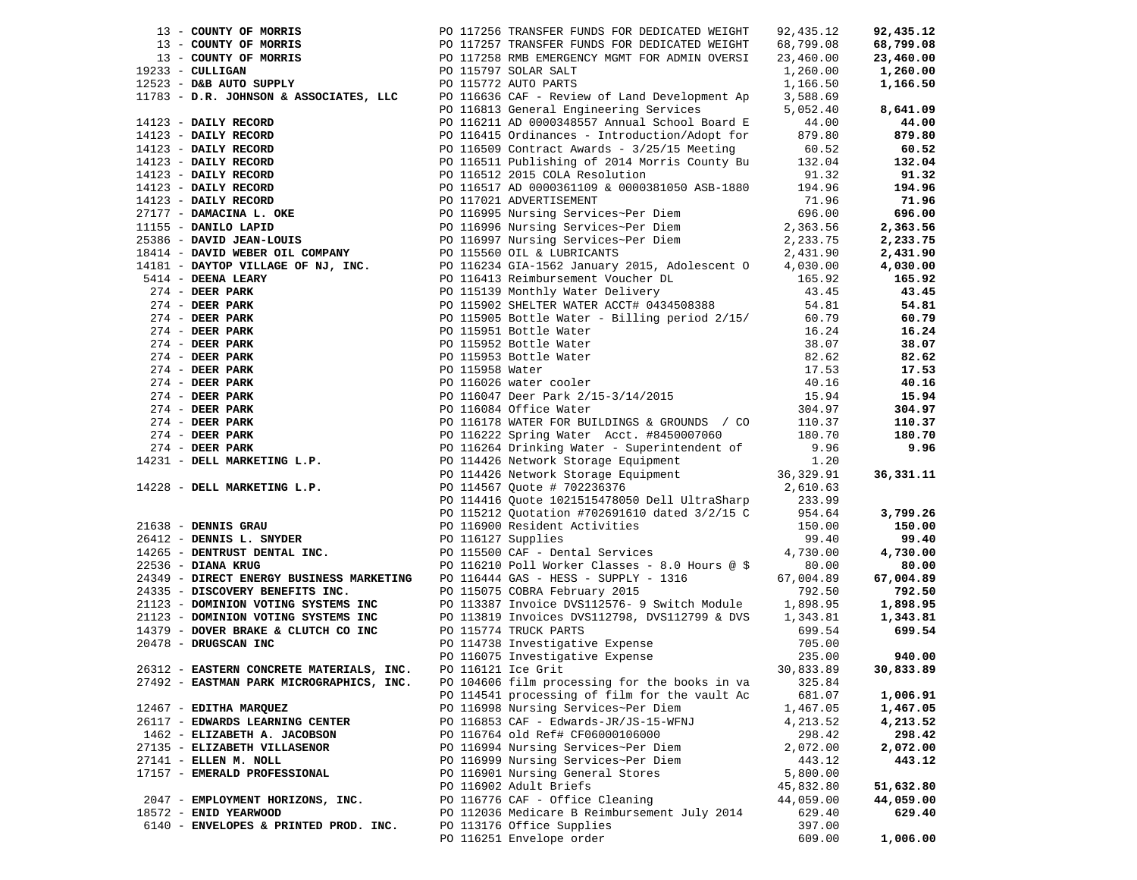|                        |                                          | 13 - COMPT of Montant 22 - 11614 Markov 72 - 12614 Markov 72 - 12615 Markov 72 - 1262 Markov 72 - 1262 Markov 72 - 1262 Markov 72 - 1262 Markov 72 - 1262 Markov 72 - 1262 Markov 72 - 1262 Markov 72 - 1262 Markov 72 - 1262 |           |           |
|------------------------|------------------------------------------|-------------------------------------------------------------------------------------------------------------------------------------------------------------------------------------------------------------------------------|-----------|-----------|
|                        |                                          |                                                                                                                                                                                                                               |           |           |
|                        |                                          |                                                                                                                                                                                                                               |           |           |
|                        |                                          |                                                                                                                                                                                                                               |           |           |
|                        |                                          |                                                                                                                                                                                                                               |           |           |
|                        | 27492 - EASTMAN PARK MICROGRAPHICS, INC. | PO 104606 film processing for the books in va                                                                                                                                                                                 | 325.84    |           |
|                        |                                          | PO 114541 processing of film for the vault Ac                                                                                                                                                                                 | 681.07    | 1,006.91  |
| 12467 - EDITHA MARQUEZ |                                          | PO 116998 Nursing Services~Per Diem                                                                                                                                                                                           | 1,467.05  | 1,467.05  |
|                        | 26117 - EDWARDS LEARNING CENTER          | PO 116853 CAF - Edwards-JR/JS-15-WFNJ                                                                                                                                                                                         | 4,213.52  | 4,213.52  |
|                        | 1462 - ELIZABETH A. JACOBSON             | PO 116764 old Ref# CF06000106000                                                                                                                                                                                              | 298.42    | 298.42    |
|                        | 27135 - ELIZABETH VILLASENOR             | PO 116994 Nursing Services~Per Diem                                                                                                                                                                                           | 2,072.00  | 2,072.00  |
| 27141 - ELLEN M. NOLL  |                                          | PO 116999 Nursing Services~Per Diem                                                                                                                                                                                           | 443.12    | 443.12    |
|                        | 17157 - EMERALD PROFESSIONAL             | PO 116901 Nursing General Stores                                                                                                                                                                                              | 5,800.00  |           |
|                        |                                          | PO 116902 Adult Briefs                                                                                                                                                                                                        | 45,832.80 | 51,632.80 |
|                        | 2047 - EMPLOYMENT HORIZONS, INC.         | PO 116776 CAF - Office Cleaning                                                                                                                                                                                               | 44,059.00 | 44,059.00 |
| 18572 - ENID YEARWOOD  |                                          | PO 112036 Medicare B Reimbursement July 2014                                                                                                                                                                                  | 629.40    | 629.40    |
|                        | 6140 - ENVELOPES & PRINTED PROD. INC.    | PO 113176 Office Supplies                                                                                                                                                                                                     | 397.00    |           |
|                        |                                          | PO 116251 Envelope order                                                                                                                                                                                                      | 609.00    | 1,006.00  |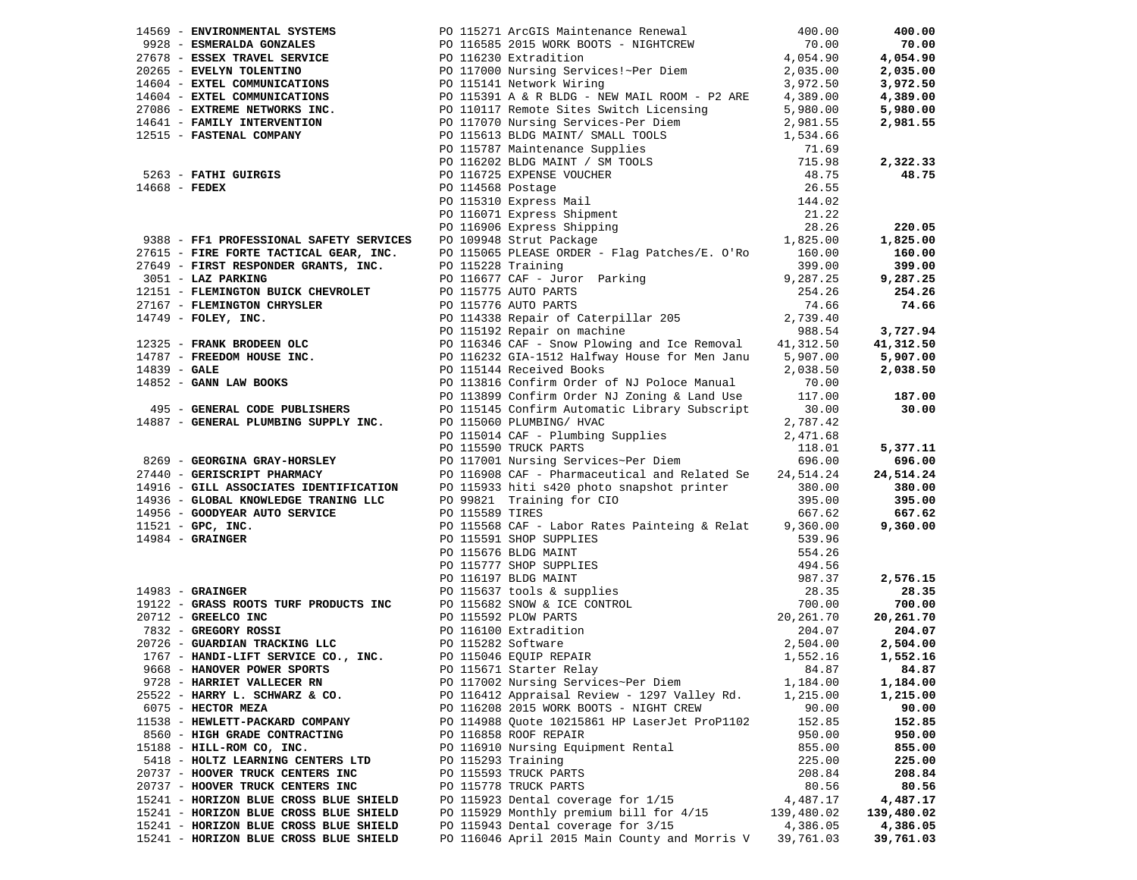|                                        |                                                                                                                                                                                                                                                                                                                   |            | 400.00     |
|----------------------------------------|-------------------------------------------------------------------------------------------------------------------------------------------------------------------------------------------------------------------------------------------------------------------------------------------------------------------|------------|------------|
|                                        |                                                                                                                                                                                                                                                                                                                   |            | 70.00      |
|                                        |                                                                                                                                                                                                                                                                                                                   |            | 4,054.90   |
|                                        |                                                                                                                                                                                                                                                                                                                   |            | 2,035.00   |
|                                        |                                                                                                                                                                                                                                                                                                                   |            | 3,972.50   |
|                                        |                                                                                                                                                                                                                                                                                                                   |            | 4,389.00   |
|                                        |                                                                                                                                                                                                                                                                                                                   |            | 5,980.00   |
|                                        |                                                                                                                                                                                                                                                                                                                   |            | 2,981.55   |
|                                        |                                                                                                                                                                                                                                                                                                                   |            |            |
|                                        |                                                                                                                                                                                                                                                                                                                   |            |            |
|                                        |                                                                                                                                                                                                                                                                                                                   |            | 2,322.33   |
|                                        |                                                                                                                                                                                                                                                                                                                   |            | 48.75      |
|                                        |                                                                                                                                                                                                                                                                                                                   |            |            |
|                                        |                                                                                                                                                                                                                                                                                                                   |            |            |
|                                        |                                                                                                                                                                                                                                                                                                                   |            |            |
|                                        | 14569 - <b>ENTRONMENTAL SYSTEMS</b> PO 115271 APCSTS Maintenance Renewal 400.00<br>27678 <b>- ESMERALDA GONZALES</b> PO 116585 2015 WORK BOTS - NIGHTCREW 70.00<br>27678 <b>- ESSEX TRAVEL SERVICE</b> PO 116785 2015 WORK BOTS - NIGHTCREW 4,05                                                                  |            | 220.05     |
|                                        |                                                                                                                                                                                                                                                                                                                   |            | 1,825.00   |
|                                        |                                                                                                                                                                                                                                                                                                                   |            |            |
|                                        |                                                                                                                                                                                                                                                                                                                   |            |            |
|                                        |                                                                                                                                                                                                                                                                                                                   |            |            |
|                                        |                                                                                                                                                                                                                                                                                                                   |            |            |
|                                        |                                                                                                                                                                                                                                                                                                                   |            |            |
|                                        |                                                                                                                                                                                                                                                                                                                   |            |            |
|                                        |                                                                                                                                                                                                                                                                                                                   |            |            |
|                                        |                                                                                                                                                                                                                                                                                                                   |            |            |
|                                        |                                                                                                                                                                                                                                                                                                                   |            |            |
|                                        |                                                                                                                                                                                                                                                                                                                   |            |            |
|                                        |                                                                                                                                                                                                                                                                                                                   |            |            |
|                                        |                                                                                                                                                                                                                                                                                                                   |            |            |
|                                        | 9388 - <b>FPI PROFESSIONAL SAFETY SERVICES</b> PO 119665 PLEASE ORDER - FIG PAtches/E. O'Ro 1,625.00<br>27615 - <b>FIRE FORT RESPONDER GRANTS, INC.</b> PO 115605 PLEASE ORDER - Flag Patches/E. O'Ro 150.00 160.00<br>399.00 399.00 399.00                                                                       |            |            |
|                                        |                                                                                                                                                                                                                                                                                                                   |            |            |
|                                        |                                                                                                                                                                                                                                                                                                                   |            |            |
|                                        | 9269 - GEORGINA GRAY-HORSLEY<br>27440 - GERISCRIPT PHARMACY<br>27440 - GERISCRIPT PHARMACY<br>27440 - GERISCRIPT PHARMACY<br>27440 - GERISCRIPT PHARMACY<br>296.00<br>29821 TRIS 24 DO 115933 hitistal and Related Septem and Related Sep                                                                         |            |            |
|                                        |                                                                                                                                                                                                                                                                                                                   |            | 696.00     |
|                                        |                                                                                                                                                                                                                                                                                                                   |            | 24,514.24  |
|                                        |                                                                                                                                                                                                                                                                                                                   |            | 380.00     |
|                                        |                                                                                                                                                                                                                                                                                                                   |            | 395.00     |
|                                        |                                                                                                                                                                                                                                                                                                                   |            | 667.62     |
|                                        |                                                                                                                                                                                                                                                                                                                   |            | 9,360.00   |
|                                        |                                                                                                                                                                                                                                                                                                                   |            |            |
|                                        |                                                                                                                                                                                                                                                                                                                   |            |            |
|                                        |                                                                                                                                                                                                                                                                                                                   |            |            |
|                                        | 1984 - <b>GRAINGER</b><br>1984 - <b>GRAINGER</b><br>1984 - <b>GRAINGER</b><br>1984 - <b>GRAINGER</b><br>1983 - <b>GRAINGER</b><br>1998 - <b>GRAINGER</b><br>1998 - <b>GRAINGER</b><br>1998 - <b>GRAINGER</b><br>1998 - <b>GRAINGER</b><br>1998 - <b>GRAINGER</b><br>1998 - <b>GRAINGER</b><br>1998 - <b>GRAIN</b> |            |            |
|                                        |                                                                                                                                                                                                                                                                                                                   |            |            |
|                                        |                                                                                                                                                                                                                                                                                                                   |            |            |
|                                        |                                                                                                                                                                                                                                                                                                                   |            |            |
|                                        |                                                                                                                                                                                                                                                                                                                   |            |            |
|                                        |                                                                                                                                                                                                                                                                                                                   |            |            |
|                                        |                                                                                                                                                                                                                                                                                                                   |            |            |
| 9728 - HARRIET VALLECER RN             | PO 117002 Nursing Services~Per Diem                                                                                                                                                                                                                                                                               | 1,184.00   | 1,184.00   |
| 25522 - HARRY L. SCHWARZ & CO.         | PO 116412 Appraisal Review - 1297 Valley Rd.                                                                                                                                                                                                                                                                      | 1,215.00   | 1,215.00   |
| 6075 - HECTOR MEZA                     | PO 116208 2015 WORK BOOTS - NIGHT CREW                                                                                                                                                                                                                                                                            | 90.00      | 90.00      |
| 11538 - HEWLETT-PACKARD COMPANY        | PO 114988 Quote 10215861 HP LaserJet ProP1102                                                                                                                                                                                                                                                                     | 152.85     | 152.85     |
| 8560 - HIGH GRADE CONTRACTING          | PO 116858 ROOF REPAIR                                                                                                                                                                                                                                                                                             | 950.00     | 950.00     |
| 15188 - HILL-ROM CO, INC.              | PO 116910 Nursing Equipment Rental                                                                                                                                                                                                                                                                                | 855.00     | 855.00     |
| 5418 - HOLTZ LEARNING CENTERS LTD      | PO 115293 Training                                                                                                                                                                                                                                                                                                | 225.00     | 225.00     |
| 20737 - HOOVER TRUCK CENTERS INC       | PO 115593 TRUCK PARTS                                                                                                                                                                                                                                                                                             | 208.84     | 208.84     |
| 20737 - HOOVER TRUCK CENTERS INC       | PO 115778 TRUCK PARTS                                                                                                                                                                                                                                                                                             | 80.56      | 80.56      |
| 15241 - HORIZON BLUE CROSS BLUE SHIELD | PO 115923 Dental coverage for 1/15                                                                                                                                                                                                                                                                                | 4,487.17   | 4,487.17   |
| 15241 - HORIZON BLUE CROSS BLUE SHIELD | PO 115929 Monthly premium bill for 4/15                                                                                                                                                                                                                                                                           | 139,480.02 | 139,480.02 |
| 15241 - HORIZON BLUE CROSS BLUE SHIELD | PO 115943 Dental coverage for 3/15                                                                                                                                                                                                                                                                                | 4,386.05   | 4,386.05   |
| 15241 - HORIZON BLUE CROSS BLUE SHIELD | PO 116046 April 2015 Main County and Morris V                                                                                                                                                                                                                                                                     | 39,761.03  | 39,761.03  |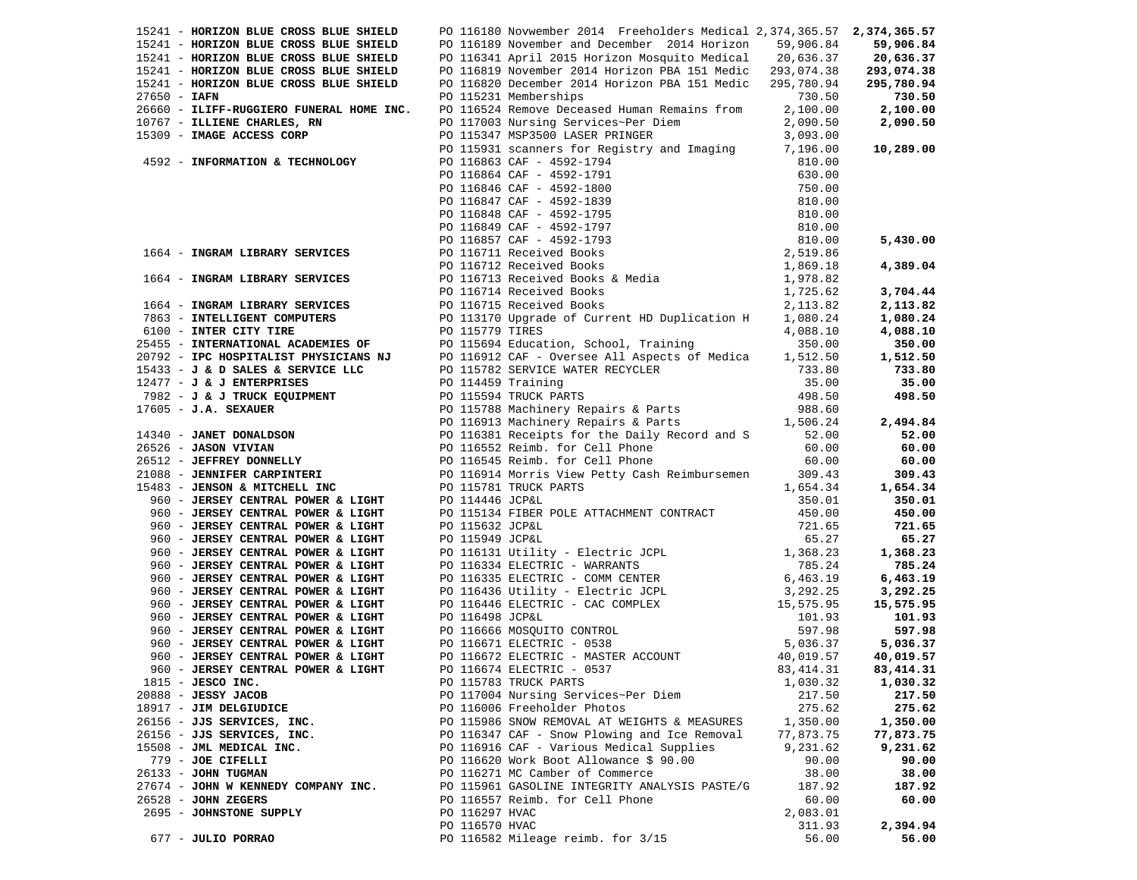|                | 15241 - HORIZON BLUE CROSS BLUE SHIELD                                                                         |                 | PO 116180 Novwember 2014 Freeholders Medical 2,374,365.57 2,374,365.57                                                                                                                                                                         |                      |            |
|----------------|----------------------------------------------------------------------------------------------------------------|-----------------|------------------------------------------------------------------------------------------------------------------------------------------------------------------------------------------------------------------------------------------------|----------------------|------------|
|                | 15241 - HORIZON BLUE CROSS BLUE SHIELD                                                                         |                 | PO 116189 November and December 2014 Horizon 59,906.84                                                                                                                                                                                         |                      | 59,906.84  |
|                | 15241 - HORIZON BLUE CROSS BLUE SHIELD                                                                         |                 | PO 116341 April 2015 Horizon Mosquito Medical 20,636.37                                                                                                                                                                                        |                      | 20,636.37  |
|                | 15241 - HORIZON BLUE CROSS BLUE SHIELD                                                                         |                 | PO 116819 November 2014 Horizon PBA 151 Medic 293,074.38                                                                                                                                                                                       |                      | 293,074.38 |
|                | 15241 - HORIZON BLUE CROSS BLUE SHIELD                                                                         |                 | PO 116820 December 2014 Horizon PBA 151 Medic 295,780.94                                                                                                                                                                                       |                      | 295,780.94 |
| $27650 - IAFN$ |                                                                                                                |                 | PO 115231 Memberships                                                                                                                                                                                                                          | 730.50               | 730.50     |
|                | 26660 - ILIFF-RUGGIERO FUNERAL HOME INC.                                                                       |                 | PO 116524 Remove Deceased Human Remains from                                                                                                                                                                                                   | 2,100.00             | 2,100.00   |
|                | 10767 - ILLIENE CHARLES, RN                                                                                    |                 |                                                                                                                                                                                                                                                | 2,090.50             | 2,090.50   |
|                | 15309 - IMAGE ACCESS CORP                                                                                      |                 | PO 117003 Nursing Services~Per Diem<br>PO 115347 MSP3500 LASER PRINGER                                                                                                                                                                         | 2,090.50<br>3,093.00 |            |
|                |                                                                                                                |                 |                                                                                                                                                                                                                                                |                      | 10,289.00  |
|                | 4592 - INFORMATION & TECHNOLOGY                                                                                |                 | PO 115931 scanners for Registry and Imaging 7,196.00                                                                                                                                                                                           |                      |            |
|                |                                                                                                                |                 |                                                                                                                                                                                                                                                |                      |            |
|                |                                                                                                                |                 |                                                                                                                                                                                                                                                |                      |            |
|                |                                                                                                                |                 |                                                                                                                                                                                                                                                |                      |            |
|                |                                                                                                                |                 |                                                                                                                                                                                                                                                |                      |            |
|                |                                                                                                                |                 |                                                                                                                                                                                                                                                |                      |            |
|                |                                                                                                                |                 |                                                                                                                                                                                                                                                |                      |            |
|                |                                                                                                                |                 |                                                                                                                                                                                                                                                |                      | 5,430.00   |
|                | 1664 - INGRAM LIBRARY SERVICES                                                                                 |                 | For 115863 CAF - 4592-1794<br>PO 116863 CAF - 4592-1794<br>PO 116864 CAF - 4592-1791<br>PO 116846 CAF - 4592-1791<br>PO 116846 CAF - 4592-1791<br>PO 116847 CAF - 4592-1791<br>PO 116847 CAF - 4592-1793<br>PO 116849 CAF - 4592-1795<br>PO 11 |                      |            |
|                |                                                                                                                |                 |                                                                                                                                                                                                                                                |                      | 4,389.04   |
|                |                                                                                                                |                 |                                                                                                                                                                                                                                                |                      |            |
|                | 1664 - INGRAM LIBRARY SERVICES                                                                                 |                 |                                                                                                                                                                                                                                                |                      | 3,704.44   |
|                | 1664 - INGRAM LIBRARY SERVICES<br>7863 - INTELLIGENT COMPUTERS                                                 |                 |                                                                                                                                                                                                                                                |                      | 2,113.82   |
|                |                                                                                                                |                 | PO 113170 Upgrade of Current HD Duplication H 1,080.24                                                                                                                                                                                         |                      | 1,080.24   |
|                |                                                                                                                |                 |                                                                                                                                                                                                                                                |                      | 4,088.10   |
|                |                                                                                                                |                 |                                                                                                                                                                                                                                                |                      | 350.00     |
|                |                                                                                                                |                 |                                                                                                                                                                                                                                                |                      | 1,512.50   |
|                |                                                                                                                |                 |                                                                                                                                                                                                                                                |                      | 733.80     |
|                |                                                                                                                |                 |                                                                                                                                                                                                                                                |                      |            |
|                |                                                                                                                |                 |                                                                                                                                                                                                                                                |                      | 35.00      |
|                |                                                                                                                |                 |                                                                                                                                                                                                                                                |                      | 498.50     |
|                |                                                                                                                |                 |                                                                                                                                                                                                                                                |                      |            |
|                |                                                                                                                |                 |                                                                                                                                                                                                                                                |                      | 2,494.84   |
|                |                                                                                                                |                 | FOR A SURVEY CONFUSERS and the Duplication H $1,080.24$<br>FOR CITER CITY TIRE TO 11579 TRES and the Duplication H $1,080.24$<br>25455 - INTERNATIONAL ACADEMIES OF PO 115694 Education, School, Training 350.00<br>20792 - IPC HOS            |                      | 52.00      |
|                |                                                                                                                |                 |                                                                                                                                                                                                                                                |                      | 60.00      |
|                |                                                                                                                |                 |                                                                                                                                                                                                                                                |                      | 60.00      |
|                |                                                                                                                |                 |                                                                                                                                                                                                                                                |                      | 309.43     |
|                | 15483 - JENSON & MITCHELL INC                                                                                  |                 | PO 115781 TRUCK PARTS                                                                                                                                                                                                                          | 1,654.34             | 1,654.34   |
|                |                                                                                                                | PO 114446 JCP&L |                                                                                                                                                                                                                                                | 350.01               | 350.01     |
|                | 960 - JERSEY CENTRAL FONER & LIGHT<br>960 - JERSEY CENTRAL POWER & LIGHT                                       |                 |                                                                                                                                                                                                                                                |                      | 450.00     |
|                | 960 - JERSEY CENTRAL POWER & LIGHT                                                                             |                 |                                                                                                                                                                                                                                                |                      | 721.65     |
|                | 960 - JERSEY CENTRAL POWER & LIGHT                                                                             |                 |                                                                                                                                                                                                                                                |                      | 65.27      |
|                | 960 - JERSEY CENTRAL POWER & LIGHT                                                                             |                 |                                                                                                                                                                                                                                                |                      | 1,368.23   |
|                | 960 - JERSEY CENTRAL POWER & LIGHT                                                                             |                 |                                                                                                                                                                                                                                                |                      | 785.24     |
|                | 960 - JERSEY CENTRAL POWER & LIGHT                                                                             |                 |                                                                                                                                                                                                                                                |                      | 6,463.19   |
|                | 960 - JERSEY CENTRAL POWER & LIGHT                                                                             |                 |                                                                                                                                                                                                                                                |                      | 3,292.25   |
|                | 960 - JERSEY CENTRAL POWER & LIGHT                                                                             |                 |                                                                                                                                                                                                                                                |                      | 15,575.95  |
|                |                                                                                                                |                 |                                                                                                                                                                                                                                                |                      | 101.93     |
|                | 900 - JERSEY CENTRAL POWER & LIGHT<br>000 - JERSEY CENTRAL POWER & LIGHT                                       |                 | PO 114446 JCP&L<br>PO 115134 FIBER POLE ATTACHMENT CONTRACT<br>PO 11552 JCP&L<br>PO 11552 JCP&L<br>PO 116534 JCP&L<br>PO 116334 ELECTRIC - WARRANTS<br>PO 116335 ELECTRIC - WARRANTS<br>PO 116335 ELECTRIC - COMM CENTER<br>PO 116446 Utility  |                      | 597.98     |
|                |                                                                                                                |                 |                                                                                                                                                                                                                                                |                      | 5,036.37   |
|                | 960 - JERSEY CENTRAL FOWER & LIGHT<br>960 - JERSEY CENTRAL POWER & LIGHT<br>960 - JERSEY CENTRAL POWER & LIGHT |                 |                                                                                                                                                                                                                                                |                      |            |
|                |                                                                                                                |                 |                                                                                                                                                                                                                                                |                      | 40,019.57  |
|                | 960 - JERSEY CENTRAL POWER & LIGHT                                                                             |                 | PO 116674 ELECTRIC - 0537                                                                                                                                                                                                                      | 83, 414.31           | 83, 414.31 |
|                | 1815 - JESCO INC.                                                                                              |                 | PO 115783 TRUCK PARTS                                                                                                                                                                                                                          | 1,030.32             | 1,030.32   |
|                | 20888 - JESSY JACOB                                                                                            |                 | PO 117004 Nursing Services~Per Diem                                                                                                                                                                                                            | 217.50               | 217.50     |
|                | 18917 - JIM DELGIUDICE                                                                                         |                 | PO 116006 Freeholder Photos                                                                                                                                                                                                                    | 275.62               | 275.62     |
|                | 26156 - JJS SERVICES, INC.                                                                                     |                 | PO 115986 SNOW REMOVAL AT WEIGHTS & MEASURES                                                                                                                                                                                                   | 1,350.00             | 1,350.00   |
|                | 26156 - JJS SERVICES, INC.                                                                                     |                 | PO 116347 CAF - Snow Plowing and Ice Removal                                                                                                                                                                                                   | 77,873.75            | 77,873.75  |
|                | 15508 - JML MEDICAL INC.                                                                                       |                 | PO 116916 CAF - Various Medical Supplies                                                                                                                                                                                                       | 9,231.62             | 9,231.62   |
|                | 779 - JOE CIFELLI                                                                                              |                 | PO 116620 Work Boot Allowance $$90.00$                                                                                                                                                                                                         | 90.00                | 90.00      |
|                | $26133 - JOHN TUGMAN$                                                                                          |                 | PO 116271 MC Camber of Commerce                                                                                                                                                                                                                | 38.00                | 38.00      |
|                | 27674 - JOHN W KENNEDY COMPANY INC.                                                                            |                 | PO 115961 GASOLINE INTEGRITY ANALYSIS PASTE/G                                                                                                                                                                                                  | 187.92               | 187.92     |
|                | $26528$ - JOHN ZEGERS                                                                                          |                 | PO 116557 Reimb. for Cell Phone                                                                                                                                                                                                                | 60.00                | 60.00      |
|                | 2695 - JOHNSTONE SUPPLY                                                                                        | PO 116297 HVAC  |                                                                                                                                                                                                                                                | 2,083.01             |            |
|                |                                                                                                                | PO 116570 HVAC  |                                                                                                                                                                                                                                                | 311.93               | 2,394.94   |
|                | 677 - JULIO PORRAO                                                                                             |                 | PO 116582 Mileage reimb. for 3/15                                                                                                                                                                                                              | 56.00                | 56.00      |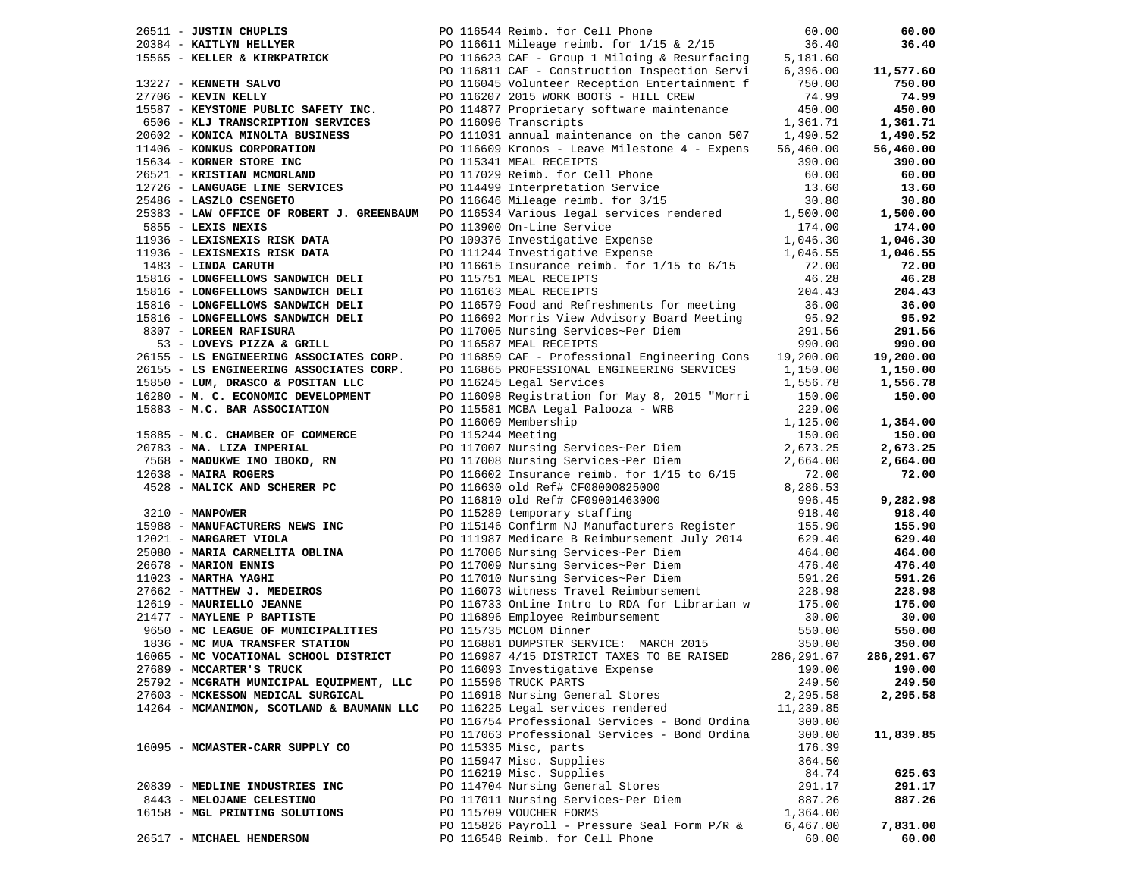|                                                                                                                                                                                                                                          | PO 116544 Reimb. for Cell Phone 60.00<br>20384 - <b>KAITLYN HELLYER</b> PO 116611 Mileage reimb. for 1/15 & 2/15 36.40<br>15565 - <b>KELLER &amp; KIRKPATRICK</b> PO 116623 CAF - Group 1 Miloing & Resurfacing 5,181.60<br>277 - <b>KENNETH SALVO</b>                            |                      | 60.00         |
|------------------------------------------------------------------------------------------------------------------------------------------------------------------------------------------------------------------------------------------|-----------------------------------------------------------------------------------------------------------------------------------------------------------------------------------------------------------------------------------------------------------------------------------|----------------------|---------------|
|                                                                                                                                                                                                                                          |                                                                                                                                                                                                                                                                                   |                      | 36.40         |
|                                                                                                                                                                                                                                          |                                                                                                                                                                                                                                                                                   |                      |               |
|                                                                                                                                                                                                                                          |                                                                                                                                                                                                                                                                                   |                      | 11,577.60     |
|                                                                                                                                                                                                                                          |                                                                                                                                                                                                                                                                                   |                      | 750.00        |
|                                                                                                                                                                                                                                          | PO 116207 2015 WORK BOOTS - HILL CREW<br>PO 114877 Proprietary software maintenance                                                                                                                                                                                               |                      | 74.99         |
| 15587 - KEYSTONE PUBLIC SAFETY INC.                                                                                                                                                                                                      |                                                                                                                                                                                                                                                                                   | 450.00               | 450.00        |
|                                                                                                                                                                                                                                          | - 2006 - <b>KLJ TRANSCRIPTION SERVICES</b><br>2006 - <b>KLJ TRANSCRIPTION SERVICES</b><br>2006 - <b>KLJ TRANSCRIPTION SERVICES</b><br>2006 - <b>KONICA MINOLITA BUSINESS</b><br>2006 - <b>KORICA MINOLITA BUSINESS</b><br>2006 - <b>KORICA MINOLITA BUSINESS</b><br>200.00<br>290 |                      | 1,361.71      |
| 20602 - KONICA MINOLTA BUSINESS                                                                                                                                                                                                          |                                                                                                                                                                                                                                                                                   |                      | 1,490.52      |
| 11406 - KONKUS CORPORATION                                                                                                                                                                                                               |                                                                                                                                                                                                                                                                                   |                      | 56,460.00     |
| 15634 - KORNER STORE INC                                                                                                                                                                                                                 |                                                                                                                                                                                                                                                                                   |                      | 390.00        |
| -<br>26521 - KRISTIAN MCMORLAND<br>12726 - LANGUAGE LINE SERVICES                                                                                                                                                                        | PO 117029 Reimb. for Cell Phone<br>PO 117029 Reimb. for Cell Phone                                                                                                                                                                                                                |                      | 60.00         |
|                                                                                                                                                                                                                                          |                                                                                                                                                                                                                                                                                   |                      | 13.60         |
|                                                                                                                                                                                                                                          | COLOR TO THE SERVICES<br>25486 - LASZLO CSENGETO<br>25383 - LAW OFFICE OF ROBERT J. GREENBAUM<br>25383 - LAW OFFICE OF ROBERT J. GREENBAUM<br>26.865 - LEXIS NEXIS<br>26.865 - LEXIS NEXIS<br>27.000 DO 113900 On-Line Service<br>27.000 DO                                       |                      | 30.80         |
|                                                                                                                                                                                                                                          |                                                                                                                                                                                                                                                                                   |                      | 1,500.00      |
|                                                                                                                                                                                                                                          |                                                                                                                                                                                                                                                                                   |                      | 174.00        |
|                                                                                                                                                                                                                                          |                                                                                                                                                                                                                                                                                   |                      | 1,046.30      |
| 11936 - LEXISNEXIS RISK DATA                                                                                                                                                                                                             | PO 109376 Investigative Expense 174.00<br>PO 111244 Investigative Expense 1,046.30<br>PO 116615 Insurance reimb for $1/15$ to $6/17$                                                                                                                                              |                      | 1,046.55      |
| 1483 - LINDA CARUTH                                                                                                                                                                                                                      | PO 116615 Insurance reimb. for 1/15 to 6/15                                                                                                                                                                                                                                       |                      | 72.00         |
| 15816 - LONGFELLOWS SANDWICH DELI                                                                                                                                                                                                        | PO 115751 MEAL RECEIPTS                                                                                                                                                                                                                                                           | 46.28                | 46.28         |
| 15816 - LONGFELLOWS SANDWICH DELI                                                                                                                                                                                                        | PO 116163 MEAL RECEIPTS                                                                                                                                                                                                                                                           | 204.43               | 204.43        |
|                                                                                                                                                                                                                                          | 15816 - LONGFELLOWS SANDWICH DELI PO 116579 Food and Refreshments for meeting 36.00                                                                                                                                                                                               |                      | 36.00         |
|                                                                                                                                                                                                                                          |                                                                                                                                                                                                                                                                                   | 95.92                | 95.92         |
|                                                                                                                                                                                                                                          | 15816 - <b>LONGFELLOWS SANDWICH DELI</b> PO 116692 Morris View Advisory Board Meeting<br>8307 - <b>LOREEN RAFISURA</b> PO 117005 Nursing Services~Per Diem                                                                                                                        | 291.56               | 291.56        |
| 53 - LOVEYS PIZZA & GRILL                                                                                                                                                                                                                | PO 116587 MEAL RECEIPTS                                                                                                                                                                                                                                                           | 990.00               | 990.00        |
|                                                                                                                                                                                                                                          | 26155 - LS ENGINEERING ASSOCIATES CORP. PO 116859 CAF - Professional Engineering Cons 19,200.00                                                                                                                                                                                   |                      | 19,200.00     |
| 26155 - LS ENGINEERING ASSOCIATES CORP.                                                                                                                                                                                                  |                                                                                                                                                                                                                                                                                   |                      | 1,150.00      |
|                                                                                                                                                                                                                                          | PO 116865 PROFESSIONAL ENGINEERING SERVICES 1,150.00<br>PO 116245 Legal Services 1,556.78                                                                                                                                                                                         |                      | 1,556.78      |
|                                                                                                                                                                                                                                          | 15850 - LUM, DRASCO & POSITAN LLC<br>16280 - M.C. ECONOMIC DEVELOPMENT PO 116245 Legal Services<br>16280 - M.C. ECONOMIC DEVELOPMENT PO 116098 Registration for May 8, 2015 "Morri 150.00<br>15883 - M.C. BAR ASSOCIATION PO 115581 MCB                                           |                      | 150.00        |
|                                                                                                                                                                                                                                          | PO 115581 MCBA Legal Palooza - WRB                                                                                                                                                                                                                                                |                      |               |
|                                                                                                                                                                                                                                          |                                                                                                                                                                                                                                                                                   | 1,125.00             | 1,354.00      |
| 15885 - M.C. CHAMBER OF COMMERCE                                                                                                                                                                                                         | PO 116069 Membership<br>PO 116069 Membership<br>20783 - <b>MA. LIZA IMPERIAL</b><br>7568 - <b>MADUKWE IMO IBOKO, RN</b><br>12638 - <b>MAIRA ROGERS</b><br><b>PO 117007 Nursing Services~Per Diem<br/> PO 117008 Nursing Services~Per Diem<br/> PO 116602 Insuranc</b>             | 150.00               | 150.00        |
|                                                                                                                                                                                                                                          |                                                                                                                                                                                                                                                                                   | 2,673.25             | 2,673.25      |
|                                                                                                                                                                                                                                          |                                                                                                                                                                                                                                                                                   | 2,664.00             | 2,664.00      |
| 12638 - MAIRA ROGERS                                                                                                                                                                                                                     |                                                                                                                                                                                                                                                                                   |                      | 72.00         |
|                                                                                                                                                                                                                                          | PO 116602 Insurance reimb. for 1/15 to 6/15 72.00<br>PO 116630 old Ref# CF08000825000 8,286.53                                                                                                                                                                                    |                      |               |
|                                                                                                                                                                                                                                          |                                                                                                                                                                                                                                                                                   |                      | 9,282.98      |
| $3210 - MANPOWER$                                                                                                                                                                                                                        | PO 116810 old Ref# CF09001463000<br>PO 115289 temporary staffing<br>PO 115289 temporary staffing                                                                                                                                                                                  | 996.45<br>918.40     | 918.40        |
|                                                                                                                                                                                                                                          |                                                                                                                                                                                                                                                                                   |                      | 155.90        |
| 15988 - MANUFACTURERS NEWS INC<br>12021 - MARGARET VIOLA<br>12021 - MARGARET VIOLA                                                                                                                                                       | PO 115146 Confirm NJ Manufacturers Register 155.90<br>PO 111987 Medicare B Reimbursement July 2014 629.40                                                                                                                                                                         |                      | 629.40        |
|                                                                                                                                                                                                                                          |                                                                                                                                                                                                                                                                                   | 464.00               | 464.00        |
| 25080 - MARIA CARMELITA OBLINA<br>26678 - MARION ENNIS<br>26678 - MARION ENNIS                                                                                                                                                           | PO 117006 Nursing Services~Per Diem<br>PO 117009 Nursing Services~Per Diem                                                                                                                                                                                                        | $101.00$<br>$476.40$ | 476.40        |
|                                                                                                                                                                                                                                          |                                                                                                                                                                                                                                                                                   |                      | 591.26        |
| 11023 - MARTHA YAGHI<br>27662 - MATTHEW J. MEDEIROS                                                                                                                                                                                      | PO 117010 Nursing Services~Per Diem 591.26<br>PO 116073 Witness Travel Reimbursement 228.98<br>PO 116733 OnLine Intro to RDA for Librarian w 175.00<br>PO 116896 Employee Reimbursement 30.00                                                                                     |                      | 228.98        |
|                                                                                                                                                                                                                                          |                                                                                                                                                                                                                                                                                   |                      | 175.00        |
| 12619 - MAURIELLO JEANNE<br>21477 - MAYLENE P BAPTISTE                                                                                                                                                                                   |                                                                                                                                                                                                                                                                                   |                      | 30.00         |
|                                                                                                                                                                                                                                          |                                                                                                                                                                                                                                                                                   | 550.00               | 550.00        |
| 9650 - MC LEAGUE OF MUNICIPALITIES<br>1836 - MC MUA TRANSFER STATION<br>16065 - MC VOCATIONAL SCHOOL DISTRICT<br>16065 - MC VOCATIONAL SCHOOL DISTRICT<br>16065 - MC VOCATIONAL SCHOOL DISTRICT<br>16065 - MC VOCATIONAL SCHOOL DISTRICT |                                                                                                                                                                                                                                                                                   | 350.00               | 350.00        |
|                                                                                                                                                                                                                                          |                                                                                                                                                                                                                                                                                   | 286, 291.67          | 286,291.67    |
| 27689 - MCCARTER'S TRUCK                                                                                                                                                                                                                 | PO 116093 Investigative Expense                                                                                                                                                                                                                                                   |                      | 190.00 190.00 |
| 25792 - MCGRATH MUNICIPAL EQUIPMENT, LLC                                                                                                                                                                                                 | PO 115596 TRUCK PARTS                                                                                                                                                                                                                                                             | 249.50               | 249.50        |
| 27603 - MCKESSON MEDICAL SURGICAL                                                                                                                                                                                                        | PO 116918 Nursing General Stores                                                                                                                                                                                                                                                  | 2,295.58             | 2,295.58      |
| 14264 - MCMANIMON, SCOTLAND & BAUMANN LLC                                                                                                                                                                                                | PO 116225 Legal services rendered                                                                                                                                                                                                                                                 | 11,239.85            |               |
|                                                                                                                                                                                                                                          | PO 116754 Professional Services - Bond Ordina                                                                                                                                                                                                                                     | 300.00               |               |
|                                                                                                                                                                                                                                          | PO 117063 Professional Services - Bond Ordina                                                                                                                                                                                                                                     | 300.00               | 11,839.85     |
| 16095 - MCMASTER-CARR SUPPLY CO                                                                                                                                                                                                          | PO 115335 Misc, parts                                                                                                                                                                                                                                                             | 176.39               |               |
|                                                                                                                                                                                                                                          | PO 115947 Misc. Supplies                                                                                                                                                                                                                                                          | 364.50               |               |
|                                                                                                                                                                                                                                          | PO 116219 Misc. Supplies                                                                                                                                                                                                                                                          | 84.74                | 625.63        |
| 20839 - MEDLINE INDUSTRIES INC                                                                                                                                                                                                           | PO 114704 Nursing General Stores                                                                                                                                                                                                                                                  | 291.17               | 291.17        |
| 8443 - MELOJANE CELESTINO                                                                                                                                                                                                                | PO 117011 Nursing Services~Per Diem                                                                                                                                                                                                                                               | 887.26               | 887.26        |
| 16158 - MGL PRINTING SOLUTIONS                                                                                                                                                                                                           | PO 115709 VOUCHER FORMS                                                                                                                                                                                                                                                           | 1,364.00             |               |
|                                                                                                                                                                                                                                          | PO 115826 Payroll - Pressure Seal Form P/R &                                                                                                                                                                                                                                      | 6,467.00             | 7,831.00      |
| 26517 - MICHAEL HENDERSON                                                                                                                                                                                                                | PO 116548 Reimb. for Cell Phone                                                                                                                                                                                                                                                   | 60.00                | 60.00         |
|                                                                                                                                                                                                                                          |                                                                                                                                                                                                                                                                                   |                      |               |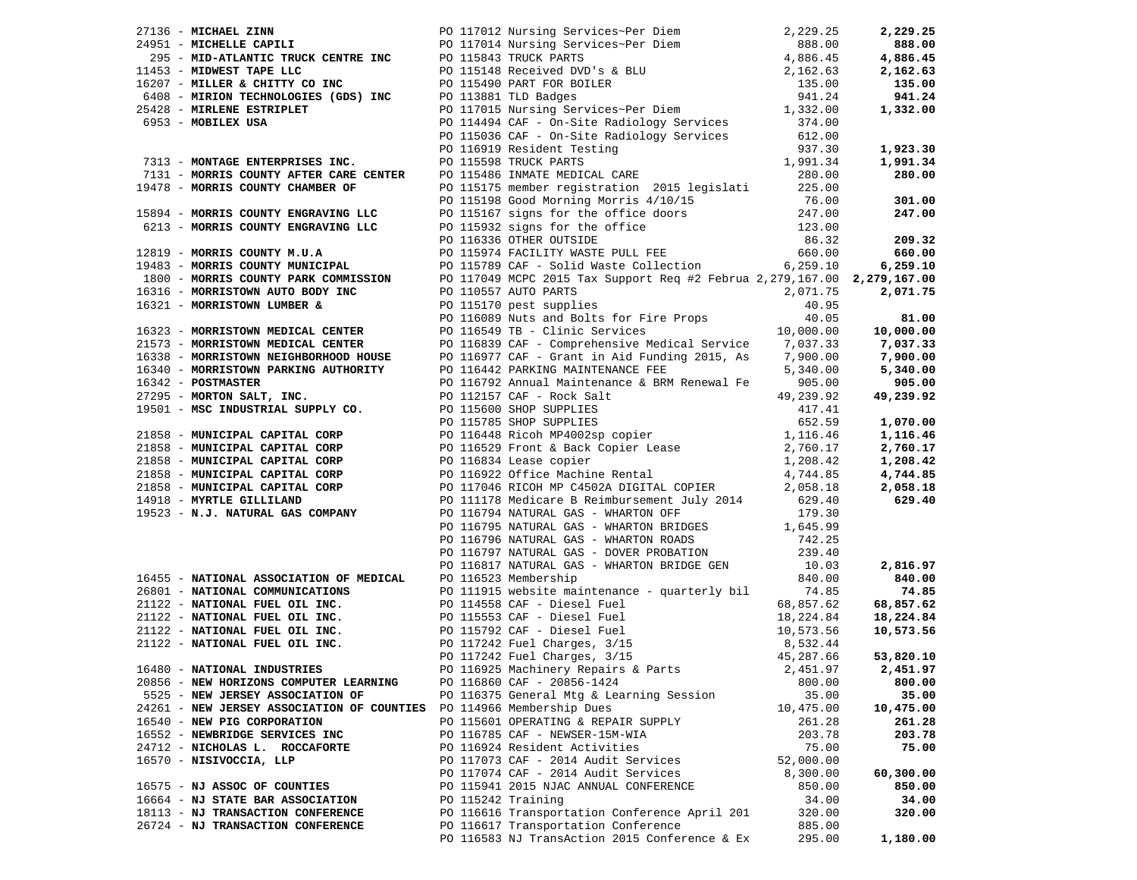| 27136 - MICHAEL ZINN $2,229.25$<br>29136 - MICHAEL ZANNIC TRUCK CENTRE INC $2,229.25$<br>29131 - MICHELLE CAPILIT PRUCK CENTRE INC $4,886.45$<br>1453 - MID-ATLANTIC TRUCK CENTRE INC $2,162.63$<br>4,886.45<br>16207 - MILLER & CHITTY     |  |                                                       |           |           |
|---------------------------------------------------------------------------------------------------------------------------------------------------------------------------------------------------------------------------------------------|--|-------------------------------------------------------|-----------|-----------|
|                                                                                                                                                                                                                                             |  |                                                       |           |           |
|                                                                                                                                                                                                                                             |  |                                                       |           |           |
|                                                                                                                                                                                                                                             |  |                                                       |           |           |
|                                                                                                                                                                                                                                             |  |                                                       |           |           |
|                                                                                                                                                                                                                                             |  |                                                       |           |           |
|                                                                                                                                                                                                                                             |  |                                                       |           |           |
|                                                                                                                                                                                                                                             |  |                                                       |           |           |
|                                                                                                                                                                                                                                             |  |                                                       |           |           |
|                                                                                                                                                                                                                                             |  |                                                       |           |           |
| 7131 - MORRIS COUNTY AFTER CRIVER CRIVER CONTRESS (1,991.34<br>1,991.34<br>1,991.34<br>1,991.34<br>1,991.34<br>19478 - MORRIS COUNTY AFTER CRIVER OF PO 115175 member registration 2015 legislati<br>225.00<br>18894 - MORRIS COUNTY ENGRAV |  |                                                       |           |           |
|                                                                                                                                                                                                                                             |  |                                                       |           |           |
|                                                                                                                                                                                                                                             |  |                                                       |           |           |
|                                                                                                                                                                                                                                             |  |                                                       |           |           |
|                                                                                                                                                                                                                                             |  |                                                       |           |           |
|                                                                                                                                                                                                                                             |  |                                                       |           |           |
|                                                                                                                                                                                                                                             |  |                                                       |           |           |
|                                                                                                                                                                                                                                             |  |                                                       |           |           |
|                                                                                                                                                                                                                                             |  |                                                       |           |           |
|                                                                                                                                                                                                                                             |  |                                                       |           |           |
|                                                                                                                                                                                                                                             |  |                                                       |           |           |
|                                                                                                                                                                                                                                             |  |                                                       |           |           |
|                                                                                                                                                                                                                                             |  |                                                       |           |           |
|                                                                                                                                                                                                                                             |  |                                                       |           |           |
|                                                                                                                                                                                                                                             |  |                                                       |           |           |
|                                                                                                                                                                                                                                             |  |                                                       |           |           |
|                                                                                                                                                                                                                                             |  |                                                       |           |           |
|                                                                                                                                                                                                                                             |  |                                                       |           |           |
|                                                                                                                                                                                                                                             |  |                                                       |           |           |
|                                                                                                                                                                                                                                             |  |                                                       |           |           |
|                                                                                                                                                                                                                                             |  |                                                       |           |           |
|                                                                                                                                                                                                                                             |  |                                                       |           |           |
|                                                                                                                                                                                                                                             |  |                                                       |           |           |
|                                                                                                                                                                                                                                             |  |                                                       |           |           |
|                                                                                                                                                                                                                                             |  |                                                       |           |           |
|                                                                                                                                                                                                                                             |  |                                                       |           |           |
|                                                                                                                                                                                                                                             |  |                                                       |           |           |
|                                                                                                                                                                                                                                             |  |                                                       |           |           |
| 19523 - N.J. NATURAL GAS COMPANY PO 116794 NATURAL GAS - WHARTON OFF 179.30<br>PO 116795 NATURAL GAS - WHARTON BRIDGES 1.645.<br>PO 116795 NATURAL GAS - WHARTON ROLDES 144.25<br>PO 116797 NATURAL GAS - WHARTON ROLDES 239.40<br>PO       |  |                                                       |           |           |
|                                                                                                                                                                                                                                             |  |                                                       |           |           |
|                                                                                                                                                                                                                                             |  |                                                       |           |           |
|                                                                                                                                                                                                                                             |  |                                                       |           |           |
|                                                                                                                                                                                                                                             |  |                                                       |           |           |
|                                                                                                                                                                                                                                             |  |                                                       |           |           |
| 16480 - NATIONAL INDUSTRIES                                                                                                                                                                                                                 |  | PO 116925 Machinery Repairs & Parts 2,451.97 2,451.97 |           |           |
| 20856 - NEW HORIZONS COMPUTER LEARNING                                                                                                                                                                                                      |  | PO 116860 CAF - 20856-1424                            | 800.00    | 800.00    |
| 5525 - NEW JERSEY ASSOCIATION OF                                                                                                                                                                                                            |  | PO 116375 General Mtg & Learning Session              | 35.00     | 35.00     |
| 24261 - NEW JERSEY ASSOCIATION OF COUNTIES                                                                                                                                                                                                  |  | PO 114966 Membership Dues                             | 10,475.00 | 10,475.00 |
| 16540 - NEW PIG CORPORATION                                                                                                                                                                                                                 |  | PO 115601 OPERATING & REPAIR SUPPLY                   | 261.28    | 261.28    |
| 16552 - NEWBRIDGE SERVICES INC                                                                                                                                                                                                              |  | PO 116785 CAF - NEWSER-15M-WIA                        | 203.78    | 203.78    |
| 24712 - NICHOLAS L. ROCCAFORTE                                                                                                                                                                                                              |  | PO 116924 Resident Activities                         | 75.00     | 75.00     |
| 16570 - NISIVOCCIA, LLP                                                                                                                                                                                                                     |  | PO 117073 CAF - 2014 Audit Services                   | 52,000.00 |           |
|                                                                                                                                                                                                                                             |  | PO 117074 CAF - 2014 Audit Services                   | 8,300.00  | 60,300.00 |
| 16575 - NJ ASSOC OF COUNTIES                                                                                                                                                                                                                |  |                                                       |           |           |
|                                                                                                                                                                                                                                             |  | PO 115941 2015 NJAC ANNUAL CONFERENCE                 | 850.00    | 850.00    |
| 16664 - NJ STATE BAR ASSOCIATION                                                                                                                                                                                                            |  | PO 115242 Training                                    | 34.00     | 34.00     |
| 18113 - NJ TRANSACTION CONFERENCE                                                                                                                                                                                                           |  | PO 116616 Transportation Conference April 201         | 320.00    | 320.00    |
| 26724 - NJ TRANSACTION CONFERENCE                                                                                                                                                                                                           |  | PO 116617 Transportation Conference                   | 885.00    |           |
|                                                                                                                                                                                                                                             |  | PO 116583 NJ TransAction 2015 Conference & Ex         | 295.00    | 1,180.00  |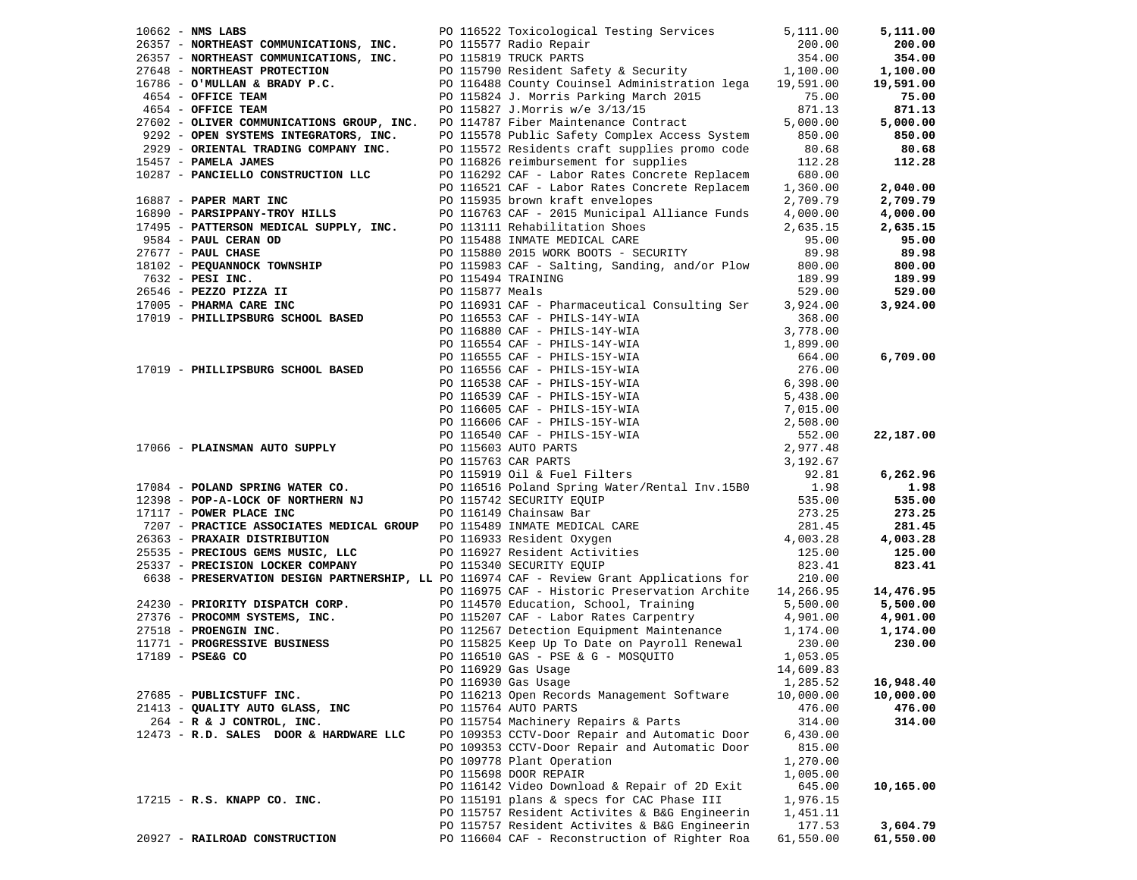| $10662$ - NMS LABS                                                                                                                                                                                                                                                               |  | PO 116522 Toxicological Testing Services                                                                                                                                                                                                     | 5,111.00           | 5,111.00           |
|----------------------------------------------------------------------------------------------------------------------------------------------------------------------------------------------------------------------------------------------------------------------------------|--|----------------------------------------------------------------------------------------------------------------------------------------------------------------------------------------------------------------------------------------------|--------------------|--------------------|
| 96357 - NORTHEAST COMMUNICATIONS, INC.<br>26357 - NORTHEAST COMMUNICATIONS, INC.<br>27648 - NORTHEAST PROTECTION PO 115790 Resident Safety & Security 1,100.00<br>16786 - O'MULLAN & BRADY P.C. PO 116488 County Couinsel Administra                                             |  |                                                                                                                                                                                                                                              |                    | 200.00             |
|                                                                                                                                                                                                                                                                                  |  |                                                                                                                                                                                                                                              |                    | 354.00             |
|                                                                                                                                                                                                                                                                                  |  |                                                                                                                                                                                                                                              |                    | 1,100.00           |
|                                                                                                                                                                                                                                                                                  |  |                                                                                                                                                                                                                                              |                    | 19,591.00          |
| 4654 - OFFICE TEAM                                                                                                                                                                                                                                                               |  | PO 115824 J. Morris Parking March 2015                                                                                                                                                                                                       | 75.00              | 75.00              |
| 4654 - OFFICE TEAM                                                                                                                                                                                                                                                               |  | PO 115827 J.Morris w/e 3/13/15                                                                                                                                                                                                               | 871.13             | 871.13             |
| 27602 - OLIVER COMMUNICATIONS GROUP, INC.                                                                                                                                                                                                                                        |  | PO 114787 Fiber Maintenance Contract                                                                                                                                                                                                         | 5,000.00           | 5,000.00           |
| 9292 - OPEN SYSTEMS INTEGRATORS, INC.                                                                                                                                                                                                                                            |  | PO 115578 Public Safety Complex Access System                                                                                                                                                                                                | 850.00             | 850.00             |
| 2929 - ORIENTAL TRADING COMPANY INC.                                                                                                                                                                                                                                             |  | PO 115572 Residents craft supplies promo code                                                                                                                                                                                                | 80.68              | 80.68              |
| 15457 - PAMELA JAMES                                                                                                                                                                                                                                                             |  | PO 116826 reimbursement for supplies                                                                                                                                                                                                         | 112.28             | 112.28             |
| 10287 - PANCIELLO CONSTRUCTION LLC                                                                                                                                                                                                                                               |  | PO 116292 CAF - Labor Rates Concrete Replacem 680.00                                                                                                                                                                                         |                    |                    |
|                                                                                                                                                                                                                                                                                  |  | PO 116521 CAF - Labor Rates Concrete Replacem                                                                                                                                                                                                | 1,360.00           | 2,040.00           |
| 16887 - PAPER MART INC                                                                                                                                                                                                                                                           |  | PO 115935 brown kraft envelopes                                                                                                                                                                                                              | 2,709.79           | 2,709.79           |
| 16890 - PARSIPPANY-TROY HILLS                                                                                                                                                                                                                                                    |  | PO 116763 CAF - 2015 Municipal Alliance Funds                                                                                                                                                                                                | 4,000.00           | 4,000.00           |
| 17495 - PATTERSON MEDICAL SUPPLY, INC. PO 113111 Rehabilitation Shoes                                                                                                                                                                                                            |  |                                                                                                                                                                                                                                              | 2,635.15           | 2,635.15           |
| 9584 - PAUL CERAN OD                                                                                                                                                                                                                                                             |  | PO 115488 INMATE MEDICAL CARE                                                                                                                                                                                                                | 95.00              | 95.00              |
|                                                                                                                                                                                                                                                                                  |  |                                                                                                                                                                                                                                              | 89.98              | 89.98              |
|                                                                                                                                                                                                                                                                                  |  |                                                                                                                                                                                                                                              | 800.00             | 800.00             |
|                                                                                                                                                                                                                                                                                  |  |                                                                                                                                                                                                                                              | 189.99             | 189.99             |
|                                                                                                                                                                                                                                                                                  |  |                                                                                                                                                                                                                                              | 529.00             | 529.00             |
| 9564 - PAUL CHANNE PO 115466 INMALE MEDICAL CARE<br>27677 - <b>PAUL CHASE</b><br>18102 - <b>PEQUANNOCK TOWNSHIP</b><br>7632 - <b>PESI INC.</b><br>26546 - <b>PEZZO PIZZA II</b><br>26546 - <b>PEZZO PIZZA II</b><br>26546 - <b>PEZZO PIZZA II</b><br>26546 - <b>PEZZO PIZZA </b> |  |                                                                                                                                                                                                                                              | 3,924.00           | 3,924.00           |
| 17019 - PHILLIPSBURG SCHOOL BASED                                                                                                                                                                                                                                                |  | PO 116553 CAF - PHILS-14Y-WIA<br>PO 116880 CAF - PHILS-14Y-WIA                                                                                                                                                                               | 368.00             |                    |
|                                                                                                                                                                                                                                                                                  |  |                                                                                                                                                                                                                                              |                    |                    |
|                                                                                                                                                                                                                                                                                  |  |                                                                                                                                                                                                                                              |                    |                    |
|                                                                                                                                                                                                                                                                                  |  | PO 116880 CAF - PHILS-14Y-WIA<br>PO 116880 CAF - PHILS-14Y-WIA<br>PO 116554 CAF - PHILS-15Y-WIA<br>PO 116555 CAF - PHILS-15Y-WIA<br>PO 116556 CAF - PHILS-15Y-WIA<br>PO 116538 CAF - PHILS-15Y-WIA<br>PO 116633 CAF - PHILS-15Y-WIA<br>PO 11 |                    | 6,709.00           |
| 17019 - PHILLIPSBURG SCHOOL BASED                                                                                                                                                                                                                                                |  |                                                                                                                                                                                                                                              |                    |                    |
|                                                                                                                                                                                                                                                                                  |  |                                                                                                                                                                                                                                              |                    |                    |
|                                                                                                                                                                                                                                                                                  |  |                                                                                                                                                                                                                                              |                    |                    |
|                                                                                                                                                                                                                                                                                  |  |                                                                                                                                                                                                                                              |                    |                    |
|                                                                                                                                                                                                                                                                                  |  |                                                                                                                                                                                                                                              |                    |                    |
|                                                                                                                                                                                                                                                                                  |  |                                                                                                                                                                                                                                              |                    | 22,187.00          |
| 17066 - PLAINSMAN AUTO SUPPLY                                                                                                                                                                                                                                                    |  |                                                                                                                                                                                                                                              |                    |                    |
|                                                                                                                                                                                                                                                                                  |  |                                                                                                                                                                                                                                              |                    |                    |
| 17084 - POLAND SPRING WATER CO. PO 116516 Poland Spring Water/Rental Inv.15B0 1.98                                                                                                                                                                                               |  |                                                                                                                                                                                                                                              |                    | 6,262.96           |
|                                                                                                                                                                                                                                                                                  |  |                                                                                                                                                                                                                                              |                    | 1.98               |
| 12398 - POP-A-LOCK OF NORTHERN NJ<br>17117 - POWER PLACE INC<br>12398 - POP-A-LOCK OF NORTHERN NJ<br>17117 - POWER PLACE INC<br>7207 - PRACTICE ASSOCIATES MEDICAL GROUP DO 115489 INMATE MEDICAL CARE<br>26363 - PRAXAIR DISTRIBUTION DO 116933 Resident Oxygen                 |  |                                                                                                                                                                                                                                              | 535.00             | 535.00             |
| 17117 - POWER PLACE INC                                                                                                                                                                                                                                                          |  |                                                                                                                                                                                                                                              | 273.25             | 273.25             |
|                                                                                                                                                                                                                                                                                  |  |                                                                                                                                                                                                                                              | 281.45             | 281.45             |
| 26363 - PRAXAIR DISTRIBUTION                                                                                                                                                                                                                                                     |  |                                                                                                                                                                                                                                              | 4,003.28<br>125.00 | 4,003.28<br>125.00 |
| 25535 - PRECIOUS GEMS MUSIC, LLC<br>25337 - PRECISION LOCKER COMPANY                                                                                                                                                                                                             |  | PO 116927 Resident Activities<br>PO 115340 SECURITY EOUIP<br>PO 115340 SECURITY EQUIP                                                                                                                                                        | 823.41             | 823.41             |
| 6638 - PRESERVATION DESIGN PARTNERSHIP, LL PO 116974 CAF - Review Grant Applications for                                                                                                                                                                                         |  |                                                                                                                                                                                                                                              | 210.00             |                    |
|                                                                                                                                                                                                                                                                                  |  | PO 116975 CAF - Historic Preservation Archite 14,266.95                                                                                                                                                                                      |                    | 14,476.95          |
| 24230 - PRIORITY DISPATCH CORP.                                                                                                                                                                                                                                                  |  |                                                                                                                                                                                                                                              | 5,500.00           | 5,500.00           |
| 27376 - PROCOMM SYSTEMS, INC.                                                                                                                                                                                                                                                    |  | PO 114570 Education, School, Training<br>PO 115207 CAF - Labor Rates Carpentry<br>PO 112567 Detection Equipment Maintenance<br>PO 115825 Keep Up To Date on Payroll Renewal                                                                  | 4,901.00           | 4,901.00           |
| 27518 - PROENGIN INC.                                                                                                                                                                                                                                                            |  | PO 112567 Detection Equipment Maintenance                                                                                                                                                                                                    | 1,174.00           | 1,174.00           |
| 11771 - PROGRESSIVE BUSINESS                                                                                                                                                                                                                                                     |  | PO 115825 Keep Up To Date on Payroll Renewal                                                                                                                                                                                                 | 230.00             | 230.00             |
| 17189 - PSE&G CO                                                                                                                                                                                                                                                                 |  | PO 116510 GAS - PSE & G - MOSQUITO                                                                                                                                                                                                           | 1,053.05           |                    |
|                                                                                                                                                                                                                                                                                  |  | PO 116929 Gas Usage                                                                                                                                                                                                                          | 14,609.83          |                    |
|                                                                                                                                                                                                                                                                                  |  | PO 116930 Gas Usage                                                                                                                                                                                                                          | 1,285.52           | 16,948.40          |
| 27685 - PUBLICSTUFF INC.                                                                                                                                                                                                                                                         |  | PO 116213 Open Records Management Software                                                                                                                                                                                                   | 10,000.00          | 10,000.00          |
| 21413 - QUALITY AUTO GLASS, INC                                                                                                                                                                                                                                                  |  | PO 115764 AUTO PARTS                                                                                                                                                                                                                         | 476.00             | 476.00             |
| 264 - R & J CONTROL, INC.                                                                                                                                                                                                                                                        |  | PO 115754 Machinery Repairs & Parts                                                                                                                                                                                                          | 314.00             | 314.00             |
| 12473 - R.D. SALES DOOR & HARDWARE LLC                                                                                                                                                                                                                                           |  | PO 109353 CCTV-Door Repair and Automatic Door                                                                                                                                                                                                | 6,430.00           |                    |
|                                                                                                                                                                                                                                                                                  |  | PO 109353 CCTV-Door Repair and Automatic Door                                                                                                                                                                                                | 815.00             |                    |
|                                                                                                                                                                                                                                                                                  |  | PO 109778 Plant Operation                                                                                                                                                                                                                    | 1,270.00           |                    |
|                                                                                                                                                                                                                                                                                  |  | PO 115698 DOOR REPAIR                                                                                                                                                                                                                        | 1,005.00           |                    |
|                                                                                                                                                                                                                                                                                  |  | PO 116142 Video Download & Repair of 2D Exit                                                                                                                                                                                                 | 645.00             | 10,165.00          |
| 17215 - R.S. KNAPP CO. INC.                                                                                                                                                                                                                                                      |  | PO 115191 plans & specs for CAC Phase III                                                                                                                                                                                                    | 1,976.15           |                    |
|                                                                                                                                                                                                                                                                                  |  | PO 115757 Resident Activites & B&G Engineerin                                                                                                                                                                                                | 1,451.11           |                    |
|                                                                                                                                                                                                                                                                                  |  | PO 115757 Resident Activites & B&G Engineerin                                                                                                                                                                                                | 177.53             | 3,604.79           |
| 20927 - RAILROAD CONSTRUCTION                                                                                                                                                                                                                                                    |  | PO 116604 CAF - Reconstruction of Righter Roa                                                                                                                                                                                                | 61,550.00          | 61,550.00          |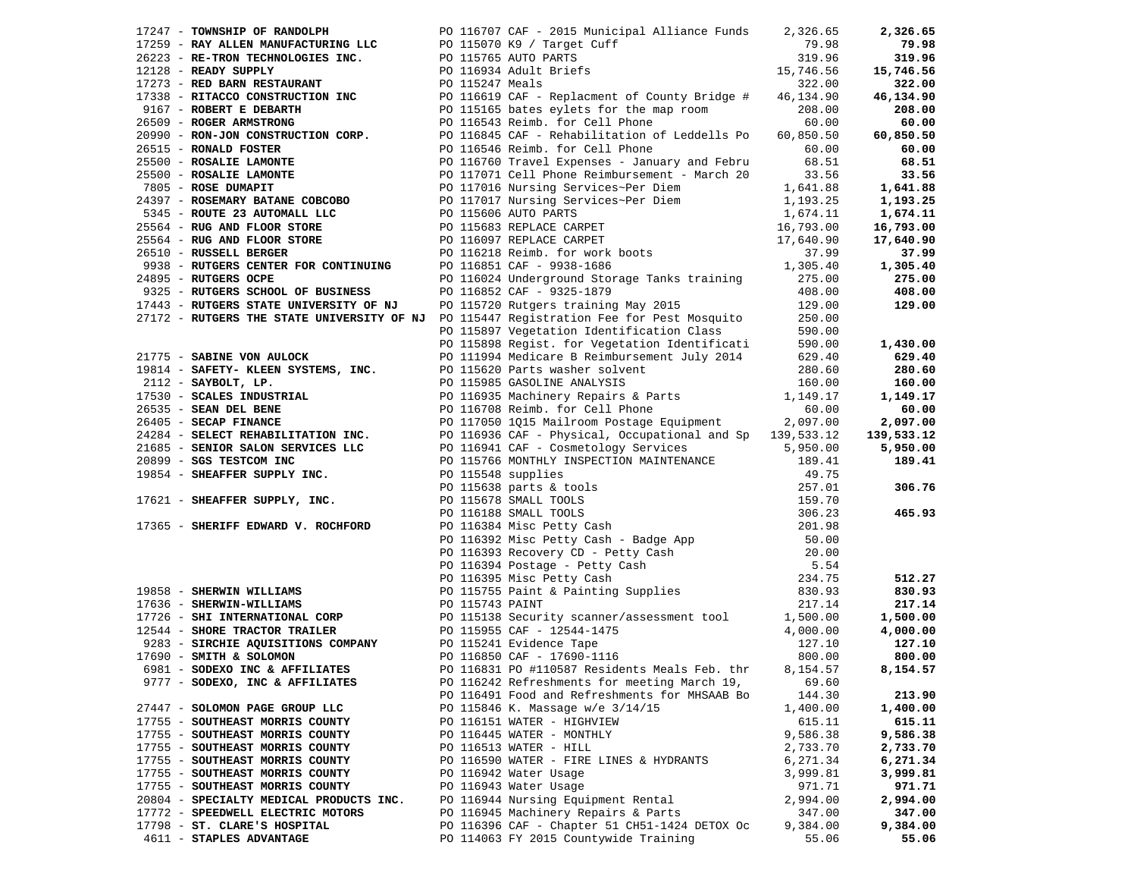| 17247 - TOWNSHIP OF RANDOLPH PO 116707 CAF - 2015 Municipal Alliance Funds 2,326.65<br>17245 - TOWNERIT OF RANDOLPHE TREE 20115707 CAP - 2015 Municipal Alliance Funds 2,326.62<br>2022 - RE-TRON TECHNOLOGIES INC. PO 115970 RS / Target Cuff 2759 - RE-TRON TECHNOLOGIES INC. PO 115976 AUTH FIRES 112.28<br>17213 - R |                                                                                        |                   | 2,326.65           |
|--------------------------------------------------------------------------------------------------------------------------------------------------------------------------------------------------------------------------------------------------------------------------------------------------------------------------|----------------------------------------------------------------------------------------|-------------------|--------------------|
|                                                                                                                                                                                                                                                                                                                          |                                                                                        |                   | 79.98              |
|                                                                                                                                                                                                                                                                                                                          |                                                                                        |                   | 319.96             |
|                                                                                                                                                                                                                                                                                                                          |                                                                                        |                   | 15,746.56          |
|                                                                                                                                                                                                                                                                                                                          |                                                                                        |                   | 322.00             |
|                                                                                                                                                                                                                                                                                                                          |                                                                                        |                   | 46,134.90          |
|                                                                                                                                                                                                                                                                                                                          |                                                                                        |                   | 208.00             |
|                                                                                                                                                                                                                                                                                                                          |                                                                                        |                   | 60.00              |
|                                                                                                                                                                                                                                                                                                                          |                                                                                        |                   |                    |
|                                                                                                                                                                                                                                                                                                                          |                                                                                        |                   | 60,850.50          |
|                                                                                                                                                                                                                                                                                                                          |                                                                                        |                   | 60.00              |
|                                                                                                                                                                                                                                                                                                                          |                                                                                        |                   | 68.51              |
|                                                                                                                                                                                                                                                                                                                          |                                                                                        |                   | 33.56              |
|                                                                                                                                                                                                                                                                                                                          |                                                                                        |                   | 1,641.88           |
|                                                                                                                                                                                                                                                                                                                          |                                                                                        |                   | 1,193.25           |
|                                                                                                                                                                                                                                                                                                                          |                                                                                        |                   | 1,674.11           |
|                                                                                                                                                                                                                                                                                                                          |                                                                                        |                   | 16,793.00          |
|                                                                                                                                                                                                                                                                                                                          |                                                                                        |                   | 17,640.90          |
|                                                                                                                                                                                                                                                                                                                          |                                                                                        |                   | 37.99              |
|                                                                                                                                                                                                                                                                                                                          |                                                                                        |                   | 1,305.40           |
|                                                                                                                                                                                                                                                                                                                          |                                                                                        |                   |                    |
|                                                                                                                                                                                                                                                                                                                          |                                                                                        |                   | $275.00$<br>408.00 |
| 9325 - RUTGERS SCHOOL OF BUSINESS PO 116852 CAF - 9325-1879<br>17443 - RUTGERS STATE UNIVERSITY OF NJ PO 115720 Rutgers training May 2015 129.00<br>27172 - RUTGERS THE STATE UNIVERSITY OF NJ PO 115447 Registration Fee for Pest M<br>17443 - RUTGERS STATE UNIVERSITY OF NJ                                           |                                                                                        |                   | 129.00             |
|                                                                                                                                                                                                                                                                                                                          |                                                                                        |                   |                    |
|                                                                                                                                                                                                                                                                                                                          |                                                                                        |                   |                    |
|                                                                                                                                                                                                                                                                                                                          |                                                                                        |                   |                    |
|                                                                                                                                                                                                                                                                                                                          |                                                                                        |                   | 1,430.00           |
|                                                                                                                                                                                                                                                                                                                          |                                                                                        |                   | 629.40             |
|                                                                                                                                                                                                                                                                                                                          |                                                                                        |                   | 280.60             |
|                                                                                                                                                                                                                                                                                                                          |                                                                                        |                   | 160.00             |
|                                                                                                                                                                                                                                                                                                                          |                                                                                        |                   | 1,149.17           |
|                                                                                                                                                                                                                                                                                                                          |                                                                                        |                   | 60.00              |
|                                                                                                                                                                                                                                                                                                                          |                                                                                        |                   | 2,097.00           |
|                                                                                                                                                                                                                                                                                                                          |                                                                                        |                   | 139,533.12         |
|                                                                                                                                                                                                                                                                                                                          |                                                                                        |                   | 5,950.00           |
|                                                                                                                                                                                                                                                                                                                          |                                                                                        |                   | 189.41             |
|                                                                                                                                                                                                                                                                                                                          |                                                                                        |                   |                    |
| 27173 - RUVENER STRIP GRAINE UNIVERSITY OF NAT PO 115447 Registration Fae for Peat Moaguito 250.00<br>27173 - RUVENER STRIP GRAINE OF NAT PO 115447 Registration Fae for Peat Moaguito 250.00<br>27175 - SARATNE VON AULOCK PO 1                                                                                         |                                                                                        |                   | 306.76             |
|                                                                                                                                                                                                                                                                                                                          |                                                                                        |                   |                    |
|                                                                                                                                                                                                                                                                                                                          |                                                                                        |                   | 465.93             |
|                                                                                                                                                                                                                                                                                                                          |                                                                                        |                   |                    |
|                                                                                                                                                                                                                                                                                                                          |                                                                                        |                   |                    |
|                                                                                                                                                                                                                                                                                                                          |                                                                                        |                   |                    |
|                                                                                                                                                                                                                                                                                                                          |                                                                                        |                   |                    |
|                                                                                                                                                                                                                                                                                                                          |                                                                                        |                   |                    |
|                                                                                                                                                                                                                                                                                                                          |                                                                                        |                   | 512.27             |
|                                                                                                                                                                                                                                                                                                                          |                                                                                        |                   | 830.93             |
|                                                                                                                                                                                                                                                                                                                          |                                                                                        |                   | 217.14             |
|                                                                                                                                                                                                                                                                                                                          |                                                                                        |                   | 1,500.00           |
|                                                                                                                                                                                                                                                                                                                          |                                                                                        |                   | 4,000.00           |
|                                                                                                                                                                                                                                                                                                                          |                                                                                        |                   | 127.10             |
|                                                                                                                                                                                                                                                                                                                          |                                                                                        |                   | 800.00             |
|                                                                                                                                                                                                                                                                                                                          |                                                                                        |                   | 8,154.57           |
| 9777 - SODEXO, INC & AFFILIATES                                                                                                                                                                                                                                                                                          | PO 116242 Refreshments for meeting March 19,                                           | 69.60             |                    |
|                                                                                                                                                                                                                                                                                                                          | PO 116491 Food and Refreshments for MHSAAB Bo                                          | 144.30            | 213.90             |
| 27447 - SOLOMON PAGE GROUP LLC                                                                                                                                                                                                                                                                                           | PO 115846 K. Massage w/e 3/14/15                                                       | 1,400.00          | 1,400.00           |
| 17755 - SOUTHEAST MORRIS COUNTY                                                                                                                                                                                                                                                                                          | PO 116151 WATER - HIGHVIEW                                                             | 615.11            | 615.11             |
| 17755 - SOUTHEAST MORRIS COUNTY                                                                                                                                                                                                                                                                                          | PO 116445 WATER - MONTHLY                                                              | 9,586.38          | 9,586.38           |
| 17755 - SOUTHEAST MORRIS COUNTY                                                                                                                                                                                                                                                                                          | PO 116513 WATER - HILL                                                                 | 2,733.70          | 2,733.70           |
| 17755 - SOUTHEAST MORRIS COUNTY                                                                                                                                                                                                                                                                                          |                                                                                        | 6,271.34          | 6,271.34           |
|                                                                                                                                                                                                                                                                                                                          |                                                                                        |                   |                    |
|                                                                                                                                                                                                                                                                                                                          | PO 116590 WATER - FIRE LINES & HYDRANTS                                                |                   |                    |
| 17755 - SOUTHEAST MORRIS COUNTY                                                                                                                                                                                                                                                                                          | PO 116942 Water Usage                                                                  | 3,999.81          | 3,999.81           |
| 17755 - SOUTHEAST MORRIS COUNTY                                                                                                                                                                                                                                                                                          | PO 116943 Water Usage                                                                  | 971.71            | 971.71             |
| 20804 - SPECIALTY MEDICAL PRODUCTS INC.                                                                                                                                                                                                                                                                                  | PO 116944 Nursing Equipment Rental                                                     | 2,994.00          | 2,994.00           |
| 17772 - SPEEDWELL ELECTRIC MOTORS                                                                                                                                                                                                                                                                                        | PO 116945 Machinery Repairs & Parts                                                    | 347.00            | 347.00             |
| 17798 - ST. CLARE'S HOSPITAL<br>4611 - STAPLES ADVANTAGE                                                                                                                                                                                                                                                                 | PO 116396 CAF - Chapter 51 CH51-1424 DETOX Oc<br>PO 114063 FY 2015 Countywide Training | 9,384.00<br>55.06 | 9,384.00<br>55.06  |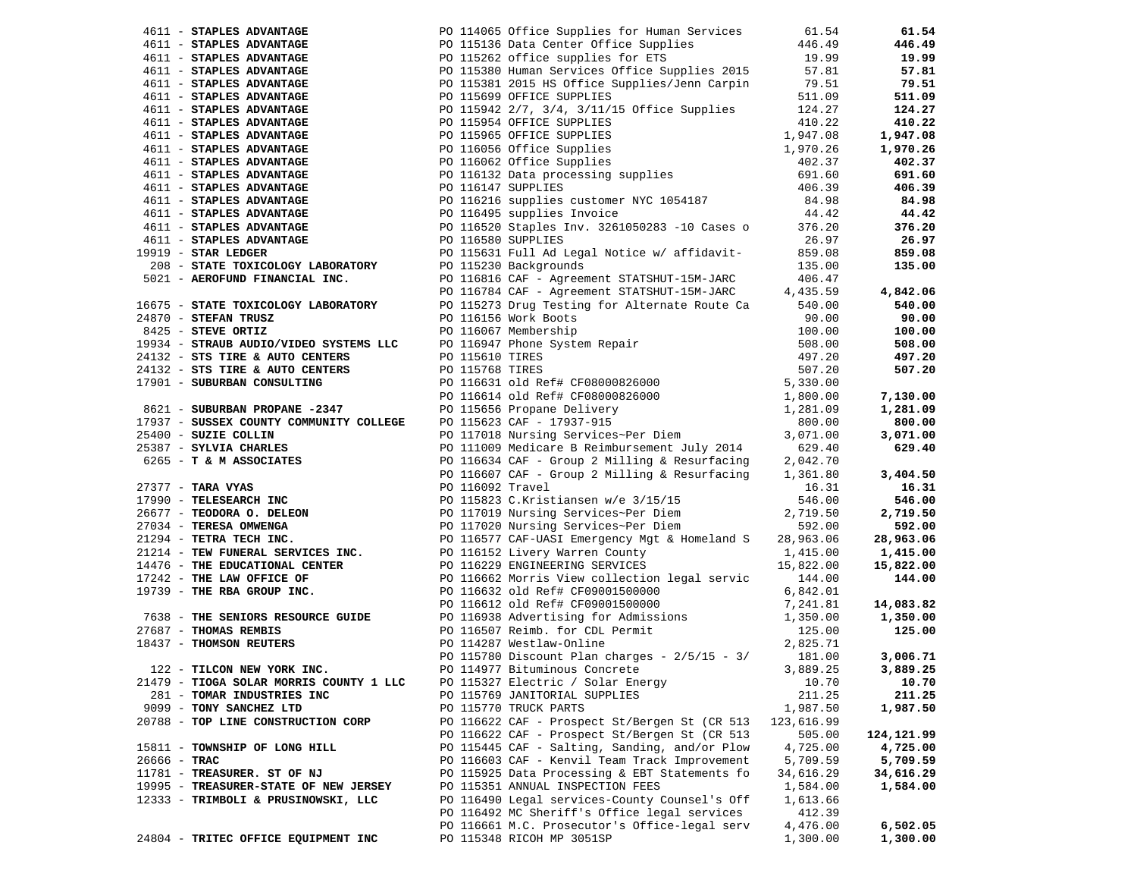|                | 4611 - STAPLES ADVANTAGE                | PO 114065 Office Supplies for Human Services 61.54                                                                                                                                                                                                                                   |            | 61.54      |
|----------------|-----------------------------------------|--------------------------------------------------------------------------------------------------------------------------------------------------------------------------------------------------------------------------------------------------------------------------------------|------------|------------|
|                |                                         |                                                                                                                                                                                                                                                                                      |            | 446.49     |
|                |                                         |                                                                                                                                                                                                                                                                                      |            | 19.99      |
|                |                                         |                                                                                                                                                                                                                                                                                      |            | 57.81      |
|                |                                         |                                                                                                                                                                                                                                                                                      |            | 79.51      |
|                |                                         | 4611 <b>- STAPLES ADVANTAGE</b><br><b>4611 - STAPLES ADVANTAGE</b><br><b>4611 - STAPLES ADVANTAGE</b><br><b>4611 - STAPLES ADVANTAGE</b><br><b>4611 - STAPLES ADVANTAGE</b><br><b>4611 - STAPLES ADVANTAGE</b><br><b>4611 - STAPLES ADVANTAGE</b><br><b>4611 - STAPLES ADVANTAGE</b> |            | 511.09     |
|                |                                         |                                                                                                                                                                                                                                                                                      |            | 124.27     |
|                |                                         |                                                                                                                                                                                                                                                                                      |            | 410.22     |
|                |                                         |                                                                                                                                                                                                                                                                                      |            | 1,947.08   |
|                |                                         |                                                                                                                                                                                                                                                                                      |            | 1,970.26   |
|                |                                         |                                                                                                                                                                                                                                                                                      |            |            |
|                |                                         |                                                                                                                                                                                                                                                                                      |            | 402.37     |
|                |                                         |                                                                                                                                                                                                                                                                                      |            | 691.60     |
|                |                                         |                                                                                                                                                                                                                                                                                      |            | 406.39     |
|                |                                         |                                                                                                                                                                                                                                                                                      |            | 84.98      |
|                |                                         |                                                                                                                                                                                                                                                                                      |            | 44.42      |
|                |                                         |                                                                                                                                                                                                                                                                                      |            | 376.20     |
|                |                                         |                                                                                                                                                                                                                                                                                      |            | 26.97      |
|                |                                         |                                                                                                                                                                                                                                                                                      |            | 859.08     |
|                |                                         |                                                                                                                                                                                                                                                                                      |            | 135.00     |
|                |                                         |                                                                                                                                                                                                                                                                                      |            |            |
|                |                                         | 5021 - AEROFUND FINANCIAL INC.<br>PO 116816 CAF - Agreement STATSHUT-15M-JARC 406.47<br>PO 116784 CAF - Agreement STATSHUT-15M-JARC 4,435.59                                                                                                                                         |            | 4,842.06   |
|                |                                         | 16675 - STATE TOXICOLOGY LABORATORY PO 115273 Drug Testing for Alternate Route Ca 540.00                                                                                                                                                                                             |            | 540.00     |
|                |                                         |                                                                                                                                                                                                                                                                                      |            | 90.00      |
|                |                                         |                                                                                                                                                                                                                                                                                      |            | 100.00     |
|                |                                         |                                                                                                                                                                                                                                                                                      |            | 508.00     |
|                |                                         |                                                                                                                                                                                                                                                                                      |            | 497.20     |
|                |                                         |                                                                                                                                                                                                                                                                                      |            | 507.20     |
|                |                                         |                                                                                                                                                                                                                                                                                      |            |            |
|                |                                         |                                                                                                                                                                                                                                                                                      |            | 7,130.00   |
|                |                                         |                                                                                                                                                                                                                                                                                      |            | 1,281.09   |
|                |                                         |                                                                                                                                                                                                                                                                                      |            | 800.00     |
|                |                                         |                                                                                                                                                                                                                                                                                      |            |            |
|                |                                         |                                                                                                                                                                                                                                                                                      |            | 3,071.00   |
|                |                                         |                                                                                                                                                                                                                                                                                      |            | 629.40     |
|                |                                         |                                                                                                                                                                                                                                                                                      |            |            |
|                |                                         |                                                                                                                                                                                                                                                                                      |            | 3,404.50   |
|                |                                         |                                                                                                                                                                                                                                                                                      |            | 16.31      |
|                |                                         |                                                                                                                                                                                                                                                                                      |            | 546.00     |
|                |                                         |                                                                                                                                                                                                                                                                                      |            | 2,719.50   |
|                |                                         |                                                                                                                                                                                                                                                                                      |            | 592.00     |
|                |                                         |                                                                                                                                                                                                                                                                                      |            | 28,963.06  |
|                |                                         |                                                                                                                                                                                                                                                                                      |            | 1,415.00   |
|                |                                         |                                                                                                                                                                                                                                                                                      |            | 15,822.00  |
|                |                                         |                                                                                                                                                                                                                                                                                      |            | 144.00     |
|                |                                         |                                                                                                                                                                                                                                                                                      |            |            |
|                |                                         | 18675 - <b>STATE COLORED TRANSPORT 1201-2011</b> 1000.00 Testing (101.000 Testing 1000.000 19934 <b>- STATE COLORENT 1201-2011</b> 1000.000<br>184270 <b>- STEPN COLORENT PROPERTY AND THE COLORENT COLORENT 2010-000000000000000000000000</b>                                       |            | 14,083.82  |
|                |                                         |                                                                                                                                                                                                                                                                                      |            | 1,350.00   |
|                |                                         |                                                                                                                                                                                                                                                                                      |            | 125.00     |
|                |                                         |                                                                                                                                                                                                                                                                                      |            |            |
|                |                                         |                                                                                                                                                                                                                                                                                      |            | 3,006.71   |
|                | 122 - TILCON NEW YORK INC.              | PO 114977 Bituminous Concrete                                                                                                                                                                                                                                                        | 3,889.25   | 3,889.25   |
|                | 21479 - TIOGA SOLAR MORRIS COUNTY 1 LLC | PO 115327 Electric / Solar Energy                                                                                                                                                                                                                                                    | 10.70      | 10.70      |
|                | 281 - TOMAR INDUSTRIES INC              | PO 115769 JANITORIAL SUPPLIES                                                                                                                                                                                                                                                        | 211.25     | 211.25     |
|                | 9099 - TONY SANCHEZ LTD                 | PO 115770 TRUCK PARTS                                                                                                                                                                                                                                                                | 1,987.50   | 1,987.50   |
|                | 20788 - TOP LINE CONSTRUCTION CORP      | PO 116622 CAF - Prospect St/Bergen St (CR 513                                                                                                                                                                                                                                        | 123,616.99 |            |
|                |                                         | PO 116622 CAF - Prospect St/Bergen St (CR 513                                                                                                                                                                                                                                        | 505.00     | 124,121.99 |
|                | 15811 - TOWNSHIP OF LONG HILL           | PO 115445 CAF - Salting, Sanding, and/or Plow                                                                                                                                                                                                                                        | 4,725.00   | 4,725.00   |
| $26666 - TRAC$ |                                         | PO 116603 CAF - Kenvil Team Track Improvement                                                                                                                                                                                                                                        | 5,709.59   | 5,709.59   |
|                | 11781 - TREASURER. ST OF NJ             | PO 115925 Data Processing & EBT Statements fo                                                                                                                                                                                                                                        | 34,616.29  | 34,616.29  |
|                | 19995 - TREASURER-STATE OF NEW JERSEY   | PO 115351 ANNUAL INSPECTION FEES                                                                                                                                                                                                                                                     | 1,584.00   | 1,584.00   |
|                | 12333 - TRIMBOLI & PRUSINOWSKI, LLC     | PO 116490 Legal services-County Counsel's Off                                                                                                                                                                                                                                        |            |            |
|                |                                         |                                                                                                                                                                                                                                                                                      | 1,613.66   |            |
|                |                                         | PO 116492 MC Sheriff's Office legal services                                                                                                                                                                                                                                         | 412.39     |            |
|                |                                         | PO 116661 M.C. Prosecutor's Office-legal serv                                                                                                                                                                                                                                        | 4,476.00   | 6,502.05   |
|                | 24804 - TRITEC OFFICE EQUIPMENT INC     | PO 115348 RICOH MP 3051SP                                                                                                                                                                                                                                                            | 1,300.00   | 1,300.00   |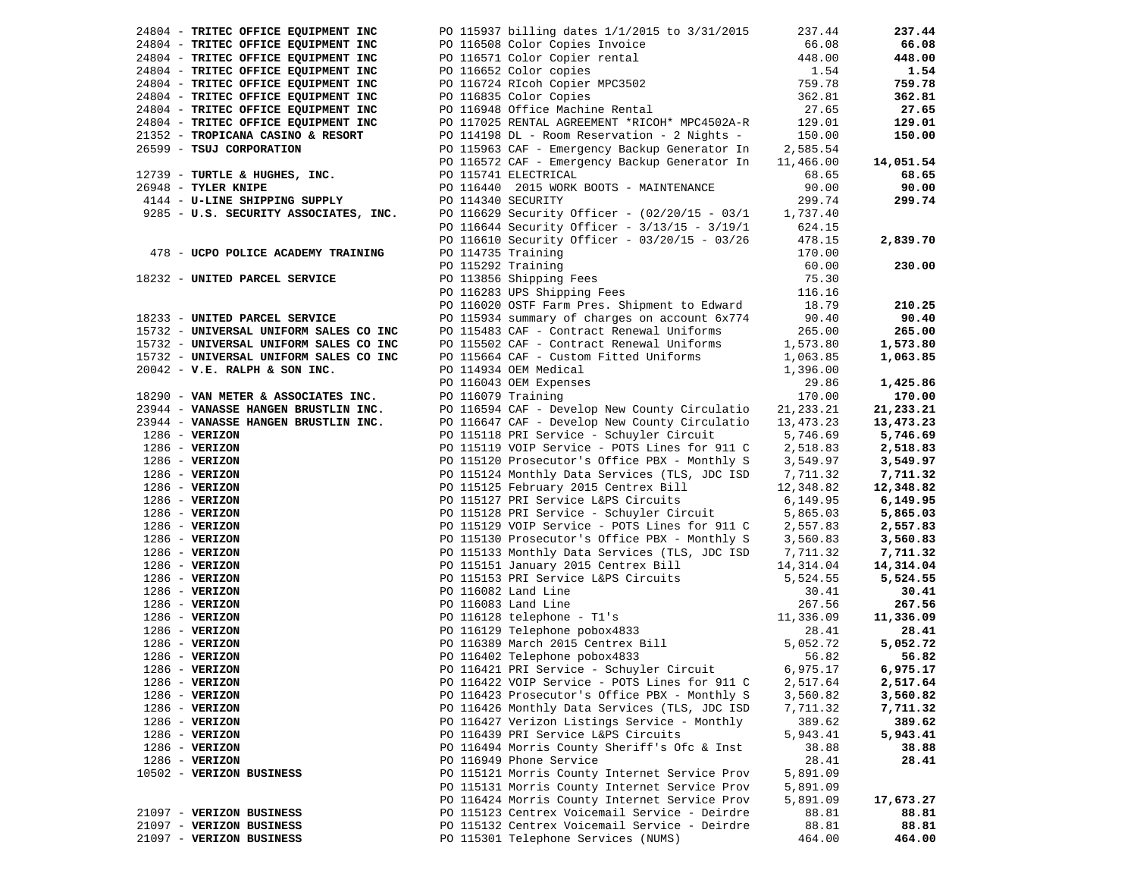| 24804 - TRITEC OFFICE EQUIPMENT INC    | PO 115937 billing dates 1/1/2015 to 3/31/2015                                                                                                                                               | 237.44      | 237.44    |
|----------------------------------------|---------------------------------------------------------------------------------------------------------------------------------------------------------------------------------------------|-------------|-----------|
| 24804 - TRITEC OFFICE EQUIPMENT INC    |                                                                                                                                                                                             | 66.08       | 66.08     |
| 24804 - TRITEC OFFICE EQUIPMENT INC    |                                                                                                                                                                                             | 448.00      | 448.00    |
| 24804 - TRITEC OFFICE EQUIPMENT INC    |                                                                                                                                                                                             | 1.54        | 1.54      |
| 24804 - TRITEC OFFICE EQUIPMENT INC    | PO 116508 Color Copies Invoice<br>PO 116571 Color Copier rental<br>PO 116652 Color copies<br>PO 116724 RIcoh Copier MPC3502                                                                 | 759.78      | 759.78    |
| 24804 - TRITEC OFFICE EQUIPMENT INC    | PO 116835 Color Copies                                                                                                                                                                      | 362.81      | 362.81    |
| 24804 - TRITEC OFFICE EQUIPMENT INC    | PO 116948 Office Machine Rental                                                                                                                                                             | 27.65       | 27.65     |
| 24804 - TRITEC OFFICE EQUIPMENT INC    | PO 117025 RENTAL AGREEMENT *RICOH* MPC4502A-R                                                                                                                                               | 129.01      | 129.01    |
| 21352 - TROPICANA CASINO & RESORT      | PO 114198 DL - Room Reservation - 2 Nights -                                                                                                                                                | 150.00      | 150.00    |
| 26599 - TSUJ CORPORATION               | PO 115963 CAF - Emergency Backup Generator In                                                                                                                                               | 2,585.54    |           |
|                                        | PO 116572 CAF - Emergency Backup Generator In                                                                                                                                               | 11,466.00   | 14,051.54 |
| 12739 - TURTLE & HUGHES, INC.          | PO 115741 ELECTRICAL                                                                                                                                                                        | 68.65       | 68.65     |
|                                        |                                                                                                                                                                                             |             |           |
| 26948 - TYLER KNIPE                    | PO 116440 2015 WORK BOOTS - MAINTENANCE                                                                                                                                                     | 90.00       | 90.00     |
| 4144 - U-LINE SHIPPING SUPPLY          | PO 114340 SECURITY                                                                                                                                                                          | 299.74      | 299.74    |
| 9285 - U.S. SECURITY ASSOCIATES, INC.  | PO 116629 Security Officer - (02/20/15 - 03/1                                                                                                                                               | 1,737.40    |           |
|                                        | PO 116644 Security Officer - 3/13/15 - 3/19/1                                                                                                                                               | 624.15      |           |
|                                        | PO 116610 Security Officer - 03/20/15 - 03/26                                                                                                                                               | 478.15      | 2,839.70  |
| 478 - UCPO POLICE ACADEMY TRAINING     | PO 114735 Training                                                                                                                                                                          | 170.00      |           |
|                                        | PO 115292 Training                                                                                                                                                                          | 60.00       | 230.00    |
| 18232 - UNITED PARCEL SERVICE          |                                                                                                                                                                                             | 75.30       |           |
|                                        | PO 113856 Shipping Fees<br>PO 116283 UPS Shipping Fees                                                                                                                                      | 116.16      |           |
|                                        | PO 116020 OSTF Farm Pres. Shipment to Edward                                                                                                                                                | 18.79       | 210.25    |
| 18233 - UNITED PARCEL SERVICE          | PO 115934 summary of charges on account 6x774                                                                                                                                               | 90.40       | 90.40     |
| 15732 - UNIVERSAL UNIFORM SALES CO INC | PO 115483 CAF - Contract Renewal Uniforms                                                                                                                                                   | 265.00      | 265.00    |
| 15732 - UNIVERSAL UNIFORM SALES CO INC | PO 115502 CAF - Contract Renewal Uniforms                                                                                                                                                   | 1,573.80    | 1,573.80  |
| 15732 - UNIVERSAL UNIFORM SALES CO INC | PO 115664 CAF - Custom Fitted Uniforms                                                                                                                                                      | 1,063.85    | 1,063.85  |
| $20042$ - V.E. RALPH & SON INC.        | PO 114934 OEM Medical                                                                                                                                                                       | 1,396.00    |           |
|                                        | PO 116043 OEM Expenses                                                                                                                                                                      | 29.86       | 1,425.86  |
| 18290 - VAN METER & ASSOCIATES INC.    | PO 116079 Training                                                                                                                                                                          | 170.00      | 170.00    |
| 23944 - VANASSE HANGEN BRUSTLIN INC.   | PO 116594 CAF - Develop New County Circulatio                                                                                                                                               | 21, 233. 21 | 21,233.21 |
| 23944 - VANASSE HANGEN BRUSTLIN INC.   | PO 116647 CAF - Develop New County Circulatio 13,473.23                                                                                                                                     |             | 13,473.23 |
| $1286$ - VERIZON                       | PO 115118 PRI Service - Schuyler Circuit                                                                                                                                                    | 5,746.69    | 5,746.69  |
| $1286 - VERIZON$                       | PO 115119 VOIP Service - POTS Lines for 911 C $2,518.83$                                                                                                                                    |             | 2,518.83  |
| $1286 - VERIZON$                       | PO 115120 Prosecutor's Office PBX - Monthly S                                                                                                                                               | 3,549.97    | 3,549.97  |
| $1286 - VERIZON$                       | PO 115124 Monthly Data Services (TLS, JDC ISD                                                                                                                                               | 7,711.32    | 7,711.32  |
|                                        | PO 115125 February 2015 Centrex Bill                                                                                                                                                        |             |           |
| $1286 - VERIZON$                       |                                                                                                                                                                                             | 12,348.82   | 12,348.82 |
| $1286 - VERIZON$                       | PO 115127 PRI Service L&PS Circuits                                                                                                                                                         | 6,149.95    | 6,149.95  |
| $1286 - VERIZON$                       | PO 115128 PRI Service - Schuyler Circuit                                                                                                                                                    | 5,865.03    | 5,865.03  |
| $1286$ - VERIZON                       | PO 115129 VOIP Service - POTS Lines for 911 C                                                                                                                                               | 2,557.83    | 2,557.83  |
| $1286 - VERIZON$                       | PO 115130 Prosecutor's Office PBX - Monthly S                                                                                                                                               | 3,560.83    | 3,560.83  |
| $1286$ - VERIZON                       | PO 115133 Monthly Data Services (TLS, JDC ISD 7,711.32                                                                                                                                      |             | 7,711.32  |
| $1286$ - VERIZON                       | PO 115151 January 2015 Centrex Bill 14,314.04                                                                                                                                               |             | 14,314.04 |
| $1286$ - VERIZON                       | PO 115153 PRI Service L&PS Circuits                                                                                                                                                         | 5,524.55    | 5,524.55  |
| $1286 - VERIZON$                       | PO 116082 Land Line                                                                                                                                                                         | 30.41       | 30.41     |
| $1286 - VERIZON$                       | PO 116083 Land Line                                                                                                                                                                         | 267.56      | 267.56    |
| $1286$ - VERIZON                       | PO 116128 telephone - T1's<br>PO 116129 Telephone pobox4833<br>PO 116389 March 2015 Centrex Bill<br>PO 116389 March 2015 Centrex Bill<br>5,052.72<br>PO 116402 Telephone pobox4833<br>56.82 |             | 11,336.09 |
| $1286 - VERIZON$                       |                                                                                                                                                                                             |             | 28.41     |
| $1286$ - VERIZON                       |                                                                                                                                                                                             |             | 5,052.72  |
| $1286$ - VERIZON                       |                                                                                                                                                                                             |             | 56.82     |
| $1286$ - VERIZON                       | PO 116421 PRI Service - Schuyler Circuit                                                                                                                                                    | 6,975.17    | 6,975.17  |
| $1286$ - VERIZON                       | PO 116422 VOIP Service - POTS Lines for 911 C                                                                                                                                               | 2,517.64    | 2,517.64  |
| $1286$ - VERIZON                       | PO 116423 Prosecutor's Office PBX - Monthly S                                                                                                                                               | 3,560.82    | 3,560.82  |
| $1286$ - VERIZON                       | PO 116426 Monthly Data Services (TLS, JDC ISD                                                                                                                                               | 7,711.32    | 7,711.32  |
| 1286 - VERIZON                         | PO 116427 Verizon Listings Service - Monthly                                                                                                                                                | 389.62      | 389.62    |
| $1286$ - VERIZON                       | PO 116439 PRI Service L&PS Circuits                                                                                                                                                         | 5,943.41    | 5,943.41  |
| $1286$ - VERIZON                       | PO 116494 Morris County Sheriff's Ofc & Inst                                                                                                                                                | 38.88       | 38.88     |
| $1286$ - VERIZON                       | PO 116949 Phone Service                                                                                                                                                                     | 28.41       | 28.41     |
| 10502 - VERIZON BUSINESS               | PO 115121 Morris County Internet Service Prov                                                                                                                                               | 5,891.09    |           |
|                                        | PO 115131 Morris County Internet Service Prov                                                                                                                                               | 5,891.09    |           |
|                                        | PO 116424 Morris County Internet Service Prov                                                                                                                                               | 5,891.09    | 17,673.27 |
| 21097 - VERIZON BUSINESS               | PO 115123 Centrex Voicemail Service - Deirdre                                                                                                                                               | 88.81       | 88.81     |
| 21097 - VERIZON BUSINESS               | PO 115132 Centrex Voicemail Service - Deirdre                                                                                                                                               | 88.81       | 88.81     |
| 21097 - VERIZON BUSINESS               | PO 115301 Telephone Services (NUMS)                                                                                                                                                         | 464.00      | 464.00    |
|                                        |                                                                                                                                                                                             |             |           |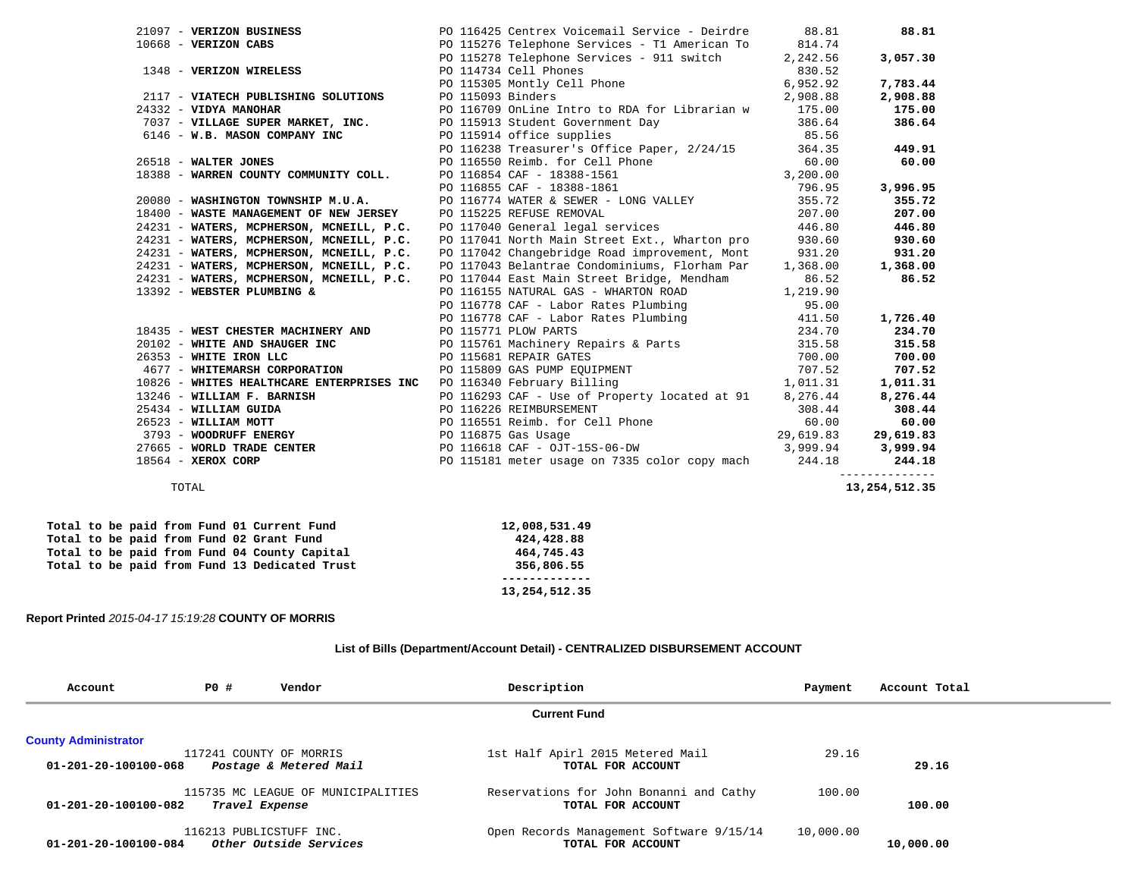|                                                               | PO 116425 Centrex Voicemail Service - Deirdre 88.81                                                                                                                                                                                      |        | 88.81    |
|---------------------------------------------------------------|------------------------------------------------------------------------------------------------------------------------------------------------------------------------------------------------------------------------------------------|--------|----------|
|                                                               | PO 115276 Telephone Services - T1 American To 814.74                                                                                                                                                                                     |        |          |
| 21097 - VERIZON BUSINESS<br>10668 - VERIZON CABS              | PO 115278 Telephone Services - 911 switch 2,242.56                                                                                                                                                                                       |        | 3,057.30 |
| 1348 - VERIZON WIRELESS                                       |                                                                                                                                                                                                                                          |        |          |
|                                                               |                                                                                                                                                                                                                                          |        | 7,783.44 |
| 2117 - VIATECH PUBLISHING SOLUTIONS                           | PO 114734 Cell Phones<br>PO 115305 Montly Cell Phone 6,952.92<br>PO 115093 Binders<br>PO 116700 Online Little by Politics (2,908.88                                                                                                      |        | 2,908.88 |
| 24332 - VIDYA MANOHAR                                         | PO 116709 OnLine Intro to RDA for Librarian w 175.00                                                                                                                                                                                     |        | 175.00   |
| 7037 - VILLAGE SUPER MARKET, INC.                             | PO 115913 Student Government Day 386.64<br>PO 115914 office supplies 85.56                                                                                                                                                               |        | 386.64   |
| 6146 - W.B. MASON COMPANY INC                                 | PO 115914 office supplies                                                                                                                                                                                                                |        |          |
|                                                               | PO 116238 Treasurer's Office Paper, 2/24/15<br>PO 116550 Reimb. for Cell Phone 60.00<br>PO 116854 CAF - 18388-1561<br>PO 116855 CAF - 18388-1561<br>PO 116754 MATTED 6 CEMED, 2002 UNITED 796.95                                         |        | 449.91   |
| 26518 - WALTER JONES<br>18388 - WARREN COUNTY COMMUNITY COLL. |                                                                                                                                                                                                                                          |        | 60.00    |
|                                                               |                                                                                                                                                                                                                                          |        |          |
|                                                               |                                                                                                                                                                                                                                          |        | 3,996.95 |
| 20080 - WASHINGTON TOWNSHIP M.U.A.                            |                                                                                                                                                                                                                                          |        | 355.72   |
| 18400 - WASTE MANAGEMENT OF NEW JERSEY                        | PO 116774 WATER & SEWER - LONG VALLEY<br>PO 116774 WATER & SEWER - LONG VALLEY<br>PO 115225 REFUSE REMOVAL<br>PO 117040 General legal services 446.80                                                                                    | 207.00 | 207.00   |
| 24231 - WATERS, MCPHERSON, MCNEILL, P.C.                      |                                                                                                                                                                                                                                          |        | 446.80   |
| 24231 - WATERS, MCPHERSON, MCNEILL, P.C.                      | PO 117041 North Main Street Ext., Wharton pro 930.60                                                                                                                                                                                     |        | 930.60   |
| 24231 - WATERS, MCPHERSON, MCNEILL, P.C.                      | PO 117042 Changebridge Road improvement, Mont 931.20                                                                                                                                                                                     |        | 931.20   |
| 24231 - WATERS, MCPHERSON, MCNEILL, P.C.                      | PO 117043 Belantrae Condominiums, Florham Par 1,368.00                                                                                                                                                                                   |        | 1,368.00 |
| 24231 - WATERS, MCPHERSON, MCNEILL, P.C.                      | PO 117044 East Main Street Bridge, Mendham 86.52                                                                                                                                                                                         |        | 86.52    |
| 13392 - WEBSTER PLUMBING &                                    | PO 116155 NATURAL GAS - WHARTON ROAD 1,219.90                                                                                                                                                                                            |        |          |
|                                                               |                                                                                                                                                                                                                                          |        |          |
|                                                               |                                                                                                                                                                                                                                          |        | 1,726.40 |
|                                                               |                                                                                                                                                                                                                                          |        | 234.70   |
|                                                               | PO 116778 CAF - Labor Rates Plumbing<br>PO 116778 CAF - Labor Rates Plumbing<br>PO 116778 CAF - Labor Rates Plumbing<br>PO 116778 CAF - Labor Rates Plumbing<br>PO 116778 CAF - Labor Rates Plumbing<br>PO 115761 CAF - Labor Rates Plum |        | 315.58   |
|                                                               |                                                                                                                                                                                                                                          |        | 700.00   |
|                                                               |                                                                                                                                                                                                                                          |        | 707.52   |
|                                                               |                                                                                                                                                                                                                                          |        | 1,011.31 |
|                                                               |                                                                                                                                                                                                                                          |        |          |
|                                                               | 0 116293 CAF - Use of Property located at 91 8,276.44 8,276.44<br>25434 - WILLIAM GUIDA PO 116226 REIMBURSEMENT 308.44 308.44<br>26523 - WILLIAM MOTT PO 116551 Reimb. for Cell Phone 60.00 60.00<br>3793 - WOODRUFF ENERGY PO 11687     |        |          |
|                                                               |                                                                                                                                                                                                                                          |        |          |
|                                                               |                                                                                                                                                                                                                                          |        |          |
|                                                               |                                                                                                                                                                                                                                          |        |          |
|                                                               |                                                                                                                                                                                                                                          |        |          |

 -------------- TOTAL **13,254,512.35** 

 **Total to be paid from Fund 01 Current Fund 12,008,531.49 Total to be paid from Fund 02 Grant Fund 424,428.88**  Total to be paid from Fund 04 County Capital **464,745.43**<br>Total to be paid from Fund 13 Dedicated Trust **465** 356,806.55  **Total to be paid from Fund 13 Dedicated Trust 356,806.55** 

# **------------- 13,254,512.35**

## **Report Printed** *2015-04-17 15:19:28* **COUNTY OF MORRIS**

#### **List of Bills (Department/Account Detail) - CENTRALIZED DISBURSEMENT ACCOUNT**

| Account                     | <b>PO #</b>             | Vendor                             | Description                              | Payment   | Account Total |
|-----------------------------|-------------------------|------------------------------------|------------------------------------------|-----------|---------------|
|                             |                         |                                    | <b>Current Fund</b>                      |           |               |
| <b>County Administrator</b> |                         |                                    |                                          |           |               |
|                             |                         | 117241 COUNTY OF MORRIS            | 1st Half Apirl 2015 Metered Mail         | 29.16     |               |
| 01-201-20-100100-068        |                         | Postage & Metered Mail             | TOTAL FOR ACCOUNT                        |           | 29.16         |
|                             |                         | 115735 MC LEAGUE OF MUNICIPALITIES | Reservations for John Bonanni and Cathy  | 100.00    |               |
| 01-201-20-100100-082        | Travel Expense          |                                    | TOTAL FOR ACCOUNT                        |           | 100.00        |
|                             | 116213 PUBLICSTUFF INC. |                                    | Open Records Management Software 9/15/14 | 10,000.00 |               |
| 01-201-20-100100-084        |                         | Other Outside Services             | TOTAL FOR ACCOUNT                        |           | 10,000.00     |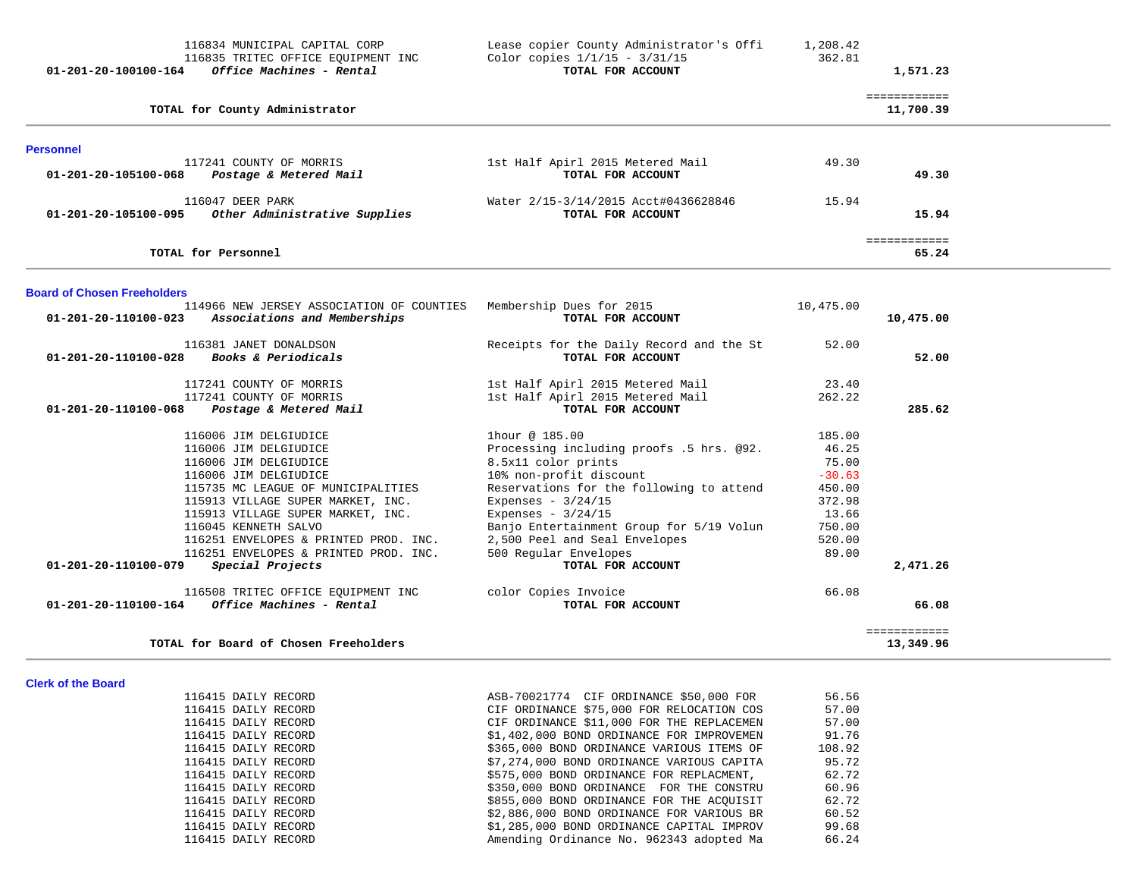| 01-201-20-100100-164                         | 116834 MUNICIPAL CAPITAL CORP<br>116835 TRITEC OFFICE EQUIPMENT INC<br>Office Machines - Rental                                                                                                                                                                                                                                                                                                                  | Lease copier County Administrator's Offi<br>Color copies $1/1/15 - 3/31/15$<br>TOTAL FOR ACCOUNT                                                                                                                                                                                                                                                                                 | 1,208.42<br>362.81                                                                                      | 1,571.23                  |
|----------------------------------------------|------------------------------------------------------------------------------------------------------------------------------------------------------------------------------------------------------------------------------------------------------------------------------------------------------------------------------------------------------------------------------------------------------------------|----------------------------------------------------------------------------------------------------------------------------------------------------------------------------------------------------------------------------------------------------------------------------------------------------------------------------------------------------------------------------------|---------------------------------------------------------------------------------------------------------|---------------------------|
|                                              | TOTAL for County Administrator                                                                                                                                                                                                                                                                                                                                                                                   |                                                                                                                                                                                                                                                                                                                                                                                  |                                                                                                         | ============<br>11,700.39 |
| <b>Personnel</b>                             |                                                                                                                                                                                                                                                                                                                                                                                                                  |                                                                                                                                                                                                                                                                                                                                                                                  |                                                                                                         |                           |
| 01-201-20-105100-068                         | 117241 COUNTY OF MORRIS<br>Postage & Metered Mail                                                                                                                                                                                                                                                                                                                                                                | 1st Half Apirl 2015 Metered Mail<br>TOTAL FOR ACCOUNT                                                                                                                                                                                                                                                                                                                            | 49.30                                                                                                   | 49.30                     |
| 01-201-20-105100-095                         | 116047 DEER PARK<br>Other Administrative Supplies                                                                                                                                                                                                                                                                                                                                                                | Water 2/15-3/14/2015 Acct#0436628846<br>TOTAL FOR ACCOUNT                                                                                                                                                                                                                                                                                                                        | 15.94                                                                                                   | 15.94                     |
|                                              | TOTAL for Personnel                                                                                                                                                                                                                                                                                                                                                                                              |                                                                                                                                                                                                                                                                                                                                                                                  |                                                                                                         | ============<br>65.24     |
| <b>Board of Chosen Freeholders</b>           |                                                                                                                                                                                                                                                                                                                                                                                                                  |                                                                                                                                                                                                                                                                                                                                                                                  |                                                                                                         |                           |
| 01-201-20-110100-023                         | 114966 NEW JERSEY ASSOCIATION OF COUNTIES<br>Associations and Memberships                                                                                                                                                                                                                                                                                                                                        | Membership Dues for 2015<br>TOTAL FOR ACCOUNT                                                                                                                                                                                                                                                                                                                                    | 10,475.00                                                                                               | 10,475.00                 |
| $01 - 201 - 20 - 110100 - 028$               | 116381 JANET DONALDSON<br>Books & Periodicals                                                                                                                                                                                                                                                                                                                                                                    | Receipts for the Daily Record and the St<br>TOTAL FOR ACCOUNT                                                                                                                                                                                                                                                                                                                    | 52.00                                                                                                   | 52.00                     |
| 01-201-20-110100-068                         | 117241 COUNTY OF MORRIS<br>117241 COUNTY OF MORRIS<br>Postage & Metered Mail                                                                                                                                                                                                                                                                                                                                     | 1st Half Apirl 2015 Metered Mail<br>1st Half Apirl 2015 Metered Mail<br>TOTAL FOR ACCOUNT                                                                                                                                                                                                                                                                                        | 23.40<br>262.22                                                                                         | 285.62                    |
| 01-201-20-110100-079<br>01-201-20-110100-164 | 116006 JIM DELGIUDICE<br>116006 JIM DELGIUDICE<br>116006 JIM DELGIUDICE<br>116006 JIM DELGIUDICE<br>115735 MC LEAGUE OF MUNICIPALITIES<br>115913 VILLAGE SUPER MARKET, INC.<br>115913 VILLAGE SUPER MARKET, INC.<br>116045 KENNETH SALVO<br>116251 ENVELOPES & PRINTED PROD. INC.<br>116251 ENVELOPES & PRINTED PROD. INC.<br>Special Projects<br>116508 TRITEC OFFICE EQUIPMENT INC<br>Office Machines - Rental | lhour @ 185.00<br>Processing including proofs .5 hrs. @92.<br>8.5x11 color prints<br>10% non-profit discount<br>Reservations for the following to attend<br>Expenses - $3/24/15$<br>Expenses - $3/24/15$<br>Banjo Entertainment Group for 5/19 Volun<br>2,500 Peel and Seal Envelopes<br>500 Regular Envelopes<br>TOTAL FOR ACCOUNT<br>color Copies Invoice<br>TOTAL FOR ACCOUNT | 185.00<br>46.25<br>75.00<br>$-30.63$<br>450.00<br>372.98<br>13.66<br>750.00<br>520.00<br>89.00<br>66.08 | 2,471.26<br>66.08         |
|                                              | TOTAL for Board of Chosen Freeholders                                                                                                                                                                                                                                                                                                                                                                            |                                                                                                                                                                                                                                                                                                                                                                                  |                                                                                                         | ============<br>13,349.96 |

| 116415 DAILY RECORD | ASB-70021774 CIF ORDINANCE \$50,000 FOR   | 56.56  |
|---------------------|-------------------------------------------|--------|
| 116415 DAILY RECORD | CIF ORDINANCE \$75,000 FOR RELOCATION COS | 57.00  |
| 116415 DAILY RECORD | CIF ORDINANCE \$11,000 FOR THE REPLACEMEN | 57.00  |
| 116415 DAILY RECORD | \$1,402,000 BOND ORDINANCE FOR IMPROVEMEN | 91.76  |
| 116415 DAILY RECORD | \$365,000 BOND ORDINANCE VARIOUS ITEMS OF | 108.92 |
| 116415 DAILY RECORD | \$7,274,000 BOND ORDINANCE VARIOUS CAPITA | 95.72  |
| 116415 DAILY RECORD | \$575,000 BOND ORDINANCE FOR REPLACMENT,  | 62.72  |
| 116415 DAILY RECORD | \$350,000 BOND ORDINANCE FOR THE CONSTRU  | 60.96  |
| 116415 DAILY RECORD | \$855,000 BOND ORDINANCE FOR THE ACOUISIT | 62.72  |
| 116415 DAILY RECORD | \$2,886,000 BOND ORDINANCE FOR VARIOUS BR | 60.52  |
| 116415 DAILY RECORD | \$1,285,000 BOND ORDINANCE CAPITAL IMPROV | 99.68  |
| 116415 DAILY RECORD | Amending Ordinance No. 962343 adopted Ma  | 66.24  |
|                     |                                           |        |

**Clerk of the Board**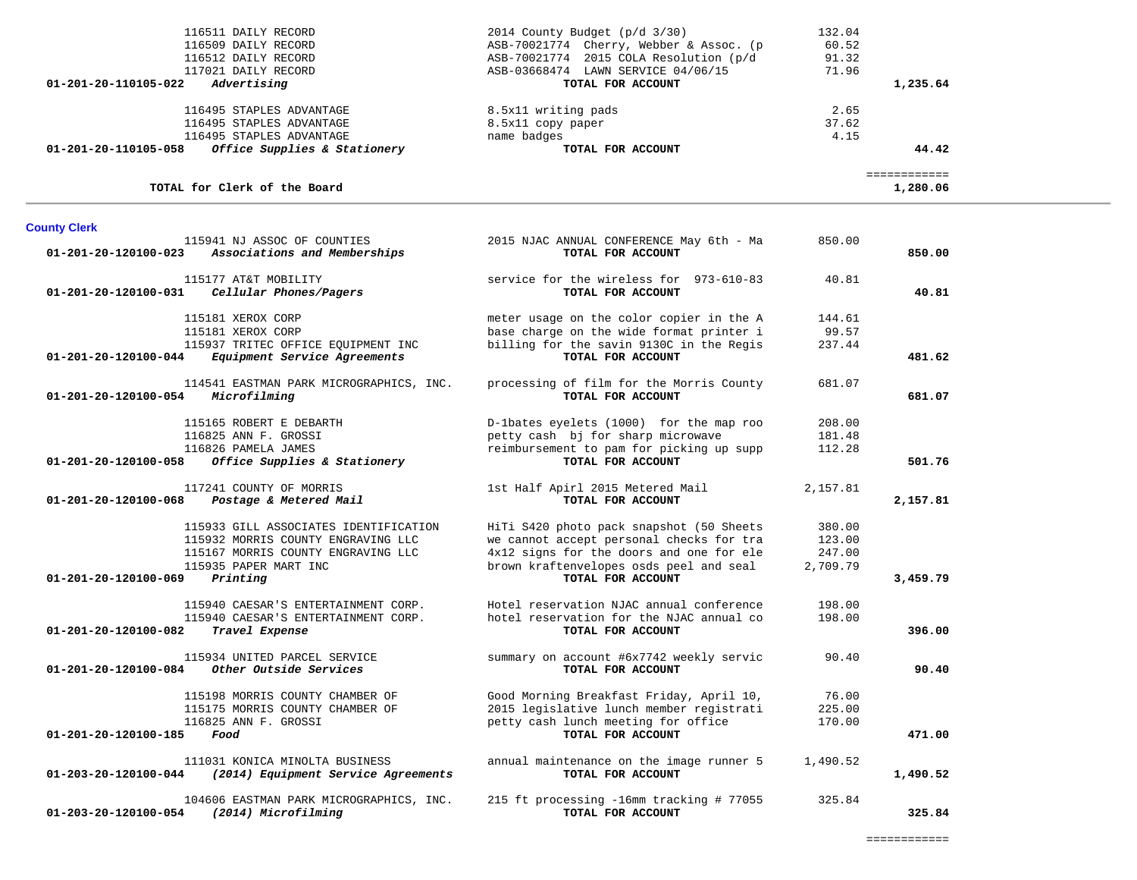| 116509 DAILY RECORD<br>116512 DAILY RECORD<br>117021 DAILY RECORD                             | ASB-70021774 Cherry, Webber & Assoc. (p<br>ASB-70021774 2015 COLA Resolution (p/d<br>ASB-03668474 LAWN SERVICE 04/06/15 | 60.52<br>91.32<br>71.96 |                          |  |
|-----------------------------------------------------------------------------------------------|-------------------------------------------------------------------------------------------------------------------------|-------------------------|--------------------------|--|
| 01-201-20-110105-022<br>Advertising                                                           | TOTAL FOR ACCOUNT                                                                                                       |                         | 1,235.64                 |  |
| 116495 STAPLES ADVANTAGE                                                                      | 8.5x11 writing pads                                                                                                     | 2.65                    |                          |  |
| 116495 STAPLES ADVANTAGE                                                                      | 8.5x11 copy paper                                                                                                       | 37.62                   |                          |  |
| 116495 STAPLES ADVANTAGE                                                                      | name badges                                                                                                             | 4.15                    |                          |  |
| Office Supplies & Stationery<br>01-201-20-110105-058                                          | TOTAL FOR ACCOUNT                                                                                                       |                         | 44.42                    |  |
| TOTAL for Clerk of the Board                                                                  |                                                                                                                         |                         | ============<br>1,280.06 |  |
| <b>County Clerk</b>                                                                           |                                                                                                                         |                         |                          |  |
| 115941 NJ ASSOC OF COUNTIES<br>Associations and Memberships<br>01-201-20-120100-023           | 2015 NJAC ANNUAL CONFERENCE May 6th - Ma<br>TOTAL FOR ACCOUNT                                                           | 850.00                  | 850.00                   |  |
| 115177 AT&T MOBILITY<br>01-201-20-120100-031<br>Cellular Phones/Pagers                        | service for the wireless for 973-610-83<br>TOTAL FOR ACCOUNT                                                            | 40.81                   | 40.81                    |  |
| 115181 XEROX CORP                                                                             | meter usage on the color copier in the A                                                                                | 144.61                  |                          |  |
| 115181 XEROX CORP                                                                             | base charge on the wide format printer i                                                                                | 99.57                   |                          |  |
| 115937 TRITEC OFFICE EQUIPMENT INC<br>Equipment Service Agreements<br>01-201-20-120100-044    | billing for the savin 9130C in the Regis<br>TOTAL FOR ACCOUNT                                                           | 237.44                  | 481.62                   |  |
| 114541 EASTMAN PARK MICROGRAPHICS, INC.<br>Microfilming<br>01-201-20-120100-054               | processing of film for the Morris County<br>TOTAL FOR ACCOUNT                                                           | 681.07                  | 681.07                   |  |
|                                                                                               |                                                                                                                         |                         |                          |  |
| 115165 ROBERT E DEBARTH                                                                       | D-1bates eyelets (1000) for the map roo                                                                                 | 208.00                  |                          |  |
| 116825 ANN F. GROSSI<br>116826 PAMELA JAMES                                                   | petty cash bj for sharp microwave<br>reimbursement to pam for picking up supp                                           | 181.48<br>112.28        |                          |  |
| Office Supplies & Stationery<br>01-201-20-120100-058                                          | TOTAL FOR ACCOUNT                                                                                                       |                         | 501.76                   |  |
| 117241 COUNTY OF MORRIS<br>01-201-20-120100-068<br>Postage & Metered Mail                     | 1st Half Apirl 2015 Metered Mail<br>TOTAL FOR ACCOUNT                                                                   | 2,157.81                | 2,157.81                 |  |
| 115933 GILL ASSOCIATES IDENTIFICATION                                                         | HiTi S420 photo pack snapshot (50 Sheets                                                                                | 380.00                  |                          |  |
| 115932 MORRIS COUNTY ENGRAVING LLC                                                            | we cannot accept personal checks for tra                                                                                | 123.00                  |                          |  |
| 115167 MORRIS COUNTY ENGRAVING LLC                                                            | 4x12 signs for the doors and one for ele                                                                                | 247.00                  |                          |  |
| 115935 PAPER MART INC<br>01-201-20-120100-069<br>Printing                                     | brown kraftenvelopes osds peel and seal<br>TOTAL FOR ACCOUNT                                                            | 2,709.79                | 3,459.79                 |  |
| 115940 CAESAR'S ENTERTAINMENT CORP.                                                           | Hotel reservation NJAC annual conference                                                                                | 198.00                  |                          |  |
| 115940 CAESAR'S ENTERTAINMENT CORP.                                                           | hotel reservation for the NJAC annual co                                                                                | 198.00                  |                          |  |
| 01-201-20-120100-082<br>Travel Expense                                                        | TOTAL FOR ACCOUNT                                                                                                       |                         | 396.00                   |  |
| 115934 UNITED PARCEL SERVICE<br>Other Outside Services<br>01-201-20-120100-084                | summary on account #6x7742 weekly servic<br>TOTAL FOR ACCOUNT                                                           | 90.40                   | 90.40                    |  |
|                                                                                               |                                                                                                                         |                         |                          |  |
| 115198 MORRIS COUNTY CHAMBER OF                                                               | Good Morning Breakfast Friday, April 10,                                                                                | 76.00                   |                          |  |
| 115175 MORRIS COUNTY CHAMBER OF<br>116825 ANN F. GROSSI                                       | 2015 legislative lunch member registrati<br>petty cash lunch meeting for office                                         | 225.00<br>170.00        |                          |  |
| 01-201-20-120100-185<br>Food                                                                  | TOTAL FOR ACCOUNT                                                                                                       |                         | 471.00                   |  |
| 111031 KONICA MINOLTA BUSINESS<br>(2014) Equipment Service Agreements<br>01-203-20-120100-044 | annual maintenance on the image runner 5<br>TOTAL FOR ACCOUNT                                                           | 1,490.52                | 1,490.52                 |  |
| 104606 EASTMAN PARK MICROGRAPHICS, INC.                                                       | 215 ft processing -16mm tracking # 77055                                                                                | 325.84                  |                          |  |
| 01-203-20-120100-054<br>(2014) Microfilming                                                   | TOTAL FOR ACCOUNT                                                                                                       |                         | 325.84                   |  |

116511 DAILY RECORD 2014 County Budget (p/d 3/30) 132.04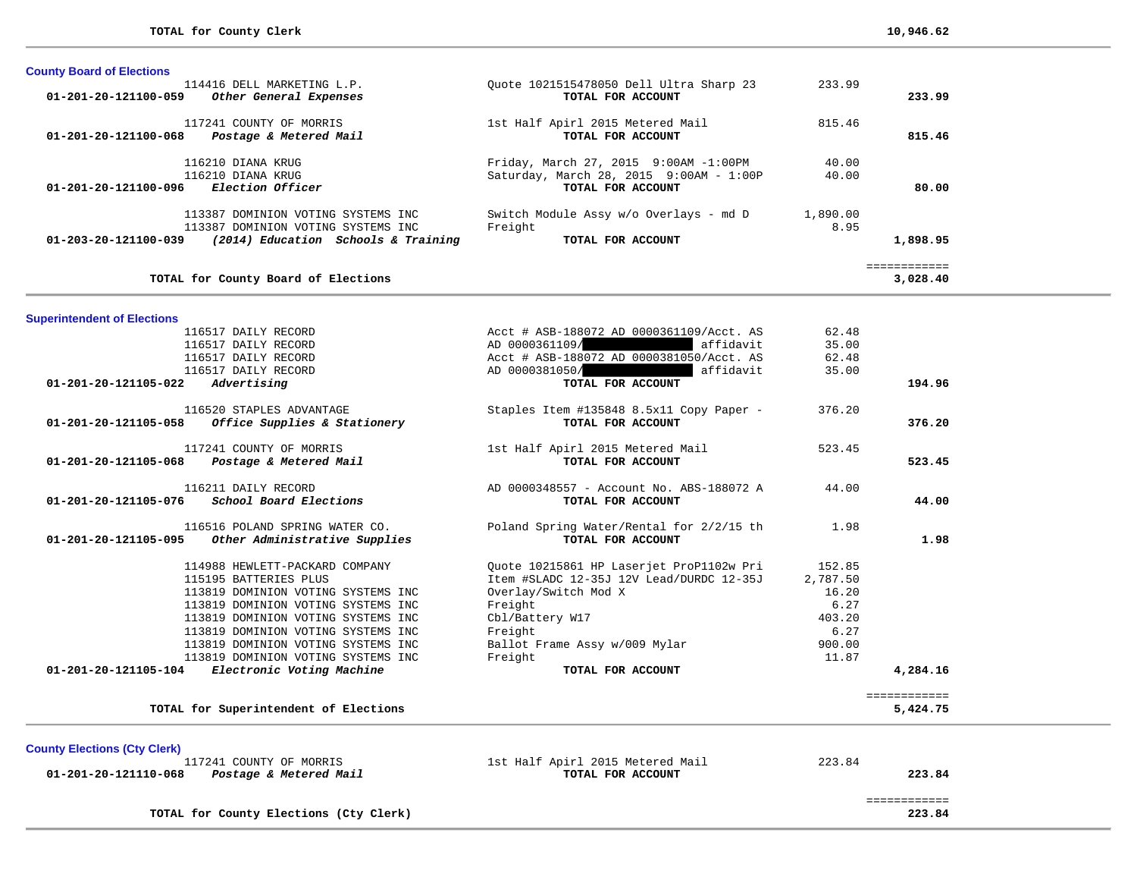| <b>County Board of Elections</b>                                                                                                                  |                                                                                                       |                  |                         |
|---------------------------------------------------------------------------------------------------------------------------------------------------|-------------------------------------------------------------------------------------------------------|------------------|-------------------------|
| 114416 DELL MARKETING L.P.<br>$01 - 201 - 20 - 121100 - 059$<br>Other General Expenses                                                            | Ouote 1021515478050 Dell Ultra Sharp 23<br>TOTAL FOR ACCOUNT                                          | 233.99           | 233.99                  |
| 117241 COUNTY OF MORRIS<br>01-201-20-121100-068<br>Postage & Metered Mail                                                                         | 1st Half Apirl 2015 Metered Mail<br>TOTAL FOR ACCOUNT                                                 | 815.46           | 815.46                  |
| 116210 DIANA KRUG<br>116210 DIANA KRUG<br><i>Election Officer</i><br>01-201-20-121100-096                                                         | Friday, March 27, 2015 9:00AM -1:00PM<br>Saturday, March 28, 2015 9:00AM - 1:00P<br>TOTAL FOR ACCOUNT | 40.00<br>40.00   | 80.00                   |
| 113387 DOMINION VOTING SYSTEMS INC<br>113387 DOMINION VOTING SYSTEMS INC<br>$01 - 203 - 20 - 121100 - 039$<br>(2014) Education Schools & Training | Switch Module Assy w/o Overlays - md D<br>Freight<br>TOTAL FOR ACCOUNT                                | 1,890.00<br>8.95 | 1,898.95                |
| TOTAL for County Board of Elections                                                                                                               |                                                                                                       |                  | ===========<br>3,028.40 |

## **Superintendent of Elections**

| TOTAL for Superintendent of Elections                 |                                          |          | ============<br>5,424.75 |
|-------------------------------------------------------|------------------------------------------|----------|--------------------------|
| Electronic Voting Machine<br>01-201-20-121105-104     | TOTAL FOR ACCOUNT                        |          | 4,284.16                 |
| 113819 DOMINION VOTING SYSTEMS INC                    | Freight                                  | 11.87    |                          |
| 113819 DOMINION VOTING SYSTEMS INC                    | Ballot Frame Assy w/009 Mylar            | 900.00   |                          |
| 113819 DOMINION VOTING SYSTEMS INC                    | Freight                                  | 6.27     |                          |
| 113819 DOMINION VOTING SYSTEMS INC                    | Cbl/Battery W17                          | 403.20   |                          |
| 113819 DOMINION VOTING SYSTEMS INC                    | Freight                                  | 6.27     |                          |
| 113819 DOMINION VOTING SYSTEMS INC                    | Overlay/Switch Mod X                     | 16.20    |                          |
| 115195 BATTERIES PLUS                                 | Item #SLADC 12-35J 12V Lead/DURDC 12-35J | 2,787.50 |                          |
| 114988 HEWLETT-PACKARD COMPANY                        | Ouote 10215861 HP Laserjet ProP1102w Pri | 152.85   |                          |
| 01-201-20-121105-095<br>Other Administrative Supplies | TOTAL FOR ACCOUNT                        |          | 1.98                     |
| 116516 POLAND SPRING WATER CO.                        | Poland Spring Water/Rental for 2/2/15 th | 1.98     |                          |
| School Board Elections<br>01-201-20-121105-076        | TOTAL FOR ACCOUNT                        |          | 44.00                    |
| 116211 DAILY RECORD                                   | AD 0000348557 - Account No. ABS-188072 A | 44.00    |                          |
| 01-201-20-121105-068<br>Postage & Metered Mail        | TOTAL FOR ACCOUNT                        |          | 523.45                   |
| 117241 COUNTY OF MORRIS                               | 1st Half Apirl 2015 Metered Mail         | 523.45   |                          |
| 01-201-20-121105-058<br>Office Supplies & Stationery  | TOTAL FOR ACCOUNT                        |          | 376.20                   |
| 116520 STAPLES ADVANTAGE                              | Staples Item #135848 8.5x11 Copy Paper - | 376.20   |                          |
| 01-201-20-121105-022<br>Advertising                   | TOTAL FOR ACCOUNT                        |          | 194.96                   |
| 116517 DAILY RECORD                                   | AD 0000381050/<br>affidavit              | 35.00    |                          |
| 116517 DAILY RECORD                                   | Acct # ASB-188072 AD 0000381050/Acct. AS | 62.48    |                          |
| 116517 DAILY RECORD                                   | AD 0000361109/<br>affidavit              | 35.00    |                          |

**County Elections (Cty Clerk)** 117241 COUNTY OF MORRIS  **01-201-20-121110-068** *Postage & Metered Mail* **TOTAL FOR ACCOUNT 223.84**

1st Half Apirl 2015 Metered Mail 223.84<br> **TOTAL FOR ACCOUNT** 

**TOTAL for County Elections (Cty Clerk) 223.84**

 ============ ============<br>223.84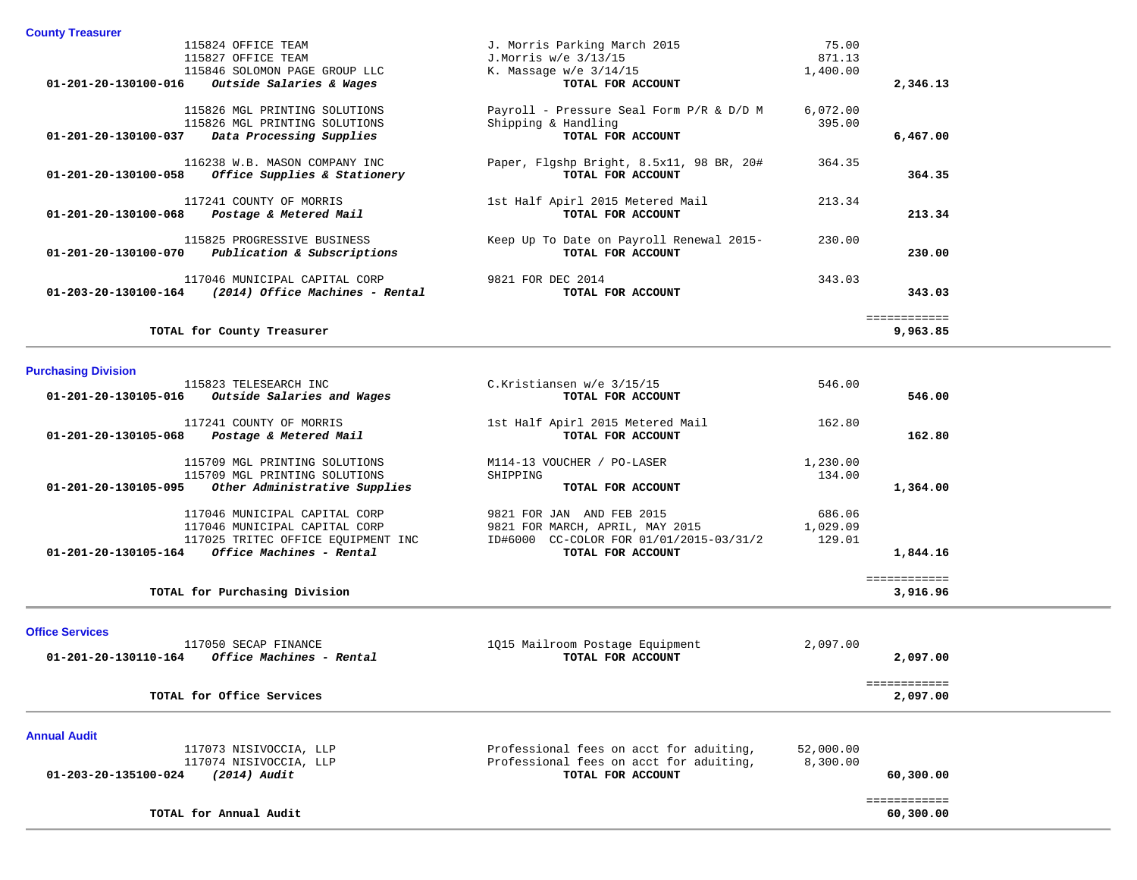| <b>County Treasurer</b> |
|-------------------------|
|                         |

| 115824 OFFICE TEAM                                              | J. Morris Parking March 2015             | 75.00    |              |
|-----------------------------------------------------------------|------------------------------------------|----------|--------------|
| 115827 OFFICE TEAM                                              | J.Morris w/e 3/13/15                     | 871.13   |              |
| 115846 SOLOMON PAGE GROUP LLC                                   | K. Massage $w/e$ 3/14/15                 | 1,400.00 |              |
| 01-201-20-130100-016<br><i>Outside Salaries &amp; Wages</i>     | TOTAL FOR ACCOUNT                        |          | 2,346.13     |
| 115826 MGL PRINTING SOLUTIONS                                   | Payroll - Pressure Seal Form P/R & D/D M | 6,072.00 |              |
| 115826 MGL PRINTING SOLUTIONS                                   | Shipping & Handling                      | 395.00   |              |
| 01-201-20-130100-037 Data Processing Supplies                   | TOTAL FOR ACCOUNT                        |          | 6,467.00     |
| 116238 W.B. MASON COMPANY INC                                   | Paper, Flgshp Bright, 8.5x11, 98 BR, 20# | 364.35   |              |
| 01-201-20-130100-058<br><i>Office Supplies &amp; Stationery</i> | TOTAL FOR ACCOUNT                        |          | 364.35       |
| 117241 COUNTY OF MORRIS                                         | 1st Half Apirl 2015 Metered Mail         | 213.34   |              |
| $01 - 201 - 20 - 130100 - 068$ Postage & Metered Mail           | TOTAL FOR ACCOUNT                        |          | 213.34       |
| 115825 PROGRESSIVE BUSINESS                                     | Keep Up To Date on Payroll Renewal 2015- | 230.00   |              |
| 01-201-20-130100-070<br>Publication & Subscriptions             | TOTAL FOR ACCOUNT                        |          | 230.00       |
| 117046 MUNICIPAL CAPITAL CORP                                   | 9821 FOR DEC 2014                        | 343.03   |              |
| $01 - 203 - 20 - 130100 - 164$ (2014) Office Machines - Rental  | TOTAL FOR ACCOUNT                        |          | 343.03       |
|                                                                 |                                          |          | ============ |
| TOTAL for County Treasurer                                      |                                          |          | 9,963.85     |

## **Purchasing Division**

|                      | 115823 TELESEARCH INC              | C.Kristiansen w/e 3/15/15               | 546.00   |              |
|----------------------|------------------------------------|-----------------------------------------|----------|--------------|
| 01-201-20-130105-016 | Outside Salaries and Wages         | TOTAL FOR ACCOUNT                       |          | 546.00       |
|                      | 117241 COUNTY OF MORRIS            | 1st Half Apirl 2015 Metered Mail        | 162.80   |              |
| 01-201-20-130105-068 | Postage & Metered Mail             | TOTAL FOR ACCOUNT                       |          | 162.80       |
|                      | 115709 MGL PRINTING SOLUTIONS      | M114-13 VOUCHER / PO-LASER              | 1,230.00 |              |
|                      | 115709 MGL PRINTING SOLUTIONS      | SHIPPING                                | 134.00   |              |
| 01-201-20-130105-095 | Other Administrative Supplies      | TOTAL FOR ACCOUNT                       |          | 1,364.00     |
|                      | 117046 MUNICIPAL CAPITAL CORP      | 9821 FOR JAN<br>AND FEB 2015            | 686.06   |              |
|                      | 117046 MUNICIPAL CAPITAL CORP      | 9821 FOR MARCH, APRIL, MAY 2015         | 1,029.09 |              |
|                      | 117025 TRITEC OFFICE EQUIPMENT INC | ID#6000 CC-COLOR FOR 01/01/2015-03/31/2 | 129.01   |              |
| 01-201-20-130105-164 | Office Machines - Rental           | TOTAL FOR ACCOUNT                       |          | 1,844.16     |
|                      |                                    |                                         |          | ============ |
|                      | TOTAL for Purchasing Division      |                                         |          | 3,916.96     |

#### **Office Services**

| $\sim$ $\sim$ $\sim$ $\sim$ $\sim$ $\sim$ $\sim$<br>117050 SECAP FINANCE<br>Office Machines - Rental<br>01-201-20-130110-164 | 1015 Mailroom Postage Equipment<br>TOTAL FOR ACCOUNT         | 2,097.00<br>2,097.00     |  |
|------------------------------------------------------------------------------------------------------------------------------|--------------------------------------------------------------|--------------------------|--|
| TOTAL for Office Services                                                                                                    |                                                              | ============<br>2,097.00 |  |
| <b>Annual Audit</b><br>117073 NISIVOCCIA, LLP                                                                                | Professional fees on acct for aduiting,                      | 52,000.00                |  |
| 117074 NISIVOCCIA, LLP<br>(2014) Audit<br>01-203-20-135100-024                                                               | Professional fees on acct for aduiting,<br>TOTAL FOR ACCOUNT | 8,300.00<br>60,300.00    |  |
| TOTAL for Annual Audit                                                                                                       |                                                              | 60,300,00                |  |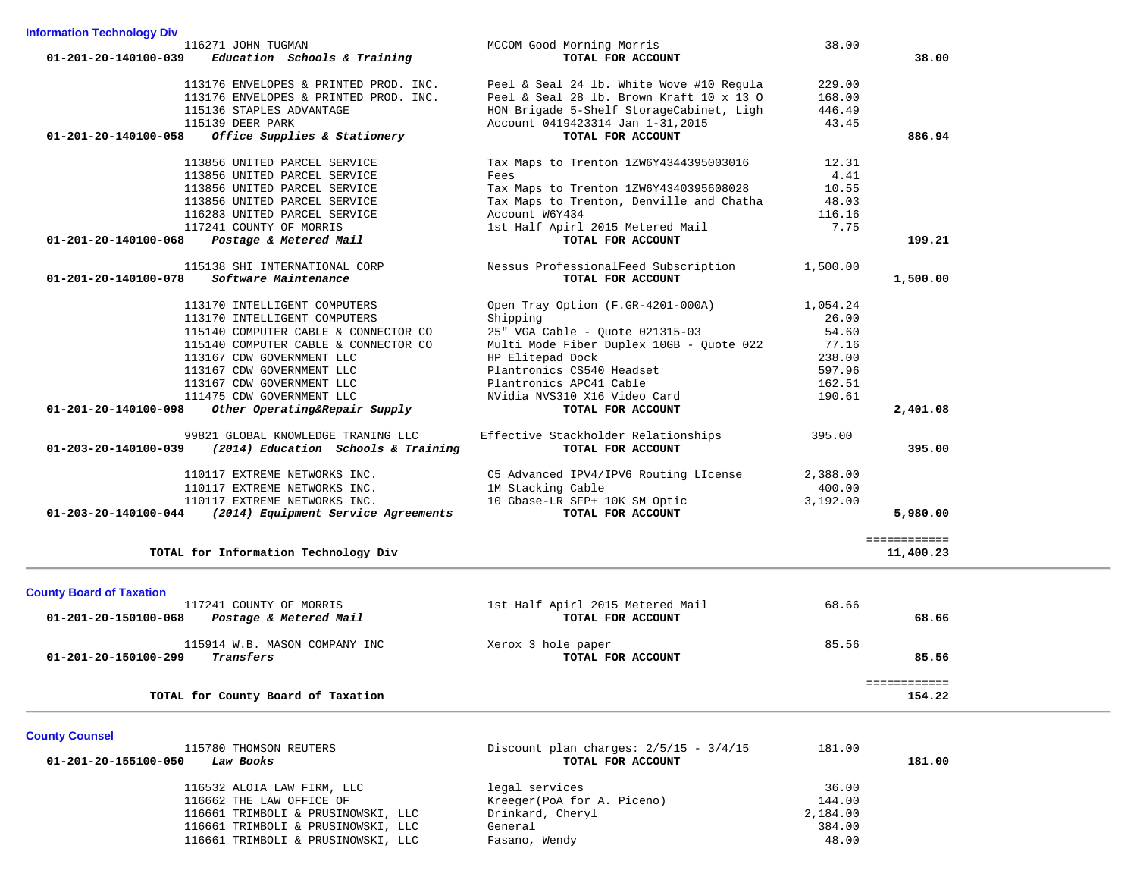| 116271 JOHN TUGMAN                                             | MCCOM Good Morning Morris                | 38.00    |              |
|----------------------------------------------------------------|------------------------------------------|----------|--------------|
| Education Schools & Training<br>01-201-20-140100-039           | TOTAL FOR ACCOUNT                        |          | 38.00        |
| 113176 ENVELOPES & PRINTED PROD. INC.                          | Peel & Seal 24 lb. White Wove #10 Regula | 229.00   |              |
| 113176 ENVELOPES & PRINTED PROD. INC.                          | Peel & Seal 28 lb. Brown Kraft 10 x 13 O | 168.00   |              |
| 115136 STAPLES ADVANTAGE                                       | HON Brigade 5-Shelf StorageCabinet, Ligh | 446.49   |              |
| 115139 DEER PARK                                               | Account 0419423314 Jan 1-31, 2015        | 43.45    |              |
| Office Supplies & Stationery<br>$01 - 201 - 20 - 140100 - 058$ | TOTAL FOR ACCOUNT                        |          | 886.94       |
| 113856 UNITED PARCEL SERVICE                                   | Tax Maps to Trenton 1ZW6Y4344395003016   | 12.31    |              |
| 113856 UNITED PARCEL SERVICE                                   | Fees                                     | 4.41     |              |
| 113856 UNITED PARCEL SERVICE                                   | Tax Maps to Trenton 1ZW6Y4340395608028   | 10.55    |              |
| 113856 UNITED PARCEL SERVICE                                   | Tax Maps to Trenton, Denville and Chatha | 48.03    |              |
| 116283 UNITED PARCEL SERVICE                                   | Account W6Y434                           | 116.16   |              |
| 117241 COUNTY OF MORRIS                                        | 1st Half Apirl 2015 Metered Mail         | 7.75     |              |
| Postage & Metered Mail<br>01-201-20-140100-068                 | TOTAL FOR ACCOUNT                        |          | 199.21       |
| 115138 SHI INTERNATIONAL CORP                                  | Nessus ProfessionalFeed Subscription     | 1,500.00 |              |
| Software Maintenance<br>01-201-20-140100-078                   | TOTAL FOR ACCOUNT                        |          | 1,500.00     |
| 113170 INTELLIGENT COMPUTERS                                   | Open Tray Option (F.GR-4201-000A)        | 1,054.24 |              |
| 113170 INTELLIGENT COMPUTERS                                   | Shipping                                 | 26.00    |              |
| 115140 COMPUTER CABLE & CONNECTOR CO                           | 25" VGA Cable - Quote 021315-03          | 54.60    |              |
| 115140 COMPUTER CABLE & CONNECTOR CO                           | Multi Mode Fiber Duplex 10GB - Ouote 022 | 77.16    |              |
| 113167 CDW GOVERNMENT LLC                                      | HP Elitepad Dock                         | 238.00   |              |
| 113167 CDW GOVERNMENT LLC                                      | Plantronics CS540 Headset                | 597.96   |              |
| 113167 CDW GOVERNMENT LLC                                      | Plantronics APC41 Cable                  | 162.51   |              |
| 111475 CDW GOVERNMENT LLC                                      | NVidia NVS310 X16 Video Card             | 190.61   |              |
| 01-201-20-140100-098<br>Other Operating&Repair Supply          | TOTAL FOR ACCOUNT                        |          | 2,401.08     |
| 99821 GLOBAL KNOWLEDGE TRANING LLC                             | Effective Stackholder Relationships      | 395.00   |              |
| (2014) Education Schools & Training<br>01-203-20-140100-039    | TOTAL FOR ACCOUNT                        |          | 395.00       |
| 110117 EXTREME NETWORKS INC.                                   | C5 Advanced IPV4/IPV6 Routing LIcense    | 2,388.00 |              |
| 110117 EXTREME NETWORKS INC.                                   | 1M Stacking Cable                        | 400.00   |              |
| 110117 EXTREME NETWORKS INC.                                   | 10 Gbase-LR SFP+ 10K SM Optic            | 3,192.00 |              |
| (2014) Equipment Service Agreements<br>01-203-20-140100-044    | TOTAL FOR ACCOUNT                        |          | 5,980.00     |
|                                                                |                                          |          | ============ |
| TOTAL for Information Technology Div                           |                                          |          | 11,400.23    |
| <b>County Board of Taxation</b>                                |                                          |          |              |
| 117241 COUNTY OF MORRIS                                        | 1st Half Apirl 2015 Metered Mail         | 68.66    |              |
| 01-201-20-150100-068<br>Postage & Metered Mail                 | TOTAL FOR ACCOUNT                        |          | 68.66        |
| 115914 W.B. MASON COMPANY INC                                  | Xerox 3 hole paper                       | 85.56    |              |
| 01-201-20-150100-299<br>Transfers                              | TOTAL FOR ACCOUNT                        |          | 85.56        |
|                                                                |                                          |          | ============ |
| TOTAL for County Board of Taxation                             |                                          |          | 154.22       |
|                                                                |                                          |          |              |
| <b>County Counsel</b>                                          |                                          |          |              |

**Information Technology Div**

| Discount plan charges: $2/5/15 - 3/4/15$<br>TOTAL FOR ACCOUNT | 181.00   | 181.00 |
|---------------------------------------------------------------|----------|--------|
| legal services                                                | 36.00    |        |
| Kreeger(PoA for A. Piceno)                                    | 144.00   |        |
| Drinkard, Cheryl                                              | 2,184.00 |        |
| General                                                       | 384.00   |        |
| Fasano, Wendy                                                 | 48.00    |        |
|                                                               |          |        |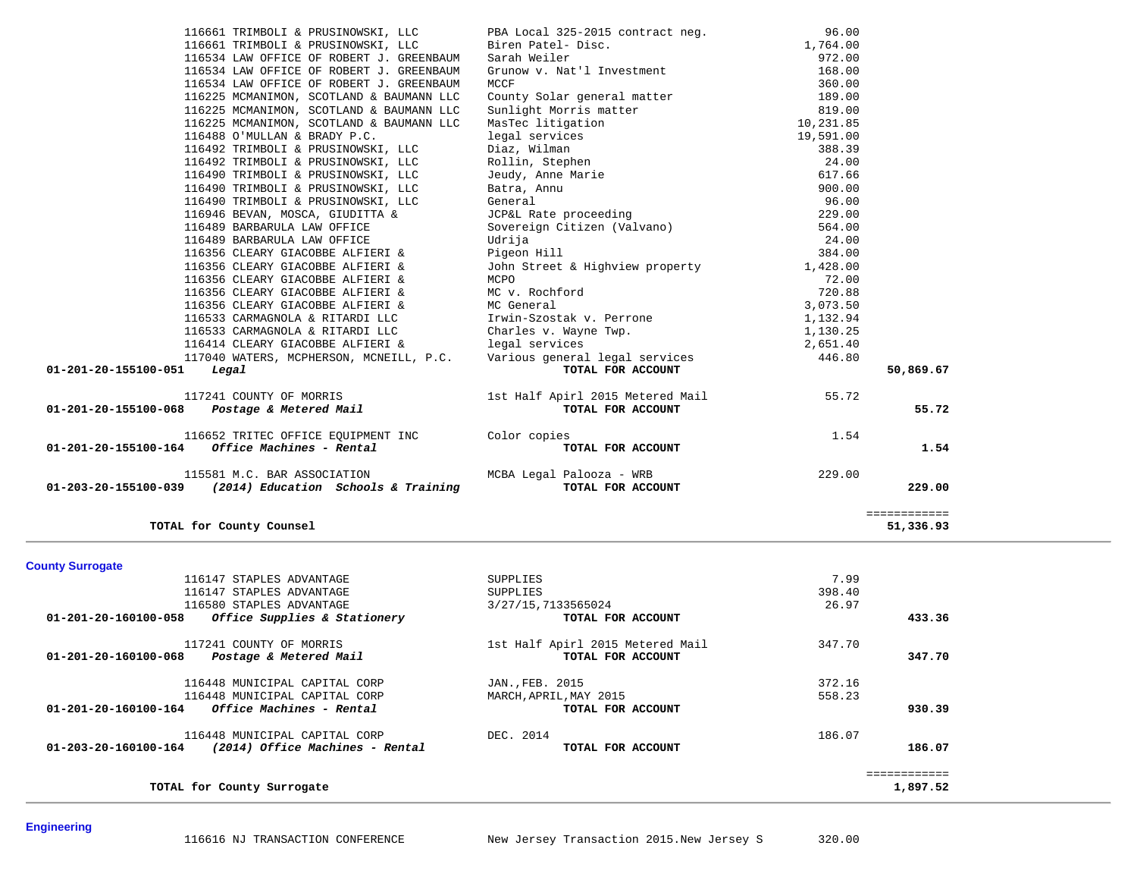| 116661 TRIMBOLI & PRUSINOWSKI, LLC                       | PBA Local 325-2015 contract neg.                                                                                              | 96.00     |              |
|----------------------------------------------------------|-------------------------------------------------------------------------------------------------------------------------------|-----------|--------------|
| 116661 TRIMBOLI & PRUSINOWSKI, LLC                       | Biren Patel- Disc.                                                                                                            | 1,764.00  |              |
| 116534 LAW OFFICE OF ROBERT J. GREENBAUM                 | Sarah Weiler                                                                                                                  | 972.00    |              |
| 116534 LAW OFFICE OF ROBERT J. GREENBAUM                 | Grunow v. Nat'l Investment                                                                                                    | 168.00    |              |
| 116534 LAW OFFICE OF ROBERT J. GREENBAUM                 | MCCF                                                                                                                          | 360.00    |              |
| 116225 MCMANIMON, SCOTLAND & BAUMANN LLC                 | County Solar general matter                                                                                                   | 189.00    |              |
| 116225 MCMANIMON, SCOTLAND & BAUMANN LLC                 | Sunlight Morris matter                                                                                                        | 819.00    |              |
| 116225 MCMANIMON, SCOTLAND & BAUMANN LLC                 | MasTec litigation                                                                                                             | 10,231.85 |              |
| 116488 O'MULLAN & BRADY P.C.                             | legal services                                                                                                                | 19,591.00 |              |
| 116492 TRIMBOLI & PRUSINOWSKI, LLC                       |                                                                                                                               | 388.39    |              |
| 116492 TRIMBOLI & PRUSINOWSKI, LLC                       |                                                                                                                               | 24.00     |              |
| 116490 TRIMBOLI & PRUSINOWSKI, LLC                       | legai services<br>Diaz, Wilman<br>Rollin, Stephen<br>Jeudy, Anne Marie                                                        | 617.66    |              |
| 116490 TRIMBOLI & PRUSINOWSKI, LLC                       | Batra, Annu                                                                                                                   | 900.00    |              |
| 116490 TRIMBOLI & PRUSINOWSKI, LLC                       | General                                                                                                                       | 96.00     |              |
| 116946 BEVAN, MOSCA, GIUDITTA &                          | JCP&L Rate proceeding<br>Sovereign Citizen (Valvano)                                                                          | 229.00    |              |
| 116489 BARBARULA LAW OFFICE                              |                                                                                                                               | 564.00    |              |
| 116489 BARBARULA LAW OFFICE                              | Udrija                                                                                                                        | 24.00     |              |
| 116356 CLEARY GIACOBBE ALFIERI &                         | Pigeon Hill                                                                                                                   | 384.00    |              |
| 116356 CLEARY GIACOBBE ALFIERI &                         | John Street & Highview property                                                                                               | 1,428.00  |              |
| 116356 CLEARY GIACOBBE ALFIERI &                         | MCPO                                                                                                                          | 72.00     |              |
| 116356 CLEARY GIACOBBE ALFIERI &                         | MC v. Rochford                                                                                                                | 720.88    |              |
| 116356 CLEARY GIACOBBE ALFIERI &                         | MC General                                                                                                                    | 3,073.50  |              |
| 116533 CARMAGNOLA & RITARDI LLC                          | Irwin-Szostak v. Perrone                                                                                                      | 1,132.94  |              |
| 116533 CARMAGNOLA & RITARDI LLC                          | Charles v. Wayne Twp.                                                                                                         | 1,130.25  |              |
| 116414 CLEARY GIACOBBE ALFIERI & legal services          |                                                                                                                               | 2,651.40  |              |
|                                                          | 116414 CLEARY GIACOBBE ALFIERI & The Legal Services<br>117040 WATERS, MCPHERSON, MCNEILL, P.C. Various general legal services | 446.80    |              |
| 01-201-20-155100-051<br>Legal                            | TOTAL FOR ACCOUNT                                                                                                             |           | 50,869.67    |
| 117241 COUNTY OF MORRIS                                  | 1st Half Apirl 2015 Metered Mail                                                                                              | 55.72     |              |
| 01-201-20-155100-068 Postage & Metered Mail              | TOTAL FOR ACCOUNT                                                                                                             |           | 55.72        |
| 116652 TRITEC OFFICE EOUIPMENT INC Color copies          |                                                                                                                               | 1.54      |              |
| Office Machines - Rental<br>01-201-20-155100-164         | TOTAL FOR ACCOUNT                                                                                                             |           | 1.54         |
| 115581 M.C. BAR ASSOCIATION MCBA Legal Palooza - WRB     |                                                                                                                               | 229.00    |              |
| 01-203-20-155100-039 (2014) Education Schools & Training | TOTAL FOR ACCOUNT                                                                                                             |           | 229.00       |
|                                                          |                                                                                                                               |           | ============ |
| TOTAL for County Counsel                                 |                                                                                                                               |           | 51,336.93    |

| <b>County Surrogate</b>                                           |                                  |        |          |
|-------------------------------------------------------------------|----------------------------------|--------|----------|
| 116147 STAPLES ADVANTAGE                                          | SUPPLIES                         | 7.99   |          |
| 116147 STAPLES ADVANTAGE                                          | SUPPLIES                         | 398.40 |          |
| 116580 STAPLES ADVANTAGE                                          | 3/27/15,7133565024               | 26.97  |          |
| Office Supplies & Stationery<br>01-201-20-160100-058              | TOTAL FOR ACCOUNT                |        | 433.36   |
| 117241 COUNTY OF MORRIS                                           | 1st Half Apirl 2015 Metered Mail | 347.70 |          |
| Postage & Metered Mail<br>01-201-20-160100-068                    | TOTAL FOR ACCOUNT                |        | 347.70   |
| 116448 MUNICIPAL CAPITAL CORP                                     | JAN., FEB. 2015                  | 372.16 |          |
| 116448 MUNICIPAL CAPITAL CORP                                     | MARCH, APRIL, MAY 2015           | 558.23 |          |
| <i>Office Machines - Rental</i><br>$01 - 201 - 20 - 160100 - 164$ | TOTAL FOR ACCOUNT                |        | 930.39   |
| 116448 MUNICIPAL CAPITAL CORP                                     | DEC. 2014                        | 186.07 |          |
| $01 - 203 - 20 - 160100 - 164$<br>(2014) Office Machines - Rental | TOTAL FOR ACCOUNT                |        | 186.07   |
|                                                                   |                                  |        |          |
| TOTAL for County Surrogate                                        |                                  |        | 1,897.52 |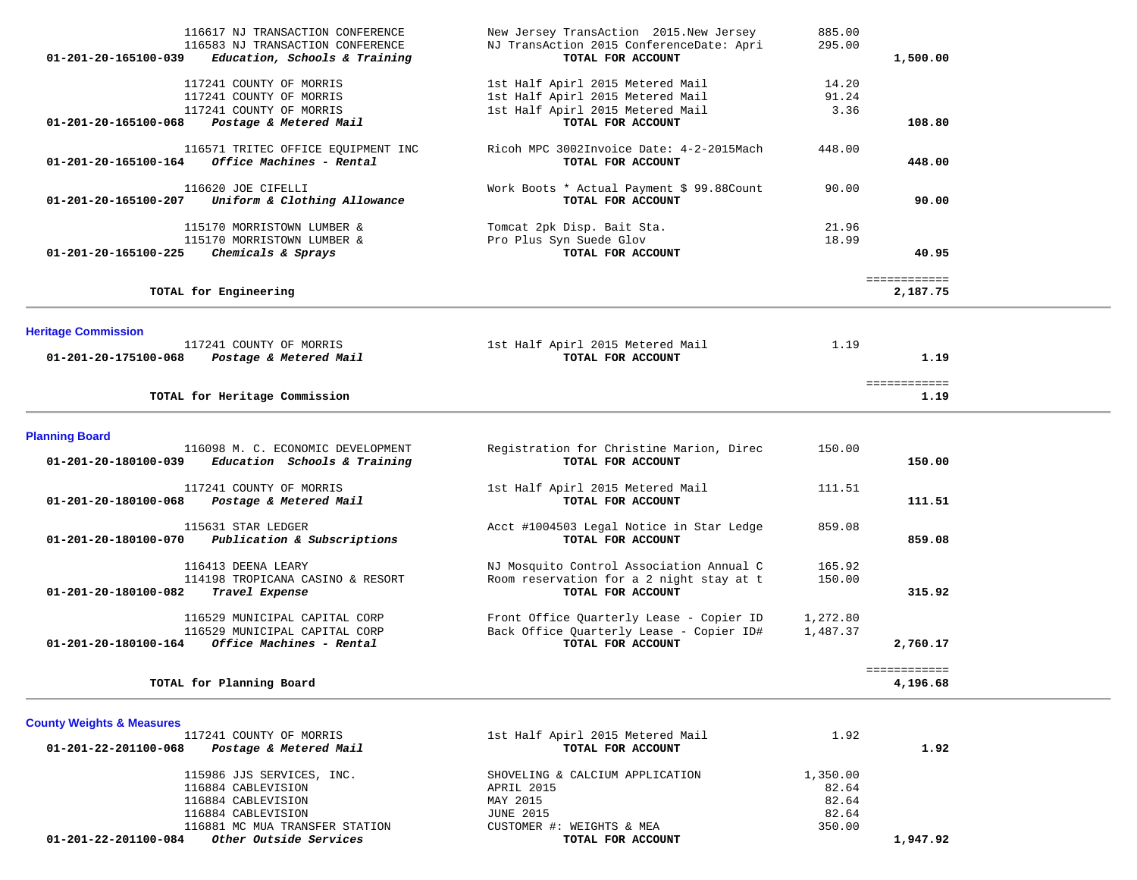| <b>Heritage Commission</b><br>117241 COUNTY OF MORRIS<br>01-201-20-175100-068<br>TOTAL for Heritage Commission<br><b>Planning Board</b><br>01-201-20-180100-039<br>117241 COUNTY OF MORRIS<br>01-201-20-180100-068<br>115631 STAR LEDGER<br>01-201-20-180100-070<br>116413 DEENA LEARY<br>Travel Expense<br>01-201-20-180100-082 | Postage & Metered Mail<br>116098 M. C. ECONOMIC DEVELOPMENT<br>Education Schools & Training<br>Postage & Metered Mail<br>Publication & Subscriptions<br>114198 TROPICANA CASINO & RESORT<br>116529 MUNICIPAL CAPITAL CORP | 1st Half Apirl 2015 Metered Mail<br>TOTAL FOR ACCOUNT<br>Registration for Christine Marion, Direc<br>TOTAL FOR ACCOUNT<br>1st Half Apirl 2015 Metered Mail<br>TOTAL FOR ACCOUNT<br>Acct #1004503 Legal Notice in Star Ledge<br>TOTAL FOR ACCOUNT<br>NJ Mosquito Control Association Annual C<br>Room reservation for a 2 night stay at t<br>TOTAL FOR ACCOUNT<br>Front Office Quarterly Lease - Copier ID | 150.00<br>111.51<br>859.08<br>165.92<br>150.00<br>1,272.80 | 1.19<br>============<br>1.19<br>150.00<br>111.51<br>859.08<br>315.92 |  |
|----------------------------------------------------------------------------------------------------------------------------------------------------------------------------------------------------------------------------------------------------------------------------------------------------------------------------------|---------------------------------------------------------------------------------------------------------------------------------------------------------------------------------------------------------------------------|-----------------------------------------------------------------------------------------------------------------------------------------------------------------------------------------------------------------------------------------------------------------------------------------------------------------------------------------------------------------------------------------------------------|------------------------------------------------------------|----------------------------------------------------------------------|--|
|                                                                                                                                                                                                                                                                                                                                  |                                                                                                                                                                                                                           |                                                                                                                                                                                                                                                                                                                                                                                                           |                                                            |                                                                      |  |
|                                                                                                                                                                                                                                                                                                                                  |                                                                                                                                                                                                                           |                                                                                                                                                                                                                                                                                                                                                                                                           |                                                            |                                                                      |  |
|                                                                                                                                                                                                                                                                                                                                  |                                                                                                                                                                                                                           |                                                                                                                                                                                                                                                                                                                                                                                                           |                                                            |                                                                      |  |
|                                                                                                                                                                                                                                                                                                                                  |                                                                                                                                                                                                                           |                                                                                                                                                                                                                                                                                                                                                                                                           |                                                            |                                                                      |  |
|                                                                                                                                                                                                                                                                                                                                  |                                                                                                                                                                                                                           |                                                                                                                                                                                                                                                                                                                                                                                                           |                                                            |                                                                      |  |
|                                                                                                                                                                                                                                                                                                                                  |                                                                                                                                                                                                                           |                                                                                                                                                                                                                                                                                                                                                                                                           |                                                            |                                                                      |  |
|                                                                                                                                                                                                                                                                                                                                  |                                                                                                                                                                                                                           |                                                                                                                                                                                                                                                                                                                                                                                                           | 1.19                                                       |                                                                      |  |
|                                                                                                                                                                                                                                                                                                                                  |                                                                                                                                                                                                                           |                                                                                                                                                                                                                                                                                                                                                                                                           |                                                            |                                                                      |  |
| TOTAL for Engineering                                                                                                                                                                                                                                                                                                            |                                                                                                                                                                                                                           |                                                                                                                                                                                                                                                                                                                                                                                                           |                                                            | ============<br>2,187.75                                             |  |
| 01-201-20-165100-225                                                                                                                                                                                                                                                                                                             | 115170 MORRISTOWN LUMBER &<br>Chemicals & Sprays                                                                                                                                                                          | Pro Plus Syn Suede Glov<br>TOTAL FOR ACCOUNT                                                                                                                                                                                                                                                                                                                                                              | 18.99                                                      | 40.95                                                                |  |
|                                                                                                                                                                                                                                                                                                                                  | 115170 MORRISTOWN LUMBER &                                                                                                                                                                                                | Tomcat 2pk Disp. Bait Sta.                                                                                                                                                                                                                                                                                                                                                                                | 21.96                                                      |                                                                      |  |
| 116620 JOE CIFELLI<br>01-201-20-165100-207                                                                                                                                                                                                                                                                                       | Uniform & Clothing Allowance                                                                                                                                                                                              | Work Boots * Actual Payment \$ 99.88Count<br>TOTAL FOR ACCOUNT                                                                                                                                                                                                                                                                                                                                            | 90.00                                                      | 90.00                                                                |  |
| 01-201-20-165100-164                                                                                                                                                                                                                                                                                                             | 116571 TRITEC OFFICE EQUIPMENT INC<br>Office Machines - Rental                                                                                                                                                            | Ricoh MPC 3002Invoice Date: 4-2-2015Mach<br>TOTAL FOR ACCOUNT                                                                                                                                                                                                                                                                                                                                             | 448.00                                                     | 448.00                                                               |  |
| 01-201-20-165100-068                                                                                                                                                                                                                                                                                                             | Postage & Metered Mail                                                                                                                                                                                                    | TOTAL FOR ACCOUNT                                                                                                                                                                                                                                                                                                                                                                                         |                                                            | 108.80                                                               |  |
| 117241 COUNTY OF MORRIS<br>117241 COUNTY OF MORRIS                                                                                                                                                                                                                                                                               |                                                                                                                                                                                                                           | 1st Half Apirl 2015 Metered Mail<br>1st Half Apirl 2015 Metered Mail                                                                                                                                                                                                                                                                                                                                      | 14.20<br>91.24                                             |                                                                      |  |
| 01-201-20-165100-039                                                                                                                                                                                                                                                                                                             | 116583 NJ TRANSACTION CONFERENCE<br>Education, Schools & Training                                                                                                                                                         | NJ TransAction 2015 ConferenceDate: Apri<br>TOTAL FOR ACCOUNT                                                                                                                                                                                                                                                                                                                                             | 295.00                                                     | 1,500.00                                                             |  |
| 117241 COUNTY OF MORRIS                                                                                                                                                                                                                                                                                                          | 116617 NJ TRANSACTION CONFERENCE                                                                                                                                                                                          | New Jersey TransAction 2015. New Jersey<br>1st Half Apirl 2015 Metered Mail                                                                                                                                                                                                                                                                                                                               | 885.00<br>3.36                                             |                                                                      |  |

| 1.92     |
|----------|
|          |
|          |
|          |
|          |
|          |
| 1,947.92 |
|          |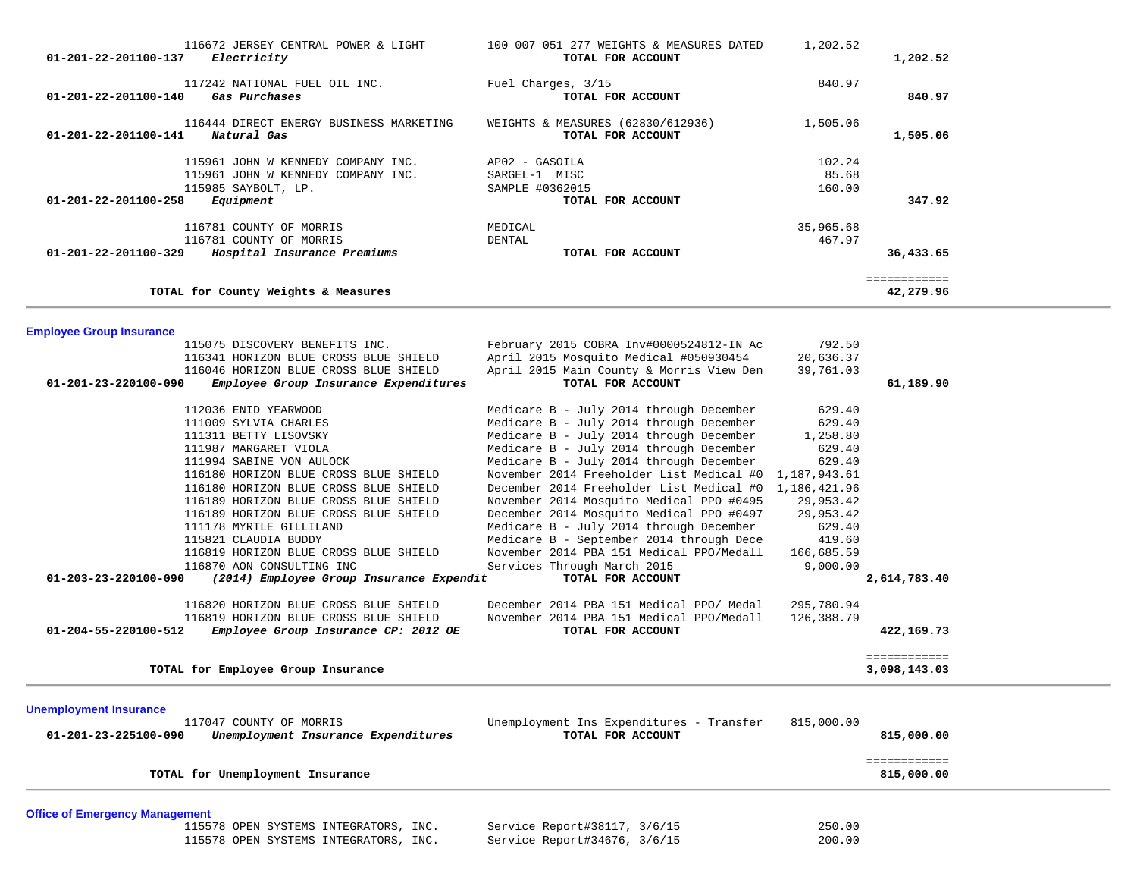| 115985 SAYBOLT, LP.                   | 115961 JOHN W KENNEDY COMPANY INC.<br>115961 JOHN W KENNEDY COMPANY INC. | AP02 - GASOILA<br>SARGEL-1 MISC<br>SAMPLE #0362015                                 | 102.24<br>85.68<br>160.00 |                            |  |
|---------------------------------------|--------------------------------------------------------------------------|------------------------------------------------------------------------------------|---------------------------|----------------------------|--|
| 01-201-22-201100-258<br>Equipment     |                                                                          | TOTAL FOR ACCOUNT                                                                  |                           | 347.92                     |  |
| 116781 COUNTY OF MORRIS               |                                                                          | MEDICAL                                                                            | 35,965.68                 |                            |  |
| 116781 COUNTY OF MORRIS               |                                                                          | DENTAL                                                                             | 467.97                    |                            |  |
| 01-201-22-201100-329                  | Hospital Insurance Premiums                                              | TOTAL FOR ACCOUNT                                                                  |                           | 36,433.65                  |  |
| TOTAL for County Weights & Measures   |                                                                          |                                                                                    |                           | ============<br>42,279.96  |  |
|                                       |                                                                          |                                                                                    |                           |                            |  |
| <b>Employee Group Insurance</b>       |                                                                          |                                                                                    |                           |                            |  |
|                                       | 115075 DISCOVERY BENEFITS INC.<br>116341 HORIZON BLUE CROSS BLUE SHIELD  | February 2015 COBRA Inv#0000524812-IN Ac<br>April 2015 Mosquito Medical #050930454 | 792.50<br>20,636.37       |                            |  |
|                                       | 116046 HORIZON BLUE CROSS BLUE SHIELD                                    | April 2015 Main County & Morris View Den                                           | 39,761.03                 |                            |  |
| 01-201-23-220100-090                  | Employee Group Insurance Expenditures                                    | TOTAL FOR ACCOUNT                                                                  |                           | 61,189.90                  |  |
|                                       |                                                                          |                                                                                    |                           |                            |  |
| 112036 ENID YEARWOOD                  |                                                                          | Medicare B - July 2014 through December                                            | 629.40                    |                            |  |
| 111009 SYLVIA CHARLES                 |                                                                          | Medicare B - July 2014 through December                                            | 629.40                    |                            |  |
| 111311 BETTY LISOVSKY                 |                                                                          | Medicare B - July 2014 through December                                            | 1,258.80                  |                            |  |
| 111987 MARGARET VIOLA                 |                                                                          | Medicare B - July 2014 through December                                            | 629.40                    |                            |  |
| 111994 SABINE VON AULOCK              |                                                                          | Medicare B - July 2014 through December                                            | 629.40                    |                            |  |
|                                       | 116180 HORIZON BLUE CROSS BLUE SHIELD                                    | November 2014 Freeholder List Medical #0 1,187,943.61                              |                           |                            |  |
|                                       | 116180 HORIZON BLUE CROSS BLUE SHIELD                                    | December 2014 Freeholder List Medical #0 1,186,421.96                              |                           |                            |  |
|                                       | 116189 HORIZON BLUE CROSS BLUE SHIELD                                    | November 2014 Mosquito Medical PPO #0495                                           | 29,953.42                 |                            |  |
|                                       | 116189 HORIZON BLUE CROSS BLUE SHIELD                                    | December 2014 Mosquito Medical PPO #0497                                           | 29,953.42                 |                            |  |
| 111178 MYRTLE GILLILAND               |                                                                          | Medicare B - July 2014 through December                                            | 629.40                    |                            |  |
| 115821 CLAUDIA BUDDY                  |                                                                          | Medicare B - September 2014 through Dece                                           | 419.60                    |                            |  |
| 116870 AON CONSULTING INC             | 116819 HORIZON BLUE CROSS BLUE SHIELD                                    | November 2014 PBA 151 Medical PPO/Medall<br>Services Through March 2015            | 166,685.59<br>9,000.00    |                            |  |
| 01-203-23-220100-090                  | (2014) Employee Group Insurance Expendit                                 | TOTAL FOR ACCOUNT                                                                  |                           | 2,614,783.40               |  |
|                                       |                                                                          |                                                                                    |                           |                            |  |
|                                       | 116820 HORIZON BLUE CROSS BLUE SHIELD                                    | December 2014 PBA 151 Medical PPO/ Medal                                           | 295,780.94                |                            |  |
|                                       | 116819 HORIZON BLUE CROSS BLUE SHIELD                                    | November 2014 PBA 151 Medical PPO/Medall                                           | 126,388.79                |                            |  |
| 01-204-55-220100-512                  | Employee Group Insurance CP: 2012 OE                                     | TOTAL FOR ACCOUNT                                                                  |                           | 422,169.73                 |  |
|                                       |                                                                          |                                                                                    |                           | ============               |  |
| TOTAL for Employee Group Insurance    |                                                                          |                                                                                    |                           | 3,098,143.03               |  |
| <b>Unemployment Insurance</b>         |                                                                          |                                                                                    |                           |                            |  |
| 117047 COUNTY OF MORRIS               |                                                                          | Unemployment Ins Expenditures - Transfer                                           | 815,000.00                |                            |  |
| 01-201-23-225100-090                  | Unemployment Insurance Expenditures                                      | TOTAL FOR ACCOUNT                                                                  |                           | 815,000.00                 |  |
|                                       |                                                                          |                                                                                    |                           |                            |  |
| TOTAL for Unemployment Insurance      |                                                                          |                                                                                    |                           | ============<br>815,000.00 |  |
|                                       |                                                                          |                                                                                    |                           |                            |  |
| <b>Office of Emergency Management</b> |                                                                          |                                                                                    |                           |                            |  |
|                                       | 115578 OPEN SYSTEMS INTEGRATORS, INC.                                    | Service Report#38117, 3/6/15                                                       | 250.00                    |                            |  |
|                                       | 115578 OPEN SYSTEMS INTEGRATORS, INC.                                    | Service Report#34676, 3/6/15                                                       | 200.00                    |                            |  |
|                                       |                                                                          |                                                                                    |                           |                            |  |

| 116672 JERSEY CENTRAL POWER & LIGHT<br>Electricity<br>01-201-22-201100-137                                                                     | 100 007 051 277 WEIGHTS & MEASURES DATED<br>TOTAL FOR ACCOUNT           | 1,202.52                  | 1,202.52  |
|------------------------------------------------------------------------------------------------------------------------------------------------|-------------------------------------------------------------------------|---------------------------|-----------|
| 117242 NATIONAL FUEL OIL INC.<br>01-201-22-201100-140<br>Gas Purchases                                                                         | Fuel Charges, 3/15<br>TOTAL FOR ACCOUNT                                 | 840.97                    | 840.97    |
| 116444 DIRECT ENERGY BUSINESS MARKETING<br>01-201-22-201100-141<br>Natural Gas                                                                 | WEIGHTS & MEASURES (62830/612936)<br>TOTAL FOR ACCOUNT                  | 1,505.06                  | 1,505.06  |
| 115961 JOHN W KENNEDY COMPANY INC.<br>115961 JOHN W KENNEDY COMPANY INC.<br>115985 SAYBOLT, LP.<br>Equipment<br>$01 - 201 - 22 - 201100 - 258$ | AP02 - GASOILA<br>SARGEL-1 MISC<br>SAMPLE #0362015<br>TOTAL FOR ACCOUNT | 102.24<br>85.68<br>160.00 | 347.92    |
| 116781 COUNTY OF MORRIS<br>116781 COUNTY OF MORRIS<br>01-201-22-201100-329<br>Hospital Insurance Premiums                                      | MEDICAL<br>DENTAL<br>TOTAL FOR ACCOUNT                                  | 35,965.68<br>467.97       | 36,433.65 |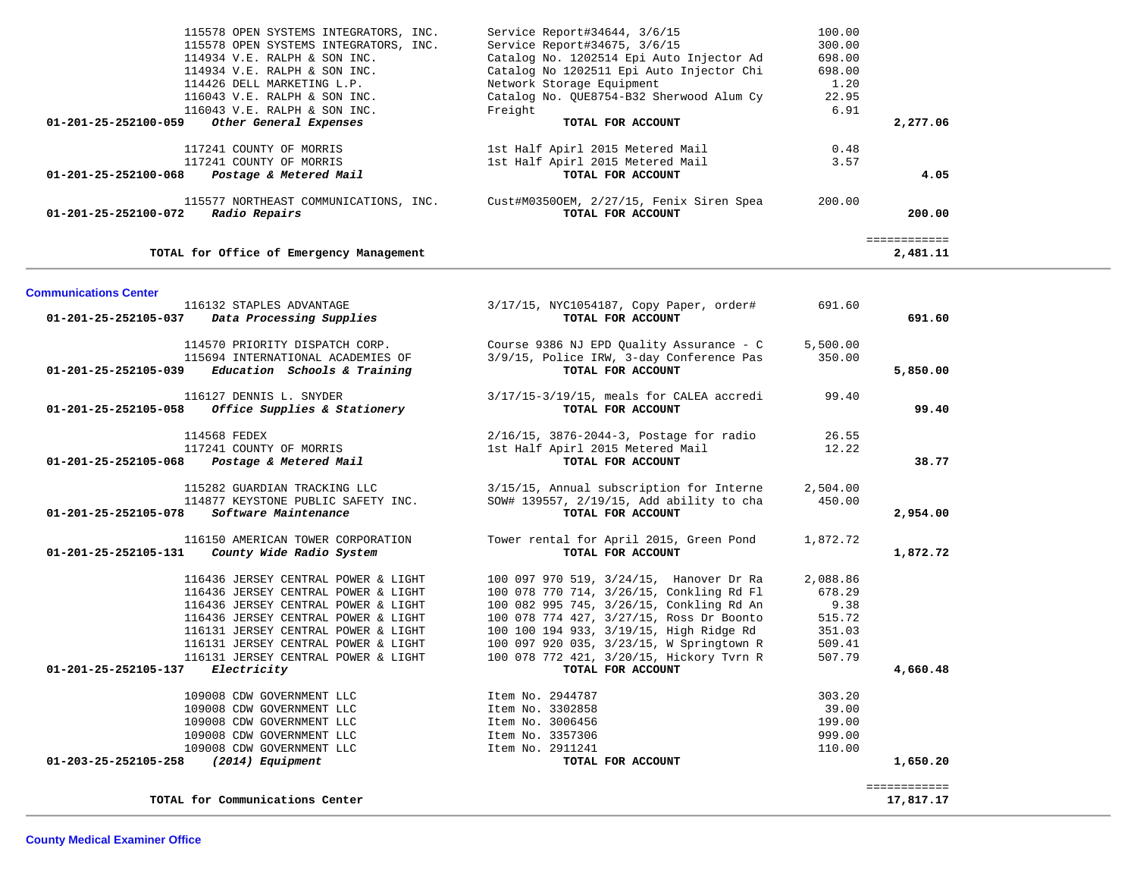| 115578 OPEN SYSTEMS INTEGRATORS, INC.                    | Service Report#34644, 3/6/15             | 100.00 |          |
|----------------------------------------------------------|------------------------------------------|--------|----------|
| 115578 OPEN SYSTEMS INTEGRATORS, INC.                    | Service Report#34675, 3/6/15             | 300.00 |          |
| 114934 V.E. RALPH & SON INC.                             | Catalog No. 1202514 Epi Auto Injector Ad | 698.00 |          |
| 114934 V.E. RALPH & SON INC.                             | Catalog No 1202511 Epi Auto Injector Chi | 698.00 |          |
| 114426 DELL MARKETING L.P.                               | Network Storage Equipment                | 1.20   |          |
| 116043 V.E. RALPH & SON INC.                             | Catalog No. OUE8754-B32 Sherwood Alum Cy | 22.95  |          |
| 116043 V.E. RALPH & SON INC.                             | Freight                                  | 6.91   |          |
| Other General Expenses<br>01-201-25-252100-059           | TOTAL FOR ACCOUNT                        |        | 2,277.06 |
| 117241 COUNTY OF MORRIS                                  | 1st Half Apirl 2015 Metered Mail         | 0.48   |          |
| 117241 COUNTY OF MORRIS                                  | 1st Half Apirl 2015 Metered Mail         | 3.57   |          |
| $01 - 201 - 25 - 252100 - 068$<br>Postage & Metered Mail | TOTAL FOR ACCOUNT                        |        | 4.05     |
| 115577 NORTHEAST COMMUNICATIONS, INC.                    | Cust#M03500EM, 2/27/15, Fenix Siren Spea | 200.00 |          |
| $01 - 201 - 25 - 252100 - 072$<br>Radio Repairs          | TOTAL FOR ACCOUNT                        |        | 200.00   |
|                                                          |                                          |        |          |
| TOTAL for Office of Emergency Management                 |                                          |        | 2,481.11 |

| 116132 STAPLES ADVANTAGE<br>01-201-25-252105-037<br>Data Processing Supplies                                                | 3/17/15, NYC1054187, Copy Paper, order#<br>TOTAL FOR ACCOUNT                                              | 691.60             | 691.60       |
|-----------------------------------------------------------------------------------------------------------------------------|-----------------------------------------------------------------------------------------------------------|--------------------|--------------|
| 114570 PRIORITY DISPATCH CORP.<br>115694 INTERNATIONAL ACADEMIES OF<br>01-201-25-252105-039<br>Education Schools & Training | Course 9386 NJ EPD Quality Assurance - C<br>3/9/15, Police IRW, 3-day Conference Pas<br>TOTAL FOR ACCOUNT | 5,500.00<br>350.00 | 5,850.00     |
| 116127 DENNIS L. SNYDER                                                                                                     | $3/17/15-3/19/15$ , meals for CALEA accredi                                                               | 99.40              |              |
| Office Supplies & Stationery<br>01-201-25-252105-058                                                                        | TOTAL FOR ACCOUNT                                                                                         |                    | 99.40        |
| 114568 FEDEX                                                                                                                | 2/16/15, 3876-2044-3, Postage for radio                                                                   | 26.55              |              |
| 117241 COUNTY OF MORRIS                                                                                                     | 1st Half Apirl 2015 Metered Mail                                                                          | 12.22              |              |
| Postage & Metered Mail<br>01-201-25-252105-068                                                                              | TOTAL FOR ACCOUNT                                                                                         |                    | 38.77        |
| 115282 GUARDIAN TRACKING LLC                                                                                                | 3/15/15, Annual subscription for Interne                                                                  | 2,504.00           |              |
| 114877 KEYSTONE PUBLIC SAFETY INC.                                                                                          | SOW# 139557, 2/19/15, Add ability to cha                                                                  | 450.00             |              |
| Software Maintenance<br>01-201-25-252105-078                                                                                | TOTAL FOR ACCOUNT                                                                                         |                    | 2,954.00     |
| 116150 AMERICAN TOWER CORPORATION                                                                                           | Tower rental for April 2015, Green Pond                                                                   | 1,872.72           |              |
| 01-201-25-252105-131<br>County Wide Radio System                                                                            | TOTAL FOR ACCOUNT                                                                                         |                    | 1,872.72     |
| 116436 JERSEY CENTRAL POWER & LIGHT                                                                                         | 100 097 970 519, 3/24/15, Hanover Dr Ra                                                                   | 2,088.86           |              |
| 116436 JERSEY CENTRAL POWER & LIGHT                                                                                         | 100 078 770 714, 3/26/15, Conkling Rd Fl                                                                  | 678.29             |              |
| 116436 JERSEY CENTRAL POWER & LIGHT                                                                                         | 100 082 995 745, 3/26/15, Conkling Rd An                                                                  | 9.38               |              |
| 116436 JERSEY CENTRAL POWER & LIGHT                                                                                         | 100 078 774 427, 3/27/15, Ross Dr Boonto                                                                  | 515.72             |              |
| 116131 JERSEY CENTRAL POWER & LIGHT                                                                                         | 100 100 194 933, 3/19/15, High Ridge Rd                                                                   | 351.03             |              |
| 116131 JERSEY CENTRAL POWER & LIGHT                                                                                         | 100 097 920 035, 3/23/15, W Springtown R                                                                  | 509.41             |              |
| 116131 JERSEY CENTRAL POWER & LIGHT                                                                                         | 100 078 772 421, 3/20/15, Hickory Tvrn R                                                                  | 507.79             |              |
| 01-201-25-252105-137<br>Electricity                                                                                         | TOTAL FOR ACCOUNT                                                                                         |                    | 4,660.48     |
| 109008 CDW GOVERNMENT LLC                                                                                                   | Item No. 2944787                                                                                          | 303.20             |              |
| 109008 CDW GOVERNMENT LLC                                                                                                   | Item No. 3302858                                                                                          | 39.00              |              |
| 109008 CDW GOVERNMENT LLC                                                                                                   | Item No. 3006456                                                                                          | 199.00             |              |
| 109008 CDW GOVERNMENT LLC                                                                                                   | Item No. 3357306                                                                                          | 999.00             |              |
| 109008 CDW GOVERNMENT LLC                                                                                                   | Item No. 2911241                                                                                          | 110.00             |              |
| 01-203-25-252105-258<br>(2014) Equipment                                                                                    | TOTAL FOR ACCOUNT                                                                                         |                    | 1,650.20     |
|                                                                                                                             |                                                                                                           |                    | ============ |
| TOTAL for Communications Center                                                                                             |                                                                                                           |                    | 17,817.17    |

**Communications Center**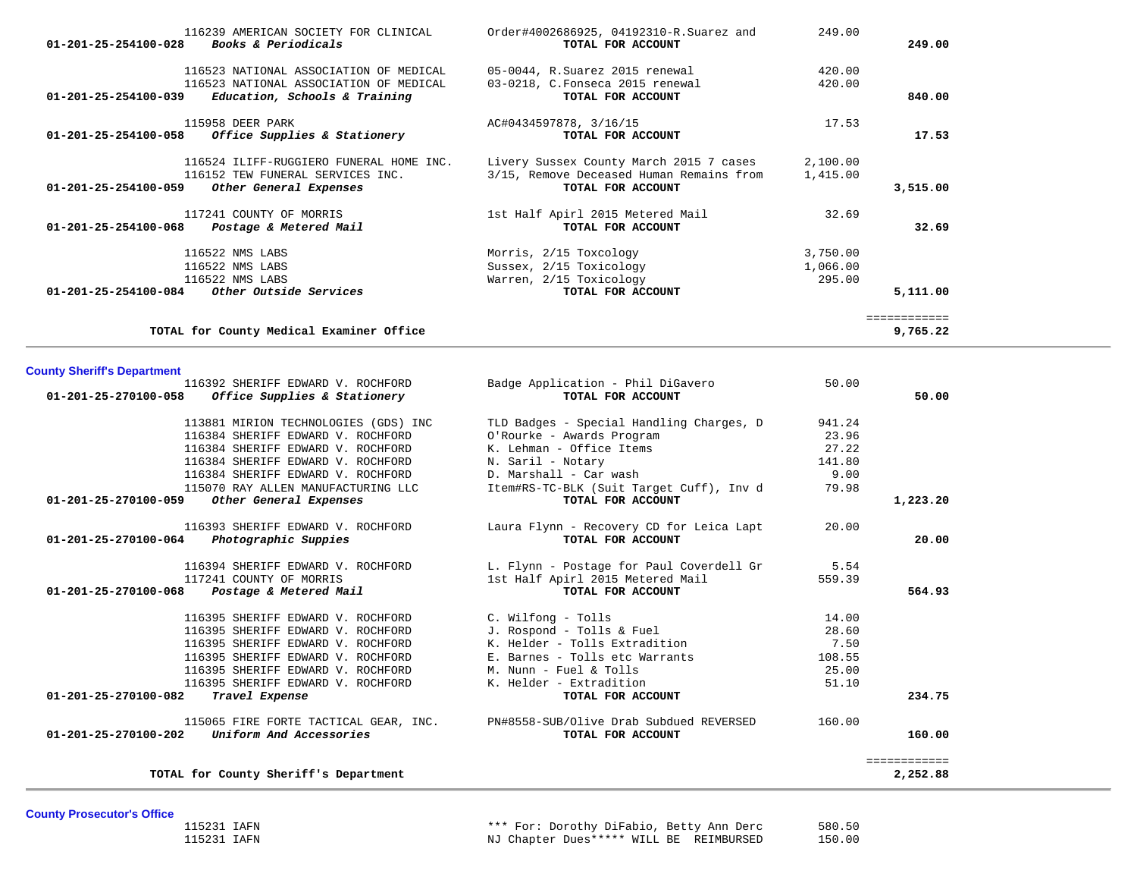| 116239 AMERICAN SOCIETY FOR CLINICAL<br>Books & Periodicals<br>$01 - 201 - 25 - 254100 - 028$ | Order#4002686925, 04192310-R.Suarez and<br>TOTAL FOR ACCOUNT | 249.00   | 249.00       |
|-----------------------------------------------------------------------------------------------|--------------------------------------------------------------|----------|--------------|
|                                                                                               |                                                              |          |              |
| 116523 NATIONAL ASSOCIATION OF MEDICAL                                                        | 05-0044, R.Suarez 2015 renewal                               | 420.00   |              |
| 116523 NATIONAL ASSOCIATION OF MEDICAL                                                        | 03-0218, C.Fonseca 2015 renewal                              | 420.00   |              |
| Education, Schools & Training<br>$01 - 201 - 25 - 254100 - 039$                               | TOTAL FOR ACCOUNT                                            |          | 840.00       |
| 115958 DEER PARK                                                                              | AC#0434597878, 3/16/15                                       | 17.53    |              |
| Office Supplies & Stationery<br>$01 - 201 - 25 - 254100 - 058$                                | TOTAL FOR ACCOUNT                                            |          | 17.53        |
| 116524 ILIFF-RUGGIERO FUNERAL HOME INC.                                                       | Livery Sussex County March 2015 7 cases                      | 2,100.00 |              |
| 116152 TEW FUNERAL SERVICES INC.                                                              | 3/15, Remove Deceased Human Remains from                     | 1,415.00 |              |
| $01 - 201 - 25 - 254100 - 059$<br>Other General Expenses                                      | TOTAL FOR ACCOUNT                                            |          | 3,515.00     |
| 117241 COUNTY OF MORRIS                                                                       | 1st Half Apirl 2015 Metered Mail                             | 32.69    |              |
| $01 - 201 - 25 - 254100 - 068$<br>Postage & Metered Mail                                      | TOTAL FOR ACCOUNT                                            |          | 32.69        |
| 116522 NMS LABS                                                                               | Morris, 2/15 Toxcology                                       | 3,750.00 |              |
| 116522 NMS LABS                                                                               | Sussex, 2/15 Toxicology                                      | 1,066.00 |              |
| 116522 NMS LABS                                                                               | Warren, 2/15 Toxicology                                      | 295.00   |              |
| 01-201-25-254100-084<br>Other Outside Services                                                | TOTAL FOR ACCOUNT                                            |          | 5,111.00     |
|                                                                                               |                                                              |          | ============ |
| TOTAL for County Medical Examiner Office                                                      |                                                              |          | 9,765.22     |

# **County Sheriff's Department**

| 116392 SHERIFF EDWARD V. ROCHFORD                                             | Badge Application - Phil DiGavero        | 50.00  |              |
|-------------------------------------------------------------------------------|------------------------------------------|--------|--------------|
| 01-201-25-270100-058<br>Office Supplies & Stationery                          | TOTAL FOR ACCOUNT                        |        | 50.00        |
| 113881 MIRION TECHNOLOGIES (GDS) INC                                          | TLD Badges - Special Handling Charges, D | 941.24 |              |
| 116384 SHERIFF EDWARD V. ROCHFORD                                             | O'Rourke - Awards Program                | 23.96  |              |
| 116384 SHERIFF EDWARD V. ROCHFORD                                             | K. Lehman - Office Items                 | 27.22  |              |
| 116384 SHERIFF EDWARD V. ROCHFORD                                             | N. Saril - Notary                        | 141.80 |              |
| 116384 SHERIFF EDWARD V. ROCHFORD                                             | D. Marshall - Car wash                   | 9.00   |              |
| 115070 RAY ALLEN MANUFACTURING LLC                                            | Item#RS-TC-BLK (Suit Target Cuff), Inv d | 79.98  |              |
| 01-201-25-270100-059<br>Other General Expenses                                | TOTAL FOR ACCOUNT                        |        | 1,223.20     |
| 116393 SHERIFF EDWARD V. ROCHFORD                                             | Laura Flynn - Recovery CD for Leica Lapt | 20.00  |              |
| Photographic Suppies<br>01-201-25-270100-064                                  | TOTAL FOR ACCOUNT                        |        | 20.00        |
| 116394 SHERIFF EDWARD V. ROCHFORD                                             | L. Flynn - Postage for Paul Coverdell Gr | 5.54   |              |
| 117241 COUNTY OF MORRIS                                                       | 1st Half Apirl 2015 Metered Mail         | 559.39 |              |
| 01-201-25-270100-068 Postage & Metered Mail                                   | TOTAL FOR ACCOUNT                        |        | 564.93       |
| 116395 SHERIFF EDWARD V. ROCHFORD                                             | C. Wilfong - Tolls                       | 14.00  |              |
| 116395 SHERIFF EDWARD V. ROCHFORD                                             | J. Rospond - Tolls & Fuel                | 28.60  |              |
| 116395 SHERIFF EDWARD V. ROCHFORD                                             | K. Helder - Tolls Extradition            | 7.50   |              |
| 116395 SHERIFF EDWARD V. ROCHFORD                                             | E. Barnes - Tolls etc Warrants           | 108.55 |              |
| 116395 SHERIFF EDWARD V. ROCHFORD                                             | M. Nunn - Fuel & Tolls                   | 25.00  |              |
| 116395 SHERIFF EDWARD V. ROCHFORD                                             | K. Helder - Extradition                  | 51.10  |              |
| 01-201-25-270100-082<br>Travel Expense                                        | TOTAL FOR ACCOUNT                        |        | 234.75       |
| 115065 FIRE FORTE TACTICAL GEAR, INC. PN#8558-SUB/Olive Drab Subdued REVERSED |                                          | 160.00 |              |
| Uniform And Accessories<br>$01 - 201 - 25 - 270100 - 202$                     | TOTAL FOR ACCOUNT                        |        | 160.00       |
|                                                                               |                                          |        | ============ |
| TOTAL for County Sheriff's Department                                         |                                          |        | 2,252.88     |

**County Prosecutor's Office**

 115231 IAFN \*\*\* For: Dorothy DiFabio, Betty Ann Derc 580.50 115231 IAFN NJ Chapter Dues\*\*\*\*\* WILL BE REIMBURSED 150.00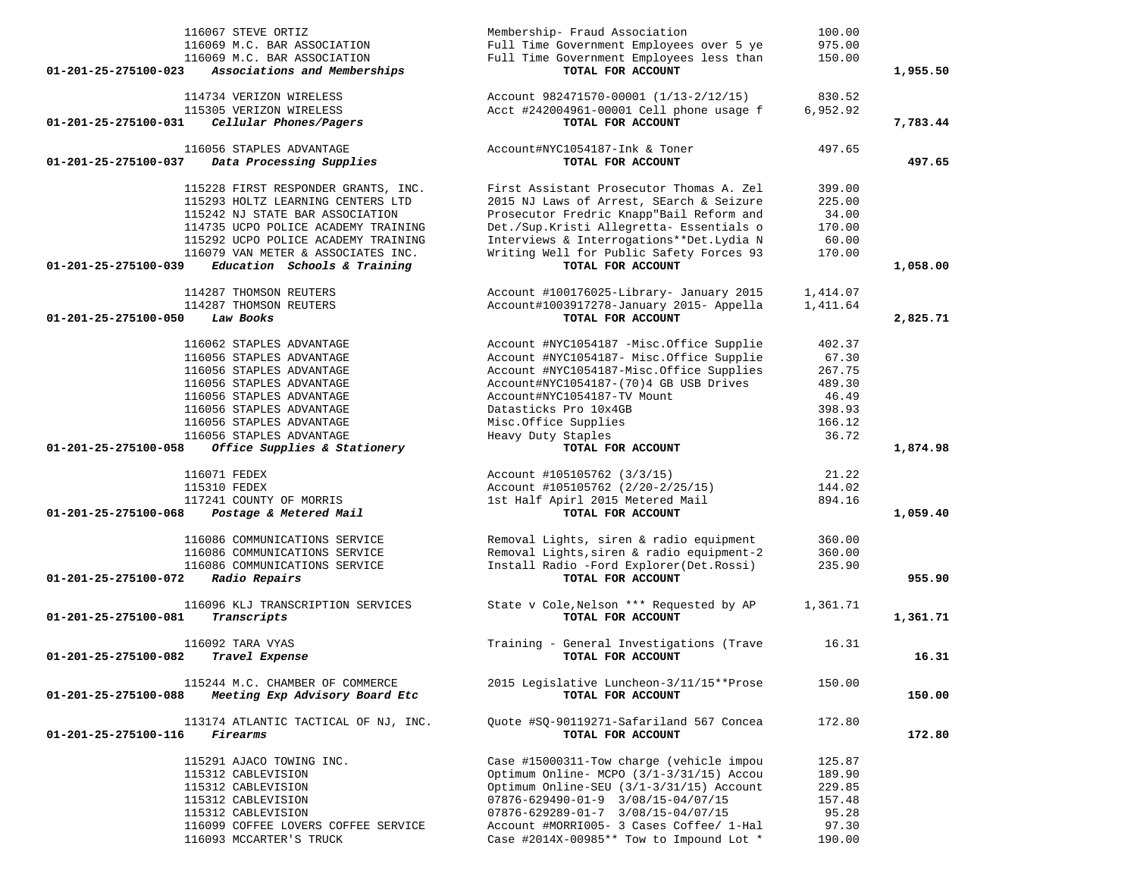| 116067 STEVE ORTIZ<br>116069 M.C. BAR ASSOCIATION<br>116069 M.C. BAR ASSOCIATION                     | Membership- Fraud Association<br>Full Time Government Employees over 5 ye<br>Full Time Government Employees less than | 100.00<br>975.00<br>150.00 |          |
|------------------------------------------------------------------------------------------------------|-----------------------------------------------------------------------------------------------------------------------|----------------------------|----------|
| 01-201-25-275100-023<br>Associations and Memberships                                                 | TOTAL FOR ACCOUNT                                                                                                     |                            | 1,955.50 |
| 114734 VERIZON WIRELESS<br>115305 VERIZON WIRELESS<br>Cellular Phones/Pagers<br>01-201-25-275100-031 | Account 982471570-00001 (1/13-2/12/15)<br>Acct #242004961-00001 Cell phone usage f<br>TOTAL FOR ACCOUNT               | 830.52<br>6,952.92         | 7,783.44 |
| 116056 STAPLES ADVANTAGE<br>01-201-25-275100-037<br>Data Processing Supplies                         | Account#NYC1054187-Ink & Toner<br>TOTAL FOR ACCOUNT                                                                   | 497.65                     | 497.65   |
| 115228 FIRST RESPONDER GRANTS, INC.                                                                  | First Assistant Prosecutor Thomas A. Zel                                                                              | 399.00                     |          |
| 115293 HOLTZ LEARNING CENTERS LTD                                                                    | 2015 NJ Laws of Arrest, SEarch & Seizure                                                                              | 225.00                     |          |
| 115242 NJ STATE BAR ASSOCIATION                                                                      | Prosecutor Fredric Knapp"Bail Reform and                                                                              | 34.00                      |          |
| 114735 UCPO POLICE ACADEMY TRAINING                                                                  | Det./Sup.Kristi Allegretta- Essentials o                                                                              | 170.00                     |          |
| 115292 UCPO POLICE ACADEMY TRAINING                                                                  | Interviews & Interrogations**Det.Lydia N<br>Writing Well for Public Safety Forces 93                                  | 60.00                      |          |
| 116079 VAN METER & ASSOCIATES INC.<br>Education Schools & Training<br>01-201-25-275100-039           | TOTAL FOR ACCOUNT                                                                                                     | 170.00                     | 1,058.00 |
| 114287 THOMSON REUTERS                                                                               | Account #100176025-Library- January 2015                                                                              | 1,414.07                   |          |
| 114287 THOMSON REUTERS                                                                               | Account#1003917278-January 2015- Appella                                                                              | 1,411.64                   |          |
| 01-201-25-275100-050<br>Law Books                                                                    | TOTAL FOR ACCOUNT                                                                                                     |                            | 2,825.71 |
| 116062 STAPLES ADVANTAGE                                                                             | Account #NYC1054187 -Misc.Office Supplie                                                                              | 402.37                     |          |
| 116056 STAPLES ADVANTAGE                                                                             | Account #NYC1054187- Misc.Office Supplie                                                                              | 67.30                      |          |
| 116056 STAPLES ADVANTAGE                                                                             | Account #NYC1054187-Misc.Office Supplies                                                                              | 267.75                     |          |
| 116056 STAPLES ADVANTAGE                                                                             | Account#NYC1054187-(70)4 GB USB Drives                                                                                | 489.30                     |          |
| 116056 STAPLES ADVANTAGE                                                                             | Account#NYC1054187-TV Mount                                                                                           | 46.49                      |          |
| 116056 STAPLES ADVANTAGE                                                                             | Datasticks Pro 10x4GB                                                                                                 | 398.93                     |          |
| 116056 STAPLES ADVANTAGE<br>116056 STAPLES ADVANTAGE                                                 | Misc.Office Supplies<br>Heavy Duty Staples                                                                            | 166.12<br>36.72            |          |
| 01-201-25-275100-058<br>Office Supplies & Stationery                                                 | TOTAL FOR ACCOUNT                                                                                                     |                            | 1,874.98 |
|                                                                                                      |                                                                                                                       |                            |          |
| 116071 FEDEX                                                                                         | Account #105105762 (3/3/15)                                                                                           | 21.22                      |          |
| 115310 FEDEX                                                                                         | Account #105105762 (2/20-2/25/15)                                                                                     | 144.02                     |          |
| 117241 COUNTY OF MORRIS<br>Postage & Metered Mail<br>01-201-25-275100-068                            | 1st Half Apirl 2015 Metered Mail<br>TOTAL FOR ACCOUNT                                                                 | 894.16                     | 1,059.40 |
|                                                                                                      |                                                                                                                       |                            |          |
| 116086 COMMUNICATIONS SERVICE                                                                        | Removal Lights, siren & radio equipment                                                                               | 360.00                     |          |
| 116086 COMMUNICATIONS SERVICE<br>116086 COMMUNICATIONS SERVICE                                       | Removal Lights, siren & radio equipment-2<br>Install Radio -Ford Explorer(Det.Rossi)                                  | 360.00<br>235.90           |          |
| Radio Repairs<br>01-201-25-275100-072                                                                | TOTAL FOR ACCOUNT                                                                                                     |                            | 955.90   |
| 116096 KLJ TRANSCRIPTION SERVICES                                                                    | State v Cole, Nelson *** Requested by AP                                                                              | 1,361.71                   |          |
| 01-201-25-275100-081<br>Transcripts                                                                  | TOTAL FOR ACCOUNT                                                                                                     |                            | 1,361.71 |
| 116092 TARA VYAS                                                                                     | Training - General Investigations (Trave                                                                              | 16.31                      |          |
| 01-201-25-275100-082<br>Travel Expense                                                               | TOTAL FOR ACCOUNT                                                                                                     |                            | 16.31    |
| 115244 M.C. CHAMBER OF COMMERCE                                                                      | 2015 Legislative Luncheon-3/11/15**Prose                                                                              | 150.00                     |          |
| Meeting Exp Advisory Board Etc<br>01-201-25-275100-088                                               | TOTAL FOR ACCOUNT                                                                                                     |                            | 150.00   |
| 113174 ATLANTIC TACTICAL OF NJ, INC.                                                                 | Ouote #SO-90119271-Safariland 567 Concea                                                                              | 172.80                     |          |
| Firearms<br>01-201-25-275100-116                                                                     | TOTAL FOR ACCOUNT                                                                                                     |                            | 172.80   |
| 115291 AJACO TOWING INC.                                                                             | Case #15000311-Tow charge (vehicle impou                                                                              | 125.87                     |          |
| 115312 CABLEVISION                                                                                   | Optimum Online- MCPO (3/1-3/31/15) Accou                                                                              | 189.90                     |          |
| 115312 CABLEVISION<br>115312 CABLEVISION                                                             | Optimum Online-SEU (3/1-3/31/15) Account<br>$07876 - 629490 - 01 - 9$ 3/08/15-04/07/15                                | 229.85<br>157.48           |          |
| 115312 CABLEVISION                                                                                   | $07876 - 629289 - 01 - 7$ 3/08/15-04/07/15                                                                            | 95.28                      |          |
| 116099 COFFEE LOVERS COFFEE SERVICE                                                                  | Account #MORRI005- 3 Cases Coffee/ 1-Hal                                                                              | 97.30                      |          |
| 116093 MCCARTER'S TRUCK                                                                              | Case #2014X-00985** Tow to Impound Lot *                                                                              | 190.00                     |          |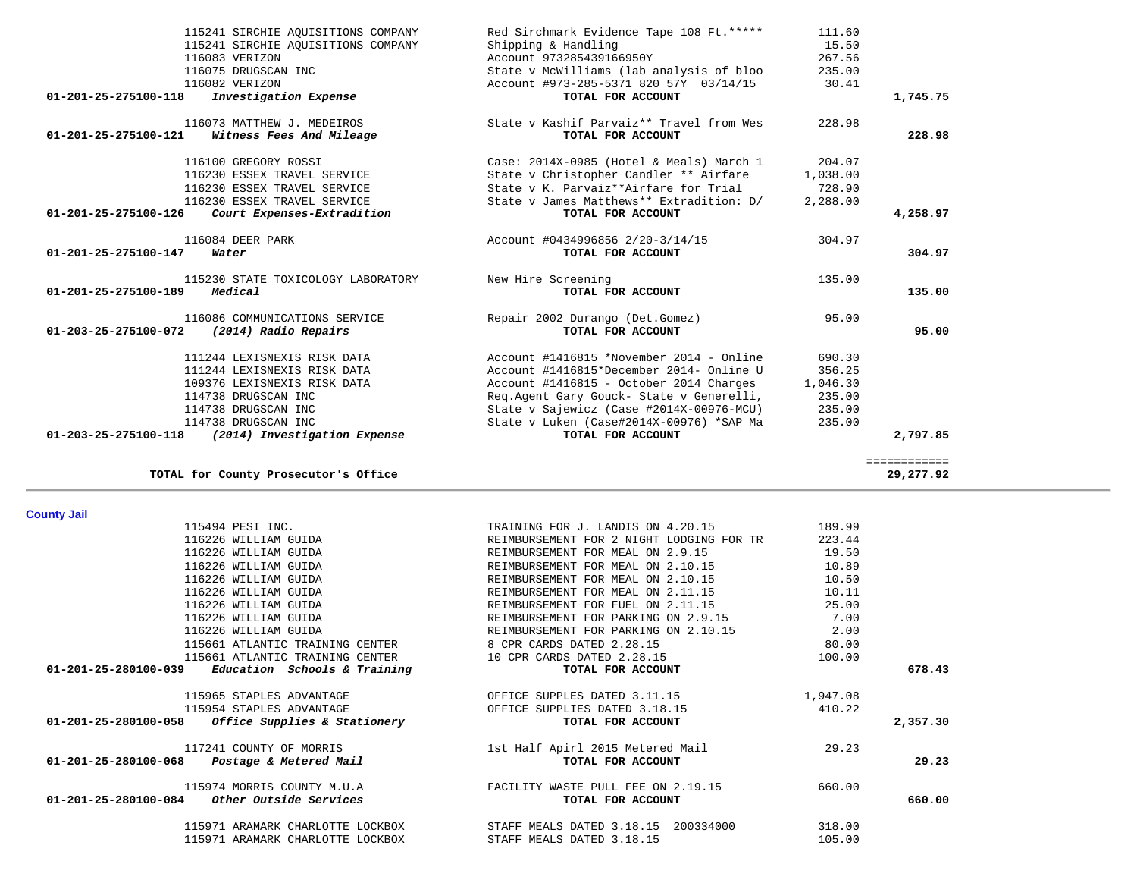| TOTAL for County Prosecutor's Office                 |                                          |          | 29,277.92 |
|------------------------------------------------------|------------------------------------------|----------|-----------|
| <b>County Jail</b>                                   |                                          |          |           |
| 115494 PESI INC.                                     | TRAINING FOR J. LANDIS ON 4.20.15        | 189.99   |           |
| 116226 WILLIAM GUIDA                                 | REIMBURSEMENT FOR 2 NIGHT LODGING FOR TR | 223.44   |           |
| 116226 WILLIAM GUIDA                                 | REIMBURSEMENT FOR MEAL ON 2.9.15         | 19.50    |           |
| 116226 WILLIAM GUIDA                                 | REIMBURSEMENT FOR MEAL ON 2.10.15        | 10.89    |           |
| 116226 WILLIAM GUIDA                                 | REIMBURSEMENT FOR MEAL ON 2.10.15        | 10.50    |           |
| 116226 WILLIAM GUIDA                                 | REIMBURSEMENT FOR MEAL ON 2.11.15        | 10.11    |           |
| 116226 WILLIAM GUIDA                                 | REIMBURSEMENT FOR FUEL ON 2.11.15        | 25.00    |           |
| 116226 WILLIAM GUIDA                                 | REIMBURSEMENT FOR PARKING ON 2.9.15      | 7.00     |           |
| 116226 WILLIAM GUIDA                                 | REIMBURSEMENT FOR PARKING ON 2.10.15     | 2.00     |           |
| 115661 ATLANTIC TRAINING CENTER                      | 8 CPR CARDS DATED 2.28.15                | 80.00    |           |
| 115661 ATLANTIC TRAINING CENTER                      | 10 CPR CARDS DATED 2.28.15               | 100.00   |           |
| Education Schools & Training<br>01-201-25-280100-039 | TOTAL FOR ACCOUNT                        |          | 678.43    |
| 115965 STAPLES ADVANTAGE                             | OFFICE SUPPLES DATED 3.11.15             | 1,947.08 |           |
| 115954 STAPLES ADVANTAGE                             | OFFICE SUPPLIES DATED 3.18.15            | 410.22   |           |
| $01-201-25-280100-058$ Office Supplies & Stationery  | TOTAL FOR ACCOUNT                        |          | 2,357.30  |
| 117241 COUNTY OF MORRIS                              | 1st Half Apirl 2015 Metered Mail         | 29.23    |           |
| 01-201-25-280100-068<br>Postage & Metered Mail       | TOTAL FOR ACCOUNT                        |          | 29.23     |
| 115974 MORRIS COUNTY M.U.A                           | FACILITY WASTE PULL FEE ON 2.19.15       | 660.00   |           |
| Other Outside Services<br>01-201-25-280100-084       | TOTAL FOR ACCOUNT                        |          | 660.00    |
| 115971 ARAMARK CHARLOTTE LOCKBOX                     | STAFF MEALS DATED 3.18.15<br>200334000   | 318.00   |           |
| 115971 ARAMARK CHARLOTTE LOCKBOX                     | STAFF MEALS DATED 3.18.15                | 105.00   |           |

| 115241 SIRCHIE AQUISITIONS COMPANY                         | Red Sirchmark Evidence Tape 108 Ft. ***** | 111.60   |              |
|------------------------------------------------------------|-------------------------------------------|----------|--------------|
| 115241 SIRCHIE AQUISITIONS COMPANY                         | Shipping & Handling                       | 15.50    |              |
| 116083 VERIZON                                             | Account 973285439166950Y                  | 267.56   |              |
| 116075 DRUGSCAN INC                                        | State v McWilliams (lab analysis of bloo  | 235.00   |              |
| 116082 VERIZON                                             | Account #973-285-5371 820 57Y 03/14/15    | 30.41    |              |
| Investigation Expense<br>01-201-25-275100-118              | TOTAL FOR ACCOUNT                         |          | 1,745.75     |
| 116073 MATTHEW J. MEDEIROS                                 | State v Kashif Parvaiz** Travel from Wes  | 228.98   |              |
| $01 - 201 - 25 - 275100 - 121$<br>Witness Fees And Mileage | TOTAL FOR ACCOUNT                         |          | 228.98       |
| 116100 GREGORY ROSSI                                       | Case: 2014X-0985 (Hotel & Meals) March 1  | 204.07   |              |
| 116230 ESSEX TRAVEL SERVICE                                | State v Christopher Candler ** Airfare    | 1,038.00 |              |
| 116230 ESSEX TRAVEL SERVICE                                | State v K. Parvaiz**Airfare for Trial     | 728.90   |              |
| 116230 ESSEX TRAVEL SERVICE                                | State v James Matthews** Extradition: D/  | 2,288.00 |              |
| Court Expenses-Extradition<br>01-201-25-275100-126         | TOTAL FOR ACCOUNT                         |          | 4,258.97     |
| 116084 DEER PARK                                           | Account #0434996856 2/20-3/14/15          | 304.97   |              |
| 01-201-25-275100-147<br>Water                              | TOTAL FOR ACCOUNT                         |          | 304.97       |
| 115230 STATE TOXICOLOGY LABORATORY                         | New Hire Screening                        | 135.00   |              |
| Medical<br>01-201-25-275100-189                            | TOTAL FOR ACCOUNT                         |          | 135.00       |
| 116086 COMMUNICATIONS SERVICE                              | Repair 2002 Durango (Det.Gomez)           | 95.00    |              |
| (2014) Radio Repairs<br>01-203-25-275100-072               | TOTAL FOR ACCOUNT                         |          | 95.00        |
| 111244 LEXISNEXIS RISK DATA                                | Account #1416815 *November 2014 - Online  | 690.30   |              |
| 111244 LEXISNEXIS RISK DATA                                | Account #1416815*December 2014- Online U  | 356.25   |              |
| 109376 LEXISNEXIS RISK DATA                                | Account #1416815 - October 2014 Charges   | 1,046.30 |              |
| 114738 DRUGSCAN INC                                        | Reg. Agent Gary Gouck- State v Generelli, | 235.00   |              |
| 114738 DRUGSCAN INC                                        | State v Sajewicz (Case #2014X-00976-MCU)  | 235.00   |              |
| 114738 DRUGSCAN INC                                        | State v Luken (Case#2014X-00976) *SAP Ma  | 235.00   |              |
| 01-203-25-275100-118 (2014) Investigation Expense          | TOTAL FOR ACCOUNT                         |          | 2,797.85     |
|                                                            |                                           |          | ============ |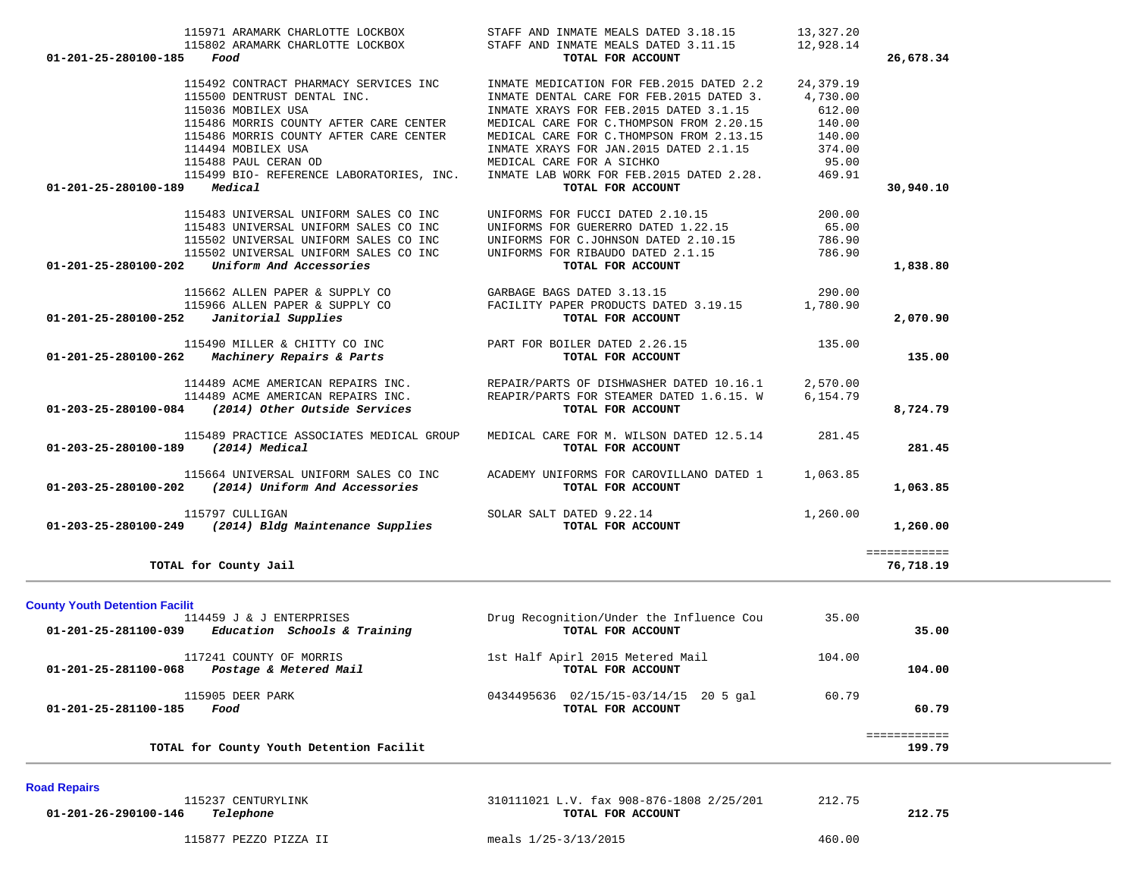| 01-201-25-280100-185 Food                  |                                                                                | 115971 ARAMARK CHARLOTTE LOCKBOX STAFF AND INMATE MEALS DATED 3.18.15<br>115802 ARAMARK CHARLOTTE LOCKBOX STAFF AND INMATE MEALS DATED 3.11.15 12,928.14<br>TOTAL FOR ACCOUNT                        | 13,327.20 | 26,678.34    |
|--------------------------------------------|--------------------------------------------------------------------------------|------------------------------------------------------------------------------------------------------------------------------------------------------------------------------------------------------|-----------|--------------|
|                                            | 115492 CONTRACT PHARMACY SERVICES INC                                          | INMATE MEDICATION FOR FEB. 2015 DATED 2.2                                                                                                                                                            | 24,379.19 |              |
|                                            | 115500 DENTRUST DENTAL INC.                                                    | INMATE DENTAL CARE FOR FEB. 2015 DATED 3. 4,730.00                                                                                                                                                   |           |              |
|                                            | 115036 MOBILEX USA                                                             | INMATE XRAYS FOR FEB.2015 DATED 3.1.15                                                                                                                                                               | 612.00    |              |
|                                            | 115486 MORRIS COUNTY AFTER CARE CENTER                                         | MEDICAL CARE FOR C. THOMPSON FROM 2.20.15 140.00                                                                                                                                                     |           |              |
|                                            | 115486 MORRIS COUNTY AFTER CARE CENTER<br>114494 MOBILEX USA                   | MEDICAL CARE FOR C. THOMPSON FROM 2.13.15 140.00                                                                                                                                                     |           |              |
|                                            | 115488 PAUL CERAN OD                                                           | INMATE XRAYS FOR JAN. 2015 DATED 2.1.15 374.00<br>MEDICAL CARE FOR A SICHKO                                                                                                                          | 95.00     |              |
|                                            |                                                                                | 115499 BIO- REFERENCE LABORATORIES, INC. INMATE LAB WORK FOR FEB.2015 DATED 2.28.                                                                                                                    | 469.91    |              |
| 01-201-25-280100-189 Medical               |                                                                                | TOTAL FOR ACCOUNT                                                                                                                                                                                    |           | 30,940.10    |
|                                            | 115483 UNIVERSAL UNIFORM SALES CO INC                                          | UNIFORMS FOR FUCCI DATED 2.10.15                                                                                                                                                                     | 200.00    |              |
|                                            | 115483 UNIVERSAL UNIFORM SALES CO INC                                          | UNIFORMS FOR GUERERRO DATED 1.22.15                                                                                                                                                                  | 65.00     |              |
|                                            |                                                                                |                                                                                                                                                                                                      |           |              |
|                                            | 115502 UNIVERSAL UNIFORM SALES CO INC<br>115502 UNIVERSAL UNIFORM SALES CO INC |                                                                                                                                                                                                      |           |              |
| 01-201-25-280100-202                       | Uniform And Accessories                                                        | UNIFORMS FOR C.JOHNSON DATED $2.10.15$ 786.90<br>UNIFORMS FOR RIBAUDO DATED $2.1.15$ 786.90<br>TOTAL FOR ACCOUNT                                                                                     |           | 1,838.80     |
|                                            |                                                                                | 115662 ALLEN PAPER & SUPPLY CO<br>115966 ALLEN PAPER & SUPPLY CO<br>2 Janitorial Supplies to the Supplies of PACILITY PAPER PRODUCTS DATED 3.19.15<br>2 Janitorial Supplies to the TOTAL FOR ACCOUNT |           |              |
|                                            |                                                                                |                                                                                                                                                                                                      |           |              |
| $01-201-25-280100-252$ Janitorial Supplies |                                                                                |                                                                                                                                                                                                      |           | 2,070.90     |
|                                            |                                                                                |                                                                                                                                                                                                      |           |              |
|                                            |                                                                                |                                                                                                                                                                                                      |           | 135.00       |
|                                            |                                                                                | 114489 ACME AMERICAN REPAIRS INC.<br>114489 ACME AMERICAN REPAIRS INC. TEAPIR/PARTS FOR STEAMER DATED 1.6.15. W 6,154.79                                                                             |           |              |
|                                            |                                                                                |                                                                                                                                                                                                      |           |              |
|                                            | 01-203-25-280100-084 (2014) Other Outside Services                             | TOTAL FOR ACCOUNT                                                                                                                                                                                    |           | 8,724.79     |
|                                            |                                                                                | 115489 PRACTICE ASSOCIATES MEDICAL GROUP MEDICAL CARE FOR M. WILSON DATED 12.5.14 281.45                                                                                                             |           |              |
| 01-203-25-280100-189 (2014) Medical        |                                                                                | TOTAL FOR ACCOUNT                                                                                                                                                                                    |           | 281.45       |
|                                            |                                                                                | 115664 UNIVERSAL UNIFORM SALES CO INC ACADEMY UNIFORMS FOR CAROVILLANO DATED 1 1,063.85                                                                                                              |           |              |
|                                            | 01-203-25-280100-202 (2014) Uniform And Accessories                            | TOTAL FOR ACCOUNT                                                                                                                                                                                    |           | 1,063.85     |
|                                            |                                                                                | 115797 CULLIGAN SOLAR SALT DATED 9.22.14<br><b>01-203-25-280100-249</b> (2014) Bldg Maintenance Supplies TOTAL FOR ACCOUNT                                                                           | 1,260.00  |              |
|                                            |                                                                                |                                                                                                                                                                                                      |           | 1,260.00     |
|                                            |                                                                                |                                                                                                                                                                                                      |           | ============ |
|                                            | TOTAL for County Jail                                                          |                                                                                                                                                                                                      |           | 76,718.19    |

| <b>County Youth Detention Facilit</b>                                     |                                                            |        |                        |
|---------------------------------------------------------------------------|------------------------------------------------------------|--------|------------------------|
| 114459 J & J ENTERPRISES                                                  | Drug Recognition/Under the Influence Cou                   | 35.00  |                        |
| Education Schools & Training<br>01-201-25-281100-039                      | TOTAL FOR ACCOUNT                                          |        | 35.00                  |
| 117241 COUNTY OF MORRIS<br>Postage & Metered Mail<br>01-201-25-281100-068 | 1st Half Apirl 2015 Metered Mail<br>TOTAL FOR ACCOUNT      | 104.00 | 104.00                 |
| 115905 DEER PARK<br>01-201-25-281100-185<br>Food                          | 0434495636 02/15/15-03/14/15 20 5 gal<br>TOTAL FOR ACCOUNT | 60.79  | 60.79                  |
| TOTAL for County Youth Detention Facilit                                  |                                                            |        | ============<br>199.79 |

#### **Road Repairs**

| 115237 CENTURYLINK<br>01-201-26-290100-146<br>Telephone | 310111021 L.V. fax 908-876-1808 2/25/201<br>TOTAL FOR ACCOUNT | 212.75 | 212.75 |
|---------------------------------------------------------|---------------------------------------------------------------|--------|--------|
| 115877 PEZZO PIZZA II                                   | meals 1/25-3/13/2015                                          | 460.00 |        |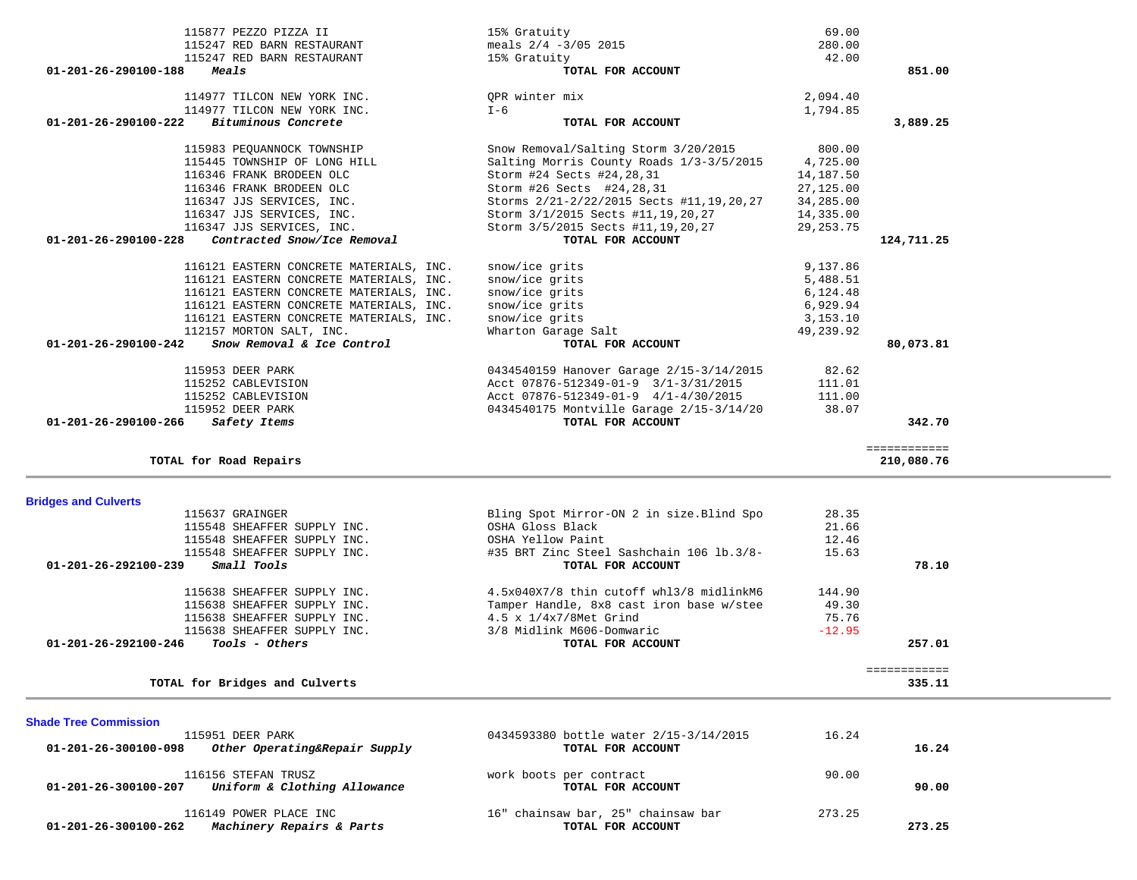| 01-201-26-290100-222<br>Bituminous Concrete          | TOTAL FOR ACCOUNT                           | 3,889.25     |  |
|------------------------------------------------------|---------------------------------------------|--------------|--|
| 115983 PEQUANNOCK TOWNSHIP                           | Snow Removal/Salting Storm 3/20/2015        | 800.00       |  |
| 115445 TOWNSHIP OF LONG HILL                         |                                             | 4,725.00     |  |
|                                                      | Salting Morris County Roads 1/3-3/5/2015    |              |  |
| 116346 FRANK BRODEEN OLC                             | Storm #24 Sects #24, 28, 31                 | 14,187.50    |  |
| 116346 FRANK BRODEEN OLC                             | Storm #26 Sects #24,28,31                   | 27,125.00    |  |
| 116347 JJS SERVICES, INC.                            | Storms 2/21-2/22/2015 Sects #11, 19, 20, 27 | 34,285.00    |  |
| 116347 JJS SERVICES, INC.                            | Storm 3/1/2015 Sects #11, 19, 20, 27        | 14,335.00    |  |
| 116347 JJS SERVICES, INC.                            | Storm 3/5/2015 Sects #11, 19, 20, 27        | 29, 253. 75  |  |
| 01-201-26-290100-228<br>Contracted Snow/Ice Removal  | TOTAL FOR ACCOUNT                           | 124,711.25   |  |
| 116121 EASTERN CONCRETE MATERIALS, INC.              | snow/ice grits                              | 9,137.86     |  |
| 116121 EASTERN CONCRETE MATERIALS, INC.              | snow/ice grits                              | 5,488.51     |  |
| 116121 EASTERN CONCRETE MATERIALS, INC.              | snow/ice grits                              | 6,124.48     |  |
|                                                      |                                             |              |  |
| 116121 EASTERN CONCRETE MATERIALS, INC.              | snow/ice grits                              | 6,929.94     |  |
| 116121 EASTERN CONCRETE MATERIALS, INC.              | snow/ice grits                              | 3,153.10     |  |
| 112157 MORTON SALT, INC.                             | Wharton Garage Salt                         | 49,239.92    |  |
| Snow Removal & Ice Control<br>01-201-26-290100-242   | TOTAL FOR ACCOUNT                           | 80,073.81    |  |
| 115953 DEER PARK                                     | 0434540159 Hanover Garage 2/15-3/14/2015    | 82.62        |  |
| 115252 CABLEVISION                                   | Acct 07876-512349-01-9 3/1-3/31/2015        | 111.01       |  |
| 115252 CABLEVISION                                   | Acct 07876-512349-01-9 4/1-4/30/2015        | 111.00       |  |
| 115952 DEER PARK                                     | 0434540175 Montville Garage 2/15-3/14/20    | 38.07        |  |
| 01-201-26-290100-266<br>Safety Items                 | TOTAL FOR ACCOUNT                           | 342.70       |  |
|                                                      |                                             |              |  |
|                                                      |                                             | ============ |  |
| TOTAL for Road Repairs                               |                                             | 210,080.76   |  |
|                                                      |                                             |              |  |
| <b>Bridges and Culverts</b>                          |                                             |              |  |
| 115637 GRAINGER                                      | Bling Spot Mirror-ON 2 in size. Blind Spo   | 28.35        |  |
| 115548 SHEAFFER SUPPLY INC.                          | OSHA Gloss Black                            | 21.66        |  |
| 115548 SHEAFFER SUPPLY INC.                          | OSHA Yellow Paint                           | 12.46        |  |
| 115548 SHEAFFER SUPPLY INC.                          | #35 BRT Zinc Steel Sashchain 106 lb.3/8-    | 15.63        |  |
| $01 - 201 - 26 - 292100 - 239$<br>Small Tools        | TOTAL FOR ACCOUNT                           | 78.10        |  |
|                                                      |                                             |              |  |
| 115638 SHEAFFER SUPPLY INC.                          | 4.5x040X7/8 thin cutoff whl3/8 midlinkM6    | 144.90       |  |
| 115638 SHEAFFER SUPPLY INC.                          | Tamper Handle, 8x8 cast iron base w/stee    | 49.30        |  |
| 115638 SHEAFFER SUPPLY INC.                          | 4.5 x 1/4x7/8Met Grind                      | 75.76        |  |
| 115638 SHEAFFER SUPPLY INC.                          | 3/8 Midlink M606-Domwaric                   | $-12.95$     |  |
| Tools - Others<br>01-201-26-292100-246               | TOTAL FOR ACCOUNT                           | 257.01       |  |
|                                                      |                                             | ============ |  |
| TOTAL for Bridges and Culverts                       |                                             | 335.11       |  |
|                                                      |                                             |              |  |
| <b>Shade Tree Commission</b>                         |                                             |              |  |
| 115951 DEER PARK                                     | 0434593380 bottle water 2/15-3/14/2015      | 16.24        |  |
| Other Operating&Repair Supply                        |                                             | 16.24        |  |
| 01-201-26-300100-098                                 | TOTAL FOR ACCOUNT                           |              |  |
| 116156 STEFAN TRUSZ                                  | work boots per contract                     | 90.00        |  |
| Uniform & Clothing Allowance<br>01-201-26-300100-207 | TOTAL FOR ACCOUNT                           | 90.00        |  |
|                                                      |                                             |              |  |
| 116149 POWER PLACE INC                               | 16" chainsaw bar, 25" chainsaw bar          | 273.25       |  |
| 01-201-26-300100-262<br>Machinery Repairs & Parts    | TOTAL FOR ACCOUNT                           | 273.25       |  |

| 114977 TILCON NEW YORK INC.   | I-6                     | 1,794.85 |        |
|-------------------------------|-------------------------|----------|--------|
| 114977 TILCON NEW YORK INC.   | OPR winter mix          | 2,094.40 |        |
| Meals<br>01-201-26-290100-188 | TOTAL FOR ACCOUNT       |          | 851.00 |
| 115247 RED BARN RESTAURANT    | 15% Gratuity            | 42.00    |        |
| 115247 RED BARN RESTAURANT    | meals $2/4 - 3/05$ 2015 | 280.00   |        |
| 115877 PEZZO PIZZA II         | 15% Gratuity            | 69.00    |        |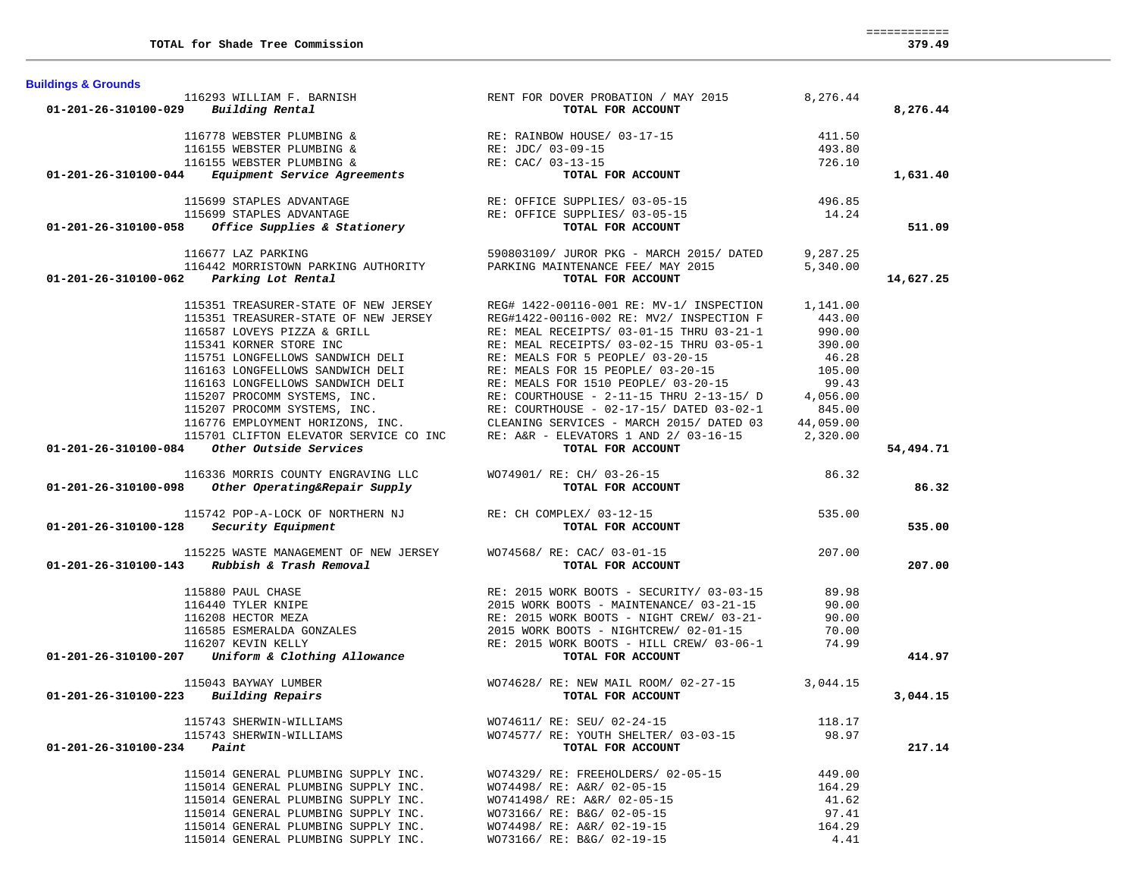| <b>Buildings &amp; Grounds</b>                  |                                                                            |                                                                                                                                                                                                                                                                                                                                                                                                                      |                 |           |
|-------------------------------------------------|----------------------------------------------------------------------------|----------------------------------------------------------------------------------------------------------------------------------------------------------------------------------------------------------------------------------------------------------------------------------------------------------------------------------------------------------------------------------------------------------------------|-----------------|-----------|
|                                                 |                                                                            | 116293 WILLIAM F. BARNISH RENT FOR DOVER PROBATION / MAY 2015 $8,276.44$                                                                                                                                                                                                                                                                                                                                             |                 |           |
| $01 - 201 - 26 - 310100 - 029$ Building Rental  |                                                                            | TOTAL FOR ACCOUNT                                                                                                                                                                                                                                                                                                                                                                                                    |                 | 8,276.44  |
|                                                 |                                                                            | 116778 WEBSTER PLUMBING &<br>116155 WEBSTER PLUMBING &<br>116155 WEBSTER PLUMBING &<br>116155 WEBSTER PLUMBING &<br>116155 WEBSTER PLUMBING &<br>RE: CAC/ 03-13-15<br>RE: CAC/ 03-13-15<br>TOTAL FOR ACCOUNT                                                                                                                                                                                                         | 411.50          |           |
|                                                 |                                                                            |                                                                                                                                                                                                                                                                                                                                                                                                                      | 493.80          |           |
|                                                 |                                                                            |                                                                                                                                                                                                                                                                                                                                                                                                                      | 726.10          |           |
|                                                 |                                                                            |                                                                                                                                                                                                                                                                                                                                                                                                                      |                 | 1,631.40  |
|                                                 |                                                                            |                                                                                                                                                                                                                                                                                                                                                                                                                      |                 |           |
|                                                 |                                                                            |                                                                                                                                                                                                                                                                                                                                                                                                                      |                 |           |
|                                                 |                                                                            |                                                                                                                                                                                                                                                                                                                                                                                                                      |                 |           |
|                                                 |                                                                            | 115699 STAPLES ADVANTAGE<br>115699 STAPLES ADVANTAGE<br>115699 STAPLES ADVANTAGE<br>14.24 RE: OFFICE SUPPLIES/ 03-05-15<br><b>14.24</b> RE: OFFICE SUPPLIES/ 03-05-15<br><b>14.24</b> TOTAL FOR ACCOUNT                                                                                                                                                                                                              |                 | 511.09    |
|                                                 | 116677 LAZ PARKING                                                         | 590803109/ JUROR PKG - MARCH 2015/ DATED 9,287.25                                                                                                                                                                                                                                                                                                                                                                    |                 |           |
|                                                 |                                                                            | 116442 MORRISTOWN PARKING AUTHORITY PARKING MAINTENANCE FEE/MAY 2015 5,340.00                                                                                                                                                                                                                                                                                                                                        |                 |           |
|                                                 | 01-201-26-310100-062 Parking Lot Rental                                    | TOTAL FOR ACCOUNT                                                                                                                                                                                                                                                                                                                                                                                                    |                 | 14,627.25 |
|                                                 |                                                                            |                                                                                                                                                                                                                                                                                                                                                                                                                      |                 |           |
|                                                 |                                                                            | 115351 TREASURER-STATE OF NEW JERSEY REG# 1422-00116-001 RE: MV-1/ INSPECTION 1,141.00                                                                                                                                                                                                                                                                                                                               |                 |           |
|                                                 |                                                                            |                                                                                                                                                                                                                                                                                                                                                                                                                      |                 |           |
|                                                 |                                                                            |                                                                                                                                                                                                                                                                                                                                                                                                                      |                 |           |
|                                                 |                                                                            |                                                                                                                                                                                                                                                                                                                                                                                                                      |                 |           |
|                                                 |                                                                            |                                                                                                                                                                                                                                                                                                                                                                                                                      |                 |           |
|                                                 |                                                                            |                                                                                                                                                                                                                                                                                                                                                                                                                      |                 |           |
|                                                 |                                                                            |                                                                                                                                                                                                                                                                                                                                                                                                                      |                 |           |
|                                                 |                                                                            |                                                                                                                                                                                                                                                                                                                                                                                                                      |                 |           |
|                                                 |                                                                            |                                                                                                                                                                                                                                                                                                                                                                                                                      |                 |           |
|                                                 |                                                                            |                                                                                                                                                                                                                                                                                                                                                                                                                      |                 |           |
|                                                 |                                                                            |                                                                                                                                                                                                                                                                                                                                                                                                                      |                 |           |
|                                                 | 01-201-26-310100-084 Other Outside Services                                | 15351 TREASURER-STATE OF NEW JERSEY<br>15351 TREASURER-STATE OF NEW JERSEY<br>15351 TREASURER-STATE OF NEW JERSEY<br>16587 LOVEYS PIZZA & GRILL<br>16587 LOVEYS PIZZA & GRILL<br>16587 LOVEYS PIZZA & GRILL<br>16587 LOVEYS PIZZA & GRILL                                                                                                                                                                            |                 | 54,494.71 |
|                                                 |                                                                            | 116336 MORRIS COUNTY ENGRAVING LLC<br>116336 MORRIS COUNTY ENGRAVING LLC MO74901/RE: CH/03-26-15<br>TOTAL FOR ACCOUNT TOTAL FOR ACCOUNT                                                                                                                                                                                                                                                                              |                 |           |
|                                                 |                                                                            |                                                                                                                                                                                                                                                                                                                                                                                                                      |                 | 86.32     |
|                                                 |                                                                            |                                                                                                                                                                                                                                                                                                                                                                                                                      |                 |           |
|                                                 |                                                                            |                                                                                                                                                                                                                                                                                                                                                                                                                      | 535.00          |           |
|                                                 | $01-201-26-310100-128$ Security Equipment                                  | 115742 POP-A-LOCK OF NORTHERN NJ<br>8 Security Equipment TOTAL FOR ACCOUNT                                                                                                                                                                                                                                                                                                                                           |                 | 535.00    |
|                                                 |                                                                            |                                                                                                                                                                                                                                                                                                                                                                                                                      |                 |           |
|                                                 |                                                                            | 115225 WASTE MANAGEMENT OF NEW JERSEY WO74568/ RE: CAC/ 03-01-15 207.00                                                                                                                                                                                                                                                                                                                                              |                 |           |
|                                                 | 01-201-26-310100-143 Rubbish & Trash Removal                               | TOTAL FOR ACCOUNT                                                                                                                                                                                                                                                                                                                                                                                                    |                 | 207.00    |
|                                                 |                                                                            |                                                                                                                                                                                                                                                                                                                                                                                                                      |                 |           |
|                                                 |                                                                            |                                                                                                                                                                                                                                                                                                                                                                                                                      |                 |           |
|                                                 |                                                                            |                                                                                                                                                                                                                                                                                                                                                                                                                      |                 |           |
|                                                 |                                                                            |                                                                                                                                                                                                                                                                                                                                                                                                                      |                 |           |
|                                                 |                                                                            |                                                                                                                                                                                                                                                                                                                                                                                                                      |                 |           |
|                                                 |                                                                            | $\begin{array}{cccccc} & & & & & & \text{RE: } 2015 \text{ WORK BOOTS} & - \text{SECTIONTY/ } 03-03-15 & 89.98\\ & & & & & & 2015 \text{ WORK BOOTS} & - \text{ MANTENANCE/ } 03-21-15 & 90.00\\ & & & & & 2015 \text{ WORK BOOTS} & - \text{ MANTENANCE/ } 03-21-15 & 90.00\\ & & & & & \text{RE: } 2015 \text{ WORK BOOTS} & - \text{ NIGHT CREM/ } 03-21- & 90.00\\ & & & & & 2015 \text{ WORK BOOTS} & - \text{$ |                 | 414.97    |
|                                                 |                                                                            |                                                                                                                                                                                                                                                                                                                                                                                                                      |                 |           |
|                                                 | 115043 BAYWAY LUMBER                                                       | $WO74628/RE: NEW MATLAB COOM/ 02-27-15$ 3,044.15<br>TOTAL FOR ACCOUNT                                                                                                                                                                                                                                                                                                                                                |                 |           |
| $01 - 201 - 26 - 310100 - 223$ Building Repairs |                                                                            |                                                                                                                                                                                                                                                                                                                                                                                                                      |                 | 3,044.15  |
|                                                 | 115743 SHERWIN-WILLIAMS                                                    | WO74611/ RE: SEU/ 02-24-15                                                                                                                                                                                                                                                                                                                                                                                           | 118.17          |           |
|                                                 | 115743 SHERWIN-WILLIAMS                                                    | WO74577/ RE: YOUTH SHELTER/ 03-03-15                                                                                                                                                                                                                                                                                                                                                                                 | 98.97           |           |
| $01 - 201 - 26 - 310100 - 234$ Paint            |                                                                            | TOTAL FOR ACCOUNT                                                                                                                                                                                                                                                                                                                                                                                                    |                 | 217.14    |
|                                                 |                                                                            |                                                                                                                                                                                                                                                                                                                                                                                                                      |                 |           |
|                                                 | 115014 GENERAL PLUMBING SUPPLY INC.                                        | WO74329/ RE: FREEHOLDERS/ 02-05-15                                                                                                                                                                                                                                                                                                                                                                                   | 449.00          |           |
|                                                 | 115014 GENERAL PLUMBING SUPPLY INC.                                        | WO74498/ RE: A&R/ 02-05-15                                                                                                                                                                                                                                                                                                                                                                                           | 164.29          |           |
|                                                 | 115014 GENERAL PLUMBING SUPPLY INC.                                        | WO741498/ RE: A&R/ 02-05-15                                                                                                                                                                                                                                                                                                                                                                                          | 41.62           |           |
|                                                 | 115014 GENERAL PLUMBING SUPPLY INC.<br>115014 GENERAL PLUMBING SUPPLY INC. | WO73166/ RE: B&G/ 02-05-15<br>WO74498/ RE: A&R/ 02-19-15                                                                                                                                                                                                                                                                                                                                                             | 97.41<br>164.29 |           |
|                                                 |                                                                            |                                                                                                                                                                                                                                                                                                                                                                                                                      |                 |           |

115014 GENERAL PLUMBING SUPPLY INC. WO73166/ RE: B&G/ 02-19-15 4.41

============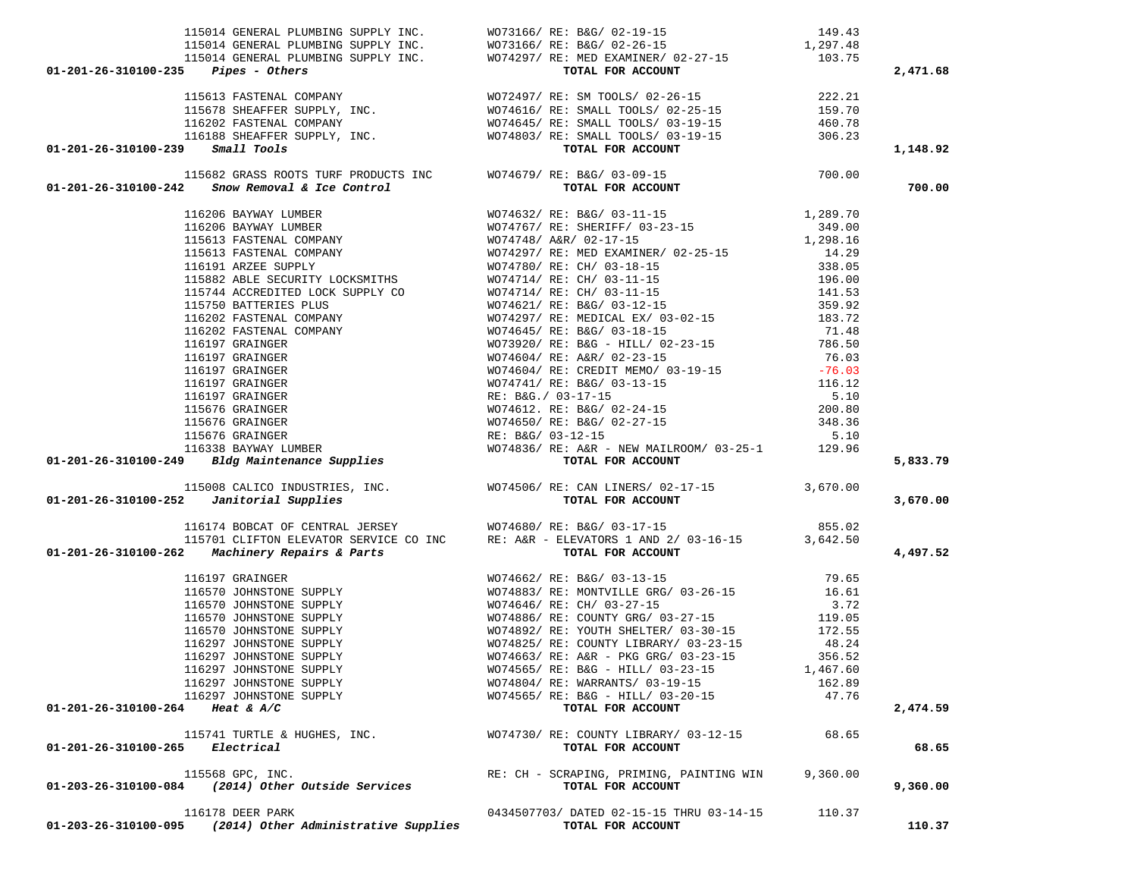| $01 - 201 - 26 - 310100 - 235$ Pipes - Others |                                                           |                                                                                                                                                                                                                                                                                                                                                               |          | 2,471.68 |
|-----------------------------------------------|-----------------------------------------------------------|---------------------------------------------------------------------------------------------------------------------------------------------------------------------------------------------------------------------------------------------------------------------------------------------------------------------------------------------------------------|----------|----------|
|                                               |                                                           |                                                                                                                                                                                                                                                                                                                                                               |          |          |
|                                               |                                                           |                                                                                                                                                                                                                                                                                                                                                               |          |          |
|                                               |                                                           |                                                                                                                                                                                                                                                                                                                                                               |          |          |
|                                               |                                                           |                                                                                                                                                                                                                                                                                                                                                               |          |          |
| 01-201-26-310100-239 Small Tools              |                                                           |                                                                                                                                                                                                                                                                                                                                                               |          | 1,148.92 |
|                                               |                                                           | 115682 GRASS ROOTS TURF PRODUCTS INC $\footnotesize\begin{array}{ccc} &\texttt{WO74679/ RE: B&G/03-09-15} \\ \texttt{115682 GRASS ROOTS TURF PRODUCTS INC} & & \texttt{WO74679/ RE: B&G/03-09-15} \\ \texttt{127} & & \texttt{500} & \texttt{500} \\ \texttt{130} & & \texttt{60} & \texttt{60} \\ \texttt{141} & & \texttt{60} & \texttt{60} \\ \texttt{152$ |          |          |
|                                               |                                                           |                                                                                                                                                                                                                                                                                                                                                               |          | 700.00   |
|                                               |                                                           |                                                                                                                                                                                                                                                                                                                                                               |          |          |
|                                               |                                                           |                                                                                                                                                                                                                                                                                                                                                               |          |          |
|                                               |                                                           |                                                                                                                                                                                                                                                                                                                                                               |          |          |
|                                               |                                                           |                                                                                                                                                                                                                                                                                                                                                               |          |          |
|                                               |                                                           |                                                                                                                                                                                                                                                                                                                                                               |          |          |
|                                               |                                                           |                                                                                                                                                                                                                                                                                                                                                               |          |          |
|                                               |                                                           |                                                                                                                                                                                                                                                                                                                                                               |          |          |
|                                               |                                                           |                                                                                                                                                                                                                                                                                                                                                               |          |          |
|                                               |                                                           |                                                                                                                                                                                                                                                                                                                                                               |          |          |
|                                               |                                                           |                                                                                                                                                                                                                                                                                                                                                               |          |          |
|                                               |                                                           |                                                                                                                                                                                                                                                                                                                                                               |          |          |
|                                               |                                                           |                                                                                                                                                                                                                                                                                                                                                               |          |          |
|                                               |                                                           |                                                                                                                                                                                                                                                                                                                                                               |          |          |
|                                               |                                                           |                                                                                                                                                                                                                                                                                                                                                               |          |          |
|                                               |                                                           |                                                                                                                                                                                                                                                                                                                                                               |          |          |
|                                               |                                                           |                                                                                                                                                                                                                                                                                                                                                               |          |          |
|                                               |                                                           |                                                                                                                                                                                                                                                                                                                                                               |          |          |
|                                               |                                                           |                                                                                                                                                                                                                                                                                                                                                               |          |          |
|                                               |                                                           |                                                                                                                                                                                                                                                                                                                                                               |          | 5,833.79 |
|                                               |                                                           |                                                                                                                                                                                                                                                                                                                                                               |          |          |
|                                               |                                                           |                                                                                                                                                                                                                                                                                                                                                               |          | 3,670.00 |
|                                               |                                                           |                                                                                                                                                                                                                                                                                                                                                               |          |          |
|                                               |                                                           |                                                                                                                                                                                                                                                                                                                                                               |          |          |
|                                               |                                                           | 15008 CALICO TROUBERTES, INC.<br>15008 CALICO TROUBERTES, INC.<br>15008 CALICO TRESSEY<br>16508 CALICO TRESSEY<br>16570 CLIFTON BEWATOR SERVICE CO INC<br>16570 CLIFTON BEWATOR SERVICE CO INC<br>16570 CLIFTON BEWATOR SERVICE CO INC<br>16                                                                                                                  |          | 4,497.52 |
|                                               |                                                           |                                                                                                                                                                                                                                                                                                                                                               |          |          |
|                                               |                                                           |                                                                                                                                                                                                                                                                                                                                                               |          |          |
|                                               |                                                           |                                                                                                                                                                                                                                                                                                                                                               |          |          |
|                                               |                                                           |                                                                                                                                                                                                                                                                                                                                                               |          |          |
|                                               |                                                           |                                                                                                                                                                                                                                                                                                                                                               |          |          |
|                                               |                                                           |                                                                                                                                                                                                                                                                                                                                                               |          |          |
|                                               |                                                           |                                                                                                                                                                                                                                                                                                                                                               |          |          |
|                                               | 116297 JOHNSTONE SUPPLY                                   | WO74565/ RE: B&G - HILL/ 03-23-15                                                                                                                                                                                                                                                                                                                             | 1,467.60 |          |
|                                               | 116297 JOHNSTONE SUPPLY                                   | WO74804/RE: WARRANTS/03-19-15                                                                                                                                                                                                                                                                                                                                 | 162.89   |          |
| 01-201-26-310100-264 Heat & A/C               | 116297 JOHNSTONE SUPPLY                                   | WO74565/ RE: B&G - HILL/ 03-20-15<br>TOTAL FOR ACCOUNT                                                                                                                                                                                                                                                                                                        | 47.76    | 2,474.59 |
|                                               |                                                           |                                                                                                                                                                                                                                                                                                                                                               |          |          |
| 01-201-26-310100-265 Electrical               | 115741 TURTLE & HUGHES, INC.                              | WO74730/RE: COUNTY LIBRARY/03-12-15<br>TOTAL FOR ACCOUNT                                                                                                                                                                                                                                                                                                      | 68.65    | 68.65    |
|                                               |                                                           |                                                                                                                                                                                                                                                                                                                                                               |          |          |
|                                               | 115568 GPC, INC.                                          | RE: CH - SCRAPING, PRIMING, PAINTING WIN                                                                                                                                                                                                                                                                                                                      | 9,360.00 |          |
|                                               | 01-203-26-310100-084 (2014) Other Outside Services        | TOTAL FOR ACCOUNT                                                                                                                                                                                                                                                                                                                                             |          | 9,360.00 |
|                                               | 116178 DEER PARK                                          | 0434507703/ DATED 02-15-15 THRU 03-14-15                                                                                                                                                                                                                                                                                                                      | 110.37   |          |
|                                               | 01-203-26-310100-095 (2014) Other Administrative Supplies | TOTAL FOR ACCOUNT                                                                                                                                                                                                                                                                                                                                             |          | 110.37   |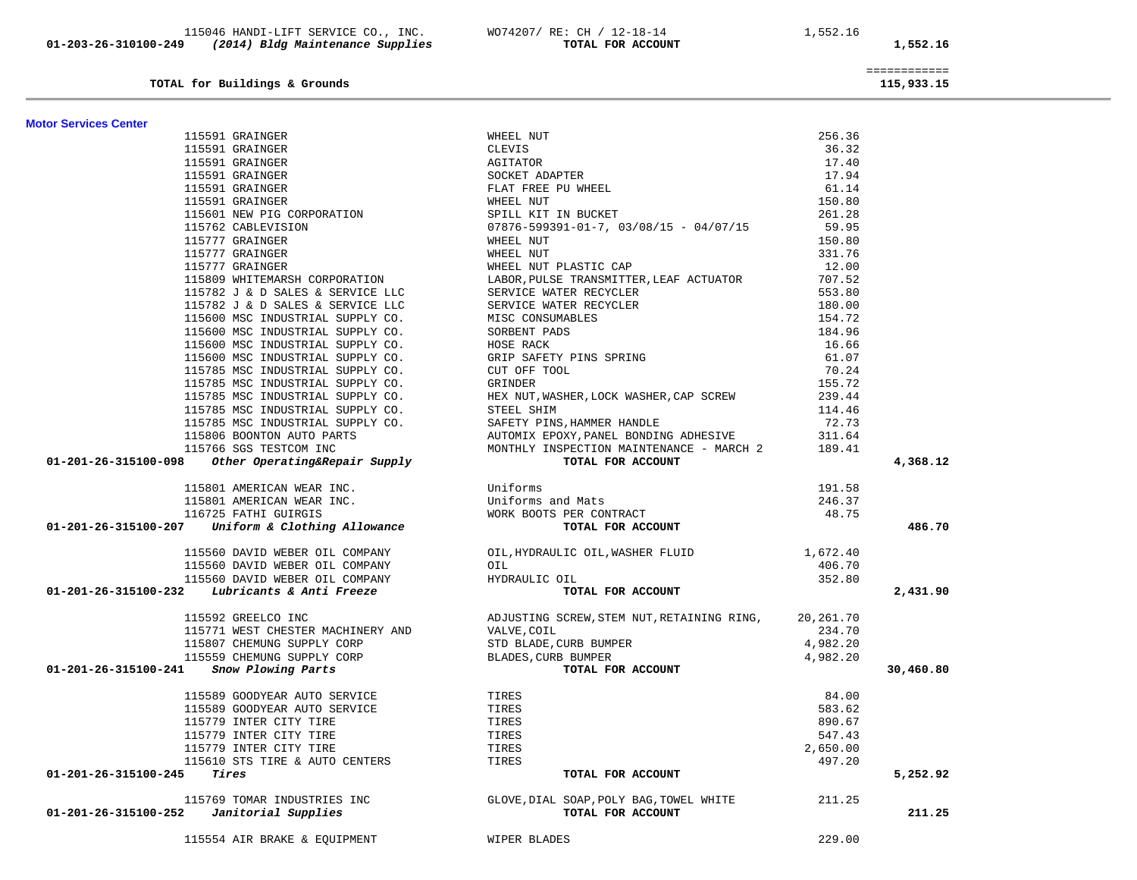|                                                                                                                                                                                                                                                        |                                                                                                                                                                                                                                          | 155.72   |
|--------------------------------------------------------------------------------------------------------------------------------------------------------------------------------------------------------------------------------------------------------|------------------------------------------------------------------------------------------------------------------------------------------------------------------------------------------------------------------------------------------|----------|
|                                                                                                                                                                                                                                                        | 115785 MSC INDUSTRIAL SUPPLY CO. GRINDER<br>115785 MSC INDUSTRIAL SUPPLY CO. HEX NUT, WASHER, LOCK WASHER, CAP SCREW<br>115785 MSC INDUSTRIAL SUPPLY CO. STEEL SHIM                                                                      | 239.44   |
|                                                                                                                                                                                                                                                        |                                                                                                                                                                                                                                          | 114.46   |
|                                                                                                                                                                                                                                                        |                                                                                                                                                                                                                                          | 72.73    |
|                                                                                                                                                                                                                                                        |                                                                                                                                                                                                                                          | 311.64   |
|                                                                                                                                                                                                                                                        | MONTHLY INSPECTION MAINTENANCE - MARCH 2 189.41                                                                                                                                                                                          |          |
|                                                                                                                                                                                                                                                        |                                                                                                                                                                                                                                          |          |
| 115785 MSC INDUSTRIAL SUPPLY CO.<br>115806 BOONTON AUTO PARTS<br>115806 BOONTON AUTO PARTS<br>115766 SGS TESTCOM INC<br>115766 SGS TESTCOM INC<br>115766 SGS TESTCOM INC<br>115766 SGS TESTCOM INC<br>115766 SGS TESTCOM INC<br>115766 SGS TESTCOM INC |                                                                                                                                                                                                                                          |          |
|                                                                                                                                                                                                                                                        |                                                                                                                                                                                                                                          | 191.58   |
|                                                                                                                                                                                                                                                        |                                                                                                                                                                                                                                          | 246.37   |
|                                                                                                                                                                                                                                                        |                                                                                                                                                                                                                                          | 48.75    |
| 115801 AMERICAN WEAR INC.<br>115801 AMERICAN WEAR INC.<br>116725 FATHI GUIRGIS MORK BOOTS PER CONTRACT<br>116725 FATHI GUIRGIS WORK BOOTS PER CONTRACT<br>TOTAL FOR ACCOUNT                                                                            |                                                                                                                                                                                                                                          |          |
|                                                                                                                                                                                                                                                        |                                                                                                                                                                                                                                          |          |
|                                                                                                                                                                                                                                                        | 115560 DAVID WEBER OIL COMPANY OIL, HYDRAULIC OIL, WASHER FLUID $1,672.40$                                                                                                                                                               |          |
|                                                                                                                                                                                                                                                        |                                                                                                                                                                                                                                          | 406.70   |
|                                                                                                                                                                                                                                                        |                                                                                                                                                                                                                                          | 352.80   |
| 115560 DAVID WEBER OIL COMPANY<br>115560 DAVID WEBER OIL COMPANY<br>115560 DAVID WEBER OIL COMPANY<br>115560 DAVID WEBER OIL COMPANY<br>115560 DAVID WEBER OIL COMPANY<br>TOTAL FOR ACC                                                                | TOTAL FOR ACCOUNT                                                                                                                                                                                                                        |          |
|                                                                                                                                                                                                                                                        | 115592 GREELCO INC<br>115771 WEST CHESTER MACHINERY AND VALVE, COIL<br>115807 CHEMUNG SUPPLY CORP STD BLADE, CURB BUMPER<br>115559 CHEMUNG SUPPLY CORP BLADES, CURB BUMPER<br>115559 CHEMUNG SUPPLY CORP BLADES, CURB BUMPER<br>115559 C |          |
|                                                                                                                                                                                                                                                        |                                                                                                                                                                                                                                          |          |
|                                                                                                                                                                                                                                                        |                                                                                                                                                                                                                                          |          |
|                                                                                                                                                                                                                                                        |                                                                                                                                                                                                                                          |          |
| 01-201-26-315100-241 Snow Plowing Parts                                                                                                                                                                                                                | TOTAL FOR ACCOUNT                                                                                                                                                                                                                        |          |
|                                                                                                                                                                                                                                                        |                                                                                                                                                                                                                                          |          |
|                                                                                                                                                                                                                                                        |                                                                                                                                                                                                                                          | 84.00    |
| 115589 GOODYEAR AUTO SERVICE<br>115589 GOODYEAR AUTO SERVICE TIRES<br>115779 INTER CITY TIRE                                                                                                                                                           |                                                                                                                                                                                                                                          | 583.62   |
| 115779 INTER CITY TIRE                                                                                                                                                                                                                                 | TIRES                                                                                                                                                                                                                                    | 890.67   |
| 115779 INTER CITY TIRE                                                                                                                                                                                                                                 | TIRES                                                                                                                                                                                                                                    | 547.43   |
| 115779 INTER CITY TIRE                                                                                                                                                                                                                                 | TIRES                                                                                                                                                                                                                                    | 2,650.00 |
| 115610 STS TIRE & AUTO CENTERS TIRES                                                                                                                                                                                                                   |                                                                                                                                                                                                                                          | 497.20   |
| $01 - 201 - 26 - 315100 - 245$ Tires                                                                                                                                                                                                                   | TOTAL FOR ACCOUNT                                                                                                                                                                                                                        |          |
|                                                                                                                                                                                                                                                        | 115769 TOMAR INDUSTRIES INC GLOVE, DIAL SOAP, POLY BAG, TOWEL WHITE 211.25                                                                                                                                                               |          |
| $01-201-26-315100-252$ Janitorial Supplies                                                                                                                                                                                                             | TOTAL FOR ACCOUNT                                                                                                                                                                                                                        |          |
|                                                                                                                                                                                                                                                        |                                                                                                                                                                                                                                          |          |
| 115554 AIR BRAKE & EQUIPMENT                                                                                                                                                                                                                           | WIPER BLADES                                                                                                                                                                                                                             | 229.00   |

|                                                                                                                                                                                                                                                                                                                                                     | 115591 GRAINGER<br>115591 GRAINGER<br>115591 GRAINGER<br>115591 GRAINGER<br>115591 GRAINGER<br>115591 GRAINGER<br>115591 GRAINGER<br>115591 GRAINGER<br>115591 GRAINGER<br>115591 GRAINGER<br>11570 GRAINGER<br>11570 GRAINGER<br>11577 GRAINGER<br>115 | 256.36   |           |
|-----------------------------------------------------------------------------------------------------------------------------------------------------------------------------------------------------------------------------------------------------------------------------------------------------------------------------------------------------|---------------------------------------------------------------------------------------------------------------------------------------------------------------------------------------------------------------------------------------------------------|----------|-----------|
|                                                                                                                                                                                                                                                                                                                                                     |                                                                                                                                                                                                                                                         | 36.32    |           |
|                                                                                                                                                                                                                                                                                                                                                     |                                                                                                                                                                                                                                                         | 17.40    |           |
|                                                                                                                                                                                                                                                                                                                                                     |                                                                                                                                                                                                                                                         | 17.94    |           |
|                                                                                                                                                                                                                                                                                                                                                     |                                                                                                                                                                                                                                                         | 61.14    |           |
|                                                                                                                                                                                                                                                                                                                                                     |                                                                                                                                                                                                                                                         | 150.80   |           |
|                                                                                                                                                                                                                                                                                                                                                     |                                                                                                                                                                                                                                                         | 261.28   |           |
|                                                                                                                                                                                                                                                                                                                                                     |                                                                                                                                                                                                                                                         | 59.95    |           |
|                                                                                                                                                                                                                                                                                                                                                     |                                                                                                                                                                                                                                                         | 150.80   |           |
|                                                                                                                                                                                                                                                                                                                                                     |                                                                                                                                                                                                                                                         | 331.76   |           |
|                                                                                                                                                                                                                                                                                                                                                     |                                                                                                                                                                                                                                                         | 12.00    |           |
|                                                                                                                                                                                                                                                                                                                                                     | 115777 GRAINGER<br>115777 GRAINGER<br>115777 GRAINGER<br>115782 J & D SALES & SERVICE LLC<br>115782 J & D SALES & SERVICE LLC<br>115782 J & D SALES & SERVICE LLC<br>115782 J & D SALES & SERVICE LLC<br>115782 J & D SALES & SERVICE LLC<br>1          | 707.52   |           |
|                                                                                                                                                                                                                                                                                                                                                     |                                                                                                                                                                                                                                                         | 553.80   |           |
|                                                                                                                                                                                                                                                                                                                                                     |                                                                                                                                                                                                                                                         | 180.00   |           |
|                                                                                                                                                                                                                                                                                                                                                     |                                                                                                                                                                                                                                                         | 154.72   |           |
|                                                                                                                                                                                                                                                                                                                                                     |                                                                                                                                                                                                                                                         | 184.96   |           |
|                                                                                                                                                                                                                                                                                                                                                     |                                                                                                                                                                                                                                                         | 16.66    |           |
|                                                                                                                                                                                                                                                                                                                                                     |                                                                                                                                                                                                                                                         | 61.07    |           |
|                                                                                                                                                                                                                                                                                                                                                     |                                                                                                                                                                                                                                                         | 70.24    |           |
|                                                                                                                                                                                                                                                                                                                                                     |                                                                                                                                                                                                                                                         | 155.72   |           |
|                                                                                                                                                                                                                                                                                                                                                     |                                                                                                                                                                                                                                                         | 239.44   |           |
|                                                                                                                                                                                                                                                                                                                                                     |                                                                                                                                                                                                                                                         | 114.46   |           |
|                                                                                                                                                                                                                                                                                                                                                     |                                                                                                                                                                                                                                                         | 72.73    |           |
|                                                                                                                                                                                                                                                                                                                                                     |                                                                                                                                                                                                                                                         | 311.64   |           |
|                                                                                                                                                                                                                                                                                                                                                     |                                                                                                                                                                                                                                                         | 189.41   |           |
| 115785 MSC INDUSTRIAL SUPPLY CO.<br>115785 MSC INDUSTRIAL SUPPLY CO.<br>115785 MSC INDUSTRIAL SUPPLY CO.<br>115785 MSC INDUSTRIAL SUPPLY CO.<br>115785 MSC INDUSTRIAL SUPPLY CO.<br>115785 MSC INDUSTRIAL SUPPLY CO.<br>115785 MSC INDUSTR                                                                                                          |                                                                                                                                                                                                                                                         |          | 4,368.12  |
|                                                                                                                                                                                                                                                                                                                                                     |                                                                                                                                                                                                                                                         | 191.58   |           |
|                                                                                                                                                                                                                                                                                                                                                     |                                                                                                                                                                                                                                                         | 246.37   |           |
|                                                                                                                                                                                                                                                                                                                                                     |                                                                                                                                                                                                                                                         | 48.75    |           |
| 115801 AMERICAN WEAR INC.<br>115801 AMERICAN WEAR INC.<br>116725 FATHI GUIRGIS WORK BOOTS PER CONTRACT<br>116725 FATHI GUIRGIS WORK BOOTS PER CONTRACT<br>TOTAL FOR ACCOUNT                                                                                                                                                                         |                                                                                                                                                                                                                                                         |          | 486.70    |
|                                                                                                                                                                                                                                                                                                                                                     | OIL, HYDRAULIC OIL, WASHER FLUID 1,672.40                                                                                                                                                                                                               |          |           |
|                                                                                                                                                                                                                                                                                                                                                     |                                                                                                                                                                                                                                                         | 406.70   |           |
|                                                                                                                                                                                                                                                                                                                                                     |                                                                                                                                                                                                                                                         | 352.80   |           |
| $\begin{tabular}{c c c c c c c c} \multicolumn{1}{c }{\textbf{011-201-26-315100-232}} & \multicolumn{1}{c }{\textbf{011-201-26-315100-232}} & \multicolumn{1}{c }{\textbf{011-201-26-315100-232}} & \multicolumn{1}{c }{\textbf{011-201-26-315100-232}} & \multicolumn{1}{c }{\textbf{011-201-26-315100-232}} & \multicolumn{1}{c }{\textbf{011-20$ | TOTAL FOR ACCOUNT                                                                                                                                                                                                                                       |          | 2,431.90  |
| 115592 GREELCO INC                                                                                                                                                                                                                                                                                                                                  | ADJUSTING SCREW, STEM NUT, RETAINING RING, 20, 261.70                                                                                                                                                                                                   |          |           |
| 115771 WEST CHESTER MACHINERY AND                                                                                                                                                                                                                                                                                                                   |                                                                                                                                                                                                                                                         | 234.70   |           |
|                                                                                                                                                                                                                                                                                                                                                     |                                                                                                                                                                                                                                                         | 4,982.20 |           |
|                                                                                                                                                                                                                                                                                                                                                     | VALVE, COIL<br>STD BLADE, CURB BUMPER<br>BLADES, CURB BUMPER<br>ELADES, CURB BUMPER                                                                                                                                                                     | 4,982.20 |           |
| 115771 WEST CHESTER MACHINERY AND<br>115807 CHEMUNG SUPPLY CORP<br>115559 CHEMUNG SUPPLY CORP<br>01-201-26-315100-241 Snow Plowing Parts                                                                                                                                                                                                            | TOTAL FOR ACCOUNT                                                                                                                                                                                                                                       |          | 30,460.80 |
| 115589 GOODYEAR AUTO SERVICE<br>115589 GOODYEAR AUTO SERVICE                                                                                                                                                                                                                                                                                        | TIRES                                                                                                                                                                                                                                                   | 84.00    |           |
|                                                                                                                                                                                                                                                                                                                                                     | TIRES                                                                                                                                                                                                                                                   | 583.62   |           |
| 115779 INTER CITY TIRE                                                                                                                                                                                                                                                                                                                              | TIRES                                                                                                                                                                                                                                                   | 890.67   |           |
|                                                                                                                                                                                                                                                                                                                                                     | TIRES                                                                                                                                                                                                                                                   | 547.43   |           |
| 115779 INTER CITY TIRE<br>115779 INTER CITY TIRE                                                                                                                                                                                                                                                                                                    | TIRES                                                                                                                                                                                                                                                   | 2,650.00 |           |
| 115610 STS TIRE & AUTO CENTERS                                                                                                                                                                                                                                                                                                                      |                                                                                                                                                                                                                                                         | 497.20   |           |
| $01 - 201 - 26 - 315100 - 245$ Tires                                                                                                                                                                                                                                                                                                                | TIRES<br>TOTAL FOR ACCOUNT                                                                                                                                                                                                                              |          | 5,252.92  |
|                                                                                                                                                                                                                                                                                                                                                     |                                                                                                                                                                                                                                                         |          |           |
| $01-201-26-315100-252$ Janitorial Supplies                                                                                                                                                                                                                                                                                                          | TOTAL FOR ACCOUNT                                                                                                                                                                                                                                       |          | 211.25    |
|                                                                                                                                                                                                                                                                                                                                                     |                                                                                                                                                                                                                                                         |          |           |
| $\frac{1}{2}$                                                                                                                                                                                                                                                                                                                                       |                                                                                                                                                                                                                                                         | .        |           |

**Motor Services Center** 

**TOTAL for Buildings & Grounds 115,933.15**

============

115,933.15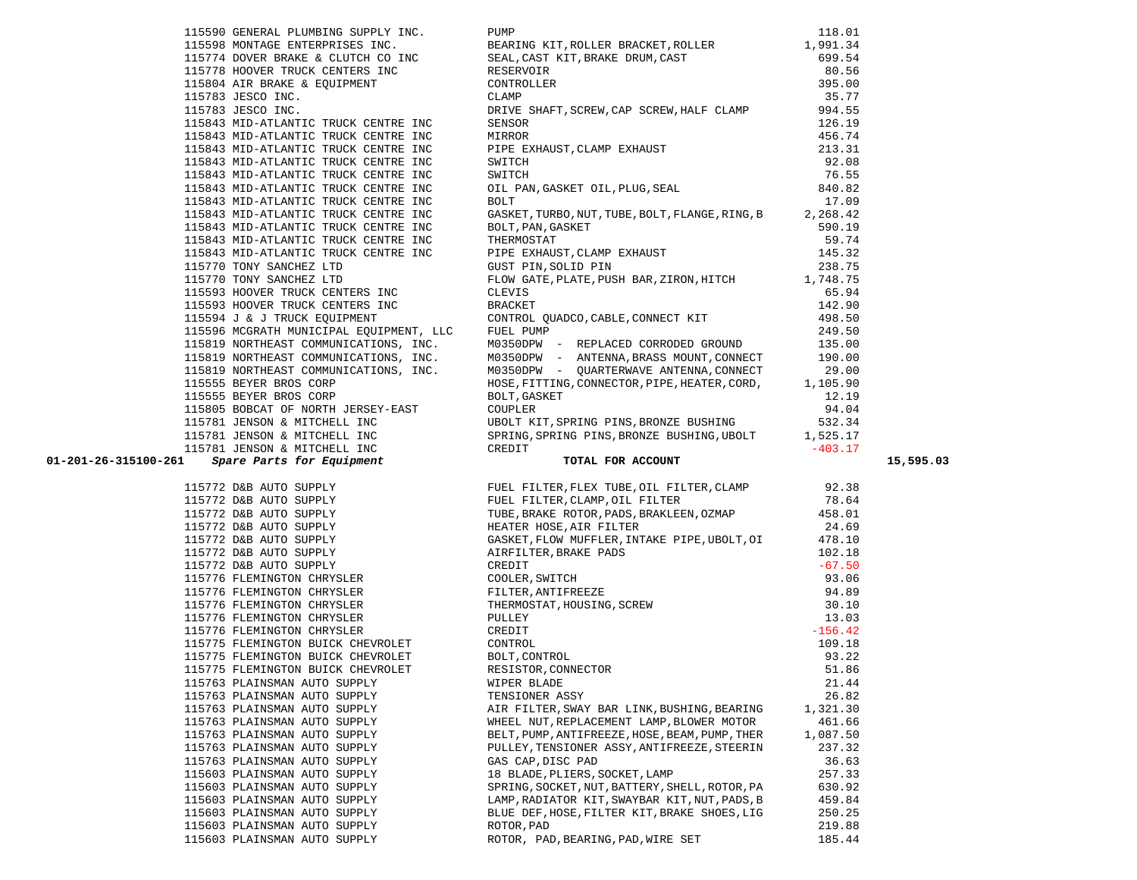| 115843 MID-ATLANTIC TRUCK CENTRE INC                                                                |                                                |          |
|-----------------------------------------------------------------------------------------------------|------------------------------------------------|----------|
| 115843 MID-AILANTIC IROCK CENTRE INC<br>115843 MID-ATLANTIC TRUCK CENTRE INC                        |                                                |          |
| 115843 MID-ATLANTIC TRUCK CENTRE INC<br>115770 TONY SANCHEZ LTD                                     |                                                |          |
| 115770 TONY SANCHEZ LTD                                                                             |                                                |          |
| 115770 TONY SANCHEZ LTD                                                                             |                                                |          |
| 115593 HOOVER TRUCK CENTERS INC                                                                     |                                                |          |
|                                                                                                     |                                                |          |
| 115593 HOOVER TRUCK CENTERS INC<br>115593 HOOVER TRUCK CENTERS INC                                  |                                                |          |
|                                                                                                     |                                                |          |
| 115596 MCGRATH MUNICTPAL EQUIPMENT, LLC FUEL PUMP<br>115819 NORTHEAST COMMUNICATIONS, INC. M0350DPW |                                                |          |
|                                                                                                     |                                                |          |
| 115819 NORTHEAST COMMUNICATIONS, INC.<br>115819 NORTHEAST COMMUNICATIONS, INC.                      |                                                |          |
|                                                                                                     |                                                |          |
| 115555 BEYER BROS CORP<br>115555 BEYER BROS CORP                                                    |                                                |          |
|                                                                                                     | BOLT, GASKET                                   | 12.19    |
|                                                                                                     |                                                |          |
|                                                                                                     |                                                |          |
|                                                                                                     |                                                |          |
|                                                                                                     |                                                |          |
|                                                                                                     |                                                |          |
|                                                                                                     |                                                |          |
|                                                                                                     |                                                |          |
|                                                                                                     |                                                |          |
|                                                                                                     |                                                |          |
|                                                                                                     |                                                |          |
|                                                                                                     |                                                |          |
|                                                                                                     |                                                |          |
|                                                                                                     |                                                |          |
|                                                                                                     |                                                |          |
|                                                                                                     |                                                |          |
|                                                                                                     |                                                |          |
|                                                                                                     |                                                |          |
|                                                                                                     |                                                |          |
|                                                                                                     |                                                |          |
|                                                                                                     |                                                |          |
|                                                                                                     |                                                |          |
|                                                                                                     |                                                |          |
|                                                                                                     |                                                |          |
| 115763 PLAINSMAN AUTO SUPPLY                                                                        | WIPER BLADE                                    | 21.44    |
| 115763 PLAINSMAN AUTO SUPPLY                                                                        | TENSIONER ASSY                                 | 26.82    |
| 115763 PLAINSMAN AUTO SUPPLY                                                                        | AIR FILTER, SWAY BAR LINK, BUSHING, BEARING    | 1,321.30 |
| 115763 PLAINSMAN AUTO SUPPLY                                                                        | WHEEL NUT, REPLACEMENT LAMP, BLOWER MOTOR      | 461.66   |
| 115763 PLAINSMAN AUTO SUPPLY                                                                        | BELT, PUMP, ANTIFREEZE, HOSE, BEAM, PUMP, THER | 1,087.50 |
| 115763 PLAINSMAN AUTO SUPPLY                                                                        | PULLEY, TENSIONER ASSY, ANTIFREEZE, STEERIN    | 237.32   |
| 115763 PLAINSMAN AUTO SUPPLY                                                                        | GAS CAP, DISC PAD                              | 36.63    |
| 115603 PLAINSMAN AUTO SUPPLY                                                                        | 18 BLADE, PLIERS, SOCKET, LAMP                 | 257.33   |
| 115603 PLAINSMAN AUTO SUPPLY                                                                        | SPRING, SOCKET, NUT, BATTERY, SHELL, ROTOR, PA | 630.92   |
| 115603 PLAINSMAN AUTO SUPPLY                                                                        | LAMP, RADIATOR KIT, SWAYBAR KIT, NUT, PADS, B  | 459.84   |
| 115603 PLAINSMAN AUTO SUPPLY                                                                        | BLUE DEF, HOSE, FILTER KIT, BRAKE SHOES, LIG   | 250.25   |

|                                         | SEAL, CAST KIT, BRAKE DRUM, CAST 699.54<br>RESERVOIR 80.56<br>CONTROLLER 395.00<br>CLAMP 35.77<br>115774 DOVER BRAKE & CLUTCH CO INC                                                                                                                                       |           |
|-----------------------------------------|----------------------------------------------------------------------------------------------------------------------------------------------------------------------------------------------------------------------------------------------------------------------------|-----------|
|                                         | 115778 HOVER BRAKE & CLUICH CONTROLLER<br>11578 HOOVER TRUCK CENTERS INC RESERVOIR<br>115804 AIR BRAKE & EQUIPMENT CONTROLLER<br>115783 JESCO INC. DRIVE SHAFT                                                                                                             |           |
|                                         |                                                                                                                                                                                                                                                                            |           |
|                                         |                                                                                                                                                                                                                                                                            |           |
|                                         | DRIVE SHAFT, SCREW, CAP SCREW, HALF CLAMP 994.55                                                                                                                                                                                                                           |           |
| 115785 CESSO ELLERATIC TRUCK CENTRE INC | ENTERIOR 126.19<br>MIRROR 126.19<br>MIRROR 456.74<br>PIPE EXHAUST, CLAMP EXHAUST 213.31<br>SWITCH 76.55<br>OIL PAN, GASKET OIL, PLUG, SEAL 840.82<br>BOLT 76.99<br>17.09                                                                                                   |           |
| 115843 MID-ATLANTIC TRUCK CENTRE INC    |                                                                                                                                                                                                                                                                            |           |
| 115843 MID-ATLANTIC TRUCK CENTRE INC    |                                                                                                                                                                                                                                                                            |           |
| 115843 MID-ATLANTIC TRUCK CENTRE INC    |                                                                                                                                                                                                                                                                            |           |
| 115843 MID-ATLANTIC TRUCK CENTRE INC    |                                                                                                                                                                                                                                                                            |           |
| 115843 MID-ATLANTIC TRUCK CENTRE INC    |                                                                                                                                                                                                                                                                            |           |
| 115843 MID-ATLANTIC TRUCK CENTRE INC    |                                                                                                                                                                                                                                                                            |           |
| 115843 MID-ATLANTIC TRUCK CENTRE INC    | $\begin{tabular}{lllllllll} \texttt{GASKET, TURBO, NUT, TUBE, BOLT, FLANGE, RING, B & & & 17.09 \\ \texttt{BOLT, PAN, GASKET & & & 2,268.42 \\ \texttt{BOLT, PAN, GASKET & & 59.19 \\ \texttt{THERMOSTAT & & & 59.74 \\ \end{tabular}$                                     |           |
|                                         | 115843 MID-ATLANTIC TRUCK CENTRE INC<br>115843 MID-ATLANTIC TRUCK CENTRE INC<br>115843 MID-ATLANTIC TRUCK CENTRE INC<br>115843 MID-ATLANTIC TRUCK CENTRE INC<br>115843 MID-ATLANTIC TRUCK CENTRE INC<br>115843 MID-ATLANTIC TRUCK CENTRE                                   |           |
|                                         |                                                                                                                                                                                                                                                                            |           |
|                                         |                                                                                                                                                                                                                                                                            |           |
|                                         |                                                                                                                                                                                                                                                                            |           |
|                                         |                                                                                                                                                                                                                                                                            |           |
|                                         |                                                                                                                                                                                                                                                                            |           |
|                                         |                                                                                                                                                                                                                                                                            |           |
|                                         |                                                                                                                                                                                                                                                                            |           |
|                                         |                                                                                                                                                                                                                                                                            |           |
|                                         |                                                                                                                                                                                                                                                                            |           |
|                                         |                                                                                                                                                                                                                                                                            |           |
|                                         |                                                                                                                                                                                                                                                                            |           |
|                                         |                                                                                                                                                                                                                                                                            |           |
|                                         |                                                                                                                                                                                                                                                                            |           |
|                                         |                                                                                                                                                                                                                                                                            |           |
|                                         |                                                                                                                                                                                                                                                                            |           |
|                                         |                                                                                                                                                                                                                                                                            |           |
|                                         |                                                                                                                                                                                                                                                                            |           |
|                                         |                                                                                                                                                                                                                                                                            |           |
| 01-201-26-315100-261                    |                                                                                                                                                                                                                                                                            | 15,595.03 |
|                                         |                                                                                                                                                                                                                                                                            |           |
|                                         |                                                                                                                                                                                                                                                                            |           |
|                                         |                                                                                                                                                                                                                                                                            |           |
|                                         |                                                                                                                                                                                                                                                                            |           |
|                                         |                                                                                                                                                                                                                                                                            |           |
|                                         |                                                                                                                                                                                                                                                                            |           |
|                                         |                                                                                                                                                                                                                                                                            |           |
|                                         |                                                                                                                                                                                                                                                                            |           |
|                                         |                                                                                                                                                                                                                                                                            |           |
|                                         |                                                                                                                                                                                                                                                                            |           |
|                                         |                                                                                                                                                                                                                                                                            |           |
|                                         |                                                                                                                                                                                                                                                                            |           |
|                                         |                                                                                                                                                                                                                                                                            |           |
|                                         |                                                                                                                                                                                                                                                                            |           |
|                                         |                                                                                                                                                                                                                                                                            |           |
|                                         |                                                                                                                                                                                                                                                                            |           |
| 115763 PLAINSMAN AUTO SUPPLY            | TENSIONER ASSY                                                                                                                                                                                                                                                             | 26.82     |
| 115763 PLAINSMAN AUTO SUPPLY            | AIR FILTER, SWAY BAR LINK, BUSHING, BEARING                                                                                                                                                                                                                                | 1,321.30  |
| 115763 PLAINSMAN AUTO SUPPLY            | 115770 TOWY SAMETHE JTD WAS PRODUCED TO THATE, FUGHBAR, 21RON HITCH (1991) 19931 HOOME REVISS 2001 NOTE THAT AND THE SAME CONDUCT A 1993 IN THE SAME CONDUCT AND INTO THE SAME CONDUCT AND INTO THE SAME CONDUCT AND INTO THE<br>WHEEL NUT, REPLACEMENT LAMP, BLOWER MOTOR | 461.66    |
| 115763 PLAINSMAN AUTO SUPPLY            | BELT, PUMP, ANTIFREEZE, HOSE, BEAM, PUMP, THER                                                                                                                                                                                                                             | 1,087.50  |
| 115763 PLAINSMAN AUTO SUPPLY            | PULLEY, TENSIONER ASSY, ANTIFREEZE, STEERIN                                                                                                                                                                                                                                | 237.32    |
| 115763 PLAINSMAN AUTO SUPPLY            | GAS CAP, DISC PAD                                                                                                                                                                                                                                                          | 36.63     |
| 115603 PLAINSMAN AUTO SUPPLY            | 18 BLADE, PLIERS, SOCKET, LAMP                                                                                                                                                                                                                                             | 257.33    |
| 115603 PLAINSMAN AUTO SUPPLY            | SPRING, SOCKET, NUT, BATTERY, SHELL, ROTOR, PA                                                                                                                                                                                                                             | 630.92    |
| 115603 PLAINSMAN AUTO SUPPLY            | LAMP, RADIATOR KIT, SWAYBAR KIT, NUT, PADS, B                                                                                                                                                                                                                              | 459.84    |
| 115603 PLAINSMAN AUTO SUPPLY            | BLUE DEF, HOSE, FILTER KIT, BRAKE SHOES, LIG                                                                                                                                                                                                                               | 250.25    |
| 115603 PLAINSMAN AUTO SUPPLY            | ROTOR, PAD                                                                                                                                                                                                                                                                 | 219.88    |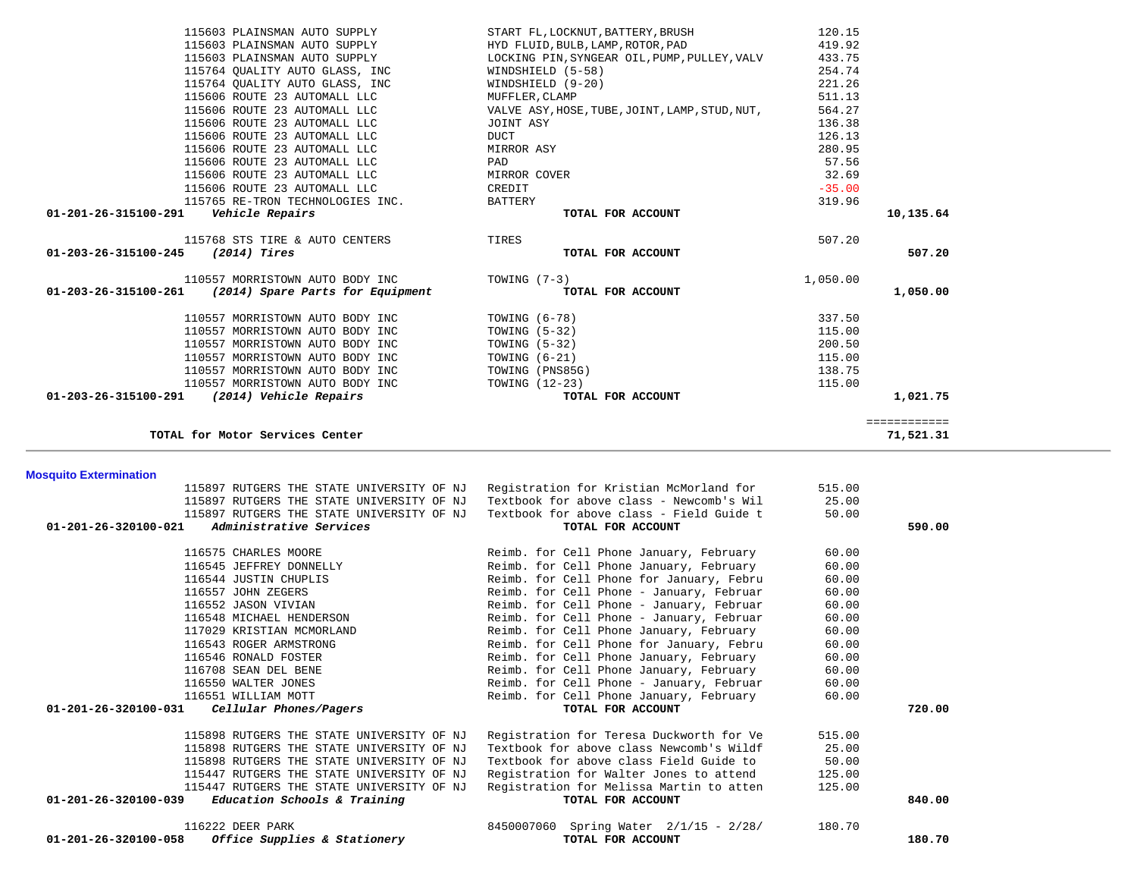| 115603 PLAINSMAN AUTO SUPPLY                                                      | START FL, LOCKNUT, BATTERY, BRUSH                           | 120.15   |              |  |
|-----------------------------------------------------------------------------------|-------------------------------------------------------------|----------|--------------|--|
| 115603 PLAINSMAN AUTO SUPPLY                                                      | HYD FLUID, BULB, LAMP, ROTOR, PAD                           | 419.92   |              |  |
| 115603 PLAINSMAN AUTO SUPPLY                                                      | LOCKING PIN, SYNGEAR OIL, PUMP, PULLEY, VALV                | 433.75   |              |  |
| 115764 QUALITY AUTO GLASS, INC                                                    | WINDSHIELD (5-58)                                           | 254.74   |              |  |
| 115764 QUALITY AUTO GLASS, INC                                                    | WINDSHIELD (9-20)                                           | 221.26   |              |  |
| 115606 ROUTE 23 AUTOMALL LLC                                                      | MUFFLER, CLAMP                                              | 511.13   |              |  |
| 115606 ROUTE 23 AUTOMALL LLC                                                      | VALVE ASY, HOSE, TUBE, JOINT, LAMP, STUD, NUT,              | 564.27   |              |  |
| 115606 ROUTE 23 AUTOMALL LLC                                                      | JOINT ASY                                                   | 136.38   |              |  |
|                                                                                   |                                                             |          |              |  |
| 115606 ROUTE 23 AUTOMALL LLC                                                      | <b>DUCT</b>                                                 | 126.13   |              |  |
| 115606 ROUTE 23 AUTOMALL LLC                                                      | MIRROR ASY                                                  | 280.95   |              |  |
| 115606 ROUTE 23 AUTOMALL LLC                                                      | PAD                                                         | 57.56    |              |  |
| 115606 ROUTE 23 AUTOMALL LLC                                                      | MIRROR COVER                                                | 32.69    |              |  |
| 115606 ROUTE 23 AUTOMALL LLC                                                      | CREDIT                                                      | $-35.00$ |              |  |
| 115765 RE-TRON TECHNOLOGIES INC.                                                  | <b>BATTERY</b>                                              | 319.96   |              |  |
| Vehicle Repairs<br>01-201-26-315100-291                                           | TOTAL FOR ACCOUNT                                           |          | 10,135.64    |  |
|                                                                                   |                                                             |          |              |  |
| 115768 STS TIRE & AUTO CENTERS                                                    | TIRES                                                       | 507.20   |              |  |
| (2014) Tires<br>01-203-26-315100-245                                              | TOTAL FOR ACCOUNT                                           |          | 507.20       |  |
| 110557 MORRISTOWN AUTO BODY INC                                                   | TOWING $(7-3)$                                              | 1,050.00 |              |  |
| (2014) Spare Parts for Equipment<br>01-203-26-315100-261                          | TOTAL FOR ACCOUNT                                           |          | 1,050.00     |  |
|                                                                                   |                                                             |          |              |  |
|                                                                                   | TOWING $(6-78)$                                             | 337.50   |              |  |
| 110557 MORRISTOWN AUTO BODY INC<br>110557 MORRISTOWN AUTO BODY INC                |                                                             |          |              |  |
|                                                                                   | TOWING $(5-32)$                                             | 115.00   |              |  |
| 110557 MORRISTOWN AUTO BODY INC                                                   | TOWING $(5-32)$                                             | 200.50   |              |  |
| 110557 MORRISTOWN AUTO BODY INC                                                   | TOWING $(6-21)$                                             | 115.00   |              |  |
| 110557 MORRISTOWN AUTO BODY INC                                                   | TOWING (PNS85G)                                             | 138.75   |              |  |
| 110557 MORRISTOWN AUTO BODY INC                                                   | TOWING (12-23)                                              | 115.00   |              |  |
| 01-203-26-315100-291<br>(2014) Vehicle Repairs                                    | TOTAL FOR ACCOUNT                                           |          | 1,021.75     |  |
|                                                                                   |                                                             |          |              |  |
| TOTAL for Motor Services Center                                                   |                                                             |          | ============ |  |
|                                                                                   |                                                             |          | 71,521.31    |  |
|                                                                                   |                                                             |          |              |  |
|                                                                                   |                                                             |          |              |  |
|                                                                                   |                                                             |          |              |  |
| <b>Mosquito Extermination</b>                                                     |                                                             |          |              |  |
| 115897 RUTGERS THE STATE UNIVERSITY OF NJ Registration for Kristian McMorland for |                                                             | 515.00   |              |  |
| 115897 RUTGERS THE STATE UNIVERSITY OF NJ                                         | Textbook for above class - Newcomb's Wil                    | 25.00    |              |  |
| 115897 RUTGERS THE STATE UNIVERSITY OF NJ                                         | Textbook for above class - Field Guide t                    | 50.00    |              |  |
| 01-201-26-320100-021<br>Administrative Services                                   | TOTAL FOR ACCOUNT                                           |          | 590.00       |  |
|                                                                                   |                                                             |          |              |  |
| 116575 CHARLES MOORE                                                              | Reimb. for Cell Phone January, February                     | 60.00    |              |  |
| 116545 JEFFREY DONNELLY                                                           | Reimb. for Cell Phone January, February                     | 60.00    |              |  |
| 116544 JUSTIN CHUPLIS                                                             | Reimb. for Cell Phone for January, Febru                    | 60.00    |              |  |
| 116557 JOHN ZEGERS                                                                | Reimb. for Cell Phone - January, Februar                    | 60.00    |              |  |
| 116552 JASON VIVIAN                                                               | Reimb. for Cell Phone - January, Februar                    | 60.00    |              |  |
| 116548 MICHAEL HENDERSON                                                          | Reimb. for Cell Phone - January, Februar                    | 60.00    |              |  |
| 117029 KRISTIAN MCMORLAND                                                         | Reimb. for Cell Phone January, February                     | 60.00    |              |  |
| 116543 ROGER ARMSTRONG                                                            | Reimb. for Cell Phone for January, Febru                    | 60.00    |              |  |
| 116546 RONALD FOSTER                                                              | Reimb. for Cell Phone January, February                     | 60.00    |              |  |
| 116708 SEAN DEL BENE                                                              | Reimb. for Cell Phone January, February                     | 60.00    |              |  |
| 116550 WALTER JONES                                                               | Reimb. for Cell Phone - January, Februar                    | 60.00    |              |  |
| 116551 WILLIAM MOTT                                                               | Reimb. for Cell Phone January, February                     | 60.00    |              |  |
| Cellular Phones/Pagers<br>01-201-26-320100-031                                    | TOTAL FOR ACCOUNT                                           |          | 720.00       |  |
|                                                                                   |                                                             |          |              |  |
| 115898 RUTGERS THE STATE UNIVERSITY OF NJ                                         | Registration for Teresa Duckworth for Ve                    | 515.00   |              |  |
| 115898 RUTGERS THE STATE UNIVERSITY OF NJ                                         | Textbook for above class Newcomb's Wildf                    | 25.00    |              |  |
| 115898 RUTGERS THE STATE UNIVERSITY OF NJ                                         | Textbook for above class Field Guide to                     | 50.00    |              |  |
| 115447 RUTGERS THE STATE UNIVERSITY OF NJ                                         | Registration for Walter Jones to attend                     | 125.00   |              |  |
| 115447 RUTGERS THE STATE UNIVERSITY OF NJ                                         | Registration for Melissa Martin to atten                    | 125.00   |              |  |
| Education Schools & Training<br>01-201-26-320100-039                              | TOTAL FOR ACCOUNT                                           |          | 840.00       |  |
|                                                                                   |                                                             |          |              |  |
| 116222 DEER PARK<br>Office Supplies & Stationery<br>01-201-26-320100-058          | 8450007060 Spring Water 2/1/15 - 2/28/<br>TOTAL FOR ACCOUNT | 180.70   | 180.70       |  |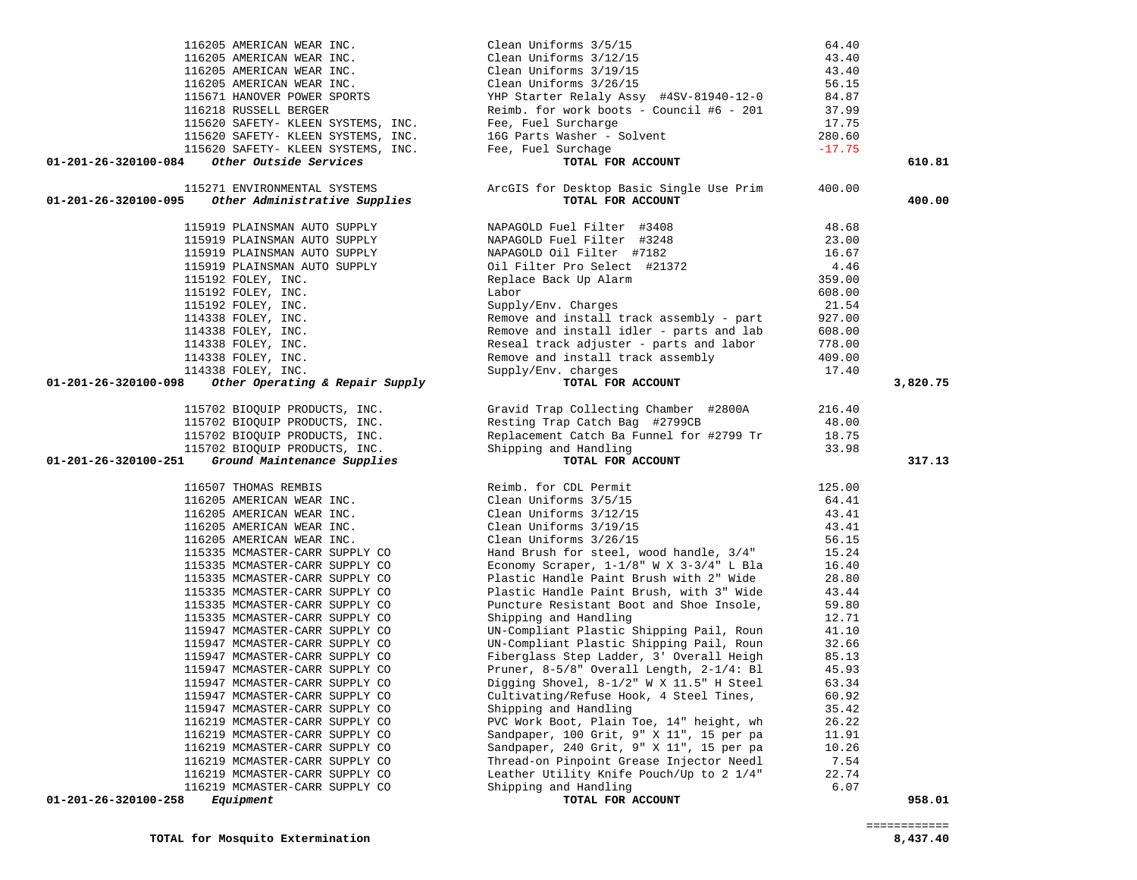| 116205 AMERICAN WEAR INC.                                        | Clean Uniforms 3/5/15                                             | 64.40         |          |
|------------------------------------------------------------------|-------------------------------------------------------------------|---------------|----------|
| 116205 AMERICAN WEAR INC.                                        | Clean Uniforms 3/12/15                                            | 43.40         |          |
| 116205 AMERICAN WEAR INC.                                        | Clean Uniforms 3/19/15                                            | 43.40         |          |
| 116205 AMERICAN WEAR INC.                                        | Clean Uniforms 3/26/15                                            | 56.15         |          |
| 115671 HANOVER POWER SPORTS                                      | YHP Starter Relaly Assy #4SV-81940-12-0                           | 84.87         |          |
| 116218 RUSSELL BERGER                                            | Reimb. for work boots - Council #6 - 201                          | 37.99         |          |
| 115620 SAFETY- KLEEN SYSTEMS, INC.                               | Fee, Fuel Surcharge                                               | 17.75         |          |
| 115620 SAFETY- KLEEN SYSTEMS, INC.                               | 16G Parts Washer - Solvent                                        | 280.60        |          |
| 115620 SAFETY- KLEEN SYSTEMS, INC.                               | Fee, Fuel Surchage                                                | $-17.75$      |          |
| Other Outside Services<br>01-201-26-320100-084                   | TOTAL FOR ACCOUNT                                                 |               | 610.81   |
| 115271 ENVIRONMENTAL SYSTEMS                                     | ArcGIS for Desktop Basic Single Use Prim                          | 400.00        |          |
| 01-201-26-320100-095<br>Other Administrative Supplies            | TOTAL FOR ACCOUNT                                                 |               | 400.00   |
| 115919 PLAINSMAN AUTO SUPPLY                                     | NAPAGOLD Fuel Filter #3408                                        | 48.68         |          |
| 115919 PLAINSMAN AUTO SUPPLY                                     | NAPAGOLD Fuel Filter #3248                                        | 23.00         |          |
| 115919 PLAINSMAN AUTO SUPPLY                                     | NAPAGOLD Oil Filter #7182                                         | 16.67         |          |
| 115919 PLAINSMAN AUTO SUPPLY                                     | Oil Filter Pro Select #21372                                      | 4.46          |          |
| 115192 FOLEY, INC.                                               | Replace Back Up Alarm                                             | 359.00        |          |
| 115192 FOLEY, INC.                                               | Labor                                                             | 608.00        |          |
| 115192 FOLEY, INC.                                               | Supply/Env. Charges                                               | 21.54         |          |
| 114338 FOLEY, INC.                                               | Remove and install track assembly - part                          | 927.00        |          |
| 114338 FOLEY, INC.                                               | Remove and install idler - parts and lab                          | 608.00        |          |
| 114338 FOLEY, INC.                                               | Reseal track adjuster - parts and labor                           | 778.00        |          |
| 114338 FOLEY, INC.                                               | Remove and install track assembly                                 | 409.00        |          |
| 114338 FOLEY, INC.                                               | Supply/Env. charges                                               | 17.40         |          |
| 01-201-26-320100-098<br>Other Operating & Repair Supply          | TOTAL FOR ACCOUNT                                                 |               | 3,820.75 |
| 115702 BIOQUIP PRODUCTS, INC.                                    | Gravid Trap Collecting Chamber #2800A                             | 216.40        |          |
| 115702 BIOQUIP PRODUCTS, INC.                                    | Resting Trap Catch Bag #2799CB                                    | 48.00         |          |
|                                                                  |                                                                   |               |          |
| 115702 BIOQUIP PRODUCTS, INC.                                    | Replacement Catch Ba Funnel for #2799 Tr                          | 18.75         |          |
| 115702 BIOQUIP PRODUCTS, INC.                                    | Shipping and Handling                                             | 33.98         |          |
| Ground Maintenance Supplies<br>01-201-26-320100-251              | TOTAL FOR ACCOUNT                                                 |               | 317.13   |
| 116507 THOMAS REMBIS                                             | Reimb. for CDL Permit                                             | 125.00        |          |
| 116205 AMERICAN WEAR INC.                                        | Clean Uniforms 3/5/15                                             | 64.41         |          |
| 116205 AMERICAN WEAR INC.                                        | Clean Uniforms 3/12/15                                            | 43.41         |          |
| 116205 AMERICAN WEAR INC.                                        | Clean Uniforms 3/19/15                                            | 43.41         |          |
| 116205 AMERICAN WEAR INC.                                        | Clean Uniforms 3/26/15                                            | 56.15         |          |
| 115335 MCMASTER-CARR SUPPLY CO                                   | Hand Brush for steel, wood handle, 3/4"                           | 15.24         |          |
| 115335 MCMASTER-CARR SUPPLY CO                                   | Economy Scraper, $1-1/8$ " W X $3-3/4$ " L Bla                    | 16.40         |          |
| 115335 MCMASTER-CARR SUPPLY CO                                   | Plastic Handle Paint Brush with 2" Wide                           | 28.80         |          |
| 115335 MCMASTER-CARR SUPPLY CO                                   | Plastic Handle Paint Brush, with 3" Wide                          | 43.44         |          |
| 115335 MCMASTER-CARR SUPPLY CO                                   | Puncture Resistant Boot and Shoe Insole,                          | 59.80         |          |
| 115335 MCMASTER-CARR SUPPLY CO                                   | Shipping and Handling                                             | 12.71         |          |
| 115947 MCMASTER-CARR SUPPLY CO                                   | UN-Compliant Plastic Shipping Pail, Roun                          | 41.10         |          |
| 115947 MCMASTER-CARR SUPPLY CO                                   | UN-Compliant Plastic Shipping Pail, Roun                          | 32.66         |          |
| 115947 MCMASTER-CARR SUPPLY CO                                   | Fiberglass Step Ladder, 3' Overall Heigh                          | 85.13         |          |
| 115947 MCMASTER-CARR SUPPLY CO                                   | Pruner, 8-5/8" Overall Length, 2-1/4: Bl                          | 45.93         |          |
| 115947 MCMASTER-CARR SUPPLY CO                                   | Digging Shovel, 8-1/2" W X 11.5" H Steel                          | 63.34         |          |
| 115947 MCMASTER-CARR SUPPLY CO                                   | Cultivating/Refuse Hook, 4 Steel Tines,                           | 60.92         |          |
| 115947 MCMASTER-CARR SUPPLY CO                                   | Shipping and Handling                                             | 35.42         |          |
| 116219 MCMASTER-CARR SUPPLY CO                                   | PVC Work Boot, Plain Toe, 14" height, wh                          | 26.22         |          |
| 116219 MCMASTER-CARR SUPPLY CO                                   | Sandpaper, 100 Grit, 9" X 11", 15 per pa                          | 11.91         |          |
| 116219 MCMASTER-CARR SUPPLY CO<br>116219 MCMASTER-CARR SUPPLY CO | Sandpaper, 240 Grit, 9" X 11", 15 per pa                          | 10.26         |          |
|                                                                  | Thread-on Pinpoint Grease Injector Needl                          | 7.54<br>22.74 |          |
| 116219 MCMASTER-CARR SUPPLY CO<br>116219 MCMASTER-CARR SUPPLY CO | Leather Utility Knife Pouch/Up to 2 1/4"<br>Shipping and Handling | 6.07          |          |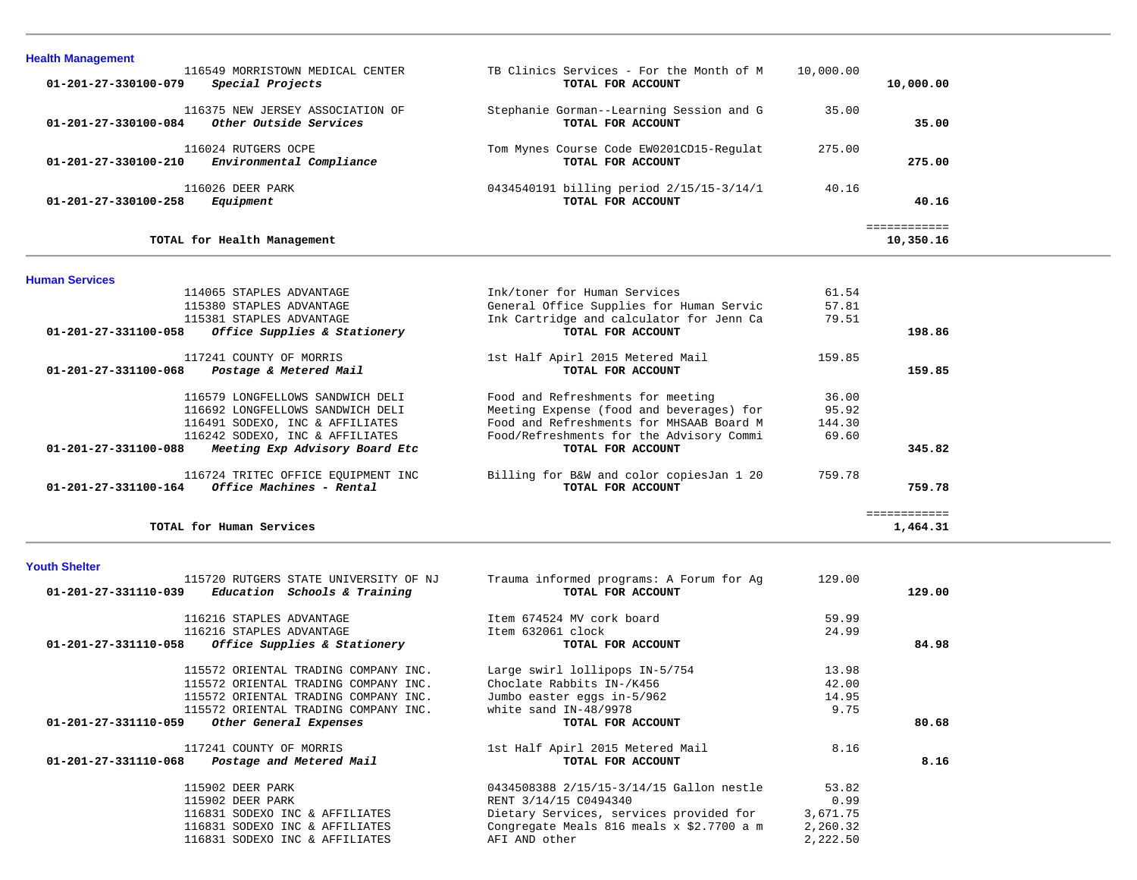| <b>Health Management</b><br>116549 MORRISTOWN MEDICAL CENTER<br>Special Projects<br>$01 - 201 - 27 - 330100 - 079$ | TB Clinics Services - For the Month of M<br>TOTAL FOR ACCOUNT | 10,000.00 | 10,000.00                 |
|--------------------------------------------------------------------------------------------------------------------|---------------------------------------------------------------|-----------|---------------------------|
| 116375 NEW JERSEY ASSOCIATION OF<br>Other Outside Services<br>$01 - 201 - 27 - 330100 - 084$                       | Stephanie Gorman--Learning Session and G<br>TOTAL FOR ACCOUNT | 35.00     | 35.00                     |
| 116024 RUTGERS OCPE<br>Environmental Compliance<br>01-201-27-330100-210                                            | Tom Mynes Course Code EW0201CD15-Regulat<br>TOTAL FOR ACCOUNT | 275.00    | 275.00                    |
| 116026 DEER PARK<br>Equipment<br>01-201-27-330100-258                                                              | 0434540191 billing period 2/15/15-3/14/1<br>TOTAL FOR ACCOUNT | 40.16     | 40.16                     |
| TOTAL for Health Management                                                                                        |                                                               |           | ============<br>10,350.16 |

| <b>Human Services</b>                                      |                                          |        |              |
|------------------------------------------------------------|------------------------------------------|--------|--------------|
| 114065 STAPLES ADVANTAGE                                   | Ink/toner for Human Services             | 61.54  |              |
| 115380 STAPLES ADVANTAGE                                   | General Office Supplies for Human Servic | 57.81  |              |
| 115381 STAPLES ADVANTAGE                                   | Ink Cartridge and calculator for Jenn Ca | 79.51  |              |
| 01-201-27-331100-058<br>Office Supplies & Stationery       | TOTAL FOR ACCOUNT                        |        | 198.86       |
| 117241 COUNTY OF MORRIS                                    | 1st Half Apirl 2015 Metered Mail         | 159.85 |              |
| 01-201-27-331100-068<br>Postage & Metered Mail             | TOTAL FOR ACCOUNT                        |        | 159.85       |
| 116579 LONGFELLOWS SANDWICH DELI                           | Food and Refreshments for meeting        | 36.00  |              |
| 116692 LONGFELLOWS SANDWICH DELI                           | Meeting Expense (food and beverages) for | 95.92  |              |
| 116491 SODEXO, INC & AFFILIATES                            | Food and Refreshments for MHSAAB Board M | 144.30 |              |
| 116242 SODEXO, INC & AFFILIATES                            | Food/Refreshments for the Advisory Commi | 69.60  |              |
| 01-201-27-331100-088<br>Meeting Exp Advisory Board Etc     | TOTAL FOR ACCOUNT                        |        | 345.82       |
| 116724 TRITEC OFFICE EOUIPMENT INC                         | Billing for B&W and color copiesJan 1 20 | 759.78 |              |
| Office Machines - Rental<br>$01 - 201 - 27 - 331100 - 164$ | TOTAL FOR ACCOUNT                        |        | 759.78       |
|                                                            |                                          |        | ============ |
| TOTAL for Human Services                                   |                                          |        | 1,464.31     |

| Youth Shelter                                       |                          |                                       |                                             |          |        |
|-----------------------------------------------------|--------------------------|---------------------------------------|---------------------------------------------|----------|--------|
|                                                     |                          | 115720 RUTGERS STATE UNIVERSITY OF NJ | Trauma informed programs: A Forum for Ag    | 129.00   |        |
| $01-201-27-331110-039$ Education Schools & Training |                          |                                       | TOTAL FOR ACCOUNT                           |          | 129.00 |
|                                                     | 116216 STAPLES ADVANTAGE |                                       | Item 674524 MV cork board                   | 59.99    |        |
|                                                     | 116216 STAPLES ADVANTAGE |                                       | Item 632061 clock                           | 24.99    |        |
| 01-201-27-331110-058                                |                          | Office Supplies & Stationery          | TOTAL FOR ACCOUNT                           |          | 84.98  |
|                                                     |                          | 115572 ORIENTAL TRADING COMPANY INC.  | Large swirl lollipops IN-5/754              | 13.98    |        |
|                                                     |                          | 115572 ORIENTAL TRADING COMPANY INC.  | Choclate Rabbits IN-/K456                   | 42.00    |        |
|                                                     |                          | 115572 ORIENTAL TRADING COMPANY INC.  | Jumbo easter eggs in-5/962                  | 14.95    |        |
|                                                     |                          | 115572 ORIENTAL TRADING COMPANY INC.  | white sand IN-48/9978                       | 9.75     |        |
| 01-201-27-331110-059                                |                          | Other General Expenses                | TOTAL FOR ACCOUNT                           |          | 80.68  |
|                                                     | 117241 COUNTY OF MORRIS  |                                       | 1st Half Apirl 2015 Metered Mail            | 8.16     |        |
| $01-201-27-331110-068$ Postage and Metered Mail     |                          |                                       | TOTAL FOR ACCOUNT                           |          | 8.16   |
|                                                     | 115902 DEER PARK         |                                       | 0434508388 2/15/15-3/14/15 Gallon nestle    | 53.82    |        |
|                                                     | 115902 DEER PARK         |                                       | RENT 3/14/15 C0494340                       | 0.99     |        |
|                                                     |                          | 116831 SODEXO INC & AFFILIATES        | Dietary Services, services provided for     | 3,671.75 |        |
|                                                     |                          | 116831 SODEXO INC & AFFILIATES        | Congregate Meals 816 meals $x$ \$2.7700 a m | 2,260.32 |        |
|                                                     |                          | 116831 SODEXO INC & AFFILIATES        | AFI AND other                               | 2,222.50 |        |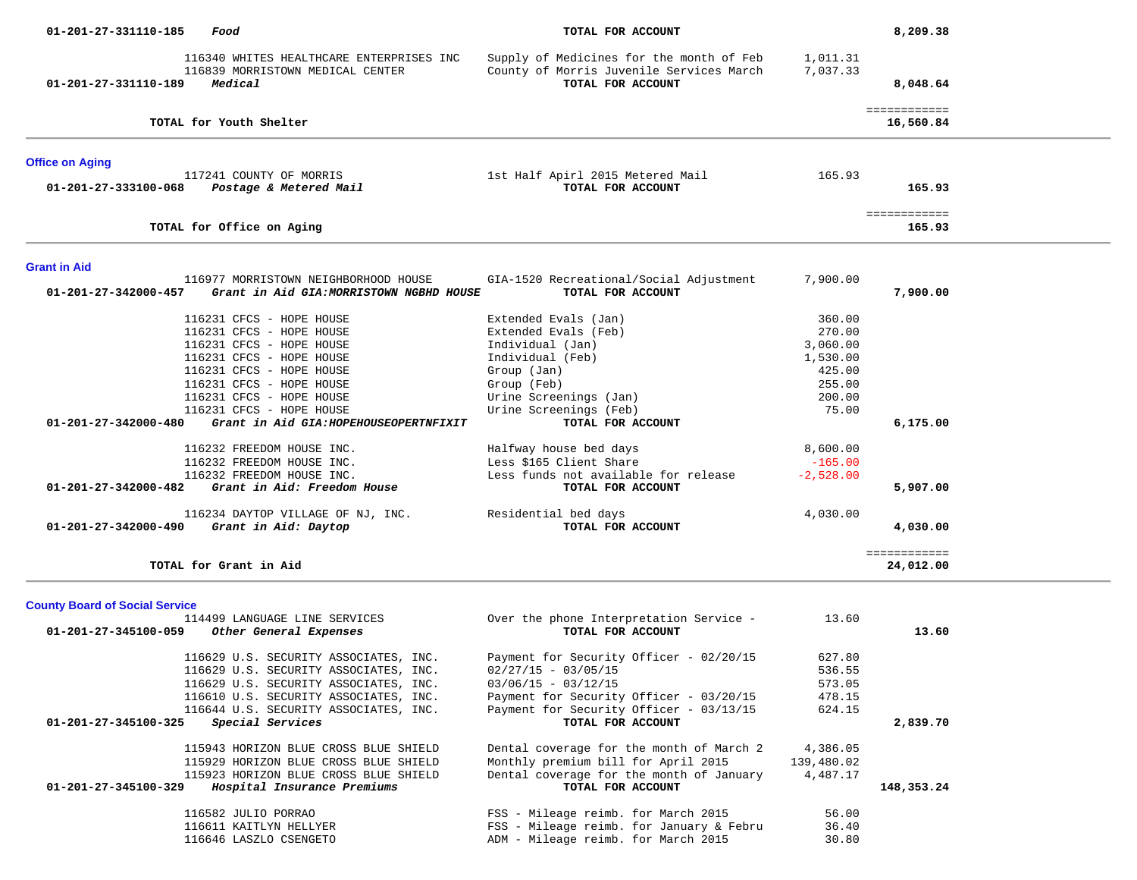| 01-201-27-331110-185                                          | Food                                                                                                                                                                                                                          | TOTAL FOR ACCOUNT                                                                                                                                                                                    |                                                                                 | 8,209.38                  |
|---------------------------------------------------------------|-------------------------------------------------------------------------------------------------------------------------------------------------------------------------------------------------------------------------------|------------------------------------------------------------------------------------------------------------------------------------------------------------------------------------------------------|---------------------------------------------------------------------------------|---------------------------|
| 01-201-27-331110-189                                          | 116340 WHITES HEALTHCARE ENTERPRISES INC<br>116839 MORRISTOWN MEDICAL CENTER<br>Medical                                                                                                                                       | Supply of Medicines for the month of Feb<br>County of Morris Juvenile Services March<br>TOTAL FOR ACCOUNT                                                                                            | 1,011.31<br>7,037.33                                                            | 8,048.64                  |
|                                                               | TOTAL for Youth Shelter                                                                                                                                                                                                       |                                                                                                                                                                                                      |                                                                                 | ============<br>16,560.84 |
| <b>Office on Aging</b>                                        |                                                                                                                                                                                                                               |                                                                                                                                                                                                      |                                                                                 |                           |
| 01-201-27-333100-068                                          | 117241 COUNTY OF MORRIS<br>Postage & Metered Mail                                                                                                                                                                             | 1st Half Apirl 2015 Metered Mail<br>TOTAL FOR ACCOUNT                                                                                                                                                | 165.93                                                                          | 165.93                    |
|                                                               | TOTAL for Office on Aging                                                                                                                                                                                                     |                                                                                                                                                                                                      |                                                                                 | ============<br>165.93    |
| <b>Grant in Aid</b>                                           |                                                                                                                                                                                                                               |                                                                                                                                                                                                      |                                                                                 |                           |
| 01-201-27-342000-457                                          | 116977 MORRISTOWN NEIGHBORHOOD HOUSE<br>Grant in Aid GIA: MORRISTOWN NGBHD HOUSE                                                                                                                                              | GIA-1520 Recreational/Social Adjustment<br>TOTAL FOR ACCOUNT                                                                                                                                         | 7,900.00                                                                        | 7,900.00                  |
|                                                               | 116231 CFCS - HOPE HOUSE<br>116231 CFCS - HOPE HOUSE<br>116231 CFCS - HOPE HOUSE<br>116231 CFCS - HOPE HOUSE<br>116231 CFCS - HOPE HOUSE<br>116231 CFCS - HOPE HOUSE<br>116231 CFCS - HOPE HOUSE<br>116231 CFCS - HOPE HOUSE  | Extended Evals (Jan)<br>Extended Evals (Feb)<br>Individual (Jan)<br>Individual (Feb)<br>Group (Jan)<br>Group (Feb)<br>Urine Screenings (Jan)<br>Urine Screenings (Feb)                               | 360.00<br>270.00<br>3,060.00<br>1,530.00<br>425.00<br>255.00<br>200.00<br>75.00 |                           |
| 01-201-27-342000-480<br>01-201-27-342000-482                  | Grant in Aid GIA: HOPEHOUSEOPERTNFIXIT<br>116232 FREEDOM HOUSE INC.<br>116232 FREEDOM HOUSE INC.<br>116232 FREEDOM HOUSE INC.<br>Grant in Aid: Freedom House                                                                  | TOTAL FOR ACCOUNT<br>Halfway house bed days<br>Less \$165 Client Share<br>Less funds not available for release<br>TOTAL FOR ACCOUNT                                                                  | 8,600.00<br>$-165.00$<br>$-2,528.00$                                            | 6,175.00<br>5,907.00      |
| 01-201-27-342000-490                                          | 116234 DAYTOP VILLAGE OF NJ, INC.<br>Grant in Aid: Daytop                                                                                                                                                                     | Residential bed days<br>TOTAL FOR ACCOUNT                                                                                                                                                            | 4,030.00                                                                        | 4,030.00                  |
|                                                               | TOTAL for Grant in Aid                                                                                                                                                                                                        |                                                                                                                                                                                                      |                                                                                 | ============<br>24,012.00 |
| <b>County Board of Social Service</b><br>01-201-27-345100-059 | 114499 LANGUAGE LINE SERVICES<br>Other General Expenses                                                                                                                                                                       | Over the phone Interpretation Service -<br>TOTAL FOR ACCOUNT                                                                                                                                         | 13.60                                                                           | 13.60                     |
| 01-201-27-345100-325                                          | 116629 U.S. SECURITY ASSOCIATES, INC.<br>116629 U.S. SECURITY ASSOCIATES, INC.<br>116629 U.S. SECURITY ASSOCIATES, INC.<br>116610 U.S. SECURITY ASSOCIATES, INC.<br>116644 U.S. SECURITY ASSOCIATES, INC.<br>Special Services | Payment for Security Officer - 02/20/15<br>$02/27/15 - 03/05/15$<br>$03/06/15 - 03/12/15$<br>Payment for Security Officer - 03/20/15<br>Payment for Security Officer - 03/13/15<br>TOTAL FOR ACCOUNT | 627.80<br>536.55<br>573.05<br>478.15<br>624.15                                  | 2,839.70                  |
| 01-201-27-345100-329                                          | 115943 HORIZON BLUE CROSS BLUE SHIELD<br>115929 HORIZON BLUE CROSS BLUE SHIELD<br>115923 HORIZON BLUE CROSS BLUE SHIELD<br>Hospital Insurance Premiums                                                                        | Dental coverage for the month of March 2<br>Monthly premium bill for April 2015<br>Dental coverage for the month of January<br>TOTAL FOR ACCOUNT                                                     | 4,386.05<br>139,480.02<br>4,487.17                                              | 148,353.24                |
|                                                               | 116582 JULIO PORRAO<br>116611 KAITLYN HELLYER<br>116646 LASZLO CSENGETO                                                                                                                                                       | FSS - Mileage reimb. for March 2015<br>FSS - Mileage reimb. for January & Febru<br>ADM - Mileage reimb. for March 2015                                                                               | 56.00<br>36.40<br>30.80                                                         |                           |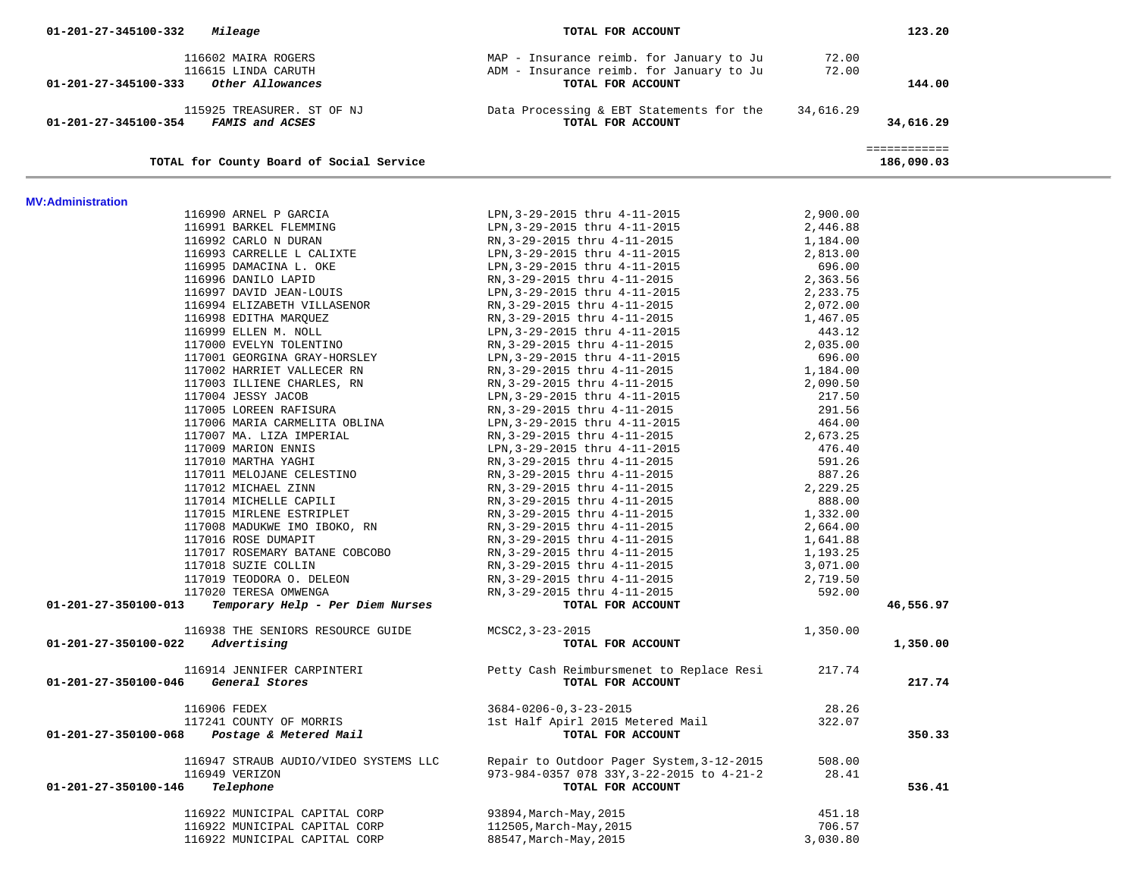| 01-201-27-345100-332<br>Mileage                          | TOTAL FOR ACCOUNT                                                                          |                      | 123.20                     |  |
|----------------------------------------------------------|--------------------------------------------------------------------------------------------|----------------------|----------------------------|--|
|                                                          |                                                                                            |                      |                            |  |
| 116602 MAIRA ROGERS<br>116615 LINDA CARUTH               | MAP - Insurance reimb. for January to Ju 72.00<br>ADM - Insurance reimb. for January to Ju | 72.00                |                            |  |
| 01-201-27-345100-333<br>Other Allowances                 | TOTAL FOR ACCOUNT                                                                          |                      | 144.00                     |  |
|                                                          |                                                                                            |                      |                            |  |
| 115925 TREASURER. ST OF NJ                               | Data Processing & EBT Statements for the 34,616.29                                         |                      |                            |  |
| 01-201-27-345100-354 FAMIS and ACSES                     | TOTAL FOR ACCOUNT                                                                          |                      | 34,616.29                  |  |
|                                                          |                                                                                            |                      |                            |  |
| TOTAL for County Board of Social Service                 |                                                                                            |                      | ============<br>186,090.03 |  |
|                                                          |                                                                                            |                      |                            |  |
|                                                          |                                                                                            |                      |                            |  |
| <b>MV:Administration</b>                                 |                                                                                            |                      |                            |  |
| 116990 ARNEL P GARCIA                                    | LPN, 3-29-2015 thru 4-11-2015<br>LPN,3-29-2015 thru 4-11-2015                              | 2,900.00<br>2,446.88 |                            |  |
| 116991 BARKEL FLEMMING<br>116992 CARLO N DURAN           | RN,3-29-2015 thru 4-11-2015                                                                | 1,184.00             |                            |  |
| 116993 CARRELLE L CALIXTE                                | LPN, 3-29-2015 thru 4-11-2015                                                              | 2,813.00             |                            |  |
| 116995 DAMACINA L. OKE                                   | LPN,3-29-2015 thru 4-11-2015                                                               | 696.00               |                            |  |
| 116996 DANILO LAPID                                      | RN,3-29-2015 thru 4-11-2015                                                                | 2,363.56             |                            |  |
| 116997 DAVID JEAN-LOUIS                                  | LPN, 3-29-2015 thru 4-11-2015                                                              | 2,233.75             |                            |  |
| 116994 ELIZABETH VILLASENOR                              | RN, 3-29-2015 thru 4-11-2015                                                               | 2,072.00             |                            |  |
| 116998 EDITHA MARQUEZ                                    | RN, 3-29-2015 thru 4-11-2015                                                               | 1,467.05             |                            |  |
| 116999 ELLEN M. NOLL                                     | LPN, 3-29-2015 thru 4-11-2015                                                              | 443.12               |                            |  |
| 117000 EVELYN TOLENTINO                                  | RN, 3-29-2015 thru 4-11-2015                                                               | 2,035.00             |                            |  |
| 117001 GEORGINA GRAY-HORSLEY                             | LPN, 3-29-2015 thru 4-11-2015                                                              | 696.00               |                            |  |
| 117002 HARRIET VALLECER RN                               | RN, 3-29-2015 thru 4-11-2015                                                               | 1,184.00             |                            |  |
| 117003 ILLIENE CHARLES, RN                               | RN, 3-29-2015 thru 4-11-2015                                                               | 2,090.50             |                            |  |
| 117004 JESSY JACOB                                       | LPN,3-29-2015 thru 4-11-2015                                                               | 217.50               |                            |  |
| 117005 LOREEN RAFISURA                                   | RN,3-29-2015 thru 4-11-2015                                                                | 291.56               |                            |  |
| 117006 MARIA CARMELITA OBLINA                            | LPN, 3-29-2015 thru 4-11-2015<br>RN, 3-29-2015 thru 4-11-2015                              | 464.00               |                            |  |
| 117007 MA. LIZA IMPERIAL<br>117009 MARION ENNIS          | LPN, 3-29-2015 thru 4-11-2015                                                              | 2,673.25<br>476.40   |                            |  |
| 117010 MARTHA YAGHI                                      | RN,3-29-2015 thru 4-11-2015                                                                | 591.26               |                            |  |
| 117011 MELOJANE CELESTINO                                | RN,3-29-2015 thru 4-11-2015                                                                | 887.26               |                            |  |
| 117012 MICHAEL ZINN                                      | RN,3-29-2015 thru 4-11-2015                                                                | 2,229.25             |                            |  |
| 117014 MICHELLE CAPILI                                   | RN,3-29-2015 thru 4-11-2015                                                                | 888.00               |                            |  |
| 117015 MIRLENE ESTRIPLET                                 | RN, 3-29-2015 thru 4-11-2015                                                               | 1,332.00             |                            |  |
| 117008 MADUKWE IMO IBOKO, RN                             | RN,3-29-2015 thru 4-11-2015                                                                | 2,664.00             |                            |  |
| 117016 ROSE DUMAPIT                                      | RN, 3-29-2015 thru 4-11-2015                                                               | 1,641.88             |                            |  |
| 117017 ROSEMARY BATANE COBCOBO                           | RN,3-29-2015 thru 4-11-2015                                                                | 1,193.25             |                            |  |
| 117018 SUZIE COLLIN                                      | RN, 3-29-2015 thru 4-11-2015                                                               | 3,071.00             |                            |  |
| 117019 TEODORA O. DELEON                                 | RN, 3-29-2015 thru 4-11-2015                                                               | 2,719.50             |                            |  |
| 117020 TERESA OMWENGA                                    | RN, 3-29-2015 thru 4-11-2015                                                               | 592.00               |                            |  |
| Temporary Help - Per Diem Nurses<br>01-201-27-350100-013 | TOTAL FOR ACCOUNT                                                                          |                      | 46,556.97                  |  |
| 116938 THE SENIORS RESOURCE GUIDE                        | MCSC2,3-23-2015                                                                            | 1,350.00             |                            |  |
| Advertising<br>01-201-27-350100-022                      | TOTAL FOR ACCOUNT                                                                          |                      | 1,350.00                   |  |
|                                                          |                                                                                            |                      |                            |  |
| 116914 JENNIFER CARPINTERI                               | Petty Cash Reimbursmenet to Replace Resi                                                   | 217.74               |                            |  |
| General Stores<br>01-201-27-350100-046                   | TOTAL FOR ACCOUNT                                                                          |                      | 217.74                     |  |
| 116906 FEDEX                                             | $3684 - 0206 - 0, 3 - 23 - 2015$                                                           | 28.26                |                            |  |
| 117241 COUNTY OF MORRIS                                  | 1st Half Apirl 2015 Metered Mail                                                           | 322.07               |                            |  |
| Postage & Metered Mail<br>01-201-27-350100-068           | TOTAL FOR ACCOUNT                                                                          |                      | 350.33                     |  |
|                                                          |                                                                                            |                      |                            |  |
| 116947 STRAUB AUDIO/VIDEO SYSTEMS LLC                    | Repair to Outdoor Pager System, 3-12-2015                                                  | 508.00               |                            |  |
| 116949 VERIZON<br>01-201-27-350100-146<br>Telephone      | 973-984-0357 078 33Y, 3-22-2015 to 4-21-2                                                  | 28.41                | 536.41                     |  |
|                                                          | TOTAL FOR ACCOUNT                                                                          |                      |                            |  |
| 116922 MUNICIPAL CAPITAL CORP                            | 93894, March-May, 2015                                                                     | 451.18               |                            |  |
| 116922 MUNICIPAL CAPITAL CORP                            | 112505, March-May, 2015                                                                    | 706.57               |                            |  |
| 116922 MUNICIPAL CAPITAL CORP                            | 88547, March-May, 2015                                                                     | 3,030.80             |                            |  |
|                                                          |                                                                                            |                      |                            |  |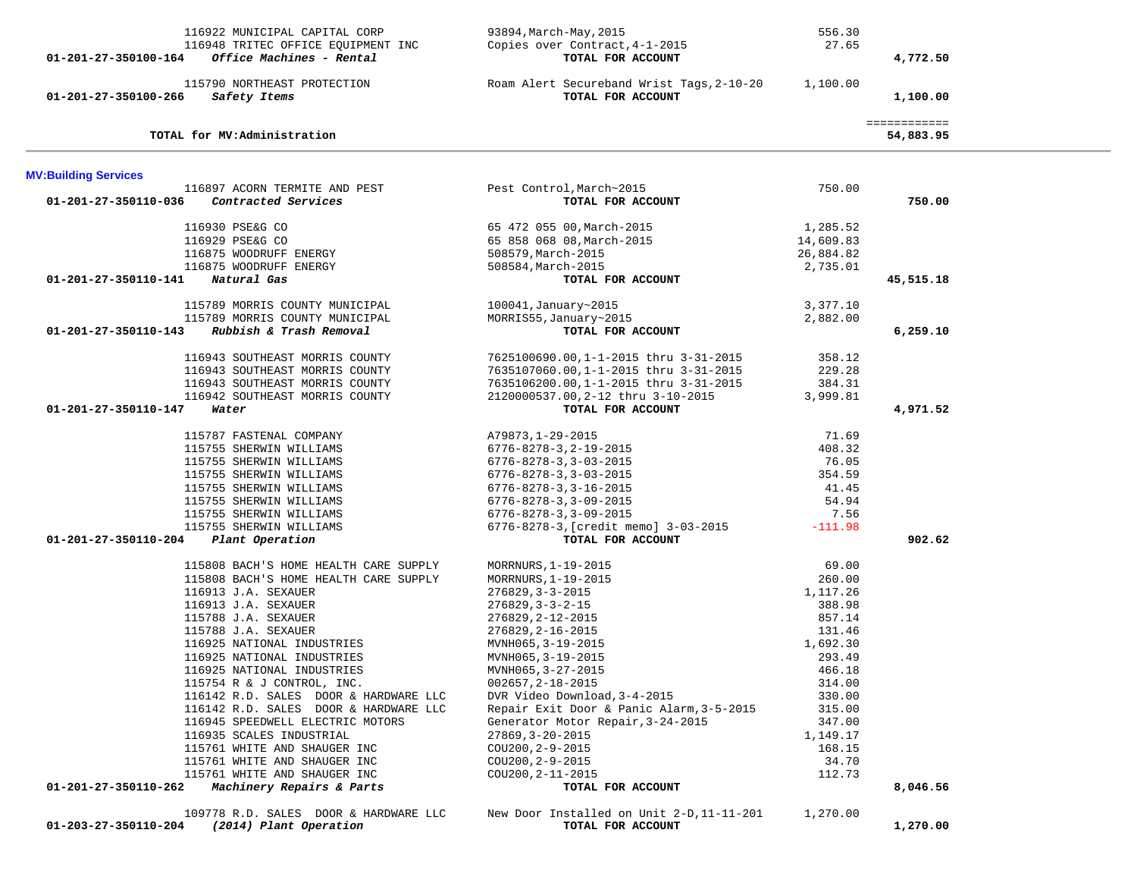| 116922 MUNICIPAL CAPITAL CORP                                                           | 93894,March-May,2015                                           | 556.30    |              |  |
|-----------------------------------------------------------------------------------------|----------------------------------------------------------------|-----------|--------------|--|
| 116948 TRITEC OFFICE EQUIPMENT INC                                                      | Copies over Contract, 4-1-2015                                 | 27.65     |              |  |
| Office Machines - Rental<br>01-201-27-350100-164                                        | TOTAL FOR ACCOUNT                                              |           | 4,772.50     |  |
| 115790 NORTHEAST PROTECTION                                                             |                                                                |           |              |  |
| 01-201-27-350100-266<br>Safety Items                                                    | Roam Alert Secureband Wrist Tags, 2-10-20<br>TOTAL FOR ACCOUNT | 1,100.00  | 1,100.00     |  |
|                                                                                         |                                                                |           |              |  |
|                                                                                         |                                                                |           | ============ |  |
| TOTAL for MV:Administration                                                             |                                                                |           | 54,883.95    |  |
| <b>MV:Building Services</b>                                                             |                                                                |           |              |  |
| 116897 ACORN TERMITE AND PEST                                                           | Pest Control,March~2015                                        | 750.00    |              |  |
| Contracted Services<br>01-201-27-350110-036                                             | TOTAL FOR ACCOUNT                                              |           | 750.00       |  |
|                                                                                         |                                                                | 1,285.52  |              |  |
| 116930 PSE&G CO                                                                         | 65 472 055 00, March-2015                                      |           |              |  |
| 116929 PSE&G CO                                                                         | 65 858 068 08, March-2015                                      | 14,609.83 |              |  |
| 116875 WOODRUFF ENERGY                                                                  | 508579, March-2015                                             | 26,884.82 |              |  |
| 116875 WOODRUFF ENERGY                                                                  | 508584, March-2015                                             | 2,735.01  |              |  |
| 01-201-27-350110-141<br>Natural Gas                                                     | TOTAL FOR ACCOUNT                                              |           | 45,515.18    |  |
| 115789 MORRIS COUNTY MUNICIPAL                                                          | 100041, January~2015                                           | 3,377.10  |              |  |
| 115789 MORRIS COUNTY MUNICIPAL                                                          | MORRIS55, January~2015                                         | 2,882.00  |              |  |
| Rubbish & Trash Removal<br>01-201-27-350110-143                                         | TOTAL FOR ACCOUNT                                              |           | 6,259.10     |  |
| 116943 SOUTHEAST MORRIS COUNTY                                                          |                                                                | 358.12    |              |  |
| 116943 SOUTHEAST MORRIS COUNTY                                                          | 7625100690.00,1-1-2015 thru 3-31-2015                          | 229.28    |              |  |
|                                                                                         | 7635107060.00,1-1-2015 thru 3-31-2015                          | 384.31    |              |  |
| 116943 SOUTHEAST MORRIS COUNTY                                                          | 7635106200.00,1-1-2015 thru 3-31-2015                          |           |              |  |
| 116942 SOUTHEAST MORRIS COUNTY                                                          | 2120000537.00, 2-12 thru 3-10-2015                             | 3,999.81  |              |  |
| 01-201-27-350110-147<br>Water                                                           | TOTAL FOR ACCOUNT                                              |           | 4,971.52     |  |
| 115787 FASTENAL COMPANY                                                                 | A79873, 1-29-2015                                              | 71.69     |              |  |
| 115755 SHERWIN WILLIAMS                                                                 | $6776 - 8278 - 3, 2 - 19 - 2015$                               | 408.32    |              |  |
| 115755 SHERWIN WILLIAMS                                                                 | $6776 - 8278 - 3, 3 - 03 - 2015$                               | 76.05     |              |  |
| 115755 SHERWIN WILLIAMS                                                                 | $6776 - 8278 - 3, 3 - 03 - 2015$                               | 354.59    |              |  |
| 115755 SHERWIN WILLIAMS                                                                 | $6776 - 8278 - 3, 3 - 16 - 2015$                               | 41.45     |              |  |
| 115755 SHERWIN WILLIAMS                                                                 | $6776 - 8278 - 3, 3 - 09 - 2015$                               | 54.94     |              |  |
| 115755 SHERWIN WILLIAMS                                                                 | $6776 - 8278 - 3, 3 - 09 - 2015$                               | 7.56      |              |  |
| 115755 SHERWIN WILLIAMS                                                                 | 6776-8278-3, [credit memo] 3-03-2015                           | $-111.98$ |              |  |
| 01-201-27-350110-204 Plant Operation                                                    | TOTAL FOR ACCOUNT                                              |           | 902.62       |  |
| 115808 BACH'S HOME HEALTH CARE SUPPLY                                                   | MORRNURS, 1-19-2015                                            | 69.00     |              |  |
| 115808 BACH'S HOME HEALTH CARE SUPPLY                                                   | MORRNURS, 1-19-2015                                            | 260.00    |              |  |
| 116913 J.A. SEXAUER                                                                     | $276829, 3 - 3 - 2015$                                         | 1,117.26  |              |  |
| 116913 J.A. SEXAUER                                                                     | $276829, 3 - 3 - 2 - 15$                                       | 388.98    |              |  |
| 115788 J.A. SEXAUER                                                                     | 276829, 2-12-2015                                              | 857.14    |              |  |
| 115788 J.A. SEXAUER                                                                     | 276829, 2-16-2015                                              | 131.46    |              |  |
| 116925 NATIONAL INDUSTRIES                                                              | MVNH065, 3-19-2015                                             | 1,692.30  |              |  |
| 116925 NATIONAL INDUSTRIES                                                              | MVNH065, 3-19-2015                                             | 293.49    |              |  |
| 116925 NATIONAL INDUSTRIES                                                              | MVNH065, 3-27-2015                                             | 466.18    |              |  |
| 115754 R & J CONTROL, INC.                                                              | $002657, 2 - 18 - 2015$                                        | 314.00    |              |  |
| 116142 R.D. SALES DOOR & HARDWARE LLC                                                   | DVR Video Download, 3-4-2015                                   | 330.00    |              |  |
| 116142 R.D. SALES DOOR & HARDWARE LLC                                                   | Repair Exit Door & Panic Alarm, 3-5-2015                       | 315.00    |              |  |
| 116945 SPEEDWELL ELECTRIC MOTORS                                                        | Generator Motor Repair, 3-24-2015                              | 347.00    |              |  |
| 116935 SCALES INDUSTRIAL                                                                | 27869, 3-20-2015                                               | 1,149.17  |              |  |
| 115761 WHITE AND SHAUGER INC                                                            | COU200, 2-9-2015                                               | 168.15    |              |  |
| 115761 WHITE AND SHAUGER INC                                                            | COU200, 2-9-2015                                               | 34.70     |              |  |
| 115761 WHITE AND SHAUGER INC                                                            | COU200, 2-11-2015                                              | 112.73    |              |  |
| 01-201-27-350110-262<br>Machinery Repairs & Parts                                       | TOTAL FOR ACCOUNT                                              |           | 8,046.56     |  |
|                                                                                         |                                                                |           |              |  |
| 109778 R.D. SALES DOOR & HARDWARE LLC<br>(2014) Plant Operation<br>01-203-27-350110-204 | New Door Installed on Unit 2-D, 11-11-201<br>TOTAL FOR ACCOUNT | 1,270.00  | 1,270.00     |  |
|                                                                                         |                                                                |           |              |  |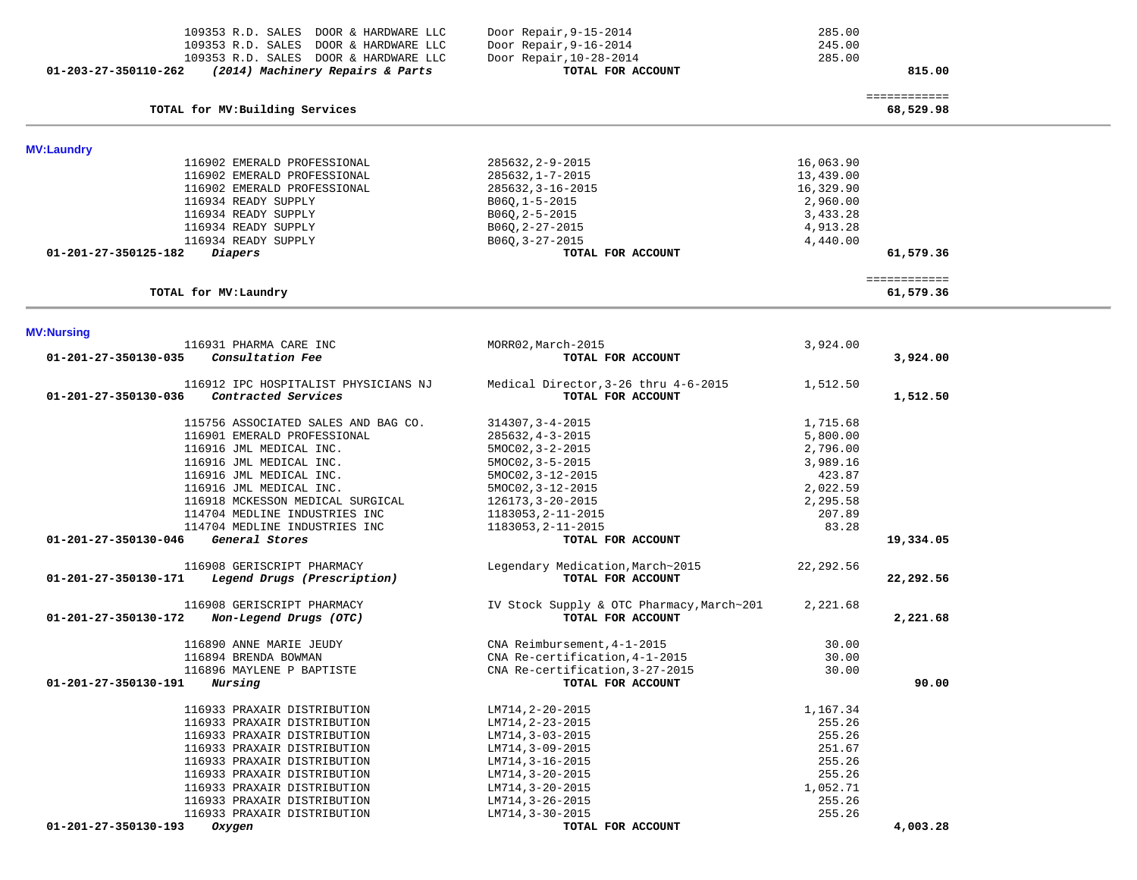| 109353 R.D. SALES DOOR & HARDWARE LLC                    | Door Repair, 9-15-2014                    | 285.00     |              |  |
|----------------------------------------------------------|-------------------------------------------|------------|--------------|--|
| 109353 R.D. SALES DOOR & HARDWARE LLC                    | Door Repair, 9-16-2014                    | 245.00     |              |  |
| 109353 R.D. SALES DOOR & HARDWARE LLC                    | Door Repair, 10-28-2014                   | 285.00     |              |  |
| 01-203-27-350110-262<br>(2014) Machinery Repairs & Parts | TOTAL FOR ACCOUNT                         |            | 815.00       |  |
|                                                          |                                           |            | ============ |  |
| TOTAL for MV: Building Services                          |                                           |            | 68,529.98    |  |
| <b>MV:Laundry</b>                                        |                                           |            |              |  |
| 116902 EMERALD PROFESSIONAL                              | 285632, 2-9-2015                          | 16,063.90  |              |  |
| 116902 EMERALD PROFESSIONAL                              | 285632, 1-7-2015                          | 13,439.00  |              |  |
| 116902 EMERALD PROFESSIONAL                              | 285632, 3-16-2015                         | 16,329.90  |              |  |
| 116934 READY SUPPLY                                      | $B06Q, 1 - 5 - 2015$                      | 2,960.00   |              |  |
| 116934 READY SUPPLY                                      | $B06Q, 2-5-2015$                          | 3,433.28   |              |  |
| 116934 READY SUPPLY                                      | $B06Q, 2-27-2015$                         | 4,913.28   |              |  |
| 116934 READY SUPPLY                                      | $B06Q, 3-27-2015$                         | 4,440.00   |              |  |
| Diapers<br>01-201-27-350125-182                          | TOTAL FOR ACCOUNT                         |            | 61,579.36    |  |
|                                                          |                                           |            | ============ |  |
| TOTAL for MV: Laundry                                    |                                           |            | 61,579.36    |  |
|                                                          |                                           |            |              |  |
| <b>MV:Nursing</b><br>116931 PHARMA CARE INC              | MORR02, March-2015                        | 3,924.00   |              |  |
| 01-201-27-350130-035<br>Consultation Fee                 | TOTAL FOR ACCOUNT                         |            | 3,924.00     |  |
|                                                          |                                           |            |              |  |
| 116912 IPC HOSPITALIST PHYSICIANS NJ                     | Medical Director, 3-26 thru 4-6-2015      | 1,512.50   |              |  |
| 01-201-27-350130-036<br>Contracted Services              | TOTAL FOR ACCOUNT                         |            | 1,512.50     |  |
|                                                          |                                           |            |              |  |
| 115756 ASSOCIATED SALES AND BAG CO.                      | 314307, 3-4-2015                          | 1,715.68   |              |  |
| 116901 EMERALD PROFESSIONAL                              | $285632, 4-3-2015$                        | 5,800.00   |              |  |
| 116916 JML MEDICAL INC.                                  | $5MOCO2, 3-2-2015$                        | 2,796.00   |              |  |
| 116916 JML MEDICAL INC.                                  | $5MOCO2, 3-5-2015$                        | 3,989.16   |              |  |
| 116916 JML MEDICAL INC.                                  | 5MOC02, 3-12-2015                         | 423.87     |              |  |
| 116916 JML MEDICAL INC.                                  | $5MOCO2, 3-12-2015$                       | 2,022.59   |              |  |
| 116918 MCKESSON MEDICAL SURGICAL                         | 126173, 3-20-2015                         | 2,295.58   |              |  |
| 114704 MEDLINE INDUSTRIES INC                            | 1183053, 2-11-2015                        | 207.89     |              |  |
| 114704 MEDLINE INDUSTRIES INC                            | 1183053, 2-11-2015                        | 83.28      |              |  |
| 01-201-27-350130-046<br>General Stores                   | TOTAL FOR ACCOUNT                         |            | 19,334.05    |  |
| 116908 GERISCRIPT PHARMACY                               | Legendary Medication, March~2015          | 22, 292.56 |              |  |
| Legend Drugs (Prescription)<br>01-201-27-350130-171      | TOTAL FOR ACCOUNT                         |            | 22,292.56    |  |
| 116908 GERISCRIPT PHARMACY                               | IV Stock Supply & OTC Pharmacy, March~201 | 2,221.68   |              |  |
| Non-Legend Drugs (OTC)<br>01-201-27-350130-172           | TOTAL FOR ACCOUNT                         |            | 2,221.68     |  |
|                                                          |                                           |            |              |  |
| 116890 ANNE MARIE JEUDY                                  | CNA Reimbursement, 4-1-2015               | 30.00      |              |  |
| 116894 BRENDA BOWMAN                                     | CNA Re-certification, 4-1-2015            | 30.00      |              |  |
| 116896 MAYLENE P BAPTISTE                                | CNA Re-certification, 3-27-2015           | 30.00      |              |  |
| 01-201-27-350130-191<br>Nursing                          | TOTAL FOR ACCOUNT                         |            | 90.00        |  |
|                                                          |                                           |            |              |  |
| 116933 PRAXAIR DISTRIBUTION                              | LM714, 2-20-2015                          | 1,167.34   |              |  |
| 116933 PRAXAIR DISTRIBUTION                              | LM714, 2-23-2015                          | 255.26     |              |  |
| 116933 PRAXAIR DISTRIBUTION                              | LM714, 3-03-2015                          | 255.26     |              |  |
| 116933 PRAXAIR DISTRIBUTION                              | LM714, 3-09-2015                          | 251.67     |              |  |
| 116933 PRAXAIR DISTRIBUTION                              | LM714, 3-16-2015                          | 255.26     |              |  |
| 116933 PRAXAIR DISTRIBUTION                              | $LM714, 3-20-2015$                        | 255.26     |              |  |
| 116933 PRAXAIR DISTRIBUTION                              | LM714, 3-20-2015                          | 1,052.71   |              |  |
| 116933 PRAXAIR DISTRIBUTION                              | LM714, 3-26-2015                          | 255.26     |              |  |
| 116933 PRAXAIR DISTRIBUTION                              | LM714, 3-30-2015                          | 255.26     |              |  |
| 01-201-27-350130-193<br>Oxygen                           | TOTAL FOR ACCOUNT                         |            | 4,003.28     |  |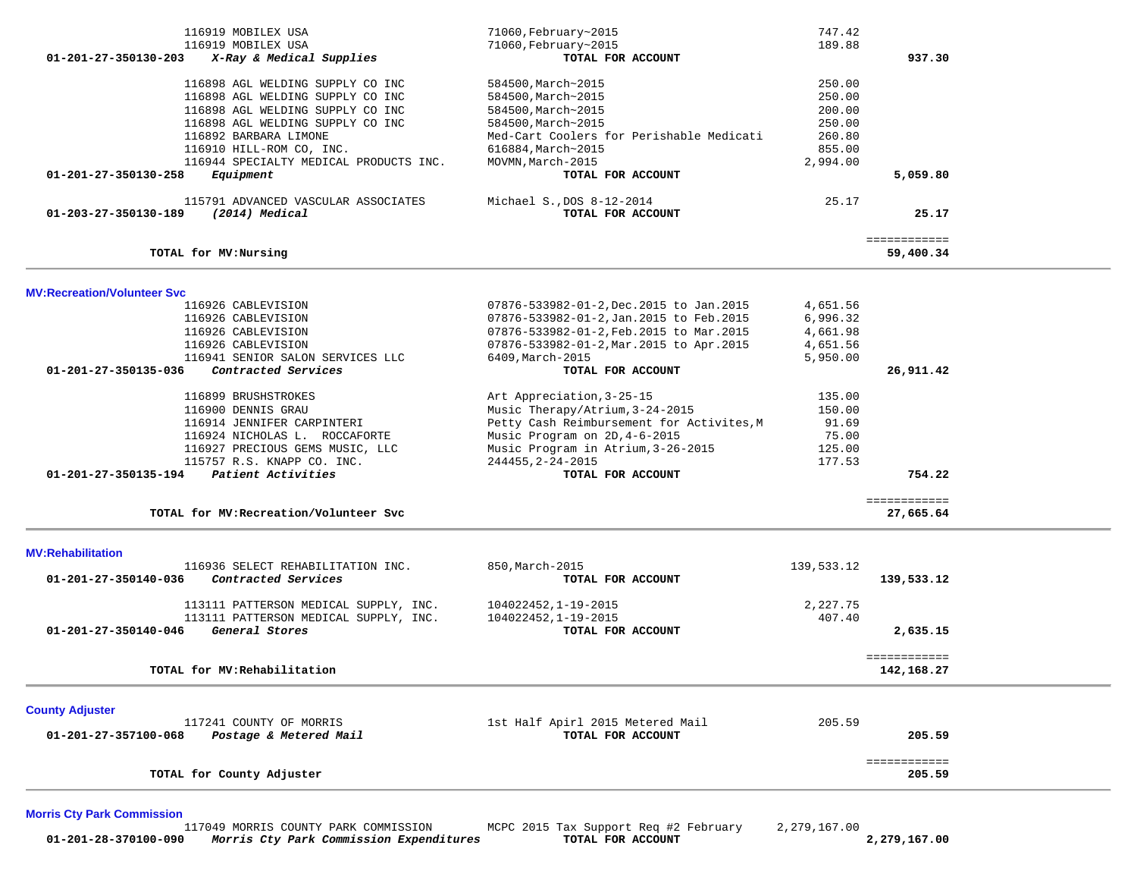| 116919 MOBILEX USA                                            | 71060, February~2015                      | 747.42     |                            |  |
|---------------------------------------------------------------|-------------------------------------------|------------|----------------------------|--|
| 116919 MOBILEX USA                                            | 71060, February~2015                      | 189.88     |                            |  |
| 01-201-27-350130-203<br>X-Ray & Medical Supplies              | TOTAL FOR ACCOUNT                         |            | 937.30                     |  |
|                                                               |                                           |            |                            |  |
| 116898 AGL WELDING SUPPLY CO INC                              | 584500, March~2015                        | 250.00     |                            |  |
| 116898 AGL WELDING SUPPLY CO INC                              | 584500, March~2015                        | 250.00     |                            |  |
| 116898 AGL WELDING SUPPLY CO INC                              | 584500, March~2015                        | 200.00     |                            |  |
|                                                               |                                           |            |                            |  |
| 116898 AGL WELDING SUPPLY CO INC                              | 584500, March~2015                        | 250.00     |                            |  |
| 116892 BARBARA LIMONE                                         | Med-Cart Coolers for Perishable Medicati  | 260.80     |                            |  |
| 116910 HILL-ROM CO, INC.                                      | 616884, March~2015                        | 855.00     |                            |  |
| 116944 SPECIALTY MEDICAL PRODUCTS INC.                        | MOVMN, March-2015                         | 2,994.00   |                            |  |
| 01-201-27-350130-258<br>Equipment                             | TOTAL FOR ACCOUNT                         |            | 5,059.80                   |  |
|                                                               |                                           |            |                            |  |
| 115791 ADVANCED VASCULAR ASSOCIATES                           | Michael S., DOS 8-12-2014                 | 25.17      |                            |  |
| 01-203-27-350130-189<br>(2014) Medical                        | TOTAL FOR ACCOUNT                         |            | 25.17                      |  |
|                                                               |                                           |            | ============               |  |
| TOTAL for MV:Nursing                                          |                                           |            | 59,400.34                  |  |
|                                                               |                                           |            |                            |  |
| <b>MV:Recreation/Volunteer Svc</b>                            |                                           |            |                            |  |
| 116926 CABLEVISION                                            | 07876-533982-01-2, Dec. 2015 to Jan. 2015 | 4,651.56   |                            |  |
| 116926 CABLEVISION                                            | 07876-533982-01-2, Jan. 2015 to Feb. 2015 | 6,996.32   |                            |  |
| 116926 CABLEVISION                                            | 07876-533982-01-2, Feb. 2015 to Mar. 2015 | 4,661.98   |                            |  |
| 116926 CABLEVISION                                            | 07876-533982-01-2, Mar. 2015 to Apr. 2015 | 4,651.56   |                            |  |
| 116941 SENIOR SALON SERVICES LLC                              | 6409, March-2015                          | 5,950.00   |                            |  |
| 01-201-27-350135-036<br>Contracted Services                   | TOTAL FOR ACCOUNT                         |            | 26,911.42                  |  |
|                                                               |                                           |            |                            |  |
| 116899 BRUSHSTROKES                                           | Art Appreciation, 3-25-15                 | 135.00     |                            |  |
| 116900 DENNIS GRAU                                            | Music Therapy/Atrium, 3-24-2015           | 150.00     |                            |  |
|                                                               |                                           | 91.69      |                            |  |
| 116914 JENNIFER CARPINTERI                                    | Petty Cash Reimbursement for Activites, M |            |                            |  |
| 116924 NICHOLAS L. ROCCAFORTE                                 | Music Program on 2D, 4-6-2015             | 75.00      |                            |  |
| 116927 PRECIOUS GEMS MUSIC, LLC                               | Music Program in Atrium, 3-26-2015        | 125.00     |                            |  |
| 115757 R.S. KNAPP CO. INC.                                    | 244455, 2-24-2015                         | 177.53     |                            |  |
| Patient Activities<br>01-201-27-350135-194                    | TOTAL FOR ACCOUNT                         |            | 754.22                     |  |
|                                                               |                                           |            | ============               |  |
| TOTAL for MV: Recreation/Volunteer Svc                        |                                           |            | 27,665.64                  |  |
|                                                               |                                           |            |                            |  |
| <b>MV:Rehabilitation</b><br>116936 SELECT REHABILITATION INC. | 850, March-2015                           | 139,533.12 |                            |  |
|                                                               |                                           |            |                            |  |
| Contracted Services<br>01-201-27-350140-036                   | TOTAL FOR ACCOUNT                         |            | 139,533.12                 |  |
| 113111 PATTERSON MEDICAL SUPPLY, INC.                         | 104022452, 1-19-2015                      | 2,227.75   |                            |  |
| 113111 PATTERSON MEDICAL SUPPLY, INC.                         | 104022452.1-19-2015                       | 407.40     |                            |  |
| General Stores<br>01-201-27-350140-046                        |                                           |            | 2,635.15                   |  |
|                                                               | TOTAL FOR ACCOUNT                         |            |                            |  |
| TOTAL for MV: Rehabilitation                                  |                                           |            | ============<br>142,168.27 |  |
|                                                               |                                           |            |                            |  |
| <b>County Adjuster</b>                                        |                                           |            |                            |  |
| 117241 COUNTY OF MORRIS                                       | 1st Half Apirl 2015 Metered Mail          | 205.59     |                            |  |
| 01-201-27-357100-068<br>Postage & Metered Mail                | TOTAL FOR ACCOUNT                         |            | 205.59                     |  |
|                                                               |                                           |            |                            |  |
|                                                               |                                           |            | ============               |  |
| TOTAL for County Adjuster                                     |                                           |            | 205.59                     |  |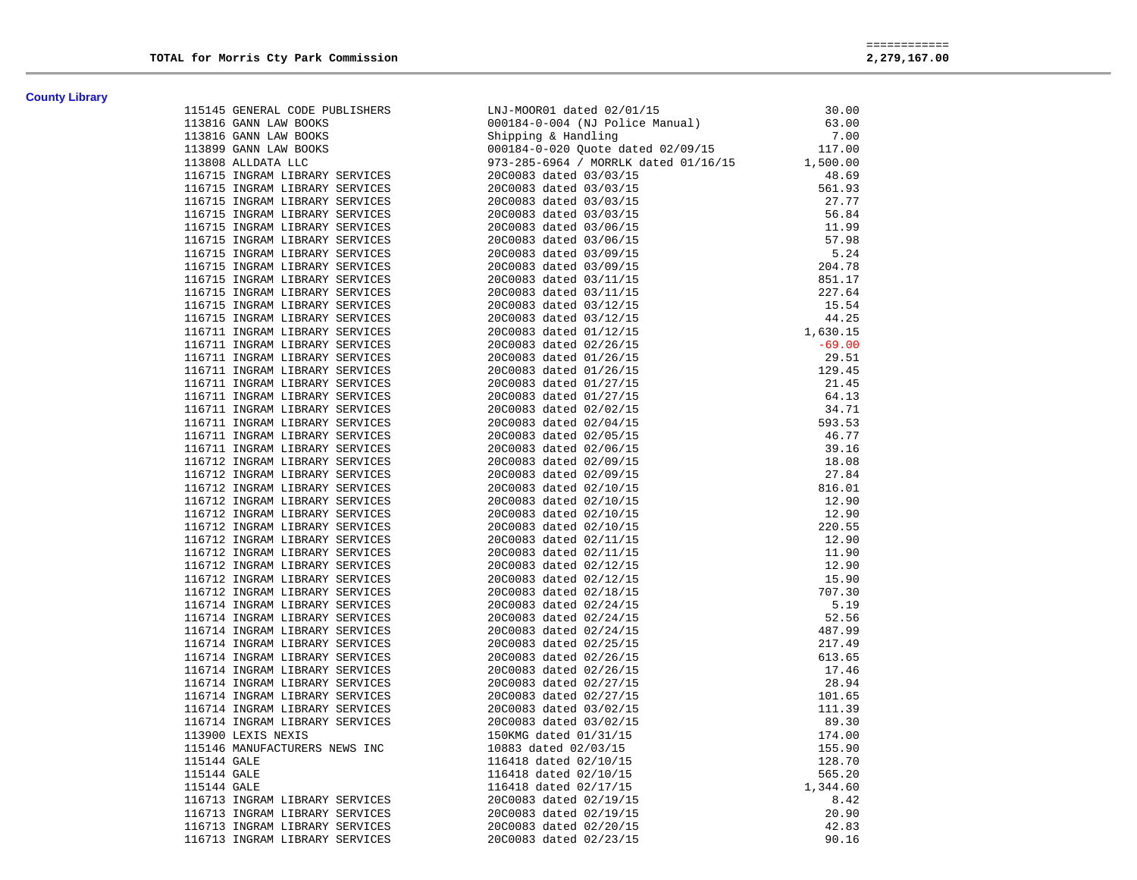**County Library** 

|  | 1118145 convex convertises and the according to the state of the state of the state of the state of the state of the state of the state of the state of the state of the state of the state of the state of the state of the |  |
|--|------------------------------------------------------------------------------------------------------------------------------------------------------------------------------------------------------------------------------|--|
|  |                                                                                                                                                                                                                              |  |
|  |                                                                                                                                                                                                                              |  |
|  |                                                                                                                                                                                                                              |  |
|  |                                                                                                                                                                                                                              |  |
|  |                                                                                                                                                                                                                              |  |
|  |                                                                                                                                                                                                                              |  |
|  |                                                                                                                                                                                                                              |  |
|  |                                                                                                                                                                                                                              |  |
|  |                                                                                                                                                                                                                              |  |
|  |                                                                                                                                                                                                                              |  |
|  |                                                                                                                                                                                                                              |  |
|  |                                                                                                                                                                                                                              |  |
|  |                                                                                                                                                                                                                              |  |
|  |                                                                                                                                                                                                                              |  |
|  |                                                                                                                                                                                                                              |  |
|  |                                                                                                                                                                                                                              |  |
|  |                                                                                                                                                                                                                              |  |
|  |                                                                                                                                                                                                                              |  |
|  |                                                                                                                                                                                                                              |  |
|  |                                                                                                                                                                                                                              |  |
|  |                                                                                                                                                                                                                              |  |
|  |                                                                                                                                                                                                                              |  |
|  |                                                                                                                                                                                                                              |  |
|  |                                                                                                                                                                                                                              |  |
|  |                                                                                                                                                                                                                              |  |
|  |                                                                                                                                                                                                                              |  |
|  |                                                                                                                                                                                                                              |  |
|  |                                                                                                                                                                                                                              |  |
|  |                                                                                                                                                                                                                              |  |
|  |                                                                                                                                                                                                                              |  |
|  |                                                                                                                                                                                                                              |  |
|  |                                                                                                                                                                                                                              |  |
|  |                                                                                                                                                                                                                              |  |
|  |                                                                                                                                                                                                                              |  |
|  |                                                                                                                                                                                                                              |  |
|  |                                                                                                                                                                                                                              |  |
|  |                                                                                                                                                                                                                              |  |
|  |                                                                                                                                                                                                                              |  |
|  |                                                                                                                                                                                                                              |  |
|  |                                                                                                                                                                                                                              |  |
|  |                                                                                                                                                                                                                              |  |
|  |                                                                                                                                                                                                                              |  |
|  |                                                                                                                                                                                                                              |  |
|  |                                                                                                                                                                                                                              |  |
|  |                                                                                                                                                                                                                              |  |
|  |                                                                                                                                                                                                                              |  |
|  |                                                                                                                                                                                                                              |  |
|  |                                                                                                                                                                                                                              |  |
|  |                                                                                                                                                                                                                              |  |
|  |                                                                                                                                                                                                                              |  |
|  |                                                                                                                                                                                                                              |  |
|  |                                                                                                                                                                                                                              |  |
|  |                                                                                                                                                                                                                              |  |
|  |                                                                                                                                                                                                                              |  |
|  |                                                                                                                                                                                                                              |  |
|  |                                                                                                                                                                                                                              |  |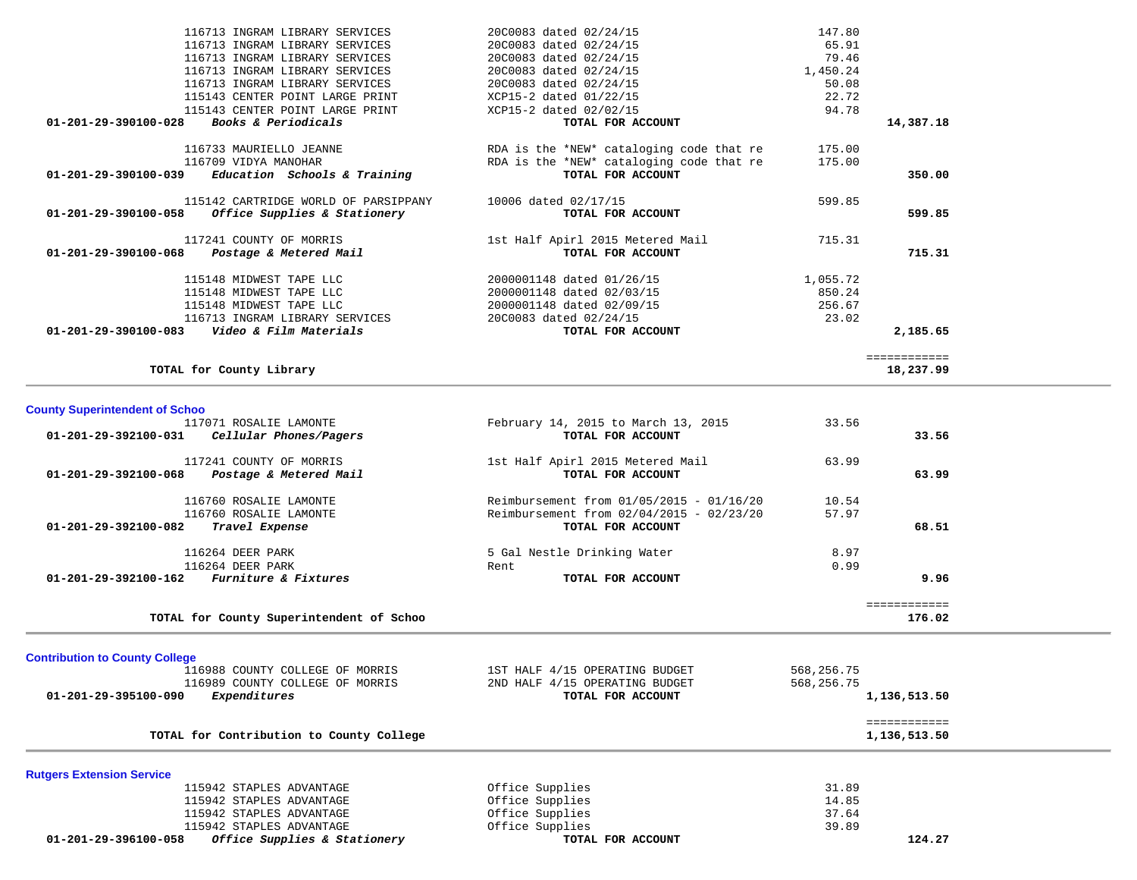| 115942 STAPLES ADVANTAGE<br>115942 STAPLES ADVANTAGE<br>01-201-29-396100-058<br>Office Supplies & Stationery   | Office Supplies<br>Office Supplies<br>TOTAL FOR ACCOUNT                                                   | 37.64<br>39.89               | 124.27                       |  |
|----------------------------------------------------------------------------------------------------------------|-----------------------------------------------------------------------------------------------------------|------------------------------|------------------------------|--|
| <b>Rutgers Extension Service</b><br>115942 STAPLES ADVANTAGE<br>115942 STAPLES ADVANTAGE                       | Office Supplies<br>Office Supplies                                                                        | 31.89<br>14.85               |                              |  |
| TOTAL for Contribution to County College                                                                       |                                                                                                           |                              | ============<br>1,136,513.50 |  |
| 116989 COUNTY COLLEGE OF MORRIS<br>Expenditures<br>01-201-29-395100-090                                        | 2ND HALF 4/15 OPERATING BUDGET<br>TOTAL FOR ACCOUNT                                                       | 568,256.75                   | 1,136,513.50                 |  |
| <b>Contribution to County College</b><br>116988 COUNTY COLLEGE OF MORRIS                                       | 1ST HALF 4/15 OPERATING BUDGET                                                                            | 568,256.75                   |                              |  |
| TOTAL for County Superintendent of Schoo                                                                       |                                                                                                           |                              | 176.02                       |  |
|                                                                                                                |                                                                                                           |                              | ============                 |  |
| 116264 DEER PARK<br>116264 DEER PARK<br>01-201-29-392100-162 Furniture & Fixtures                              | 5 Gal Nestle Drinking Water<br>Rent<br>TOTAL FOR ACCOUNT                                                  | 8.97<br>0.99                 | 9.96                         |  |
| 116760 ROSALIE LAMONTE<br>116760 ROSALIE LAMONTE<br>01-201-29-392100-082 Travel Expense                        | Reimbursement from 01/05/2015 - 01/16/20<br>Reimbursement from 02/04/2015 - 02/23/20<br>TOTAL FOR ACCOUNT | 10.54<br>57.97               | 68.51                        |  |
| 117241 COUNTY OF MORRIS<br>Postage & Metered Mail<br>01-201-29-392100-068                                      | 1st Half Apirl 2015 Metered Mail<br>TOTAL FOR ACCOUNT                                                     | 63.99                        | 63.99                        |  |
| <b>County Superintendent of Schoo</b><br>117071 ROSALIE LAMONTE<br>01-201-29-392100-031 Cellular Phones/Pagers | February 14, 2015 to March 13, 2015<br>TOTAL FOR ACCOUNT                                                  | 33.56                        | 33.56                        |  |
| TOTAL for County Library                                                                                       |                                                                                                           |                              | ============<br>18,237.99    |  |
| 116713 INGRAM LIBRARY SERVICES<br>01-201-29-390100-083    Video & Film Materials                               | 20C0083 dated 02/24/15<br>TOTAL FOR ACCOUNT                                                               | 23.02                        | 2,185.65                     |  |
| 115148 MIDWEST TAPE LLC<br>115148 MIDWEST TAPE LLC<br>115148 MIDWEST TAPE LLC                                  | 2000001148 dated 01/26/15<br>2000001148 dated 02/03/15<br>2000001148 dated 02/09/15                       | 1,055.72<br>850.24<br>256.67 |                              |  |
| 117241 COUNTY OF MORRIS<br>Postage & Metered Mail<br>01-201-29-390100-068                                      | 1st Half Apirl 2015 Metered Mail<br>TOTAL FOR ACCOUNT                                                     | 715.31                       | 715.31                       |  |
| 115142 CARTRIDGE WORLD OF PARSIPPANY<br>Office Supplies & Stationery<br>01-201-29-390100-058                   | 10006 dated 02/17/15<br>TOTAL FOR ACCOUNT                                                                 | 599.85                       | 599.85                       |  |
| 116733 MAURIELLO JEANNE<br>116709 VIDYA MANOHAR<br>Education Schools & Training<br>01-201-29-390100-039        | RDA is the *NEW* cataloging code that re<br>RDA is the *NEW* cataloging code that re<br>TOTAL FOR ACCOUNT | 175.00<br>175.00             | 350.00                       |  |
| 115143 CENTER POINT LARGE PRINT<br>Books & Periodicals<br>01-201-29-390100-028                                 | XCP15-2 dated 02/02/15<br>TOTAL FOR ACCOUNT                                                               | 94.78                        | 14,387.18                    |  |
| 116713 INGRAM LIBRARY SERVICES<br>116713 INGRAM LIBRARY SERVICES<br>115143 CENTER POINT LARGE PRINT            | 20C0083 dated 02/24/15<br>20C0083 dated 02/24/15<br>XCP15-2 dated 01/22/15                                | 1,450.24<br>50.08<br>22.72   |                              |  |
| 116713 INGRAM LIBRARY SERVICES<br>116713 INGRAM LIBRARY SERVICES                                               | 20C0083 dated 02/24/15<br>20C0083 dated 02/24/15                                                          | 65.91<br>79.46               |                              |  |
| 116713 INGRAM LIBRARY SERVICES                                                                                 | 20C0083 dated 02/24/15                                                                                    | 147.80                       |                              |  |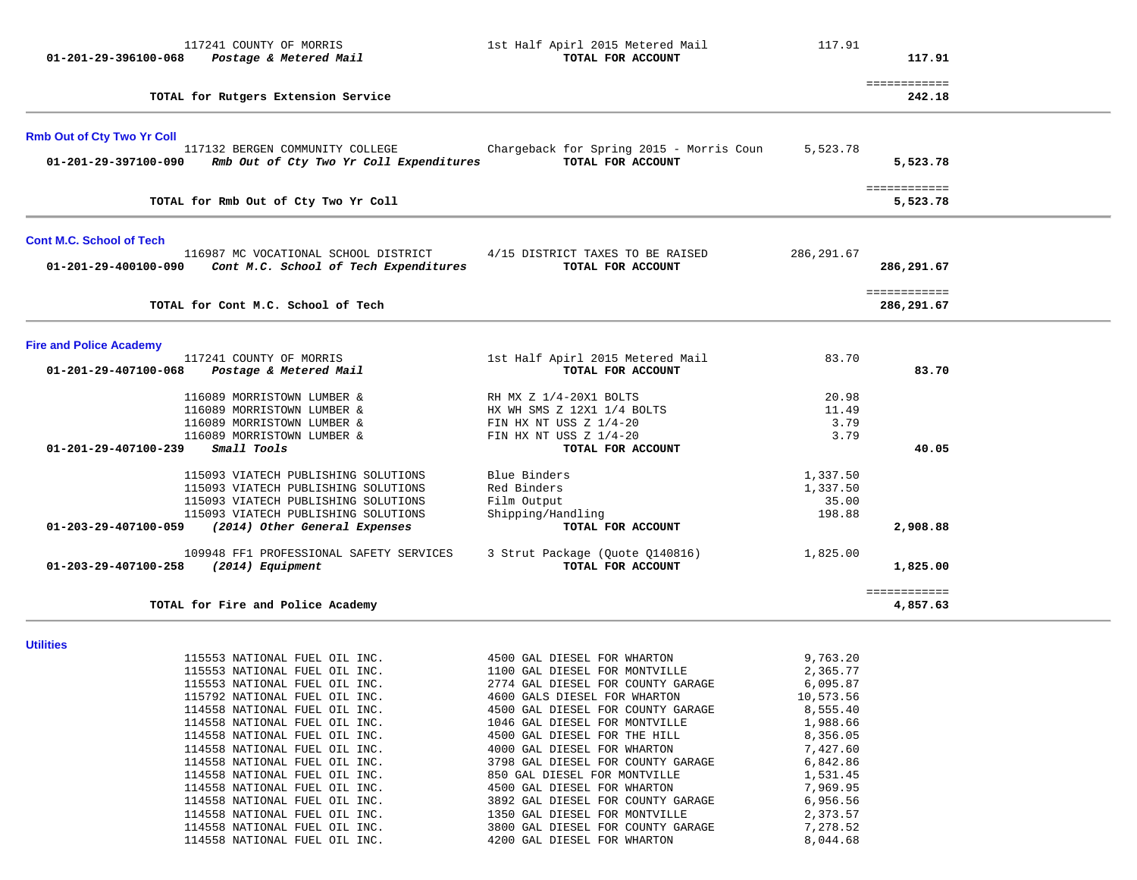| 117241 COUNTY OF MORRIS<br>01-201-29-396100-068<br>Postage & Metered Mail                                                                                                                                         | 1st Half Apirl 2015 Metered Mail<br>TOTAL FOR ACCOUNT                                                                             | 117.91                                  | 117.91                     |  |
|-------------------------------------------------------------------------------------------------------------------------------------------------------------------------------------------------------------------|-----------------------------------------------------------------------------------------------------------------------------------|-----------------------------------------|----------------------------|--|
| TOTAL for Rutgers Extension Service                                                                                                                                                                               |                                                                                                                                   |                                         | ============<br>242.18     |  |
| <b>Rmb Out of Cty Two Yr Coll</b><br>117132 BERGEN COMMUNITY COLLEGE<br>Rmb Out of Cty Two Yr Coll Expenditures<br>01-201-29-397100-090                                                                           | Chargeback for Spring 2015 - Morris Coun<br>TOTAL FOR ACCOUNT                                                                     | 5,523.78                                | 5,523.78                   |  |
| TOTAL for Rmb Out of Cty Two Yr Coll                                                                                                                                                                              |                                                                                                                                   |                                         | ============<br>5,523.78   |  |
| <b>Cont M.C. School of Tech</b>                                                                                                                                                                                   |                                                                                                                                   |                                         |                            |  |
| 116987 MC VOCATIONAL SCHOOL DISTRICT<br>01-201-29-400100-090<br>Cont M.C. School of Tech Expenditures                                                                                                             | 4/15 DISTRICT TAXES TO BE RAISED<br>TOTAL FOR ACCOUNT                                                                             | 286,291.67                              | 286,291.67                 |  |
| TOTAL for Cont M.C. School of Tech                                                                                                                                                                                |                                                                                                                                   |                                         | ============<br>286,291.67 |  |
| <b>Fire and Police Academy</b>                                                                                                                                                                                    |                                                                                                                                   |                                         |                            |  |
| 117241 COUNTY OF MORRIS<br>Postage & Metered Mail<br>01-201-29-407100-068                                                                                                                                         | 1st Half Apirl 2015 Metered Mail<br>TOTAL FOR ACCOUNT                                                                             | 83.70                                   | 83.70                      |  |
| 116089 MORRISTOWN LUMBER &<br>116089 MORRISTOWN LUMBER &<br>116089 MORRISTOWN LUMBER &<br>116089 MORRISTOWN LUMBER &<br>01-201-29-407100-239<br>Small Tools                                                       | RH MX Z 1/4-20X1 BOLTS<br>HX WH SMS Z 12X1 1/4 BOLTS<br>FIN HX NT USS $Z$ 1/4-20<br>FIN HX NT USS $Z$ 1/4-20<br>TOTAL FOR ACCOUNT | 20.98<br>11.49<br>3.79<br>3.79          | 40.05                      |  |
| 115093 VIATECH PUBLISHING SOLUTIONS<br>115093 VIATECH PUBLISHING SOLUTIONS<br>115093 VIATECH PUBLISHING SOLUTIONS<br>115093 VIATECH PUBLISHING SOLUTIONS<br>(2014) Other General Expenses<br>01-203-29-407100-059 | Blue Binders<br>Red Binders<br>Film Output<br>Shipping/Handling<br>TOTAL FOR ACCOUNT                                              | 1,337.50<br>1,337.50<br>35.00<br>198.88 | 2,908.88                   |  |
| 109948 FF1 PROFESSIONAL SAFETY SERVICES<br>01-203-29-407100-258<br>(2014) Equipment                                                                                                                               | 3 Strut Package (Quote Q140816)<br>TOTAL FOR ACCOUNT                                                                              | 1,825.00                                | 1,825.00                   |  |
| TOTAL for Fire and Police Academy                                                                                                                                                                                 |                                                                                                                                   |                                         | ============<br>4,857.63   |  |

**Utilities** 

 115553 NATIONAL FUEL OIL INC. 4500 GAL DIESEL FOR WHARTON 9,763.20 115553 NATIONAL FUEL OIL INC. 1100 GAL DIESEL FOR MONTVILLE 2,365.77 115553 NATIONAL FUEL OIL INC. 2774 GAL DIESEL FOR COUNTY GARAGE 6,095.87 115792 NATIONAL FUEL OIL INC. 4600 GALS DIESEL FOR WHARTON 10,573.56 114558 NATIONAL FUEL OIL INC. 4500 GAL DIESEL FOR COUNTY GARAGE 8,555.40 114558 NATIONAL FUEL OIL INC. 1046 GAL DIESEL FOR MONTVILLE 1,988.66 114558 NATIONAL FUEL OIL INC. 4500 GAL DIESEL FOR THE HILL 8,356.05 114558 NATIONAL FUEL OIL INC. 4000 GAL DIESEL FOR WHARTON 7,427.60 114558 NATIONAL FUEL OIL INC. 3798 GAL DIESEL FOR COUNTY GARAGE 6,842.86 114558 NATIONAL FUEL OIL INC. 850 GAL DIESEL FOR MONTVILLE 1,531.45 114558 NATIONAL FUEL OIL INC. 4500 GAL DIESEL FOR WHARTON 7,969.95 114558 NATIONAL FUEL OIL INC. 3892 GAL DIESEL FOR COUNTY GARAGE 6,956.56 114558 NATIONAL FUEL OIL INC. 1350 GAL DIESEL FOR MONTVILLE 2,373.57 114558 NATIONAL FUEL OIL INC. 3800 GAL DIESEL FOR COUNTY GARAGE 7,278.52 114558 NATIONAL FUEL OIL INC. 4200 GAL DIESEL FOR WHARTON 8,044.68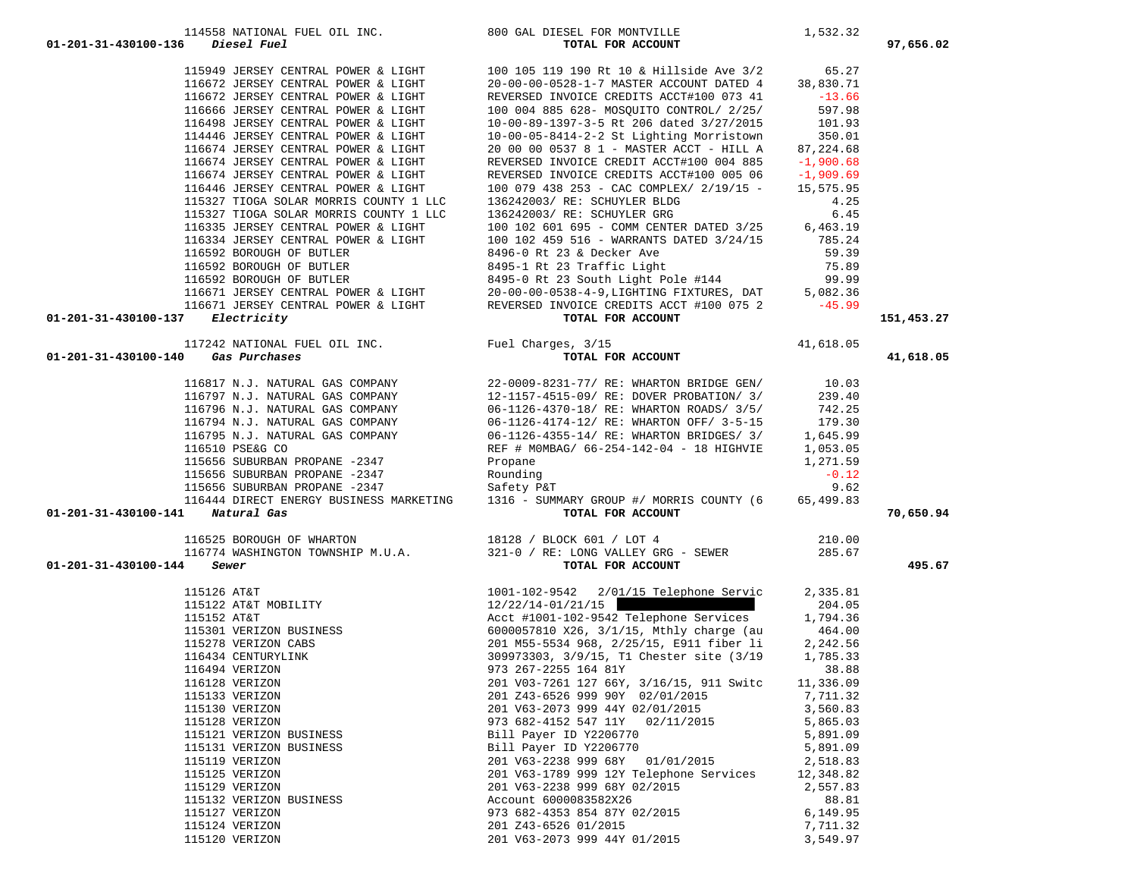| $01 - 201 - 31 - 430100 - 137$ Electricity |                                    |                                      | 151,453.27                                                                                                                                                               |
|--------------------------------------------|------------------------------------|--------------------------------------|--------------------------------------------------------------------------------------------------------------------------------------------------------------------------|
|                                            |                                    |                                      |                                                                                                                                                                          |
|                                            |                                    |                                      | 41,618.05                                                                                                                                                                |
|                                            |                                    |                                      |                                                                                                                                                                          |
|                                            |                                    |                                      |                                                                                                                                                                          |
|                                            |                                    |                                      |                                                                                                                                                                          |
|                                            |                                    |                                      |                                                                                                                                                                          |
|                                            |                                    |                                      |                                                                                                                                                                          |
|                                            |                                    |                                      |                                                                                                                                                                          |
|                                            |                                    |                                      |                                                                                                                                                                          |
|                                            |                                    |                                      |                                                                                                                                                                          |
|                                            |                                    |                                      |                                                                                                                                                                          |
| 01-201-31-430100-141 Natural Gas           |                                    |                                      | 70,650.94                                                                                                                                                                |
|                                            |                                    |                                      |                                                                                                                                                                          |
|                                            |                                    |                                      |                                                                                                                                                                          |
| 01-201-31-430100-144                       |                                    |                                      | 495.67                                                                                                                                                                   |
|                                            |                                    |                                      |                                                                                                                                                                          |
|                                            |                                    |                                      |                                                                                                                                                                          |
|                                            |                                    |                                      |                                                                                                                                                                          |
|                                            |                                    |                                      |                                                                                                                                                                          |
|                                            |                                    |                                      |                                                                                                                                                                          |
|                                            |                                    |                                      |                                                                                                                                                                          |
|                                            |                                    |                                      |                                                                                                                                                                          |
|                                            |                                    |                                      |                                                                                                                                                                          |
|                                            |                                    |                                      |                                                                                                                                                                          |
|                                            |                                    |                                      |                                                                                                                                                                          |
|                                            |                                    |                                      |                                                                                                                                                                          |
|                                            |                                    |                                      |                                                                                                                                                                          |
|                                            |                                    |                                      |                                                                                                                                                                          |
|                                            |                                    |                                      |                                                                                                                                                                          |
|                                            |                                    |                                      |                                                                                                                                                                          |
|                                            |                                    |                                      |                                                                                                                                                                          |
|                                            |                                    |                                      |                                                                                                                                                                          |
|                                            |                                    |                                      |                                                                                                                                                                          |
|                                            |                                    |                                      |                                                                                                                                                                          |
|                                            | 01-201-31-430100-140 Gas Purchases | es, 3/15<br><b>TOTAL FOR ACCOUNT</b> | TOTAL FOR ACCOUNT<br>116525 BOROUGH OF WHARTON<br>116774 WASHINGTON TOWNSHIP M.U.A. 321-0 / RE: LONG VALLEY GRG - SEWER<br>4 Sewer TOTAL FOR ACCOUNT<br>210.00<br>285.67 |

 115949 JERSEY CENTRAL POWER & LIGHT 100 105 119 190 Rt 10 & Hillside Ave 3/2 65.27 116672 JERSEY CENTRAL POWER & LIGHT 20-00-00-0528-1-7 MASTER ACCOUNT DATED 4 38,830.71 116672 JERSEY CENTRAL POWER & LIGHT REVERSED INVOICE CREDITS ACCT#100 073 41 -13.66 116666 JERSEY CENTRAL POWER & LIGHT 100 004 885 628- MOSQUITO CONTROL/ 2/25/ 597.98 116498 JERSEY CENTRAL POWER & LIGHT 10-00-89-1397-3-5 Rt 206 dated 3/27/2015 101.93 114446 JERSEY CENTRAL POWER & LIGHT 10-00-05-8414-2-2 St Lighting Morristown 350.01

#### 114558 NATIONAL FUEL OIL INC. 800 GAL DIESEL FOR MONTVILLE 1,532.32  **01-201-31-430100-136** *Diesel Fuel* **TOTAL FOR ACCOUNT 97,656.02**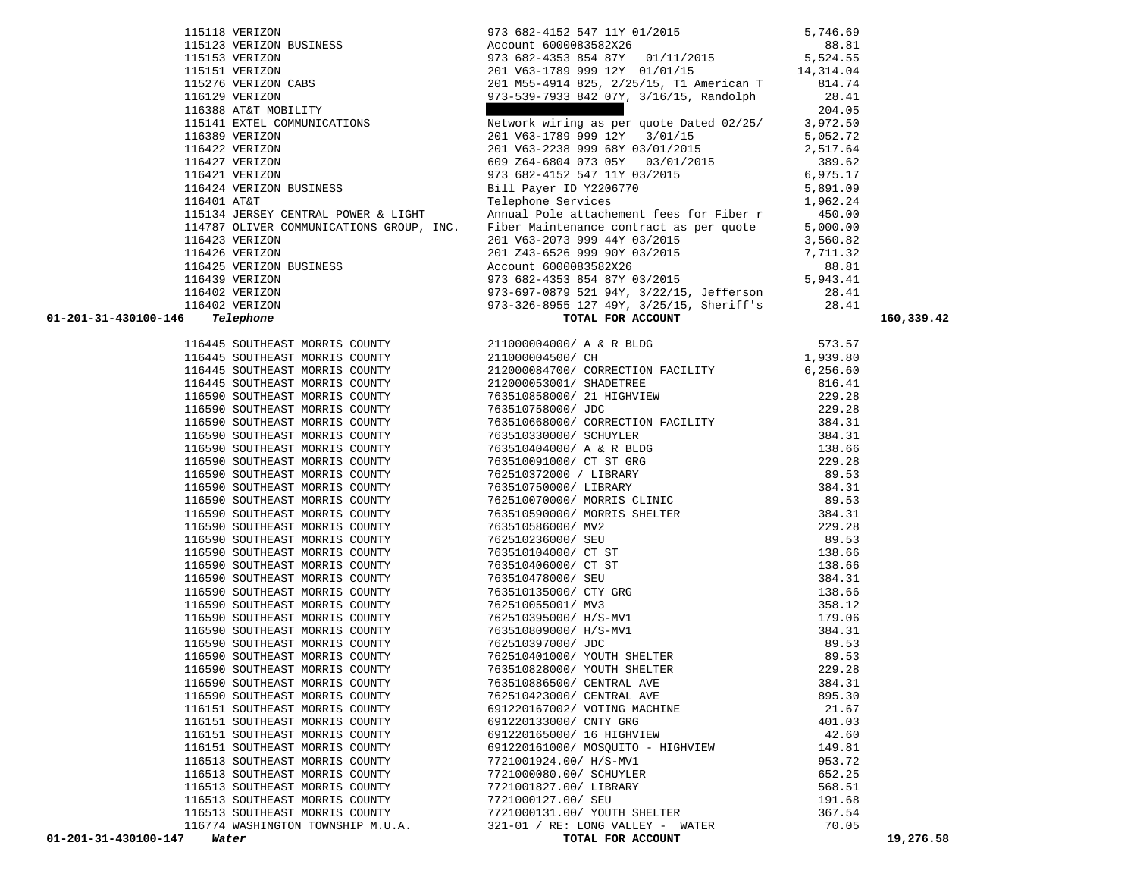| 116445 SOUTHEAST MORRIS COUNTY |                                                                                                                                                                              |                                                                                                                                                                                                                                                                                                         | 573.57              |
|--------------------------------|------------------------------------------------------------------------------------------------------------------------------------------------------------------------------|---------------------------------------------------------------------------------------------------------------------------------------------------------------------------------------------------------------------------------------------------------------------------------------------------------|---------------------|
| 116445 SOUTHEAST MORRIS COUNTY | 211000004500/ CH                                                                                                                                                             | 211000004000/ A & R BLDG<br>211000004500/ CH 1                                                                                                                                                                                                                                                          | 1,939.80            |
|                                |                                                                                                                                                                              | 116445 SOUTHEAST MORRIS COUNTY 212000084700/ CORRECTION FACILITY 6,256.60                                                                                                                                                                                                                               |                     |
|                                |                                                                                                                                                                              |                                                                                                                                                                                                                                                                                                         |                     |
|                                |                                                                                                                                                                              | $\begin{array}{cccccccc} 116445 & 500 \texttt{THEAST} & \texttt{MORRIS} & \texttt{COUNTY} & & & & 212000053001 / \texttt{SHADETREE} & & & & 816.41 \\ 116590 & 500 \texttt{THEAST} & \texttt{MORRIS} & \texttt{COUNTY} & & & & 763510858000 / \texttt{21} & \texttt{HIGHVIEW} & & & & & \\ \end{array}$ |                     |
| 116590 SOUTHEAST MORRIS COUNTY |                                                                                                                                                                              |                                                                                                                                                                                                                                                                                                         |                     |
| 116590 SOUTHEAST MORRIS COUNTY |                                                                                                                                                                              |                                                                                                                                                                                                                                                                                                         |                     |
| 116590 SOUTHEAST MORRIS COUNTY | 763510330000/ SCHUYLER                                                                                                                                                       |                                                                                                                                                                                                                                                                                                         | 384.31              |
|                                | 116590 SOUTHEAST MORRIS COUNTY 763510404000/ A & R BLDG                                                                                                                      |                                                                                                                                                                                                                                                                                                         | 138.66              |
| 116590 SOUTHEAST MORRIS COUNTY |                                                                                                                                                                              |                                                                                                                                                                                                                                                                                                         |                     |
| 116590 SOUTHEAST MORRIS COUNTY |                                                                                                                                                                              |                                                                                                                                                                                                                                                                                                         |                     |
| 116590 SOUTHEAST MORRIS COUNTY |                                                                                                                                                                              |                                                                                                                                                                                                                                                                                                         |                     |
| 116590 SOUTHEAST MORRIS COUNTY | 762510070000/ MORRIS CLINIC                                                                                                                                                  |                                                                                                                                                                                                                                                                                                         | 89.53               |
| 116590 SOUTHEAST MORRIS COUNTY |                                                                                                                                                                              | 763510590000/ MORRIS SHELTER 384.31                                                                                                                                                                                                                                                                     |                     |
| 116590 SOUTHEAST MORRIS COUNTY |                                                                                                                                                                              |                                                                                                                                                                                                                                                                                                         | 229.28              |
| 116590 SOUTHEAST MORRIS COUNTY |                                                                                                                                                                              | 763510586000/MV2<br>762510236000/SEU<br>763510104000/CTST<br>763510406000/CTST<br>763510478000/SEU<br>763510155000/CTST<br>763510155001/MV2                                                                                                                                                             | 89.53               |
| 116590 SOUTHEAST MORRIS COUNTY |                                                                                                                                                                              |                                                                                                                                                                                                                                                                                                         | 138.66              |
| 116590 SOUTHEAST MORRIS COUNTY |                                                                                                                                                                              |                                                                                                                                                                                                                                                                                                         | 138.66              |
| 116590 SOUTHEAST MORRIS COUNTY |                                                                                                                                                                              |                                                                                                                                                                                                                                                                                                         | 384.31              |
| 116590 SOUTHEAST MORRIS COUNTY |                                                                                                                                                                              |                                                                                                                                                                                                                                                                                                         | 138.66              |
| 116590 SOUTHEAST MORRIS COUNTY |                                                                                                                                                                              |                                                                                                                                                                                                                                                                                                         |                     |
| 116590 SOUTHEAST MORRIS COUNTY |                                                                                                                                                                              | 762510055001/ MV3<br>762510395000/ H/S-MV1<br>763510809000/ H/S-MV1<br>762510397000/ JDC<br>89.53                                                                                                                                                                                                       |                     |
| 116590 SOUTHEAST MORRIS COUNTY |                                                                                                                                                                              |                                                                                                                                                                                                                                                                                                         |                     |
| 116590 SOUTHEAST MORRIS COUNTY | 762510397000/ JDC                                                                                                                                                            |                                                                                                                                                                                                                                                                                                         |                     |
| 116590 SOUTHEAST MORRIS COUNTY | 762510401000/ YOUTH SHELTER                                                                                                                                                  |                                                                                                                                                                                                                                                                                                         | 89.53<br>229.28     |
| 116590 SOUTHEAST MORRIS COUNTY | 763510828000/ YOUTH SHELTER                                                                                                                                                  |                                                                                                                                                                                                                                                                                                         |                     |
| 116590 SOUTHEAST MORRIS COUNTY | 763510828000/ YOUTH SHELLER<br>763510886500/ CENTRAL AVE<br>762510423000/ CENTRAL AVE<br>691220167002/ VOTING MACHINE<br>691220133000/ CNTY GRG<br>691220165000/ 16 HIGHVIEW |                                                                                                                                                                                                                                                                                                         | 384.31              |
| 116590 SOUTHEAST MORRIS COUNTY |                                                                                                                                                                              |                                                                                                                                                                                                                                                                                                         | 895.30              |
| 116151 SOUTHEAST MORRIS COUNTY |                                                                                                                                                                              |                                                                                                                                                                                                                                                                                                         | $21.67$<br>$401.03$ |
| 116151 SOUTHEAST MORRIS COUNTY |                                                                                                                                                                              |                                                                                                                                                                                                                                                                                                         |                     |
| 116151 SOUTHEAST MORRIS COUNTY |                                                                                                                                                                              |                                                                                                                                                                                                                                                                                                         | 42.60               |
| 116151 SOUTHEAST MORRIS COUNTY | 691220161000/ MOSQUITO - HIGHVIEW                                                                                                                                            |                                                                                                                                                                                                                                                                                                         | 149.81              |
| 116513 SOUTHEAST MORRIS COUNTY |                                                                                                                                                                              |                                                                                                                                                                                                                                                                                                         | 953.72              |
| 116513 SOUTHEAST MORRIS COUNTY | 7721001924.00/ H/S-MV1<br>7721000080.00/ SCHUYLER                                                                                                                            |                                                                                                                                                                                                                                                                                                         | 652.25              |
| 116513 SOUTHEAST MORRIS COUNTY | 7721001827.00/ LIBRARY<br>7721001827.00/ LIBRARY                                                                                                                             |                                                                                                                                                                                                                                                                                                         | 568.51              |
| 116513 SOUTHEAST MORRIS COUNTY |                                                                                                                                                                              |                                                                                                                                                                                                                                                                                                         | 191.68              |
| 116513 SOUTHEAST MORRIS COUNTY | 7721000131.00/ YOUTH SHELTER                                                                                                                                                 |                                                                                                                                                                                                                                                                                                         | 367.54              |
|                                |                                                                                                                                                                              | 116774 WASHINGTON TOWNSHIP M.U.A. 321-01 / RE: LONG VALLEY - WATER                                                                                                                                                                                                                                      | 70.05               |
|                                |                                                                                                                                                                              |                                                                                                                                                                                                                                                                                                         |                     |

| 116129 VERIZON                           | 973-539-7933 842 07Y, 3/16/15, Randolph  | 28.41    |
|------------------------------------------|------------------------------------------|----------|
| 116388 AT&T MOBILITY                     |                                          | 204.05   |
| 115141 EXTEL COMMUNICATIONS              | Network wiring as per quote Dated 02/25/ | 3,972.50 |
| 116389 VERIZON                           | 201 V63-1789 999 12Y 3/01/15             | 5,052.72 |
| 116422 VERIZON                           | 201 V63-2238 999 68Y 03/01/2015          | 2,517.64 |
| 116427 VERIZON                           | 609 Z64-6804 073 05Y 03/01/2015          | 389.62   |
| 116421 VERIZON                           | 973 682-4152 547 11Y 03/2015             | 6,975.17 |
| 116424 VERIZON BUSINESS                  | Bill Payer ID Y2206770                   | 5,891.09 |
| 116401 AT&T                              | Telephone Services                       | 1,962.24 |
| 115134 JERSEY CENTRAL POWER & LIGHT      | Annual Pole attachement fees for Fiber r | 450.00   |
| 114787 OLIVER COMMUNICATIONS GROUP, INC. | Fiber Maintenance contract as per quote  | 5,000.00 |
| 116423 VERIZON                           | 201 V63-2073 999 44Y 03/2015             | 3,560.82 |
| 116426 VERIZON                           | 201 Z43-6526 999 90Y 03/2015             | 7,711.32 |
| 116425 VERIZON BUSINESS                  | Account 6000083582X26                    | 88.81    |
| 116439 VERIZON                           | 973 682-4353 854 87Y 03/2015             | 5,943.41 |
| 116402 VERIZON                           | 973-697-0879 521 94Y, 3/22/15, Jefferson | 28.41    |
| 116402 VERIZON                           | 973-326-8955 127 49Y, 3/25/15, Sheriff's | 28.41    |

 115118 VERIZON 973 682-4152 547 11Y 01/2015 5,746.69 115123 VERIZON BUSINESS Account 6000083582X26 88.81

115276 VERIZON CABS 201 M55-4914 825, 2/25/15, T1 American T 814.74

 115153 VERIZON 973 682-4353 854 87Y 01/11/2015 5,524.55 115151 VERIZON 201 V63-1789 999 12Y 01/01/15 14,314.04

 **01-201-31-430100-146** *Telephone* **TOTAL FOR ACCOUNT 160,339.42**

5.524.55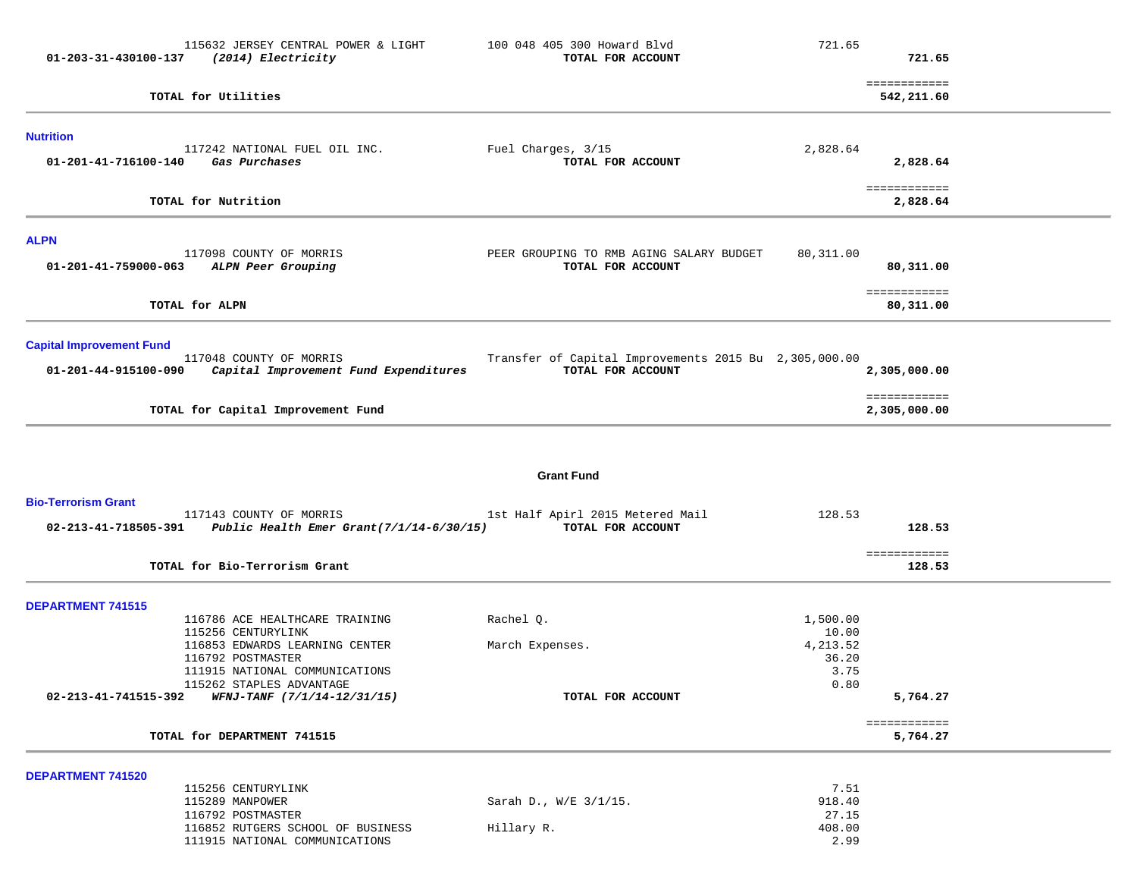| 01-203-31-430100-137            | (2014) Electricity                                         | TOTAL FOR ACCOUNT                                     |              | 721.65                       |  |
|---------------------------------|------------------------------------------------------------|-------------------------------------------------------|--------------|------------------------------|--|
|                                 |                                                            |                                                       |              | ============                 |  |
|                                 | TOTAL for Utilities                                        |                                                       |              | 542,211.60                   |  |
| <b>Nutrition</b>                |                                                            |                                                       |              |                              |  |
|                                 | 117242 NATIONAL FUEL OIL INC.                              | Fuel Charges, 3/15                                    | 2,828.64     |                              |  |
| 01-201-41-716100-140            | Gas Purchases                                              | TOTAL FOR ACCOUNT                                     |              | 2,828.64                     |  |
|                                 |                                                            |                                                       |              | ============                 |  |
|                                 | TOTAL for Nutrition                                        |                                                       |              | 2,828.64                     |  |
| <b>ALPN</b>                     |                                                            |                                                       |              |                              |  |
|                                 | 117098 COUNTY OF MORRIS                                    | PEER GROUPING TO RMB AGING SALARY BUDGET              | 80,311.00    |                              |  |
| 01-201-41-759000-063            | ALPN Peer Grouping                                         | TOTAL FOR ACCOUNT                                     |              | 80,311.00                    |  |
|                                 |                                                            |                                                       |              | ============                 |  |
|                                 | TOTAL for ALPN                                             |                                                       |              | 80,311.00                    |  |
| <b>Capital Improvement Fund</b> |                                                            |                                                       |              |                              |  |
|                                 | 117048 COUNTY OF MORRIS                                    | Transfer of Capital Improvements 2015 Bu 2,305,000.00 |              |                              |  |
| 01-201-44-915100-090            | Capital Improvement Fund Expenditures                      | TOTAL FOR ACCOUNT                                     |              | 2,305,000.00                 |  |
|                                 | TOTAL for Capital Improvement Fund                         |                                                       |              | ============<br>2,305,000.00 |  |
|                                 |                                                            |                                                       |              |                              |  |
|                                 |                                                            |                                                       |              |                              |  |
|                                 |                                                            | <b>Grant Fund</b>                                     |              |                              |  |
| <b>Bio-Terrorism Grant</b>      |                                                            |                                                       |              |                              |  |
|                                 | 117143 COUNTY OF MORRIS                                    | 1st Half Apirl 2015 Metered Mail                      | 128.53       |                              |  |
| 02-213-41-718505-391            | Public Health Emer Grant(7/1/14-6/30/15)                   | TOTAL FOR ACCOUNT                                     |              | 128.53                       |  |
|                                 |                                                            |                                                       |              | ============                 |  |
|                                 | TOTAL for Bio-Terrorism Grant                              |                                                       |              | 128.53                       |  |
| <b>DEPARTMENT 741515</b>        |                                                            |                                                       |              |                              |  |
|                                 | 116786 ACE HEALTHCARE TRAINING                             | Rachel Q.                                             | 1,500.00     |                              |  |
|                                 | 115256 CENTURYLINK                                         |                                                       | 10.00        |                              |  |
|                                 | 116853 EDWARDS LEARNING CENTER                             | March Expenses.                                       | 4, 213.52    |                              |  |
|                                 | 116792 POSTMASTER                                          |                                                       | 36.20        |                              |  |
|                                 | 111915 NATIONAL COMMUNICATIONS<br>115262 STAPLES ADVANTAGE |                                                       | 3.75<br>0.80 |                              |  |
|                                 | 02-213-41-741515-392 WFNJ-TANF $(7/1/14-12/31/15)$         | TOTAL FOR ACCOUNT                                     |              | 5,764.27                     |  |
|                                 |                                                            |                                                       |              | ============                 |  |
|                                 | TOTAL for DEPARTMENT 741515                                |                                                       |              | 5,764.27                     |  |
| <b>DEPARTMENT 741520</b>        |                                                            |                                                       |              |                              |  |
|                                 | 115256 CENTURYLINK                                         |                                                       | 7.51         |                              |  |
|                                 | 115289 MANPOWER                                            | Sarah D., W/E 3/1/15.                                 | 918.40       |                              |  |
|                                 | 116792 POSTMASTER                                          |                                                       | 27.15        |                              |  |
|                                 | 116852 RUTGERS SCHOOL OF BUSINESS                          | Hillary R.                                            | 408.00       |                              |  |

111915 NATIONAL COMMUNICATIONS 2.99

115632 JERSEY CENTRAL POWER & LIGHT 100 048 405 300 Howard Blvd 721.65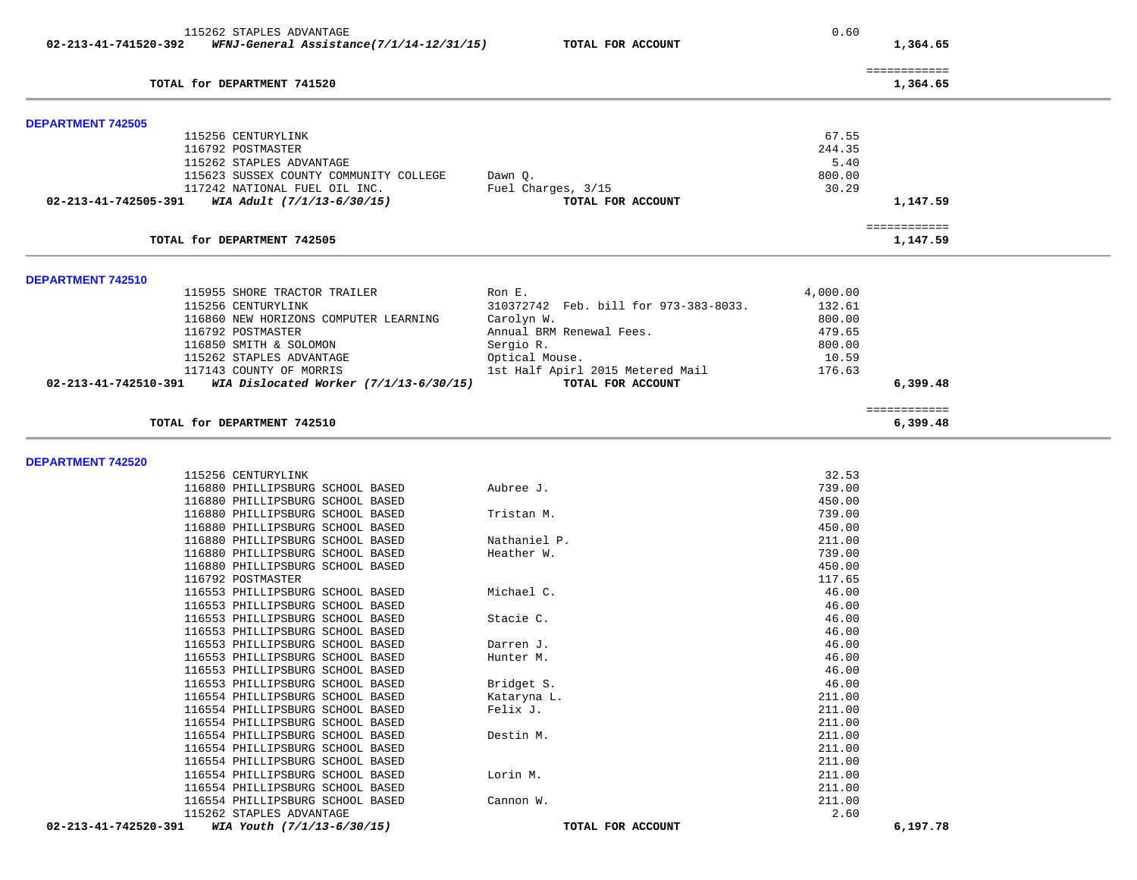| 115262 STAPLES ADVANTAGE                                                |                                       | 0.60     |              |
|-------------------------------------------------------------------------|---------------------------------------|----------|--------------|
| $02 - 213 - 41 - 741520 - 392$ WFNJ-General Assistance(7/1/14-12/31/15) | TOTAL FOR ACCOUNT                     |          | 1,364.65     |
|                                                                         |                                       |          |              |
|                                                                         |                                       |          | ============ |
| TOTAL for DEPARTMENT 741520                                             |                                       |          | 1,364.65     |
|                                                                         |                                       |          |              |
| <b>DEPARTMENT 742505</b>                                                |                                       |          |              |
| 115256 CENTURYLINK                                                      |                                       | 67.55    |              |
| 116792 POSTMASTER                                                       |                                       | 244.35   |              |
| 115262 STAPLES ADVANTAGE                                                |                                       | 5.40     |              |
| 115623 SUSSEX COUNTY COMMUNITY COLLEGE                                  | Dawn Q.                               | 800.00   |              |
| 117242 NATIONAL FUEL OIL INC.                                           | Fuel Charges, 3/15                    | 30.29    |              |
| WIA Adult (7/1/13-6/30/15)<br>02-213-41-742505-391                      | TOTAL FOR ACCOUNT                     |          | 1,147.59     |
|                                                                         |                                       |          |              |
|                                                                         |                                       |          | ============ |
| TOTAL for DEPARTMENT 742505                                             |                                       |          | 1,147.59     |
|                                                                         |                                       |          |              |
| DEPARTMENT 742510                                                       |                                       |          |              |
| 115955 SHORE TRACTOR TRAILER                                            | Ron E.                                | 4,000.00 |              |
| 115256 CENTURYLINK                                                      | 310372742 Feb. bill for 973-383-8033. | 132.61   |              |
| 116860 NEW HORIZONS COMPUTER LEARNING                                   | Carolyn W.                            | 800.00   |              |
| 116792 POSTMASTER                                                       | Annual BRM Renewal Fees.              | 479.65   |              |
| 116850 SMITH & SOLOMON                                                  | Sergio R.                             | 800.00   |              |
| 115262 STAPLES ADVANTAGE                                                | Optical Mouse.                        | 10.59    |              |
| 117143 COUNTY OF MORRIS                                                 | 1st Half Apirl 2015 Metered Mail      | 176.63   |              |
| 02-213-41-742510-391<br>WIA Dislocated Worker $(7/1/13-6/30/15)$        | TOTAL FOR ACCOUNT                     |          | 6,399.48     |
|                                                                         |                                       |          |              |
|                                                                         |                                       |          | ============ |
| TOTAL for DEPARTMENT 742510                                             |                                       |          | 6,399.48     |
|                                                                         |                                       |          |              |
| DEPARTMENT 742520                                                       |                                       |          |              |
| 115256 CENTURYLINK                                                      |                                       | 32.53    |              |
| 116880 PHILLIPSBURG SCHOOL BASED                                        | Aubree J.                             | 739.00   |              |
| 116880 PHILLIPSBURG SCHOOL BASED                                        |                                       | 450.00   |              |
| 116880 PHILLIPSBURG SCHOOL BASED                                        | Tristan M.                            | 739.00   |              |
| 116880 PHILLIPSBURG SCHOOL BASED                                        |                                       | 450.00   |              |
| 116880 PHILLIPSBURG SCHOOL BASED                                        | Nathaniel P.                          | 211.00   |              |
| 116880 PHILLIPSBURG SCHOOL BASED                                        | Heather W.                            | 739.00   |              |
| 116880 PHILLIPSBURG SCHOOL BASED                                        |                                       | 450.00   |              |
| 116792 POSTMASTER                                                       |                                       | 117.65   |              |
| 116553 PHILLIPSBURG SCHOOL BASED                                        | Michael C.                            | 46.00    |              |
| 116553 PHILLIPSBURG SCHOOL BASED                                        |                                       | 46.00    |              |
| 116553 PHILLIPSBURG SCHOOL BASED                                        | Stacie C.                             | 46.00    |              |
| 116553 PHILLIPSBURG SCHOOL BASED                                        |                                       | 46.00    |              |
| 116553 PHILLIPSBURG SCHOOL BASED                                        | Darren J.                             | 46.00    |              |
| 116553 PHILLIPSBURG SCHOOL BASED                                        | Hunter M.                             | 46.00    |              |
|                                                                         |                                       |          |              |
| 116553 PHILLIPSBURG SCHOOL BASED                                        |                                       | 46.00    |              |
| 116553 PHILLIPSBURG SCHOOL BASED                                        | Bridget S.                            | 46.00    |              |
| 116554 PHILLIPSBURG SCHOOL BASED                                        | Kataryna L.                           | 211.00   |              |
| 116554 PHILLIPSBURG SCHOOL BASED                                        | Felix J.                              | 211.00   |              |
| 116554 PHILLIPSBURG SCHOOL BASED                                        |                                       | 211.00   |              |
| 116554 PHILLIPSBURG SCHOOL BASED                                        | Destin M.                             | 211.00   |              |
| 116554 PHILLIPSBURG SCHOOL BASED                                        |                                       | 211.00   |              |
| 116554 PHILLIPSBURG SCHOOL BASED                                        |                                       | 211.00   |              |
| 116554 PHILLIPSBURG SCHOOL BASED                                        | Lorin M.                              | 211.00   |              |
| 116554 PHILLIPSBURG SCHOOL BASED                                        |                                       | 211.00   |              |
| 116554 PHILLIPSBURG SCHOOL BASED                                        | Cannon W.                             | 211.00   |              |
| 115262 STAPLES ADVANTAGE                                                |                                       | 2.60     |              |
| 02-213-41-742520-391<br>WIA Youth (7/1/13-6/30/15)                      | TOTAL FOR ACCOUNT                     |          | 6,197.78     |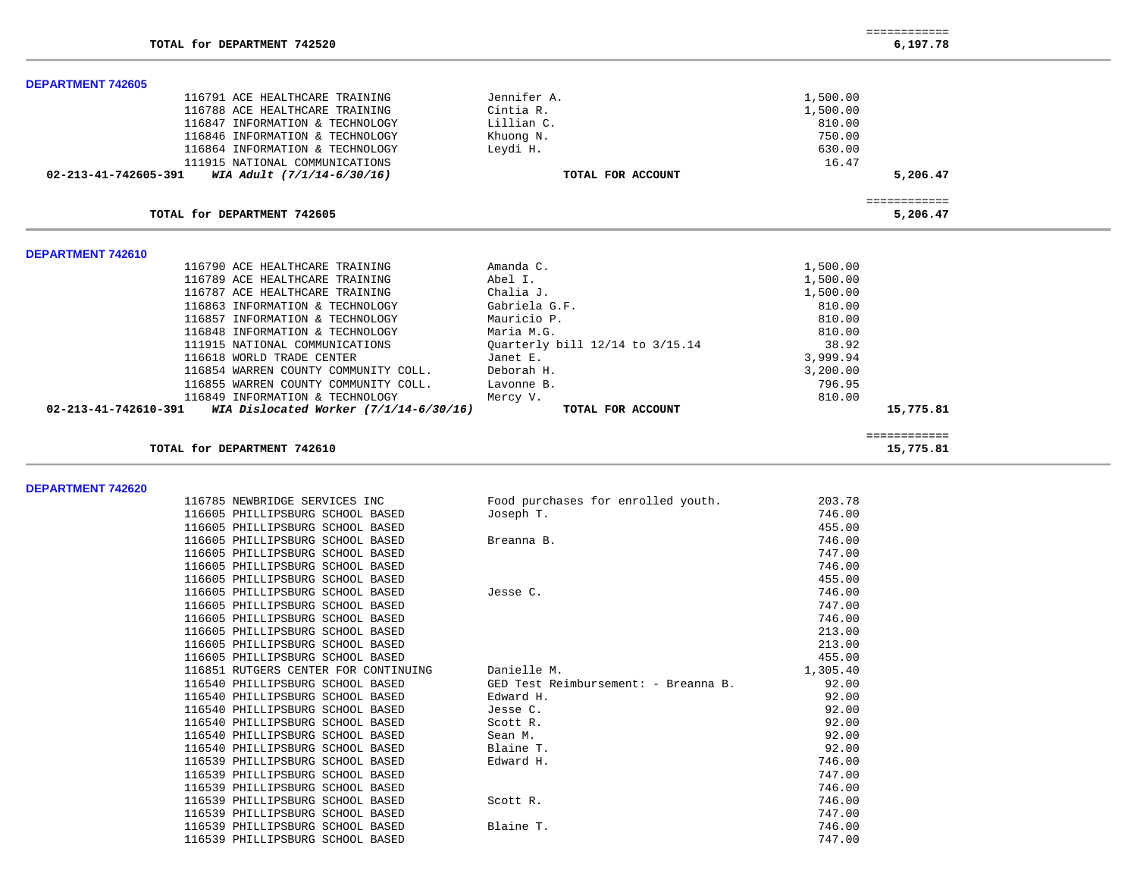| TOTAL for DEPARTMENT 742520                                        |                                 |                  | 6,197.78     |  |
|--------------------------------------------------------------------|---------------------------------|------------------|--------------|--|
| <b>DEPARTMENT 742605</b>                                           |                                 |                  |              |  |
| 116791 ACE HEALTHCARE TRAINING                                     | Jennifer A.                     | 1,500.00         |              |  |
| 116788 ACE HEALTHCARE TRAINING                                     | Cintia R.                       | 1,500.00         |              |  |
| 116847 INFORMATION & TECHNOLOGY                                    | Lillian C.                      | 810.00           |              |  |
| 116846 INFORMATION & TECHNOLOGY                                    | Khuong N.                       | 750.00           |              |  |
| 116864 INFORMATION & TECHNOLOGY                                    | Leydi H.                        | 630.00           |              |  |
| 111915 NATIONAL COMMUNICATIONS                                     |                                 | 16.47            |              |  |
| WIA Adult (7/1/14-6/30/16)<br>02-213-41-742605-391                 | TOTAL FOR ACCOUNT               |                  | 5,206.47     |  |
|                                                                    |                                 |                  | ============ |  |
| TOTAL for DEPARTMENT 742605                                        |                                 |                  | 5,206.47     |  |
|                                                                    |                                 |                  |              |  |
| <b>DEPARTMENT 742610</b>                                           |                                 |                  |              |  |
| 116790 ACE HEALTHCARE TRAINING                                     | Amanda C.                       | 1,500.00         |              |  |
| 116789 ACE HEALTHCARE TRAINING                                     | Abel I.                         | 1,500.00         |              |  |
| 116787 ACE HEALTHCARE TRAINING                                     | Chalia J.                       | 1,500.00         |              |  |
| 116863 INFORMATION & TECHNOLOGY<br>116857 INFORMATION & TECHNOLOGY | Gabriela G.F.<br>Mauricio P.    | 810.00<br>810.00 |              |  |
| 116848 INFORMATION & TECHNOLOGY                                    | Maria M.G.                      | 810.00           |              |  |
| 111915 NATIONAL COMMUNICATIONS                                     | Quarterly bill 12/14 to 3/15.14 | 38.92            |              |  |
| 116618 WORLD TRADE CENTER                                          | Janet E.                        | 3,999.94         |              |  |
| 116854 WARREN COUNTY COMMUNITY COLL.                               | Deborah H.                      | 3,200.00         |              |  |
| 116855 WARREN COUNTY COMMUNITY COLL.                               | Lavonne B.                      | 796.95           |              |  |
| 116849 INFORMATION & TECHNOLOGY                                    | Mercy V.                        | 810.00           |              |  |
| 02-213-41-742610-391<br>WIA Dislocated Worker $(7/1/14-6/30/16)$   | TOTAL FOR ACCOUNT               |                  | 15,775.81    |  |
|                                                                    |                                 |                  | ============ |  |
| TOTAL for DEPARTMENT 742610                                        |                                 |                  | 15,775.81    |  |

============

**DEPARTMENT 742620** 

| DEPARIMENI 742620 |                                      |                                      |          |
|-------------------|--------------------------------------|--------------------------------------|----------|
|                   | 116785 NEWBRIDGE SERVICES INC        | Food purchases for enrolled youth.   | 203.78   |
|                   | 116605 PHILLIPSBURG SCHOOL BASED     | Joseph T.                            | 746.00   |
|                   | 116605 PHILLIPSBURG SCHOOL BASED     |                                      | 455.00   |
|                   | 116605 PHILLIPSBURG SCHOOL BASED     | Breanna B.                           | 746.00   |
|                   | 116605 PHILLIPSBURG SCHOOL BASED     |                                      | 747.00   |
|                   | 116605 PHILLIPSBURG SCHOOL BASED     |                                      | 746.00   |
|                   | 116605 PHILLIPSBURG SCHOOL BASED     |                                      | 455.00   |
|                   | 116605 PHILLIPSBURG SCHOOL BASED     | Jesse C.                             | 746.00   |
|                   | 116605 PHILLIPSBURG SCHOOL BASED     |                                      | 747.00   |
|                   | 116605 PHILLIPSBURG SCHOOL BASED     |                                      | 746.00   |
|                   | 116605 PHILLIPSBURG SCHOOL BASED     |                                      | 213.00   |
|                   | 116605 PHILLIPSBURG SCHOOL BASED     |                                      | 213.00   |
|                   | 116605 PHILLIPSBURG SCHOOL BASED     |                                      | 455.00   |
|                   | 116851 RUTGERS CENTER FOR CONTINUING | Danielle M.                          | 1,305.40 |
|                   | 116540 PHILLIPSBURG SCHOOL BASED     | GED Test Reimbursement: - Breanna B. | 92.00    |
|                   | 116540 PHILLIPSBURG SCHOOL BASED     | Edward H.                            | 92.00    |
|                   | 116540 PHILLIPSBURG SCHOOL BASED     | Jesse C.                             | 92.00    |
|                   | 116540 PHILLIPSBURG SCHOOL BASED     | Scott R.                             | 92.00    |
|                   | 116540 PHILLIPSBURG SCHOOL BASED     | Sean M.                              | 92.00    |
|                   | 116540 PHILLIPSBURG SCHOOL BASED     | Blaine T.                            | 92.00    |
|                   | 116539 PHILLIPSBURG SCHOOL BASED     | Edward H.                            | 746.00   |
|                   | 116539 PHILLIPSBURG SCHOOL BASED     |                                      | 747.00   |
|                   | 116539 PHILLIPSBURG SCHOOL BASED     |                                      | 746.00   |
|                   | 116539 PHILLIPSBURG SCHOOL BASED     | Scott R.                             | 746.00   |
|                   | 116539 PHILLIPSBURG SCHOOL BASED     |                                      | 747.00   |
|                   | 116539 PHILLIPSBURG SCHOOL BASED     | Blaine T.                            | 746.00   |
|                   | 116539 PHILLIPSBURG SCHOOL BASED     |                                      | 747.00   |
|                   |                                      |                                      |          |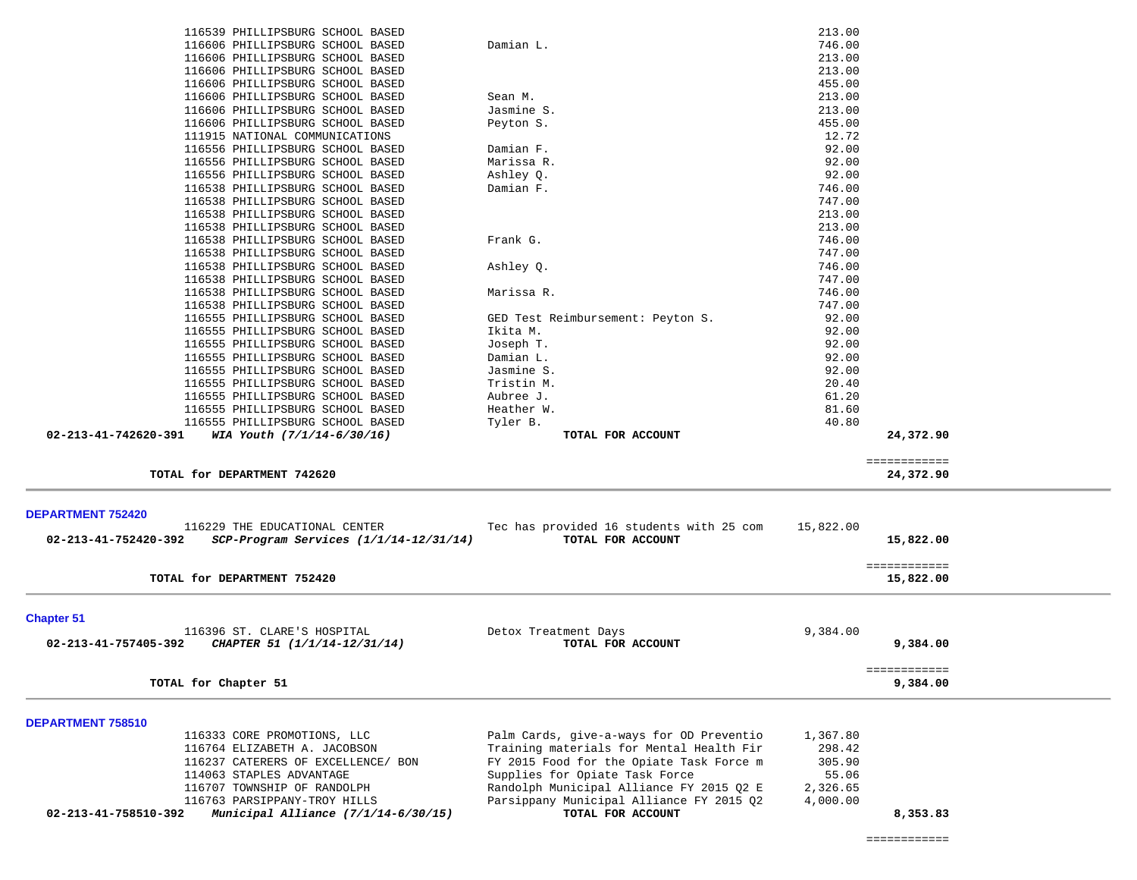| 116539 PHILLIPSBURG SCHOOL BASED                                                              |                                                               | 213.00    |                           |  |
|-----------------------------------------------------------------------------------------------|---------------------------------------------------------------|-----------|---------------------------|--|
| 116606 PHILLIPSBURG SCHOOL BASED                                                              | Damian L.                                                     | 746.00    |                           |  |
| 116606 PHILLIPSBURG SCHOOL BASED                                                              |                                                               | 213.00    |                           |  |
| 116606 PHILLIPSBURG SCHOOL BASED                                                              |                                                               | 213.00    |                           |  |
| 116606 PHILLIPSBURG SCHOOL BASED                                                              |                                                               | 455.00    |                           |  |
|                                                                                               | Sean M.                                                       |           |                           |  |
| 116606 PHILLIPSBURG SCHOOL BASED                                                              |                                                               | 213.00    |                           |  |
| 116606 PHILLIPSBURG SCHOOL BASED                                                              | Jasmine S.                                                    | 213.00    |                           |  |
| 116606 PHILLIPSBURG SCHOOL BASED                                                              | Peyton S.                                                     | 455.00    |                           |  |
| 111915 NATIONAL COMMUNICATIONS                                                                |                                                               | 12.72     |                           |  |
| 116556 PHILLIPSBURG SCHOOL BASED                                                              | Damian F.                                                     | 92.00     |                           |  |
| 116556 PHILLIPSBURG SCHOOL BASED                                                              | Marissa R.                                                    | 92.00     |                           |  |
| 116556 PHILLIPSBURG SCHOOL BASED                                                              | Ashley Q.                                                     | 92.00     |                           |  |
| 116538 PHILLIPSBURG SCHOOL BASED                                                              | Damian F.                                                     | 746.00    |                           |  |
| 116538 PHILLIPSBURG SCHOOL BASED                                                              |                                                               | 747.00    |                           |  |
| 116538 PHILLIPSBURG SCHOOL BASED                                                              |                                                               | 213.00    |                           |  |
| 116538 PHILLIPSBURG SCHOOL BASED                                                              |                                                               | 213.00    |                           |  |
| 116538 PHILLIPSBURG SCHOOL BASED                                                              | Frank G.                                                      | 746.00    |                           |  |
| 116538 PHILLIPSBURG SCHOOL BASED                                                              |                                                               | 747.00    |                           |  |
| 116538 PHILLIPSBURG SCHOOL BASED                                                              | Ashley Q.                                                     | 746.00    |                           |  |
| 116538 PHILLIPSBURG SCHOOL BASED                                                              |                                                               | 747.00    |                           |  |
| 116538 PHILLIPSBURG SCHOOL BASED                                                              | Marissa R.                                                    | 746.00    |                           |  |
| 116538 PHILLIPSBURG SCHOOL BASED                                                              |                                                               | 747.00    |                           |  |
| 116555 PHILLIPSBURG SCHOOL BASED                                                              | GED Test Reimbursement: Peyton S.                             | 92.00     |                           |  |
| 116555 PHILLIPSBURG SCHOOL BASED                                                              | Ikita M.                                                      | 92.00     |                           |  |
| 116555 PHILLIPSBURG SCHOOL BASED                                                              | Joseph T.                                                     | 92.00     |                           |  |
| 116555 PHILLIPSBURG SCHOOL BASED                                                              | Damian L.                                                     | 92.00     |                           |  |
| 116555 PHILLIPSBURG SCHOOL BASED                                                              | Jasmine S.                                                    | 92.00     |                           |  |
| 116555 PHILLIPSBURG SCHOOL BASED                                                              | Tristin M.                                                    | 20.40     |                           |  |
| 116555 PHILLIPSBURG SCHOOL BASED                                                              | Aubree J.                                                     | 61.20     |                           |  |
| 116555 PHILLIPSBURG SCHOOL BASED                                                              | Heather W.                                                    | 81.60     |                           |  |
| 116555 PHILLIPSBURG SCHOOL BASED                                                              | Tyler B.                                                      | 40.80     |                           |  |
| 02-213-41-742620-391<br>WIA Youth (7/1/14-6/30/16)                                            | TOTAL FOR ACCOUNT                                             |           | 24,372.90                 |  |
|                                                                                               |                                                               |           |                           |  |
| TOTAL for DEPARTMENT 742620                                                                   |                                                               |           | ============<br>24,372.90 |  |
|                                                                                               |                                                               |           |                           |  |
|                                                                                               |                                                               |           |                           |  |
| <b>DEPARTMENT 752420</b>                                                                      |                                                               |           |                           |  |
| 116229 THE EDUCATIONAL CENTER                                                                 | Tec has provided 16 students with 25 com                      | 15,822.00 |                           |  |
| SCP-Program Services (1/1/14-12/31/14)<br>02-213-41-752420-392                                | TOTAL FOR ACCOUNT                                             |           | 15,822.00                 |  |
|                                                                                               |                                                               |           |                           |  |
|                                                                                               |                                                               |           | ============              |  |
| TOTAL for DEPARTMENT 752420                                                                   |                                                               |           | 15,822.00                 |  |
|                                                                                               |                                                               |           |                           |  |
| <b>Chapter 51</b>                                                                             |                                                               |           |                           |  |
| 116396 ST. CLARE'S HOSPITAL                                                                   | Detox Treatment Days                                          | 9,384.00  |                           |  |
| 02-213-41-757405-392<br>CHAPTER 51 (1/1/14-12/31/14)                                          | TOTAL FOR ACCOUNT                                             |           | 9,384.00                  |  |
|                                                                                               |                                                               |           |                           |  |
|                                                                                               |                                                               |           | ============              |  |
| TOTAL for Chapter 51                                                                          |                                                               |           | 9,384.00                  |  |
|                                                                                               |                                                               |           |                           |  |
| DEPARTMENT 758510                                                                             |                                                               |           |                           |  |
|                                                                                               |                                                               |           |                           |  |
| 116333 CORE PROMOTIONS, LLC                                                                   | Palm Cards, give-a-ways for OD Preventio                      | 1,367.80  |                           |  |
|                                                                                               |                                                               |           |                           |  |
| 116764 ELIZABETH A. JACOBSON<br>116237 CATERERS OF EXCELLENCE/ BON                            | Training materials for Mental Health Fir                      | 298.42    |                           |  |
|                                                                                               | FY 2015 Food for the Opiate Task Force m                      | 305.90    |                           |  |
| 114063 STAPLES ADVANTAGE                                                                      | Supplies for Opiate Task Force                                | 55.06     |                           |  |
| 116707 TOWNSHIP OF RANDOLPH                                                                   | Randolph Municipal Alliance FY 2015 Q2 E                      | 2,326.65  |                           |  |
| 116763 PARSIPPANY-TROY HILLS<br>Municipal Alliance $(7/1/14-6/30/15)$<br>02-213-41-758510-392 | Parsippany Municipal Alliance FY 2015 02<br>TOTAL FOR ACCOUNT | 4,000.00  | 8,353.83                  |  |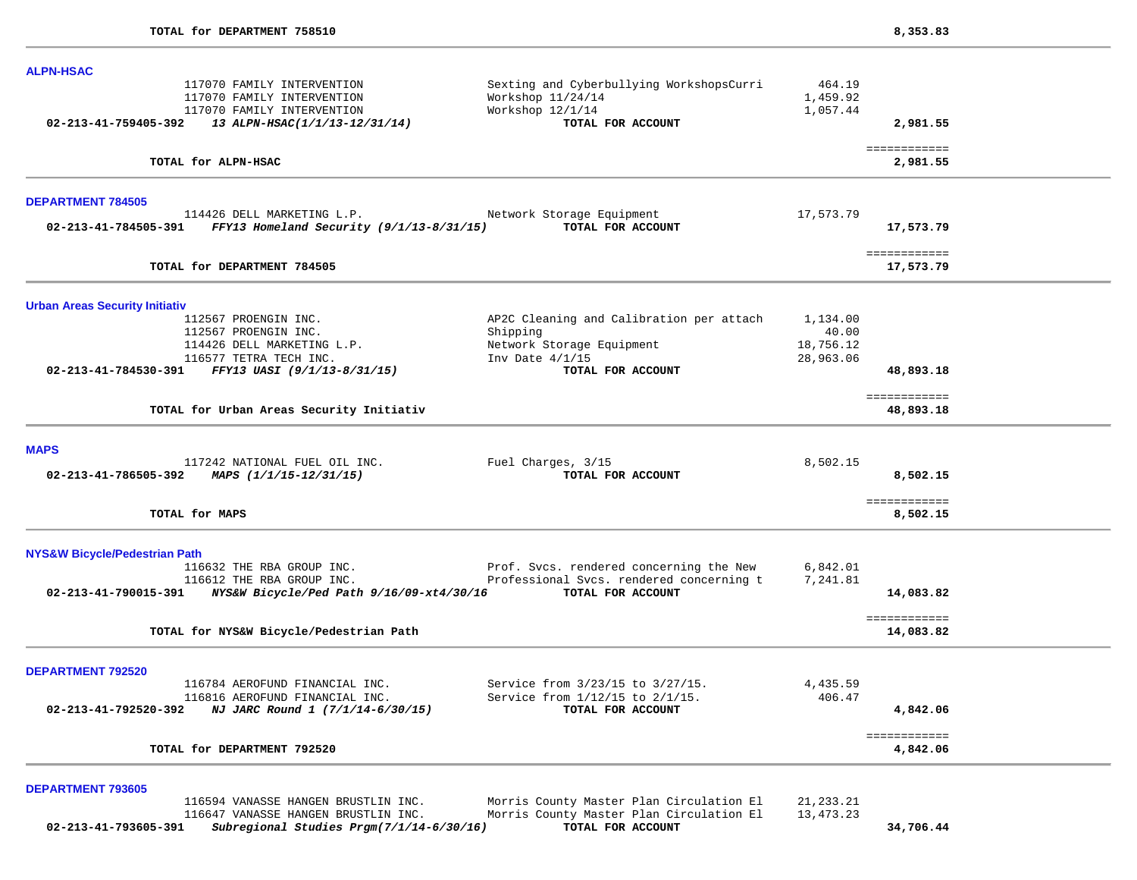| <b>ALPN-HSAC</b>                         |                                                                                                                         |                                                                                                        |                                |                           |
|------------------------------------------|-------------------------------------------------------------------------------------------------------------------------|--------------------------------------------------------------------------------------------------------|--------------------------------|---------------------------|
| 02-213-41-759405-392                     | 117070 FAMILY INTERVENTION<br>117070 FAMILY INTERVENTION<br>117070 FAMILY INTERVENTION<br>13 ALPN-HSAC(1/1/13-12/31/14) | Sexting and Cyberbullying WorkshopsCurri<br>Workshop 11/24/14<br>Workshop 12/1/14<br>TOTAL FOR ACCOUNT | 464.19<br>1,459.92<br>1,057.44 | 2,981.55                  |
|                                          |                                                                                                                         |                                                                                                        |                                |                           |
|                                          | TOTAL for ALPN-HSAC                                                                                                     |                                                                                                        |                                | ============<br>2,981.55  |
| <b>DEPARTMENT 784505</b>                 |                                                                                                                         |                                                                                                        |                                |                           |
| 02-213-41-784505-391                     | 114426 DELL MARKETING L.P.<br>FFY13 Homeland Security (9/1/13-8/31/15)                                                  | Network Storage Equipment<br>TOTAL FOR ACCOUNT                                                         | 17,573.79                      | 17,573.79                 |
|                                          | TOTAL for DEPARTMENT 784505                                                                                             |                                                                                                        |                                | ============<br>17,573.79 |
| <b>Urban Areas Security Initiativ</b>    |                                                                                                                         |                                                                                                        |                                |                           |
|                                          | 112567 PROENGIN INC.<br>112567 PROENGIN INC.                                                                            | AP2C Cleaning and Calibration per attach<br>Shipping                                                   | 1,134.00<br>40.00              |                           |
|                                          | 114426 DELL MARKETING L.P.                                                                                              | Network Storage Equipment                                                                              | 18,756.12                      |                           |
|                                          | 116577 TETRA TECH INC.                                                                                                  | Inv Date $4/1/15$                                                                                      | 28,963.06                      |                           |
|                                          | 02-213-41-784530-391 FFY13 UASI (9/1/13-8/31/15)                                                                        | TOTAL FOR ACCOUNT                                                                                      |                                | 48,893.18                 |
|                                          | TOTAL for Urban Areas Security Initiativ                                                                                |                                                                                                        |                                | ============<br>48,893.18 |
| <b>MAPS</b>                              |                                                                                                                         |                                                                                                        |                                |                           |
|                                          | 117242 NATIONAL FUEL OIL INC. Fuel Charges, 3/15<br>02-213-41-786505-392 MAPS $(1/1/15-12/31/15)$                       | TOTAL FOR ACCOUNT                                                                                      | 8,502.15                       | 8,502.15                  |
|                                          | TOTAL for MAPS                                                                                                          |                                                                                                        |                                | ============<br>8,502.15  |
| <b>NYS&amp;W Bicycle/Pedestrian Path</b> |                                                                                                                         |                                                                                                        |                                |                           |
|                                          | 116632 THE RBA GROUP INC. Prof. Svcs. rendered concerning the New                                                       |                                                                                                        | 6,842.01                       |                           |
|                                          | 116612 THE RBA GROUP INC.<br>02-213-41-790015-391 NYS&W Bicycle/Ped Path 9/16/09-xt4/30/16 TOTAL FOR ACCOUNT            | Professional Svcs. rendered concerning t                                                               | 7,241.81                       | 14,083.82                 |
|                                          | TOTAL for NYS&W Bicycle/Pedestrian Path                                                                                 |                                                                                                        |                                | ============<br>14,083.82 |
| <b>DEPARTMENT 792520</b>                 |                                                                                                                         |                                                                                                        |                                |                           |
|                                          | 116784 AEROFUND FINANCIAL INC.                                                                                          | Service from 3/23/15 to 3/27/15.                                                                       | 4,435.59                       |                           |
| 02-213-41-792520-392                     | 116816 AEROFUND FINANCIAL INC.<br>NJ JARC Round 1 (7/1/14-6/30/15)                                                      | Service from 1/12/15 to 2/1/15.<br>TOTAL FOR ACCOUNT                                                   | 406.47                         | 4,842.06                  |
|                                          | TOTAL for DEPARTMENT 792520                                                                                             |                                                                                                        |                                | ============<br>4,842.06  |
| <b>DEPARTMENT 793605</b>                 |                                                                                                                         |                                                                                                        |                                |                           |
|                                          | 116594 VANASSE HANGEN BRUSTLIN INC.<br>116647 VANASSE HANGEN BRUSTLIN INC.                                              | Morris County Master Plan Circulation El<br>Morris County Master Plan Circulation El                   | 21, 233. 21<br>13, 473. 23     |                           |

 **02-213-41-793605-391** *Subregional Studies Prgm(7/1/14-6/30/16)* **TOTAL FOR ACCOUNT 34,706.44**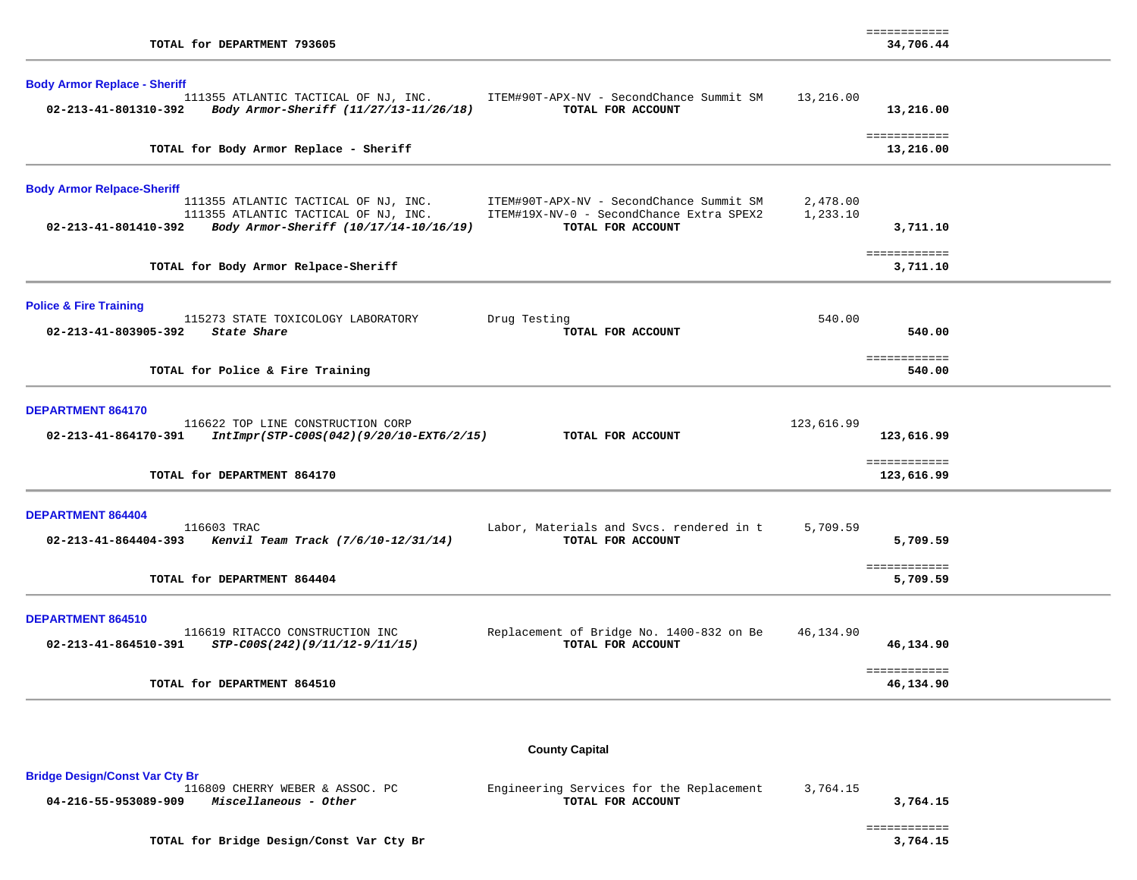| TOTAL for DEPARTMENT 793605                                                                           |                                                                                      |                      | ============<br>34,706.44  |  |
|-------------------------------------------------------------------------------------------------------|--------------------------------------------------------------------------------------|----------------------|----------------------------|--|
| <b>Body Armor Replace - Sheriff</b><br>111355 ATLANTIC TACTICAL OF NJ, INC.                           | ITEM#90T-APX-NV - SecondChance Summit SM                                             | 13,216.00            |                            |  |
| 02-213-41-801310-392<br>Body Armor-Sheriff (11/27/13-11/26/18)                                        | TOTAL FOR ACCOUNT                                                                    |                      | 13,216.00                  |  |
| TOTAL for Body Armor Replace - Sheriff                                                                |                                                                                      |                      | ============<br>13,216.00  |  |
| <b>Body Armor Relpace-Sheriff</b>                                                                     |                                                                                      |                      |                            |  |
| 111355 ATLANTIC TACTICAL OF NJ, INC.<br>111355 ATLANTIC TACTICAL OF NJ, INC.                          | ITEM#90T-APX-NV - SecondChance Summit SM<br>ITEM#19X-NV-0 - SecondChance Extra SPEX2 | 2,478.00<br>1,233.10 |                            |  |
| Body Armor-Sheriff (10/17/14-10/16/19)<br>02-213-41-801410-392                                        | TOTAL FOR ACCOUNT                                                                    |                      | 3,711.10                   |  |
| TOTAL for Body Armor Relpace-Sheriff                                                                  |                                                                                      |                      | ============<br>3,711.10   |  |
| <b>Police &amp; Fire Training</b>                                                                     |                                                                                      | 540.00               |                            |  |
| 115273 STATE TOXICOLOGY LABORATORY<br>02-213-41-803905-392<br>State Share                             | Drug Testing<br>TOTAL FOR ACCOUNT                                                    |                      | 540.00                     |  |
| TOTAL for Police & Fire Training                                                                      |                                                                                      |                      | ============<br>540.00     |  |
| DEPARTMENT 864170                                                                                     |                                                                                      |                      |                            |  |
| 116622 TOP LINE CONSTRUCTION CORP<br>02-213-41-864170-391<br>IntImpr(STP-C00S(042)(9/20/10-EXT6/2/15) | TOTAL FOR ACCOUNT                                                                    | 123,616.99           | 123,616.99                 |  |
| TOTAL for DEPARTMENT 864170                                                                           |                                                                                      |                      | ============<br>123,616.99 |  |
| <b>DEPARTMENT 864404</b>                                                                              |                                                                                      |                      |                            |  |
| 116603 TRAC<br>02-213-41-864404-393 Kenvil Team Track (7/6/10-12/31/14)                               | Labor, Materials and Svcs. rendered in t<br>TOTAL FOR ACCOUNT                        | 5,709.59             | 5,709.59                   |  |
| TOTAL for DEPARTMENT 864404                                                                           |                                                                                      |                      | ============<br>5,709.59   |  |
| DEPARTMENT 864510                                                                                     |                                                                                      |                      |                            |  |
| 116619 RITACCO CONSTRUCTION INC<br>02-213-41-864510-391<br>STP-C00S(242)(9/11/12-9/11/15)             | Replacement of Bridge No. 1400-832 on Be<br>TOTAL FOR ACCOUNT                        | 46,134.90            | 46,134.90                  |  |
|                                                                                                       |                                                                                      |                      | ============               |  |

Bridge Design/Const Var Cty Br<br>116809 CHERRY WEBER & ASSOC. PC Engineering Services for the Replacement 3,764.15<br>TOTAL FOR ACCOUNT  **04-216-55-953089-909** *Miscellaneous - Other* **TOTAL FOR ACCOUNT 3,764.15**

 ============  $\begin{array}{cccc} \texttt{-----} \texttt{-----} \end{array} \end{array} \begin{array}{c} \texttt{-----} \texttt{-----} \end{array} \begin{array}{c} \texttt{-----} \texttt{-----} \end{array} \begin{array}{c} \texttt{-----} \end{array} \begin{array}{c} \texttt{-----} \end{array} \begin{array}{c} \texttt{-----} \end{array} \end{array} \begin{array}{c} \texttt{-----} \end{array} \begin{array}{c} \texttt{-----} \end{array} \begin{array}{c} \texttt{-----} \end{array} \begin{array}{c} \texttt{-----} \end{array} \begin{array}{c} \texttt{-----$ 

TOTAL for Bridge Design/Const Var Cty Br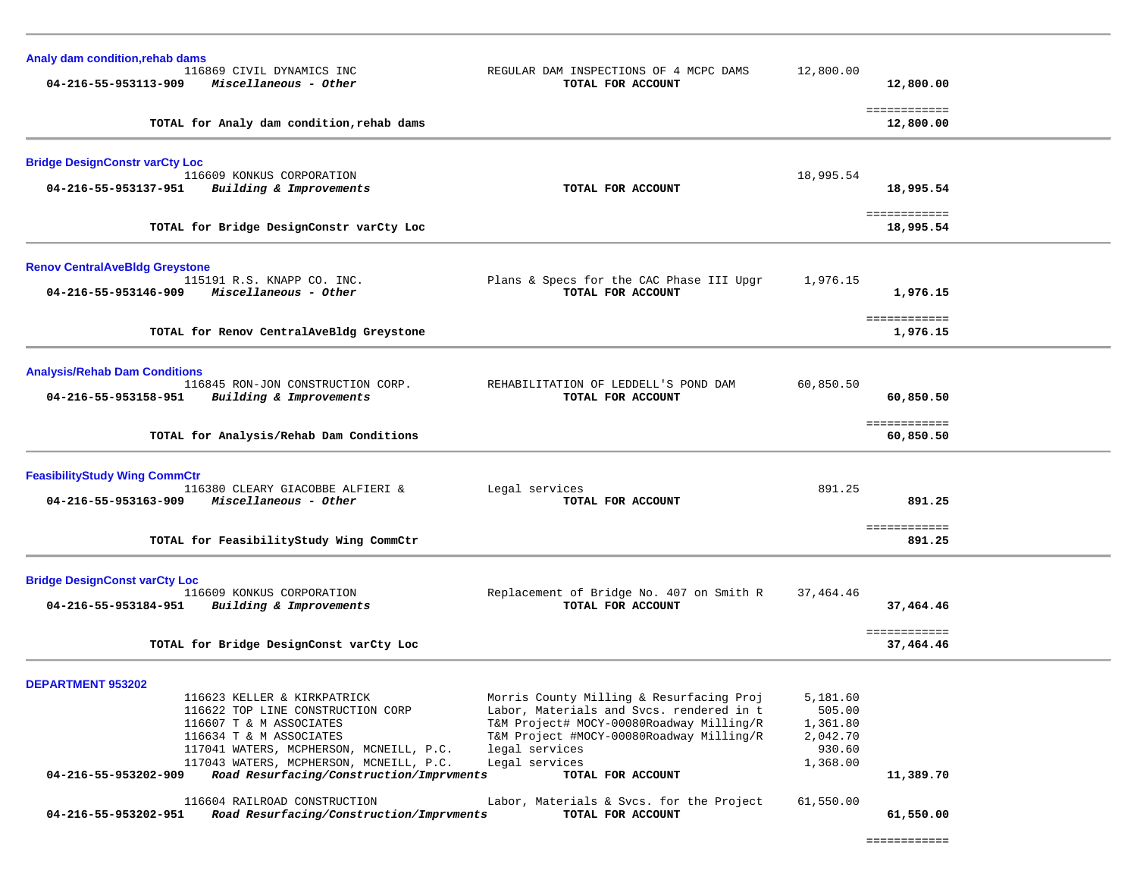| Analy dam condition, rehab dams<br>04-216-55-953113-909                  | 116869 CIVIL DYNAMICS INC<br>Miscellaneous - Other                                                                                                                                                                                                                                                                                   | REGULAR DAM INSPECTIONS OF 4 MCPC DAMS<br>TOTAL FOR ACCOUNT                                                                                                                                                                                                                                            | 12,800.00                                                                     | 12,800.00                              |
|--------------------------------------------------------------------------|--------------------------------------------------------------------------------------------------------------------------------------------------------------------------------------------------------------------------------------------------------------------------------------------------------------------------------------|--------------------------------------------------------------------------------------------------------------------------------------------------------------------------------------------------------------------------------------------------------------------------------------------------------|-------------------------------------------------------------------------------|----------------------------------------|
|                                                                          | TOTAL for Analy dam condition, rehab dams                                                                                                                                                                                                                                                                                            |                                                                                                                                                                                                                                                                                                        |                                                                               | ============<br>12,800.00              |
| <b>Bridge DesignConstr varCty Loc</b><br>04-216-55-953137-951            | 116609 KONKUS CORPORATION<br>Building & Improvements<br>TOTAL for Bridge DesignConstr varCty Loc                                                                                                                                                                                                                                     | TOTAL FOR ACCOUNT                                                                                                                                                                                                                                                                                      | 18,995.54                                                                     | 18,995.54<br>============<br>18,995.54 |
| <b>Renov CentralAveBldg Greystone</b><br>04-216-55-953146-909            | 115191 R.S. KNAPP CO. INC.<br>Miscellaneous - Other<br>TOTAL for Renov CentralAveBldg Greystone                                                                                                                                                                                                                                      | Plans & Specs for the CAC Phase III Upgr<br>TOTAL FOR ACCOUNT                                                                                                                                                                                                                                          | 1,976.15                                                                      | 1,976.15<br>============               |
|                                                                          |                                                                                                                                                                                                                                                                                                                                      |                                                                                                                                                                                                                                                                                                        |                                                                               | 1,976.15                               |
| <b>Analysis/Rehab Dam Conditions</b><br>04-216-55-953158-951             | 116845 RON-JON CONSTRUCTION CORP.<br>Building & Improvements                                                                                                                                                                                                                                                                         | REHABILITATION OF LEDDELL'S POND DAM<br>TOTAL FOR ACCOUNT                                                                                                                                                                                                                                              | 60,850.50                                                                     | 60,850.50                              |
|                                                                          | TOTAL for Analysis/Rehab Dam Conditions                                                                                                                                                                                                                                                                                              |                                                                                                                                                                                                                                                                                                        |                                                                               | ============<br>60,850.50              |
| <b>FeasibilityStudy Wing CommCtr</b><br>04-216-55-953163-909             | 116380 CLEARY GIACOBBE ALFIERI &<br>Miscellaneous - Other                                                                                                                                                                                                                                                                            | Legal services<br>TOTAL FOR ACCOUNT                                                                                                                                                                                                                                                                    | 891.25                                                                        | 891.25                                 |
|                                                                          | TOTAL for FeasibilityStudy Wing CommCtr                                                                                                                                                                                                                                                                                              |                                                                                                                                                                                                                                                                                                        |                                                                               | ============<br>891.25                 |
| <b>Bridge DesignConst varCty Loc</b><br>04-216-55-953184-951             | 116609 KONKUS CORPORATION<br>Building & Improvements                                                                                                                                                                                                                                                                                 | Replacement of Bridge No. 407 on Smith R<br>TOTAL FOR ACCOUNT                                                                                                                                                                                                                                          | 37,464.46                                                                     | 37,464.46<br>============              |
|                                                                          | TOTAL for Bridge DesignConst varCty Loc                                                                                                                                                                                                                                                                                              |                                                                                                                                                                                                                                                                                                        |                                                                               | 37,464.46                              |
| <b>DEPARTMENT 953202</b><br>04-216-55-953202-909<br>04-216-55-953202-951 | 116623 KELLER & KIRKPATRICK<br>116622 TOP LINE CONSTRUCTION CORP<br>116607 T & M ASSOCIATES<br>116634 T & M ASSOCIATES<br>117041 WATERS, MCPHERSON, MCNEILL, P.C.<br>117043 WATERS, MCPHERSON, MCNEILL, P.C.<br>Road Resurfacing/Construction/Imprvments<br>116604 RAILROAD CONSTRUCTION<br>Road Resurfacing/Construction/Imprvments | Morris County Milling & Resurfacing Proj<br>Labor, Materials and Svcs. rendered in t<br>T&M Project# MOCY-00080Roadway Milling/R<br>T&M Project #MOCY-00080Roadway Milling/R<br>legal services<br>Legal services<br>TOTAL FOR ACCOUNT<br>Labor, Materials & Svcs. for the Project<br>TOTAL FOR ACCOUNT | 5,181.60<br>505.00<br>1,361.80<br>2,042.70<br>930.60<br>1,368.00<br>61,550.00 | 11,389.70<br>61,550.00                 |

============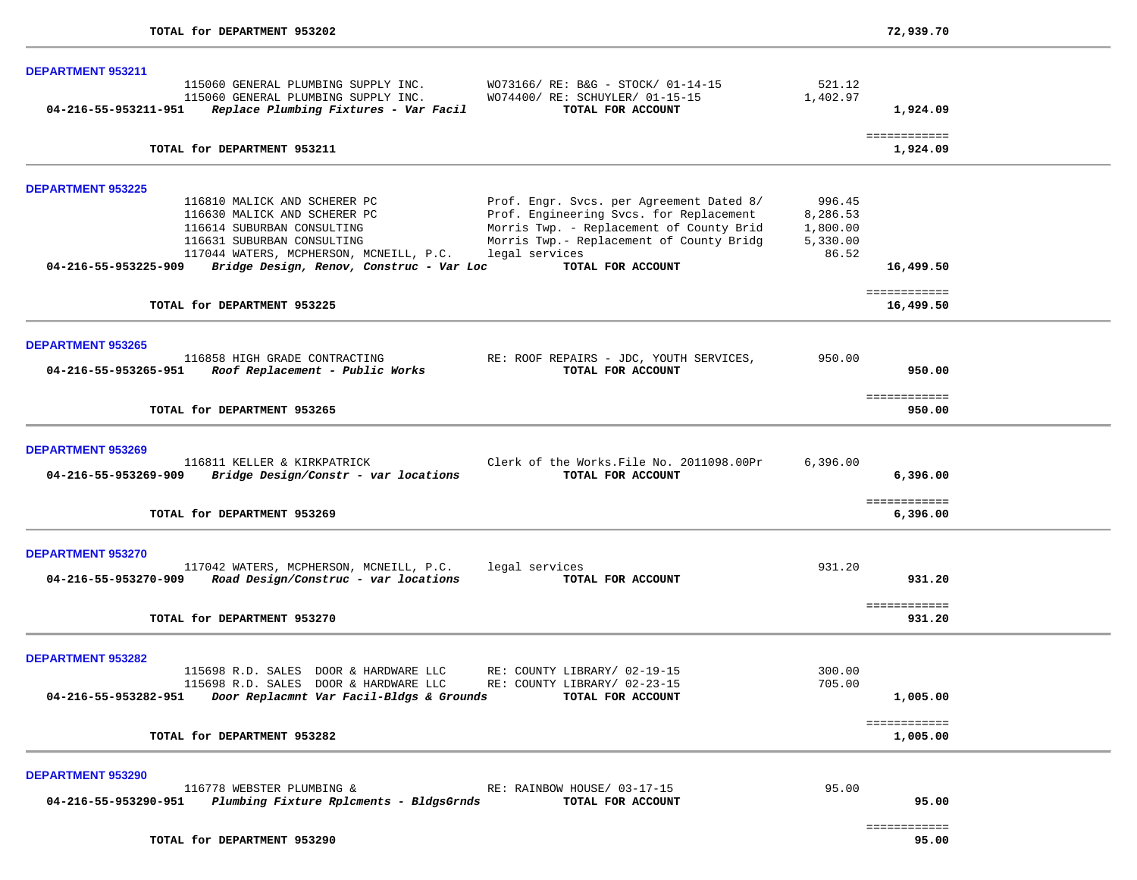| DEPARTMENT 953211                                                                                                                                                                                                                                         |                                                                                                                                                                                                                                                         |                           |
|-----------------------------------------------------------------------------------------------------------------------------------------------------------------------------------------------------------------------------------------------------------|---------------------------------------------------------------------------------------------------------------------------------------------------------------------------------------------------------------------------------------------------------|---------------------------|
| 115060 GENERAL PLUMBING SUPPLY INC.<br>115060 GENERAL PLUMBING SUPPLY INC.<br>WO74400/ RE: SCHUYLER/ 01-15-15<br>04-216-55-953211-951<br>Replace Plumbing Fixtures - Var Facil                                                                            | WO73166/ RE: B&G - STOCK/ 01-14-15<br>521.12<br>1,402.97<br>TOTAL FOR ACCOUNT                                                                                                                                                                           | 1,924.09                  |
|                                                                                                                                                                                                                                                           |                                                                                                                                                                                                                                                         |                           |
| TOTAL for DEPARTMENT 953211                                                                                                                                                                                                                               |                                                                                                                                                                                                                                                         | ============<br>1,924.09  |
| <b>DEPARTMENT 953225</b>                                                                                                                                                                                                                                  |                                                                                                                                                                                                                                                         |                           |
| 116810 MALICK AND SCHERER PC<br>116630 MALICK AND SCHERER PC<br>116614 SUBURBAN CONSULTING<br>116631 SUBURBAN CONSULTING<br>legal services<br>117044 WATERS, MCPHERSON, MCNEILL, P.C.<br>04-216-55-953225-909<br>Bridge Design, Renov, Construc - Var Loc | Prof. Engr. Svcs. per Agreement Dated 8/<br>996.45<br>Prof. Engineering Svcs. for Replacement<br>8,286.53<br>Morris Twp. - Replacement of County Brid<br>1,800.00<br>Morris Twp.- Replacement of County Bridg<br>5,330.00<br>86.52<br>TOTAL FOR ACCOUNT | 16,499.50                 |
| TOTAL for DEPARTMENT 953225                                                                                                                                                                                                                               |                                                                                                                                                                                                                                                         | ============<br>16,499.50 |
| <b>DEPARTMENT 953265</b>                                                                                                                                                                                                                                  |                                                                                                                                                                                                                                                         |                           |
| 116858 HIGH GRADE CONTRACTING<br>04-216-55-953265-951 Roof Replacement - Public Works                                                                                                                                                                     | 950.00<br>RE: ROOF REPAIRS - JDC, YOUTH SERVICES,<br>TOTAL FOR ACCOUNT                                                                                                                                                                                  | 950.00                    |
| TOTAL for DEPARTMENT 953265                                                                                                                                                                                                                               |                                                                                                                                                                                                                                                         | ============<br>950.00    |
| <b>DEPARTMENT 953269</b>                                                                                                                                                                                                                                  |                                                                                                                                                                                                                                                         |                           |
| 116811 KELLER & KIRKPATRICK<br>Bridge Design/Constr - var locations<br>04-216-55-953269-909                                                                                                                                                               | Clerk of the Works. File No. 2011098.00Pr<br>6,396.00<br>TOTAL FOR ACCOUNT                                                                                                                                                                              | 6,396.00                  |
| TOTAL for DEPARTMENT 953269                                                                                                                                                                                                                               |                                                                                                                                                                                                                                                         | ============<br>6,396.00  |
| <b>DEPARTMENT 953270</b>                                                                                                                                                                                                                                  |                                                                                                                                                                                                                                                         |                           |
| 117042 WATERS, MCPHERSON, MCNEILL, P.C.<br>legal services<br>04-216-55-953270-909<br>Road Design/Construc - var locations                                                                                                                                 | 931.20<br>TOTAL FOR ACCOUNT                                                                                                                                                                                                                             | 931.20                    |
| TOTAL for DEPARTMENT 953270                                                                                                                                                                                                                               |                                                                                                                                                                                                                                                         | ============<br>931.20    |
| <b>DEPARTMENT 953282</b>                                                                                                                                                                                                                                  |                                                                                                                                                                                                                                                         |                           |
| 115698 R.D. SALES DOOR & HARDWARE LLC<br>RE: COUNTY LIBRARY/ 02-19-15<br>115698 R.D. SALES DOOR & HARDWARE LLC<br>RE: COUNTY LIBRARY/ 02-23-15<br>04-216-55-953282-951<br>Door Replacmnt Var Facil-Bldgs & Grounds                                        | 300.00<br>705.00<br>TOTAL FOR ACCOUNT                                                                                                                                                                                                                   | 1,005.00                  |
| TOTAL for DEPARTMENT 953282                                                                                                                                                                                                                               |                                                                                                                                                                                                                                                         | ============<br>1,005.00  |
| <b>DEPARTMENT 953290</b>                                                                                                                                                                                                                                  |                                                                                                                                                                                                                                                         |                           |
| 116778 WEBSTER PLUMBING &<br>RE: RAINBOW HOUSE/ 03-17-15<br>Plumbing Fixture Rplcments - BldgsGrnds<br>04-216-55-953290-951                                                                                                                               | 95.00<br>TOTAL FOR ACCOUNT                                                                                                                                                                                                                              | 95.00                     |
|                                                                                                                                                                                                                                                           |                                                                                                                                                                                                                                                         | ============              |

TOTAL for DEPARTMENT 953290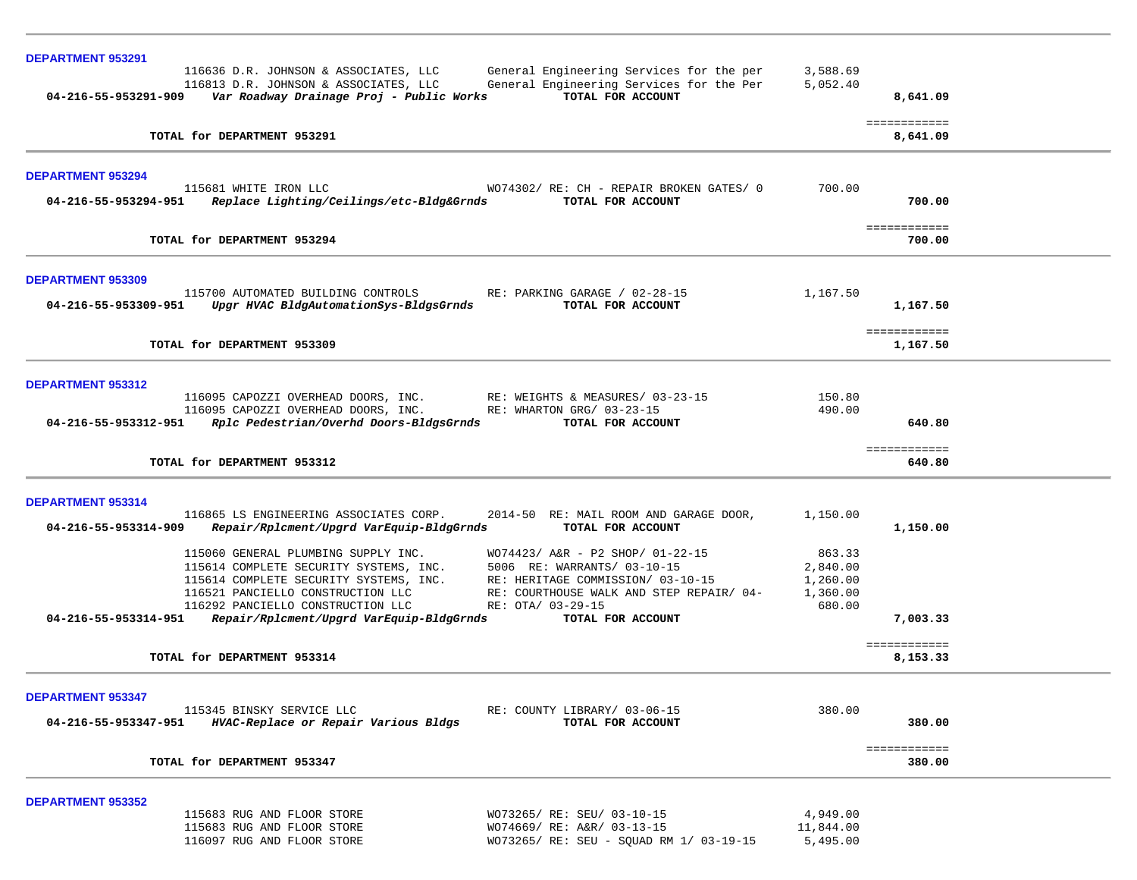| <b>DEPARTMENT 953291</b> |                                                                                   |                                                               |           |                          |  |
|--------------------------|-----------------------------------------------------------------------------------|---------------------------------------------------------------|-----------|--------------------------|--|
|                          | 116636 D.R. JOHNSON & ASSOCIATES, LLC                                             | General Engineering Services for the per                      | 3,588.69  |                          |  |
| 04-216-55-953291-909     | 116813 D.R. JOHNSON & ASSOCIATES, LLC<br>Var Roadway Drainage Proj - Public Works | General Engineering Services for the Per<br>TOTAL FOR ACCOUNT | 5,052.40  |                          |  |
|                          |                                                                                   |                                                               |           | 8,641.09                 |  |
|                          | TOTAL for DEPARTMENT 953291                                                       |                                                               |           | ============<br>8,641.09 |  |
|                          |                                                                                   |                                                               |           |                          |  |
| <b>DEPARTMENT 953294</b> | 115681 WHITE IRON LLC                                                             |                                                               | 700.00    |                          |  |
|                          | 04-216-55-953294-951 Replace Lighting/Ceilings/etc-Bldg&Grnds                     | WO74302/ RE: CH - REPAIR BROKEN GATES/ 0<br>TOTAL FOR ACCOUNT |           | 700.00                   |  |
|                          |                                                                                   |                                                               |           |                          |  |
|                          | TOTAL for DEPARTMENT 953294                                                       |                                                               |           | ============<br>700.00   |  |
|                          |                                                                                   |                                                               |           |                          |  |
| <b>DEPARTMENT 953309</b> |                                                                                   |                                                               |           |                          |  |
|                          | 115700 AUTOMATED BUILDING CONTROLS                                                | RE: PARKING GARAGE / 02-28-15                                 | 1,167.50  |                          |  |
|                          | 04-216-55-953309-951 Upgr HVAC BldgAutomationSys-BldgsGrnds                       | TOTAL FOR ACCOUNT                                             |           | 1,167.50                 |  |
|                          |                                                                                   |                                                               |           | ============             |  |
|                          | TOTAL for DEPARTMENT 953309                                                       |                                                               |           | 1,167.50                 |  |
|                          |                                                                                   |                                                               |           |                          |  |
| <b>DEPARTMENT 953312</b> | 116095 CAPOZZI OVERHEAD DOORS, INC. RE: WEIGHTS & MEASURES/ 03-23-15              |                                                               | 150.80    |                          |  |
|                          | 116095 CAPOZZI OVERHEAD DOORS, INC.                                               | RE: WHARTON GRG/ 03-23-15                                     | 490.00    |                          |  |
|                          | 04-216-55-953312-951 Rplc Pedestrian/Overhd Doors-BldgsGrnds                      | TOTAL FOR ACCOUNT                                             |           | 640.80                   |  |
|                          |                                                                                   |                                                               |           | ============             |  |
|                          | TOTAL for DEPARTMENT 953312                                                       |                                                               |           | 640.80                   |  |
|                          |                                                                                   |                                                               |           |                          |  |
| <b>DEPARTMENT 953314</b> | 116865 LS ENGINEERING ASSOCIATES CORP.                                            | 2014-50 RE: MAIL ROOM AND GARAGE DOOR,                        | 1,150.00  |                          |  |
| 04-216-55-953314-909     | Repair/Rplcment/Upgrd VarEquip-BldgGrnds                                          | TOTAL FOR ACCOUNT                                             |           | 1,150.00                 |  |
|                          | 115060 GENERAL PLUMBING SUPPLY INC.                                               | WO74423/ A&R - P2 SHOP/ 01-22-15                              | 863.33    |                          |  |
|                          | 115614 COMPLETE SECURITY SYSTEMS, INC.                                            | 5006 RE: WARRANTS/ 03-10-15                                   | 2,840.00  |                          |  |
|                          | 115614 COMPLETE SECURITY SYSTEMS, INC.                                            | RE: HERITAGE COMMISSION/ 03-10-15                             | 1,260.00  |                          |  |
|                          | 116521 PANCIELLO CONSTRUCTION LLC                                                 | RE: COURTHOUSE WALK AND STEP REPAIR/ 04-                      | 1,360.00  |                          |  |
|                          | 116292 PANCIELLO CONSTRUCTION LLC                                                 | RE: OTA/ 03-29-15                                             | 680.00    |                          |  |
|                          | 04-216-55-953314-951 Repair/Rplcment/Upgrd VarEquip-BldgGrnds                     | TOTAL FOR ACCOUNT                                             |           | 7,003.33                 |  |
|                          | TOTAL for DEPARTMENT 953314                                                       |                                                               |           | ============<br>8,153.33 |  |
|                          |                                                                                   |                                                               |           |                          |  |
| <b>DEPARTMENT 953347</b> |                                                                                   |                                                               |           |                          |  |
|                          | 115345 BINSKY SERVICE LLC                                                         | RE: COUNTY LIBRARY/ 03-06-15                                  | 380.00    |                          |  |
|                          | 04-216-55-953347-951 HVAC-Replace or Repair Various Bldgs                         | TOTAL FOR ACCOUNT                                             |           | 380.00                   |  |
|                          | TOTAL for DEPARTMENT 953347                                                       |                                                               |           | ============<br>380.00   |  |
|                          |                                                                                   |                                                               |           |                          |  |
| DEPARTMENT 953352        |                                                                                   |                                                               |           |                          |  |
|                          | 115683 RUG AND FLOOR STORE                                                        | WO73265/ RE: SEU/ 03-10-15                                    | 4,949.00  |                          |  |
|                          | 115683 RUG AND FLOOR STORE                                                        | WO74669/ RE: A&R/ 03-13-15                                    | 11,844.00 |                          |  |
|                          | 116097 RUG AND FLOOR STORE                                                        | WO73265/ RE: SEU - SQUAD RM 1/ 03-19-15                       | 5,495.00  |                          |  |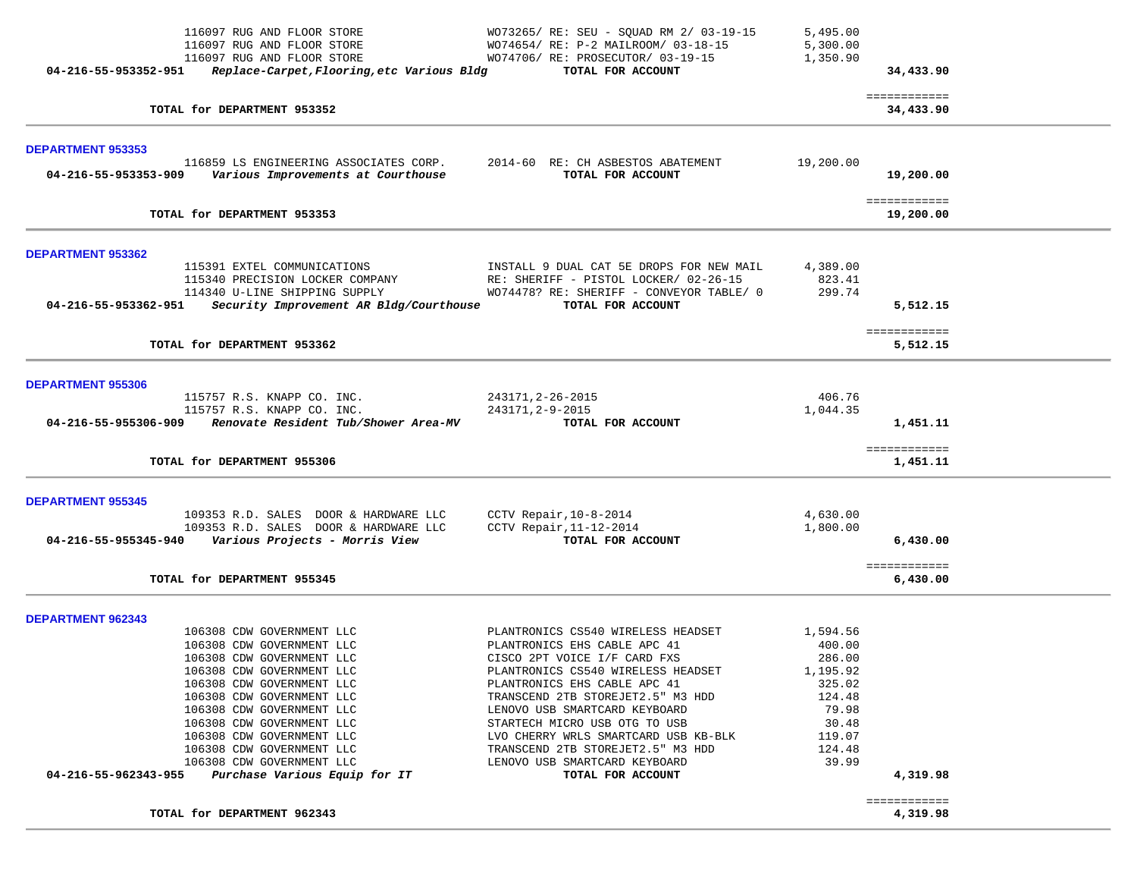| TOTAL for DEPARTMENT 962343                                                                   |                                                                          |                      | 4,319.98                  |
|-----------------------------------------------------------------------------------------------|--------------------------------------------------------------------------|----------------------|---------------------------|
|                                                                                               |                                                                          |                      | ============              |
| 106308 CDW GOVERNMENT LLC<br>04-216-55-962343-955<br>Purchase Various Equip for IT            | LENOVO USB SMARTCARD KEYBOARD<br>TOTAL FOR ACCOUNT                       | 39.99                | 4,319.98                  |
| 106308 CDW GOVERNMENT LLC                                                                     | TRANSCEND 2TB STOREJET2.5" M3 HDD                                        | 124.48               |                           |
| 106308 CDW GOVERNMENT LLC                                                                     | LVO CHERRY WRLS SMARTCARD USB KB-BLK                                     | 119.07               |                           |
| 106308 CDW GOVERNMENT LLC                                                                     | STARTECH MICRO USB OTG TO USB                                            | 30.48                |                           |
| 106308 CDW GOVERNMENT LLC                                                                     | LENOVO USB SMARTCARD KEYBOARD                                            | 79.98                |                           |
| 106308 CDW GOVERNMENT LLC                                                                     | TRANSCEND 2TB STOREJET2.5" M3 HDD                                        | 124.48               |                           |
| 106308 CDW GOVERNMENT LLC                                                                     | PLANTRONICS EHS CABLE APC 41                                             | 325.02               |                           |
| 106308 CDW GOVERNMENT LLC                                                                     | PLANTRONICS CS540 WIRELESS HEADSET                                       | 1,195.92             |                           |
| 106308 CDW GOVERNMENT LLC                                                                     | CISCO 2PT VOICE I/F CARD FXS                                             | 286.00               |                           |
| 106308 CDW GOVERNMENT LLC                                                                     | PLANTRONICS EHS CABLE APC 41                                             | 400.00               |                           |
| <b>DEPARTMENT 962343</b><br>106308 CDW GOVERNMENT LLC                                         | PLANTRONICS CS540 WIRELESS HEADSET                                       | 1,594.56             |                           |
|                                                                                               |                                                                          |                      |                           |
| TOTAL for DEPARTMENT 955345                                                                   |                                                                          |                      | ============<br>6,430.00  |
|                                                                                               |                                                                          |                      |                           |
| 109353 R.D. SALES DOOR & HARDWARE LLC<br>04-216-55-955345-940 Various Projects - Morris View  | CCTV Repair, $11-12-2014$<br>TOTAL FOR ACCOUNT                           | 1,800.00             | 6,430.00                  |
| <b>DEPARTMENT 955345</b><br>109353 R.D. SALES DOOR & HARDWARE LLC                             | CCTV Repair, $10-8-2014$                                                 | 4,630.00             |                           |
|                                                                                               |                                                                          |                      |                           |
| TOTAL for DEPARTMENT 955306                                                                   |                                                                          |                      | 1,451.11                  |
|                                                                                               |                                                                          |                      | ============              |
| 04-216-55-955306-909<br>Renovate Resident Tub/Shower Area-MV                                  | TOTAL FOR ACCOUNT                                                        |                      | 1,451.11                  |
| 115757 R.S. KNAPP CO. INC.<br>115757 R.S. KNAPP CO. INC.                                      | 243171, 2-26-2015<br>243171, 2-9-2015                                    | 406.76<br>1,044.35   |                           |
| <b>DEPARTMENT 955306</b>                                                                      |                                                                          |                      |                           |
|                                                                                               |                                                                          |                      |                           |
| TOTAL for DEPARTMENT 953362                                                                   |                                                                          |                      | ============<br>5,512.15  |
|                                                                                               |                                                                          |                      |                           |
| 114340 U-LINE SHIPPING SUPPLY<br>04-216-55-953362-951 Security Improvement AR Bldg/Courthouse | WO74478? RE: SHERIFF - CONVEYOR TABLE/ 0<br>TOTAL FOR ACCOUNT            | 299.74               | 5,512.15                  |
| 115340 PRECISION LOCKER COMPANY                                                               | RE: SHERIFF - PISTOL LOCKER/ 02-26-15                                    | 823.41               |                           |
| DEPARTMENT 953362<br>115391 EXTEL COMMUNICATIONS                                              | INSTALL 9 DUAL CAT 5E DROPS FOR NEW MAIL                                 | 4,389.00             |                           |
|                                                                                               |                                                                          |                      |                           |
| TOTAL for DEPARTMENT 953353                                                                   |                                                                          |                      | ============<br>19,200.00 |
| 04-216-55-953353-909<br>Various Improvements at Courthouse                                    | TOTAL FOR ACCOUNT                                                        |                      | 19,200.00                 |
| <b>DEPARTMENT 953353</b><br>116859 LS ENGINEERING ASSOCIATES CORP.                            | 2014-60 RE: CH ASBESTOS ABATEMENT                                        | 19,200.00            |                           |
|                                                                                               |                                                                          |                      |                           |
| TOTAL for DEPARTMENT 953352                                                                   |                                                                          |                      | ============<br>34,433.90 |
| Replace-Carpet, Flooring, etc Various Bldg<br>04-216-55-953352-951                            | TOTAL FOR ACCOUNT                                                        |                      | 34,433.90                 |
| 116097 RUG AND FLOOR STORE<br>116097 RUG AND FLOOR STORE                                      | WO74654/ RE: P-2 MAILROOM/ 03-18-15<br>WO74706/ RE: PROSECUTOR/ 03-19-15 | 5,300.00<br>1,350.90 |                           |
| 116097 RUG AND FLOOR STORE                                                                    | WO73265/ RE: SEU - SQUAD RM 2/ 03-19-15                                  | 5,495.00             |                           |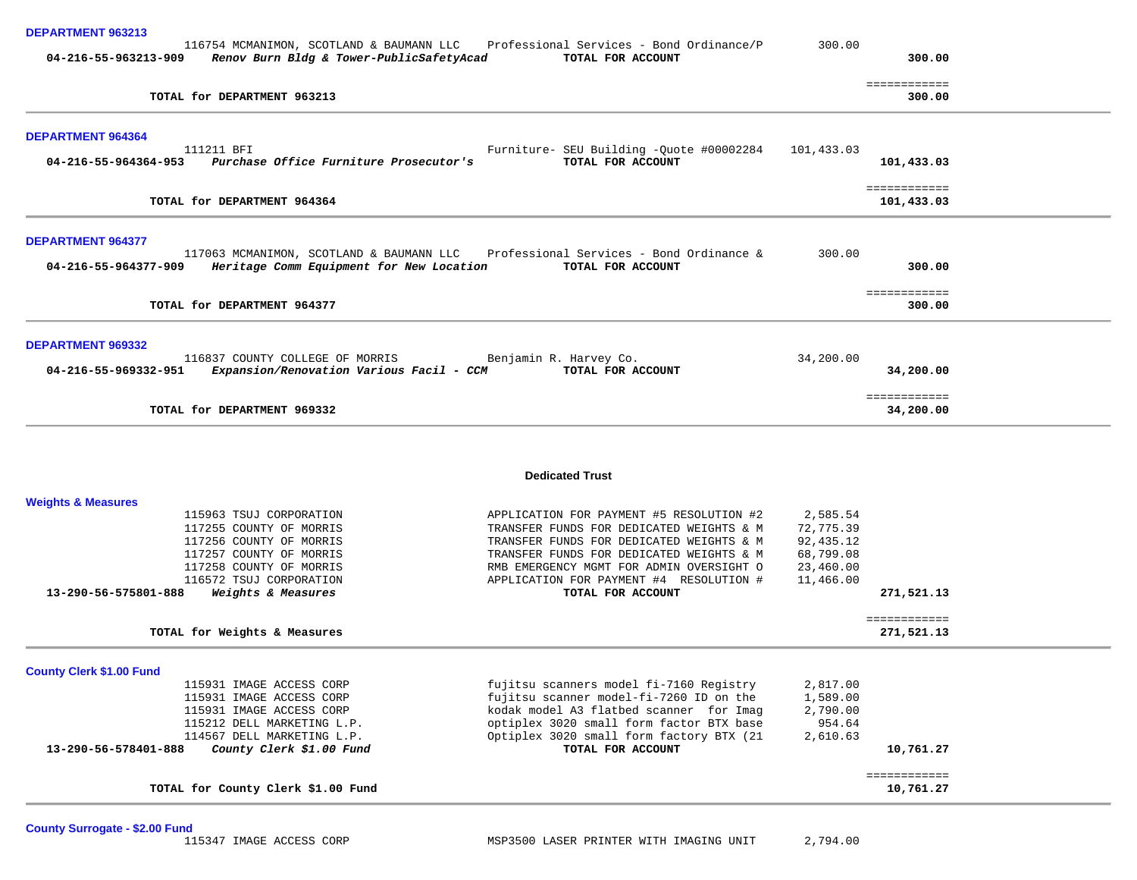| DEPARTMENT 963213<br>04-216-55-963213-909                                                                                                    | Renov Burn Bldg & Tower-PublicSafetyAcad                                                                                                                                 | 116754 MCMANIMON, SCOTLAND & BAUMANN LLC Professional Services - Bond Ordinance/P<br>TOTAL FOR ACCOUNT                                                                                                                                     | 300.00                                                       | 300.00                           |
|----------------------------------------------------------------------------------------------------------------------------------------------|--------------------------------------------------------------------------------------------------------------------------------------------------------------------------|--------------------------------------------------------------------------------------------------------------------------------------------------------------------------------------------------------------------------------------------|--------------------------------------------------------------|----------------------------------|
|                                                                                                                                              |                                                                                                                                                                          |                                                                                                                                                                                                                                            |                                                              | ============                     |
|                                                                                                                                              | TOTAL for DEPARTMENT 963213                                                                                                                                              |                                                                                                                                                                                                                                            |                                                              | 300.00                           |
| <b>DEPARTMENT 964364</b>                                                                                                                     |                                                                                                                                                                          |                                                                                                                                                                                                                                            |                                                              |                                  |
| 04-216-55-964364-953                                                                                                                         | 111211 BFI<br>Purchase Office Furniture Prosecutor's                                                                                                                     | Furniture- SEU Building -Quote #00002284<br>TOTAL FOR ACCOUNT                                                                                                                                                                              | 101,433.03                                                   | 101,433.03                       |
|                                                                                                                                              | TOTAL for DEPARTMENT 964364                                                                                                                                              |                                                                                                                                                                                                                                            |                                                              | ============<br>101,433.03       |
| <b>DEPARTMENT 964377</b>                                                                                                                     |                                                                                                                                                                          |                                                                                                                                                                                                                                            |                                                              |                                  |
| 04-216-55-964377-909                                                                                                                         | Heritage Comm Equipment for New Location                                                                                                                                 | 117063 MCMANIMON, SCOTLAND & BAUMANN LLC Professional Services - Bond Ordinance &<br>TOTAL FOR ACCOUNT                                                                                                                                     | 300.00                                                       | 300.00                           |
|                                                                                                                                              | TOTAL for DEPARTMENT 964377                                                                                                                                              |                                                                                                                                                                                                                                            |                                                              | ============<br>300.00           |
| <b>DEPARTMENT 969332</b>                                                                                                                     |                                                                                                                                                                          |                                                                                                                                                                                                                                            |                                                              |                                  |
| 116837 COUNTY COLLEGE OF MORRIS<br>Benjamin R. Harvey Co.<br>04-216-55-969332-951 Expansion/Renovation Various Facil - CCM TOTAL FOR ACCOUNT |                                                                                                                                                                          |                                                                                                                                                                                                                                            | 34,200.00                                                    | 34,200.00                        |
|                                                                                                                                              | TOTAL for DEPARTMENT 969332                                                                                                                                              |                                                                                                                                                                                                                                            |                                                              | ============<br>34,200.00        |
|                                                                                                                                              |                                                                                                                                                                          | <b>Dedicated Trust</b>                                                                                                                                                                                                                     |                                                              |                                  |
| <b>Weights &amp; Measures</b>                                                                                                                |                                                                                                                                                                          |                                                                                                                                                                                                                                            |                                                              |                                  |
|                                                                                                                                              | 115963 TSUJ CORPORATION<br>117255 COUNTY OF MORRIS<br>117256 COUNTY OF MORRIS<br>117257 COUNTY OF MORRIS<br>117258 COUNTY OF MORRIS                                      | APPLICATION FOR PAYMENT #5 RESOLUTION #2<br>TRANSFER FUNDS FOR DEDICATED WEIGHTS & M<br>TRANSFER FUNDS FOR DEDICATED WEIGHTS & M<br>TRANSFER FUNDS FOR DEDICATED WEIGHTS & M<br>RMB EMERGENCY MGMT FOR ADMIN OVERSIGHT O                   | 2,585.54<br>72,775.39<br>92,435.12<br>68,799.08<br>23,460.00 |                                  |
| 13-290-56-575801-888                                                                                                                         | 116572 TSUJ CORPORATION<br>Weights & Measures                                                                                                                            | APPLICATION FOR PAYMENT #4 RESOLUTION #<br>TOTAL FOR ACCOUNT                                                                                                                                                                               | 11,466.00                                                    | 271,521.13                       |
|                                                                                                                                              | TOTAL for Weights & Measures                                                                                                                                             |                                                                                                                                                                                                                                            |                                                              | <b>EEEEEEEEEEE</b><br>271,521.13 |
| <b>County Clerk \$1.00 Fund</b>                                                                                                              |                                                                                                                                                                          |                                                                                                                                                                                                                                            |                                                              |                                  |
| 13-290-56-578401-888                                                                                                                         | 115931 IMAGE ACCESS CORP<br>115931 IMAGE ACCESS CORP<br>115931 IMAGE ACCESS CORP<br>115212 DELL MARKETING L.P.<br>114567 DELL MARKETING L.P.<br>County Clerk \$1.00 Fund | fujitsu scanners model fi-7160 Registry<br>fujitsu scanner model-fi-7260 ID on the<br>kodak model A3 flatbed scanner for Imag<br>optiplex 3020 small form factor BTX base<br>Optiplex 3020 small form factory BTX (21<br>TOTAL FOR ACCOUNT | 2,817.00<br>1,589.00<br>2,790.00<br>954.64<br>2,610.63       | 10,761.27                        |
|                                                                                                                                              | TOTAL for County Clerk \$1.00 Fund                                                                                                                                       |                                                                                                                                                                                                                                            |                                                              | ============<br>10,761.27        |

County Surrogate - \$2.00 Fund<br>115347 IMAGE ACCESS CORP